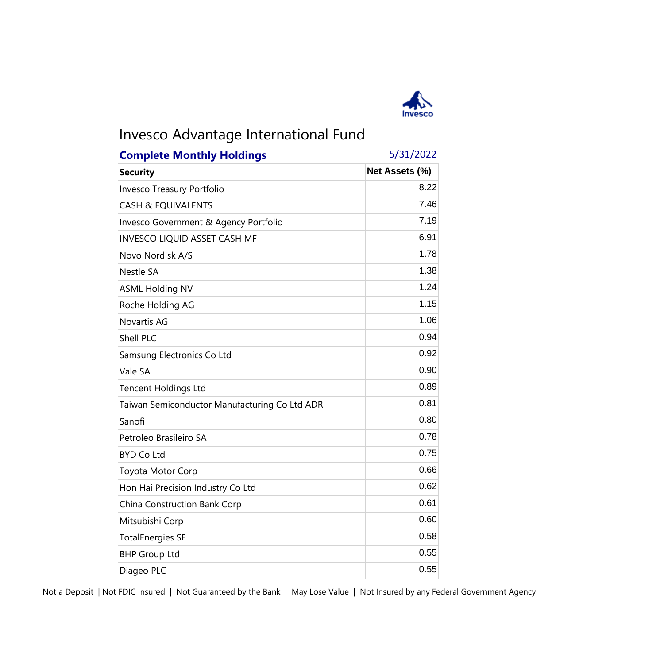

| <b>Complete Monthly Holdings</b>              | 5/31/2022      |
|-----------------------------------------------|----------------|
| <b>Security</b>                               | Net Assets (%) |
| Invesco Treasury Portfolio                    | 8.22           |
| <b>CASH &amp; EQUIVALENTS</b>                 | 7.46           |
| Invesco Government & Agency Portfolio         | 7.19           |
| INVESCO LIQUID ASSET CASH MF                  | 6.91           |
| Novo Nordisk A/S                              | 1.78           |
| Nestle SA                                     | 1.38           |
| <b>ASML Holding NV</b>                        | 1.24           |
| Roche Holding AG                              | 1.15           |
| <b>Novartis AG</b>                            | 1.06           |
| <b>Shell PLC</b>                              | 0.94           |
| Samsung Electronics Co Ltd                    | 0.92           |
| Vale SA                                       | 0.90           |
| <b>Tencent Holdings Ltd</b>                   | 0.89           |
| Taiwan Semiconductor Manufacturing Co Ltd ADR | 0.81           |
| Sanofi                                        | 0.80           |
| Petroleo Brasileiro SA                        | 0.78           |
| <b>BYD Co Ltd</b>                             | 0.75           |
| Toyota Motor Corp                             | 0.66           |
| Hon Hai Precision Industry Co Ltd             | 0.62           |
| China Construction Bank Corp                  | 0.61           |
| Mitsubishi Corp                               | 0.60           |
| <b>TotalEnergies SE</b>                       | 0.58           |
| <b>BHP Group Ltd</b>                          | 0.55           |
| Diageo PLC                                    | 0.55           |

Not a Deposit | Not FDIC Insured | Not Guaranteed by the Bank | May Lose Value | Not Insured by any Federal Government Agency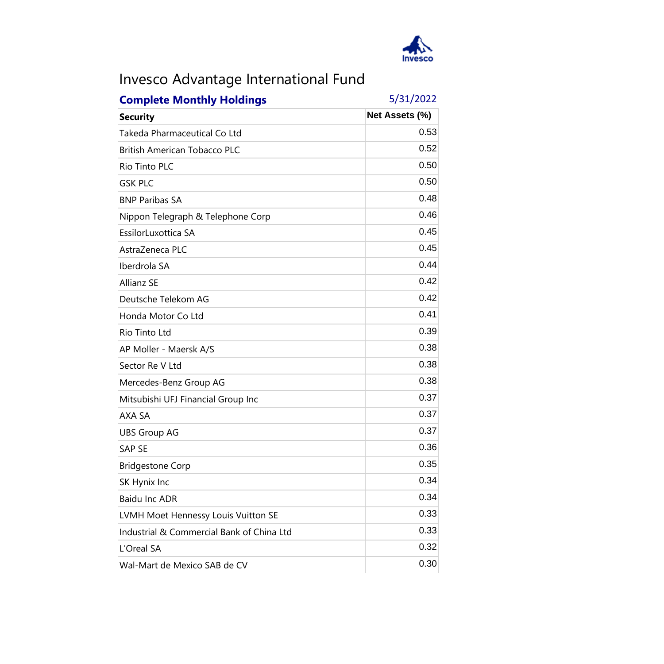

| <b>Complete Monthly Holdings</b>          | 5/31/2022      |
|-------------------------------------------|----------------|
| <b>Security</b>                           | Net Assets (%) |
| Takeda Pharmaceutical Co Ltd              | 0.53           |
| <b>British American Tobacco PLC</b>       | 0.52           |
| Rio Tinto PLC                             | 0.50           |
| <b>GSK PLC</b>                            | 0.50           |
| <b>BNP Paribas SA</b>                     | 0.48           |
| Nippon Telegraph & Telephone Corp         | 0.46           |
| EssilorLuxottica SA                       | 0.45           |
| AstraZeneca PLC                           | 0.45           |
| Iberdrola SA                              | 0.44           |
| <b>Allianz SE</b>                         | 0.42           |
| Deutsche Telekom AG                       | 0.42           |
| Honda Motor Co Ltd                        | 0.41           |
| Rio Tinto Ltd                             | 0.39           |
| AP Moller - Maersk A/S                    | 0.38           |
| Sector Re V Ltd                           | 0.38           |
| Mercedes-Benz Group AG                    | 0.38           |
| Mitsubishi UFJ Financial Group Inc        | 0.37           |
| AXA SA                                    | 0.37           |
| <b>UBS Group AG</b>                       | 0.37           |
| SAP SE                                    | 0.36           |
| <b>Bridgestone Corp</b>                   | 0.35           |
| SK Hynix Inc                              | 0.34           |
| <b>Baidu Inc ADR</b>                      | 0.34           |
| LVMH Moet Hennessy Louis Vuitton SE       | 0.33           |
| Industrial & Commercial Bank of China Ltd | 0.33           |
| L'Oreal SA                                | 0.32           |
| Wal-Mart de Mexico SAB de CV              | 0.30           |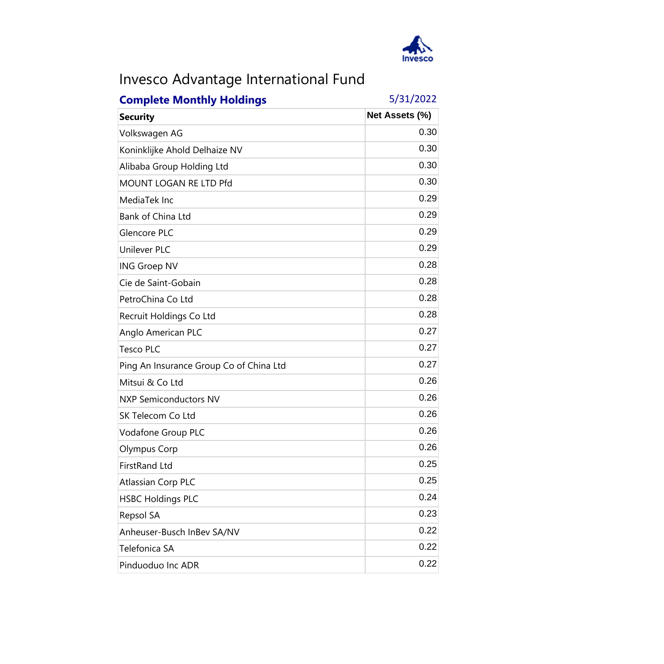

| <b>Complete Monthly Holdings</b>        | 5/31/2022      |
|-----------------------------------------|----------------|
| <b>Security</b>                         | Net Assets (%) |
| Volkswagen AG                           | 0.30           |
| Koninklijke Ahold Delhaize NV           | 0.30           |
| Alibaba Group Holding Ltd               | 0.30           |
| MOUNT LOGAN RE LTD Pfd                  | 0.30           |
| MediaTek Inc                            | 0.29           |
| Bank of China Ltd                       | 0.29           |
| <b>Glencore PLC</b>                     | 0.29           |
| Unilever PLC                            | 0.29           |
| <b>ING Groep NV</b>                     | 0.28           |
| Cie de Saint-Gobain                     | 0.28           |
| PetroChina Co Ltd                       | 0.28           |
| Recruit Holdings Co Ltd                 | 0.28           |
| Anglo American PLC                      | 0.27           |
| <b>Tesco PLC</b>                        | 0.27           |
| Ping An Insurance Group Co of China Ltd | 0.27           |
| Mitsui & Co Ltd                         | 0.26           |
| <b>NXP Semiconductors NV</b>            | 0.26           |
| SK Telecom Co Ltd                       | 0.26           |
| Vodafone Group PLC                      | 0.26           |
| Olympus Corp                            | 0.26           |
| <b>FirstRand Ltd</b>                    | 0.25           |
| Atlassian Corp PLC                      | 0.25           |
| <b>HSBC Holdings PLC</b>                | 0.24           |
| Repsol SA                               | 0.23           |
| Anheuser-Busch InBev SA/NV              | 0.22           |
| Telefonica SA                           | 0.22           |
| Pinduoduo Inc ADR                       | 0.22           |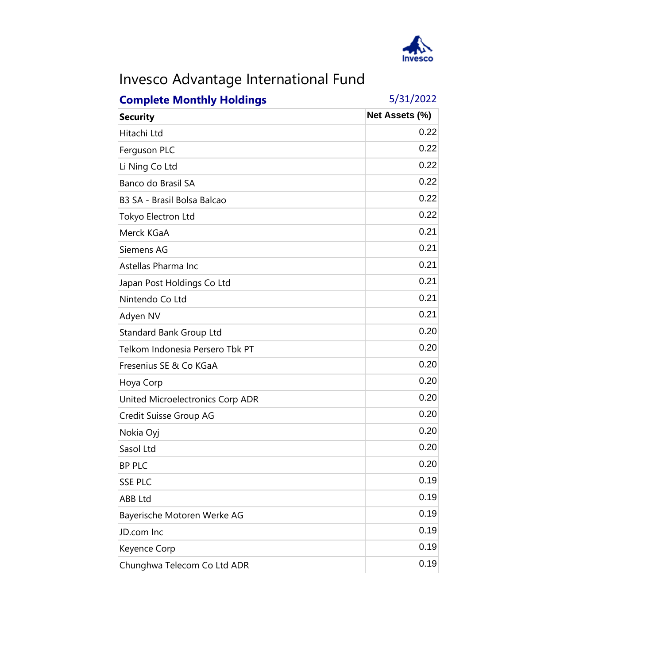

| <b>Complete Monthly Holdings</b> | 5/31/2022      |
|----------------------------------|----------------|
| <b>Security</b>                  | Net Assets (%) |
| Hitachi Ltd                      | 0.22           |
| Ferguson PLC                     | 0.22           |
| Li Ning Co Ltd                   | 0.22           |
| Banco do Brasil SA               | 0.22           |
| B3 SA - Brasil Bolsa Balcao      | 0.22           |
| Tokyo Electron Ltd               | 0.22           |
| Merck KGaA                       | 0.21           |
| Siemens AG                       | 0.21           |
| Astellas Pharma Inc              | 0.21           |
| Japan Post Holdings Co Ltd       | 0.21           |
| Nintendo Co Ltd                  | 0.21           |
| Adyen NV                         | 0.21           |
| Standard Bank Group Ltd          | 0.20           |
| Telkom Indonesia Persero Tbk PT  | 0.20           |
| Fresenius SE & Co KGaA           | 0.20           |
| Hoya Corp                        | 0.20           |
| United Microelectronics Corp ADR | 0.20           |
| Credit Suisse Group AG           | 0.20           |
| Nokia Oyj                        | 0.20           |
| Sasol Ltd                        | 0.20           |
| <b>BP PLC</b>                    | 0.20           |
| <b>SSE PLC</b>                   | 0.19           |
| ABB Ltd                          | 0.19           |
| Bayerische Motoren Werke AG      | 0.19           |
| JD.com Inc                       | 0.19           |
| Keyence Corp                     | 0.19           |
| Chunghwa Telecom Co Ltd ADR      | 0.19           |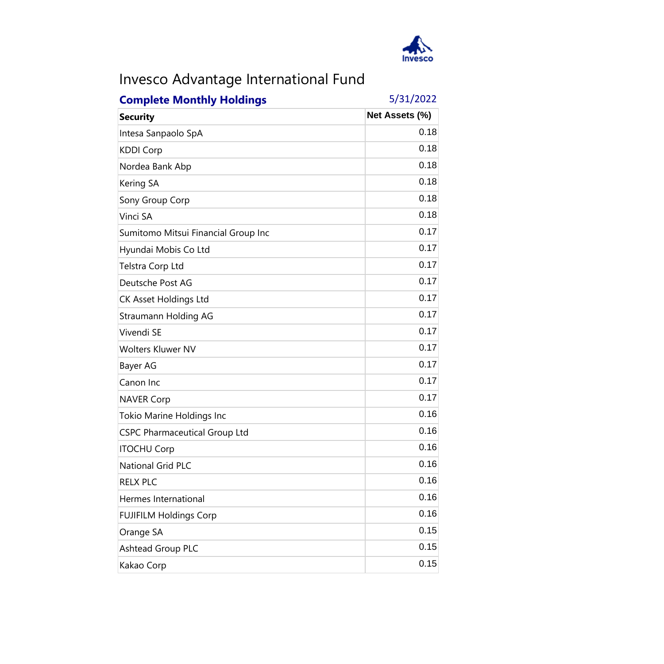

| <b>Complete Monthly Holdings</b>     | 5/31/2022      |
|--------------------------------------|----------------|
| <b>Security</b>                      | Net Assets (%) |
| Intesa Sanpaolo SpA                  | 0.18           |
| <b>KDDI Corp</b>                     | 0.18           |
| Nordea Bank Abp                      | 0.18           |
| Kering SA                            | 0.18           |
| Sony Group Corp                      | 0.18           |
| Vinci SA                             | 0.18           |
| Sumitomo Mitsui Financial Group Inc  | 0.17           |
| Hyundai Mobis Co Ltd                 | 0.17           |
| Telstra Corp Ltd                     | 0.17           |
| Deutsche Post AG                     | 0.17           |
| CK Asset Holdings Ltd                | 0.17           |
| Straumann Holding AG                 | 0.17           |
| Vivendi SE                           | 0.17           |
| <b>Wolters Kluwer NV</b>             | 0.17           |
| Bayer AG                             | 0.17           |
| Canon Inc                            | 0.17           |
| <b>NAVER Corp</b>                    | 0.17           |
| Tokio Marine Holdings Inc            | 0.16           |
| <b>CSPC Pharmaceutical Group Ltd</b> | 0.16           |
| <b>ITOCHU Corp</b>                   | 0.16           |
| National Grid PLC                    | 0.16           |
| <b>RELX PLC</b>                      | 0.16           |
| Hermes International                 | 0.16           |
| <b>FUJIFILM Holdings Corp</b>        | 0.16           |
| Orange SA                            | 0.15           |
| Ashtead Group PLC                    | 0.15           |
| Kakao Corp                           | 0.15           |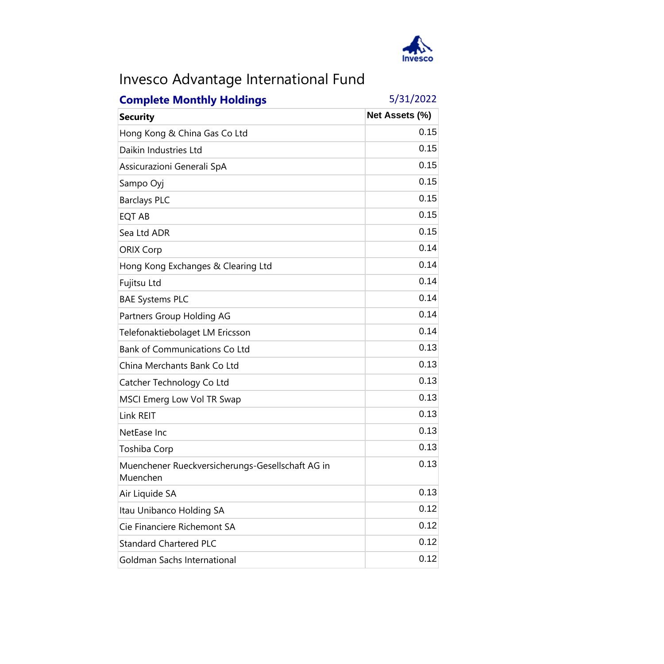

| <b>Complete Monthly Holdings</b>                             | 5/31/2022      |
|--------------------------------------------------------------|----------------|
| <b>Security</b>                                              | Net Assets (%) |
| Hong Kong & China Gas Co Ltd                                 | 0.15           |
| Daikin Industries Ltd                                        | 0.15           |
| Assicurazioni Generali SpA                                   | 0.15           |
| Sampo Oyj                                                    | 0.15           |
| <b>Barclays PLC</b>                                          | 0.15           |
| EQT AB                                                       | 0.15           |
| Sea Ltd ADR                                                  | 0.15           |
| <b>ORIX Corp</b>                                             | 0.14           |
| Hong Kong Exchanges & Clearing Ltd                           | 0.14           |
| Fujitsu Ltd                                                  | 0.14           |
| <b>BAE Systems PLC</b>                                       | 0.14           |
| Partners Group Holding AG                                    | 0.14           |
| Telefonaktiebolaget LM Ericsson                              | 0.14           |
| <b>Bank of Communications Co Ltd</b>                         | 0.13           |
| China Merchants Bank Co Ltd                                  | 0.13           |
| Catcher Technology Co Ltd                                    | 0.13           |
| MSCI Emerg Low Vol TR Swap                                   | 0.13           |
| Link REIT                                                    | 0.13           |
| NetEase Inc                                                  | 0.13           |
| Toshiba Corp                                                 | 0.13           |
| Muenchener Rueckversicherungs-Gesellschaft AG in<br>Muenchen | 0.13           |
| Air Liquide SA                                               | 0.13           |
| Itau Unibanco Holding SA                                     | 0.12           |
| Cie Financiere Richemont SA                                  | 0.12           |
| <b>Standard Chartered PLC</b>                                | 0.12           |
| Goldman Sachs International                                  | 0.12           |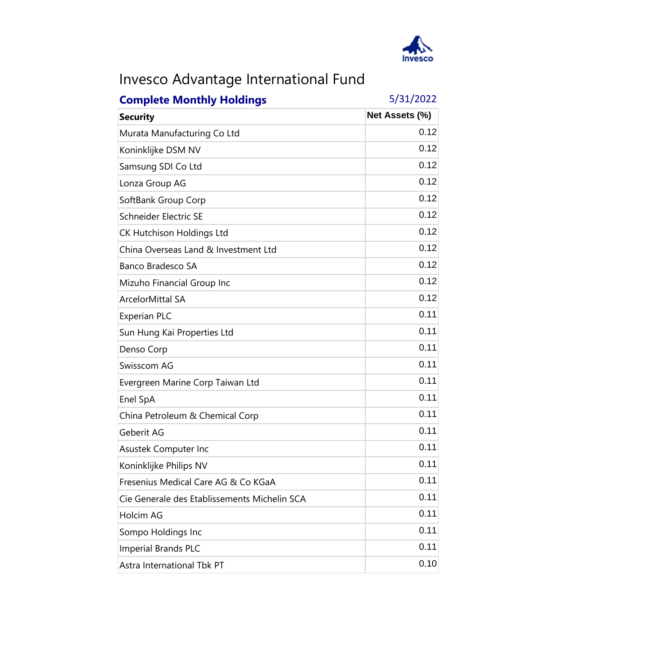

| <b>Complete Monthly Holdings</b>             | 5/31/2022      |
|----------------------------------------------|----------------|
| <b>Security</b>                              | Net Assets (%) |
| Murata Manufacturing Co Ltd                  | 0.12           |
| Koninklijke DSM NV                           | 0.12           |
| Samsung SDI Co Ltd                           | 0.12           |
| Lonza Group AG                               | 0.12           |
| SoftBank Group Corp                          | 0.12           |
| Schneider Electric SE                        | 0.12           |
| CK Hutchison Holdings Ltd                    | 0.12           |
| China Overseas Land & Investment Ltd         | 0.12           |
| <b>Banco Bradesco SA</b>                     | 0.12           |
| Mizuho Financial Group Inc                   | 0.12           |
| ArcelorMittal SA                             | 0.12           |
| <b>Experian PLC</b>                          | 0.11           |
| Sun Hung Kai Properties Ltd                  | 0.11           |
| Denso Corp                                   | 0.11           |
| Swisscom AG                                  | 0.11           |
| Evergreen Marine Corp Taiwan Ltd             | 0.11           |
| Enel SpA                                     | 0.11           |
| China Petroleum & Chemical Corp              | 0.11           |
| Geberit AG                                   | 0.11           |
| Asustek Computer Inc                         | 0.11           |
| Koninklijke Philips NV                       | 0.11           |
| Fresenius Medical Care AG & Co KGaA          | 0.11           |
| Cie Generale des Etablissements Michelin SCA | 0.11           |
| Holcim AG                                    | 0.11           |
| Sompo Holdings Inc                           | 0.11           |
| Imperial Brands PLC                          | 0.11           |
| Astra International Tbk PT                   | 0.10           |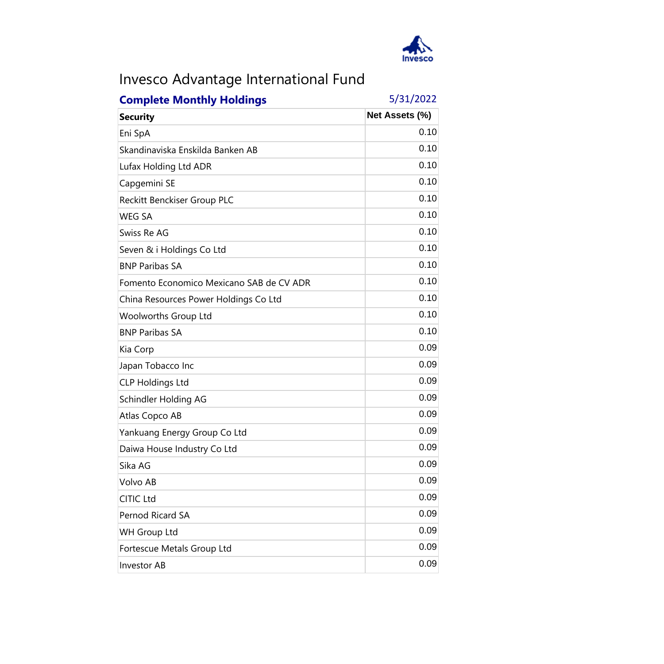

| <b>Complete Monthly Holdings</b>         | 5/31/2022      |
|------------------------------------------|----------------|
| <b>Security</b>                          | Net Assets (%) |
| Eni SpA                                  | 0.10           |
| Skandinaviska Enskilda Banken AB         | 0.10           |
| Lufax Holding Ltd ADR                    | 0.10           |
| Capgemini SE                             | 0.10           |
| Reckitt Benckiser Group PLC              | 0.10           |
| WEG SA                                   | 0.10           |
| Swiss Re AG                              | 0.10           |
| Seven & i Holdings Co Ltd                | 0.10           |
| <b>BNP Paribas SA</b>                    | 0.10           |
| Fomento Economico Mexicano SAB de CV ADR | 0.10           |
| China Resources Power Holdings Co Ltd    | 0.10           |
| Woolworths Group Ltd                     | 0.10           |
| <b>BNP Paribas SA</b>                    | 0.10           |
| Kia Corp                                 | 0.09           |
| Japan Tobacco Inc                        | 0.09           |
| <b>CLP Holdings Ltd</b>                  | 0.09           |
| Schindler Holding AG                     | 0.09           |
| Atlas Copco AB                           | 0.09           |
| Yankuang Energy Group Co Ltd             | 0.09           |
| Daiwa House Industry Co Ltd              | 0.09           |
| Sika AG                                  | 0.09           |
| Volvo AB                                 | 0.09           |
| <b>CITIC Ltd</b>                         | 0.09           |
| Pernod Ricard SA                         | 0.09           |
| WH Group Ltd                             | 0.09           |
| Fortescue Metals Group Ltd               | 0.09           |
| <b>Investor AB</b>                       | 0.09           |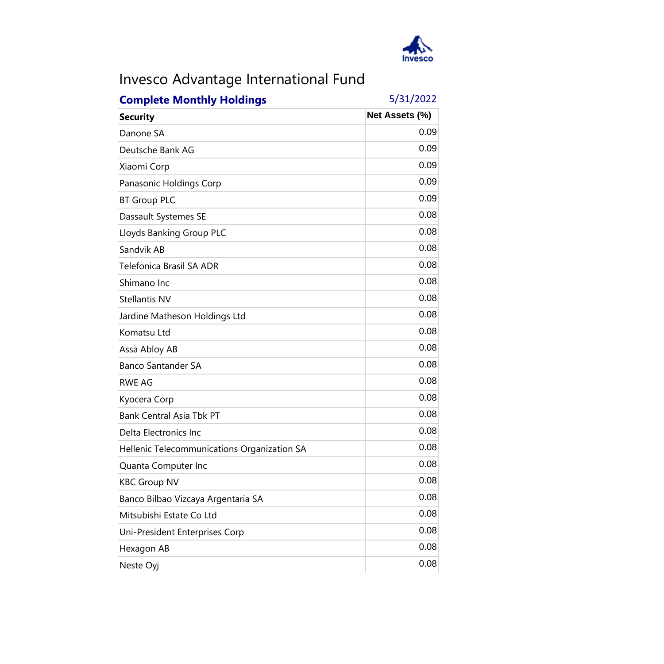

| <b>Complete Monthly Holdings</b>            | 5/31/2022      |
|---------------------------------------------|----------------|
| <b>Security</b>                             | Net Assets (%) |
| Danone SA                                   | 0.09           |
| Deutsche Bank AG                            | 0.09           |
| Xiaomi Corp                                 | 0.09           |
| Panasonic Holdings Corp                     | 0.09           |
| <b>BT Group PLC</b>                         | 0.09           |
| Dassault Systemes SE                        | 0.08           |
| Lloyds Banking Group PLC                    | 0.08           |
| Sandvik AB                                  | 0.08           |
| Telefonica Brasil SA ADR                    | 0.08           |
| Shimano Inc                                 | 0.08           |
| <b>Stellantis NV</b>                        | 0.08           |
| Jardine Matheson Holdings Ltd               | 0.08           |
| Komatsu Ltd                                 | 0.08           |
| Assa Abloy AB                               | 0.08           |
| <b>Banco Santander SA</b>                   | 0.08           |
| RWE AG                                      | 0.08           |
| Kyocera Corp                                | 0.08           |
| <b>Bank Central Asia Tbk PT</b>             | 0.08           |
| Delta Electronics Inc                       | 0.08           |
| Hellenic Telecommunications Organization SA | 0.08           |
| Quanta Computer Inc                         | 0.08           |
| <b>KBC Group NV</b>                         | 0.08           |
| Banco Bilbao Vizcaya Argentaria SA          | 0.08           |
| Mitsubishi Estate Co Ltd                    | 0.08           |
| Uni-President Enterprises Corp              | 0.08           |
| Hexagon AB                                  | 0.08           |
| Neste Oyj                                   | 0.08           |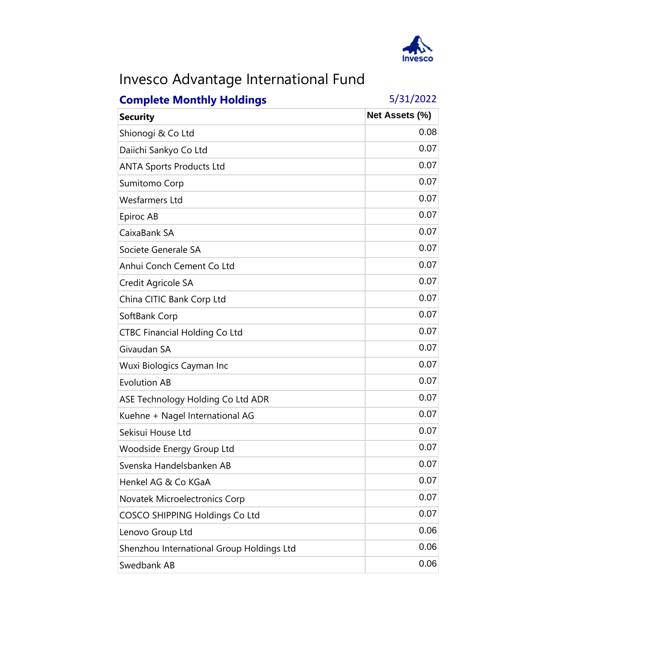

| <b>Complete Monthly Holdings</b>          | 5/31/2022      |
|-------------------------------------------|----------------|
| <b>Security</b>                           | Net Assets (%) |
| Shionogi & Co Ltd                         | 0.08           |
| Daiichi Sankyo Co Ltd                     | 0.07           |
| <b>ANTA Sports Products Ltd</b>           | 0.07           |
| Sumitomo Corp                             | 0.07           |
| <b>Wesfarmers Ltd</b>                     | 0.07           |
| Epiroc AB                                 | 0.07           |
| CaixaBank SA                              | 0.07           |
| Societe Generale SA                       | 0.07           |
| Anhui Conch Cement Co Ltd                 | 0.07           |
| Credit Agricole SA                        | 0.07           |
| China CITIC Bank Corp Ltd                 | 0.07           |
| SoftBank Corp                             | 0.07           |
| <b>CTBC Financial Holding Co Ltd</b>      | 0.07           |
| Givaudan SA                               | 0.07           |
| Wuxi Biologics Cayman Inc                 | 0.07           |
| <b>Evolution AB</b>                       | 0.07           |
| ASE Technology Holding Co Ltd ADR         | 0.07           |
| Kuehne + Nagel International AG           | 0.07           |
| Sekisui House Ltd                         | 0.07           |
| Woodside Energy Group Ltd                 | 0.07           |
| Svenska Handelsbanken AB                  | 0.07           |
| Henkel AG & Co KGaA                       | 0.07           |
| Novatek Microelectronics Corp             | 0.07           |
| COSCO SHIPPING Holdings Co Ltd            | 0.07           |
| Lenovo Group Ltd                          | 0.06           |
| Shenzhou International Group Holdings Ltd | 0.06           |
| Swedbank AB                               | 0.06           |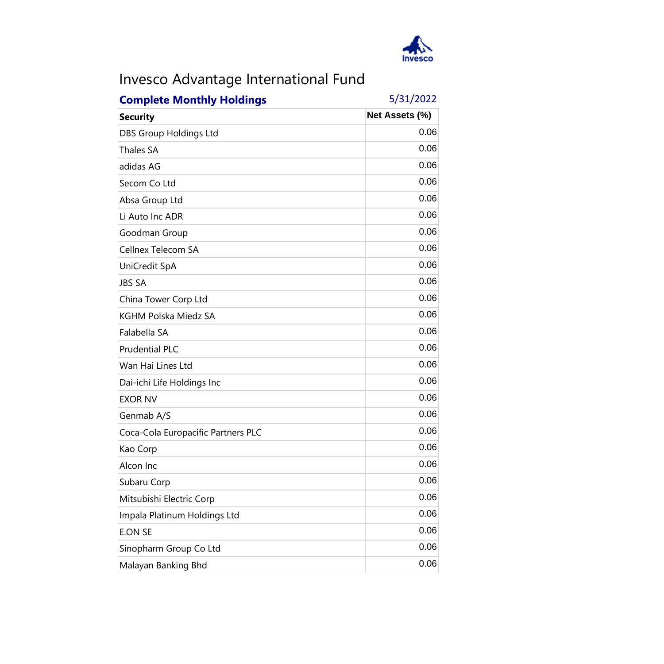

| <b>Complete Monthly Holdings</b>   | 5/31/2022      |
|------------------------------------|----------------|
| <b>Security</b>                    | Net Assets (%) |
| DBS Group Holdings Ltd             | 0.06           |
| <b>Thales SA</b>                   | 0.06           |
| adidas AG                          | 0.06           |
| Secom Co Ltd                       | 0.06           |
| Absa Group Ltd                     | 0.06           |
| Li Auto Inc ADR                    | 0.06           |
| Goodman Group                      | 0.06           |
| Cellnex Telecom SA                 | 0.06           |
| UniCredit SpA                      | 0.06           |
| <b>JBS SA</b>                      | 0.06           |
| China Tower Corp Ltd               | 0.06           |
| KGHM Polska Miedz SA               | 0.06           |
| Falabella SA                       | 0.06           |
| <b>Prudential PLC</b>              | 0.06           |
| Wan Hai Lines Ltd                  | 0.06           |
| Dai-ichi Life Holdings Inc         | 0.06           |
| <b>EXOR NV</b>                     | 0.06           |
| Genmab A/S                         | 0.06           |
| Coca-Cola Europacific Partners PLC | 0.06           |
| Kao Corp                           | 0.06           |
| Alcon Inc                          | 0.06           |
| Subaru Corp                        | 0.06           |
| Mitsubishi Electric Corp           | 0.06           |
| Impala Platinum Holdings Ltd       | 0.06           |
| <b>E.ON SE</b>                     | 0.06           |
| Sinopharm Group Co Ltd             | 0.06           |
| Malayan Banking Bhd                | 0.06           |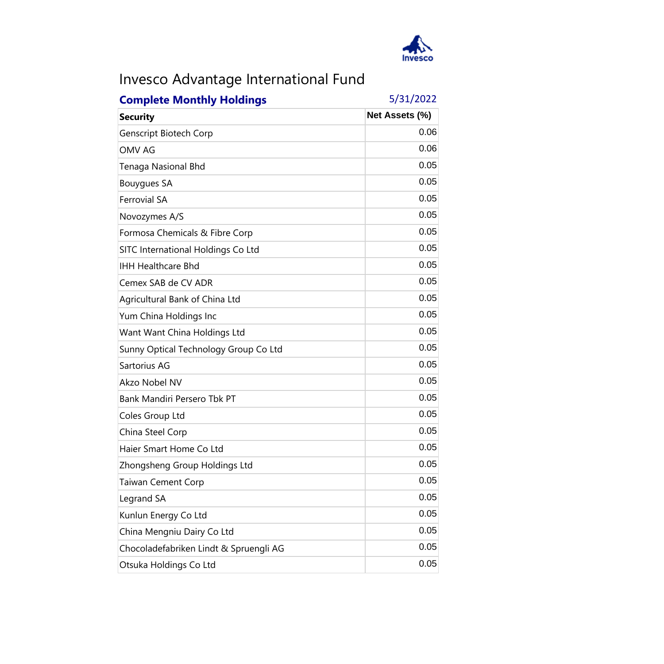

| <b>Complete Monthly Holdings</b>       | 5/31/2022      |
|----------------------------------------|----------------|
| <b>Security</b>                        | Net Assets (%) |
| <b>Genscript Biotech Corp</b>          | 0.06           |
| OMV AG                                 | 0.06           |
| Tenaga Nasional Bhd                    | 0.05           |
| <b>Bouygues SA</b>                     | 0.05           |
| <b>Ferrovial SA</b>                    | 0.05           |
| Novozymes A/S                          | 0.05           |
| Formosa Chemicals & Fibre Corp         | 0.05           |
| SITC International Holdings Co Ltd     | 0.05           |
| <b>IHH Healthcare Bhd</b>              | 0.05           |
| Cemex SAB de CV ADR                    | 0.05           |
| Agricultural Bank of China Ltd         | 0.05           |
| Yum China Holdings Inc                 | 0.05           |
| Want Want China Holdings Ltd           | 0.05           |
| Sunny Optical Technology Group Co Ltd  | 0.05           |
| Sartorius AG                           | 0.05           |
| Akzo Nobel NV                          | 0.05           |
| Bank Mandiri Persero Tbk PT            | 0.05           |
| Coles Group Ltd                        | 0.05           |
| China Steel Corp                       | 0.05           |
| Haier Smart Home Co Ltd                | 0.05           |
| Zhongsheng Group Holdings Ltd          | 0.05           |
| <b>Taiwan Cement Corp</b>              | 0.05           |
| Legrand SA                             | 0.05           |
| Kunlun Energy Co Ltd                   | 0.05           |
| China Mengniu Dairy Co Ltd             | 0.05           |
| Chocoladefabriken Lindt & Spruengli AG | 0.05           |
| Otsuka Holdings Co Ltd                 | 0.05           |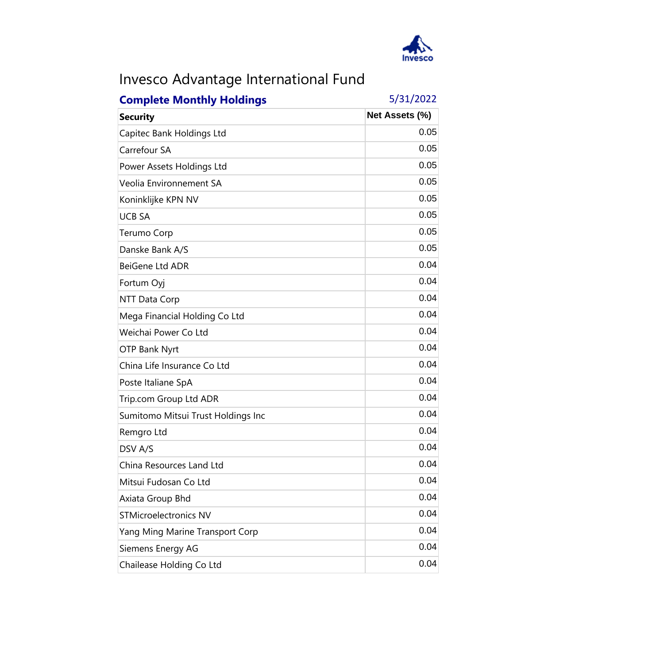

| <b>Complete Monthly Holdings</b>   | 5/31/2022      |
|------------------------------------|----------------|
| <b>Security</b>                    | Net Assets (%) |
| Capitec Bank Holdings Ltd          | 0.05           |
| Carrefour SA                       | 0.05           |
| Power Assets Holdings Ltd          | 0.05           |
| Veolia Environnement SA            | 0.05           |
| Koninklijke KPN NV                 | 0.05           |
| <b>UCB SA</b>                      | 0.05           |
| Terumo Corp                        | 0.05           |
| Danske Bank A/S                    | 0.05           |
| BeiGene Ltd ADR                    | 0.04           |
| Fortum Oyj                         | 0.04           |
| NTT Data Corp                      | 0.04           |
| Mega Financial Holding Co Ltd      | 0.04           |
| Weichai Power Co Ltd               | 0.04           |
| OTP Bank Nyrt                      | 0.04           |
| China Life Insurance Co Ltd        | 0.04           |
| Poste Italiane SpA                 | 0.04           |
| Trip.com Group Ltd ADR             | 0.04           |
| Sumitomo Mitsui Trust Holdings Inc | 0.04           |
| Remgro Ltd                         | 0.04           |
| DSV A/S                            | 0.04           |
| China Resources Land Ltd           | 0.04           |
| Mitsui Fudosan Co Ltd              | 0.04           |
| Axiata Group Bhd                   | 0.04           |
| <b>STMicroelectronics NV</b>       | 0.04           |
| Yang Ming Marine Transport Corp    | 0.04           |
| Siemens Energy AG                  | 0.04           |
| Chailease Holding Co Ltd           | 0.04           |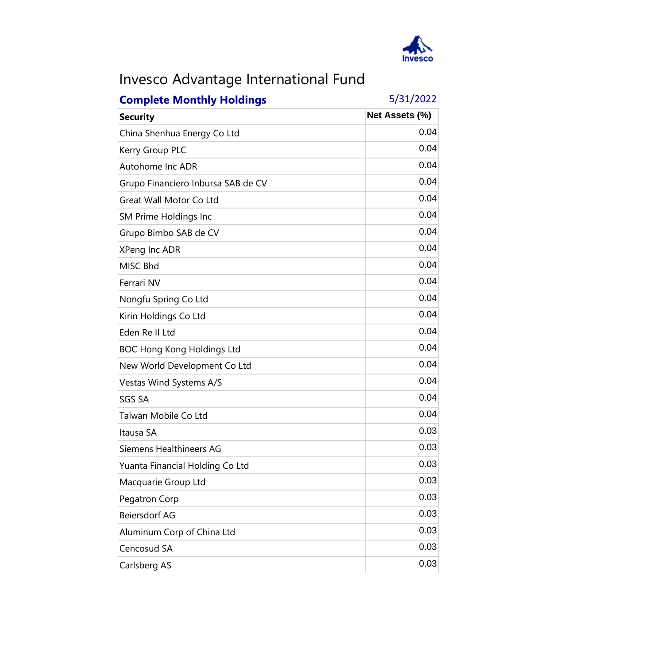

| <b>Complete Monthly Holdings</b>   | 5/31/2022      |
|------------------------------------|----------------|
| <b>Security</b>                    | Net Assets (%) |
| China Shenhua Energy Co Ltd        | 0.04           |
| Kerry Group PLC                    | 0.04           |
| Autohome Inc ADR                   | 0.04           |
| Grupo Financiero Inbursa SAB de CV | 0.04           |
| Great Wall Motor Co Ltd            | 0.04           |
| SM Prime Holdings Inc              | 0.04           |
| Grupo Bimbo SAB de CV              | 0.04           |
| XPeng Inc ADR                      | 0.04           |
| MISC Bhd                           | 0.04           |
| Ferrari NV                         | 0.04           |
| Nongfu Spring Co Ltd               | 0.04           |
| Kirin Holdings Co Ltd              | 0.04           |
| Eden Re II Ltd                     | 0.04           |
| <b>BOC Hong Kong Holdings Ltd</b>  | 0.04           |
| New World Development Co Ltd       | 0.04           |
| Vestas Wind Systems A/S            | 0.04           |
| SGS SA                             | 0.04           |
| Taiwan Mobile Co Ltd               | 0.04           |
| Itausa SA                          | 0.03           |
| Siemens Healthineers AG            | 0.03           |
| Yuanta Financial Holding Co Ltd    | 0.03           |
| Macquarie Group Ltd                | 0.03           |
| Pegatron Corp                      | 0.03           |
| <b>Beiersdorf AG</b>               | 0.03           |
| Aluminum Corp of China Ltd         | 0.03           |
| Cencosud SA                        | 0.03           |
| Carlsberg AS                       | 0.03           |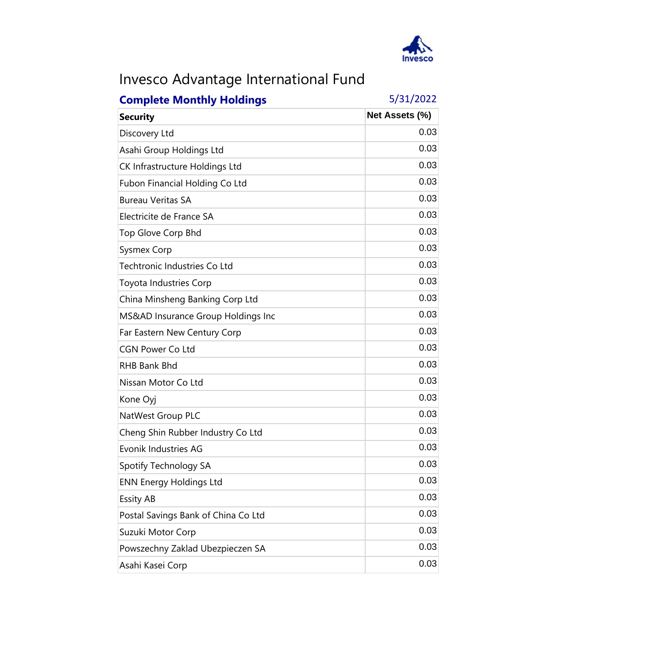

| <b>Complete Monthly Holdings</b>    | 5/31/2022      |
|-------------------------------------|----------------|
| <b>Security</b>                     | Net Assets (%) |
| Discovery Ltd                       | 0.03           |
| Asahi Group Holdings Ltd            | 0.03           |
| CK Infrastructure Holdings Ltd      | 0.03           |
| Fubon Financial Holding Co Ltd      | 0.03           |
| <b>Bureau Veritas SA</b>            | 0.03           |
| Electricite de France SA            | 0.03           |
| Top Glove Corp Bhd                  | 0.03           |
| <b>Sysmex Corp</b>                  | 0.03           |
| Techtronic Industries Co Ltd        | 0.03           |
| Toyota Industries Corp              | 0.03           |
| China Minsheng Banking Corp Ltd     | 0.03           |
| MS&AD Insurance Group Holdings Inc  | 0.03           |
| Far Eastern New Century Corp        | 0.03           |
| <b>CGN Power Co Ltd</b>             | 0.03           |
| RHB Bank Bhd                        | 0.03           |
| Nissan Motor Co Ltd                 | 0.03           |
| Kone Oyj                            | 0.03           |
| NatWest Group PLC                   | 0.03           |
| Cheng Shin Rubber Industry Co Ltd   | 0.03           |
| Evonik Industries AG                | 0.03           |
| Spotify Technology SA               | 0.03           |
| <b>ENN Energy Holdings Ltd</b>      | 0.03           |
| <b>Essity AB</b>                    | 0.03           |
| Postal Savings Bank of China Co Ltd | 0.03           |
| Suzuki Motor Corp                   | 0.03           |
| Powszechny Zaklad Ubezpieczen SA    | 0.03           |
| Asahi Kasei Corp                    | 0.03           |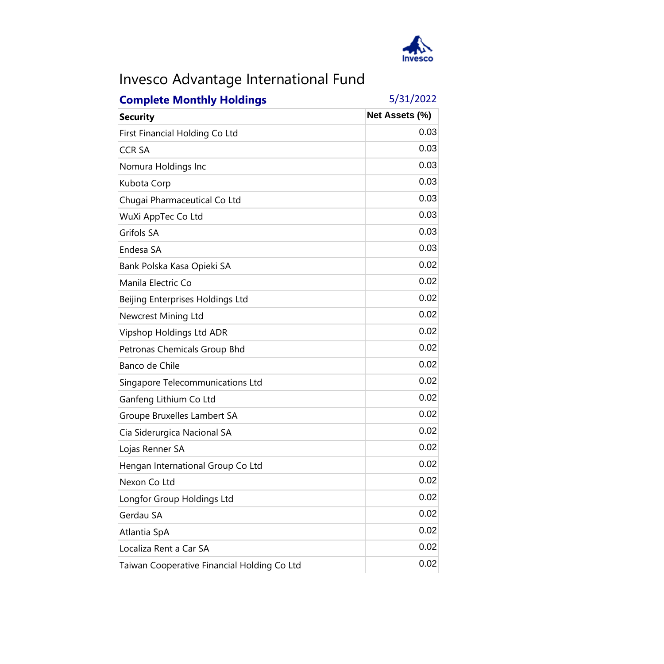

| <b>Complete Monthly Holdings</b>            | 5/31/2022      |
|---------------------------------------------|----------------|
| <b>Security</b>                             | Net Assets (%) |
| First Financial Holding Co Ltd              | 0.03           |
| <b>CCR SA</b>                               | 0.03           |
| Nomura Holdings Inc                         | 0.03           |
| Kubota Corp                                 | 0.03           |
| Chugai Pharmaceutical Co Ltd                | 0.03           |
| WuXi AppTec Co Ltd                          | 0.03           |
| Grifols SA                                  | 0.03           |
| Endesa SA                                   | 0.03           |
| Bank Polska Kasa Opieki SA                  | 0.02           |
| Manila Electric Co                          | 0.02           |
| Beijing Enterprises Holdings Ltd            | 0.02           |
| Newcrest Mining Ltd                         | 0.02           |
| Vipshop Holdings Ltd ADR                    | 0.02           |
| Petronas Chemicals Group Bhd                | 0.02           |
| Banco de Chile                              | 0.02           |
| Singapore Telecommunications Ltd            | 0.02           |
| Ganfeng Lithium Co Ltd                      | 0.02           |
| Groupe Bruxelles Lambert SA                 | 0.02           |
| Cia Siderurgica Nacional SA                 | 0.02           |
| Lojas Renner SA                             | 0.02           |
| Hengan International Group Co Ltd           | 0.02           |
| Nexon Co Ltd                                | 0.02           |
| Longfor Group Holdings Ltd                  | 0.02           |
| Gerdau SA                                   | 0.02           |
| Atlantia SpA                                | 0.02           |
| Localiza Rent a Car SA                      | 0.02           |
| Taiwan Cooperative Financial Holding Co Ltd | 0.02           |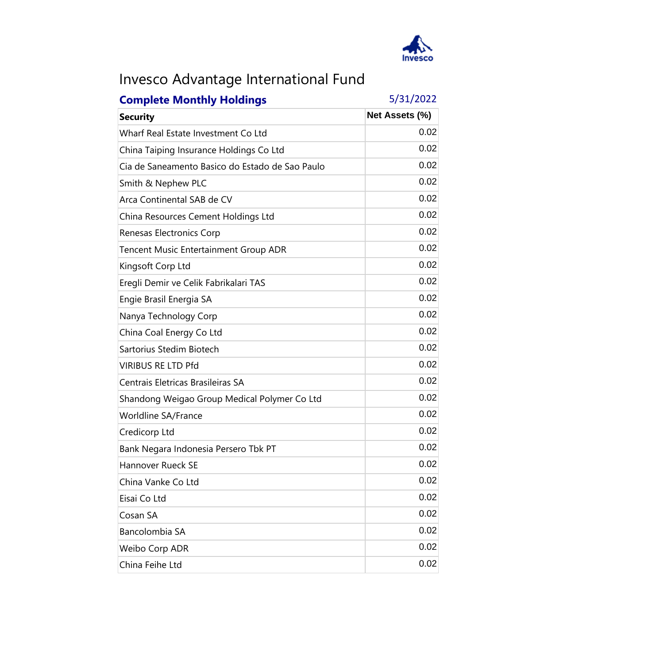

| <b>Complete Monthly Holdings</b>                | 5/31/2022      |
|-------------------------------------------------|----------------|
| <b>Security</b>                                 | Net Assets (%) |
| Wharf Real Estate Investment Co Ltd             | 0.02           |
| China Taiping Insurance Holdings Co Ltd         | 0.02           |
| Cia de Saneamento Basico do Estado de Sao Paulo | 0.02           |
| Smith & Nephew PLC                              | 0.02           |
| Arca Continental SAB de CV                      | 0.02           |
| China Resources Cement Holdings Ltd             | 0.02           |
| Renesas Electronics Corp                        | 0.02           |
| <b>Tencent Music Entertainment Group ADR</b>    | 0.02           |
| Kingsoft Corp Ltd                               | 0.02           |
| Eregli Demir ve Celik Fabrikalari TAS           | 0.02           |
| Engie Brasil Energia SA                         | 0.02           |
| Nanya Technology Corp                           | 0.02           |
| China Coal Energy Co Ltd                        | 0.02           |
| Sartorius Stedim Biotech                        | 0.02           |
| <b>VIRIBUS RE LTD Pfd</b>                       | 0.02           |
| Centrais Eletricas Brasileiras SA               | 0.02           |
| Shandong Weigao Group Medical Polymer Co Ltd    | 0.02           |
| Worldline SA/France                             | 0.02           |
| Credicorp Ltd                                   | 0.02           |
| Bank Negara Indonesia Persero Tbk PT            | 0.02           |
| Hannover Rueck SE                               | 0.02           |
| China Vanke Co Ltd                              | 0.02           |
| Eisai Co Ltd                                    | 0.02           |
| Cosan SA                                        | 0.02           |
| Bancolombia SA                                  | 0.02           |
| Weibo Corp ADR                                  | 0.02           |
| China Feihe Ltd                                 | 0.02           |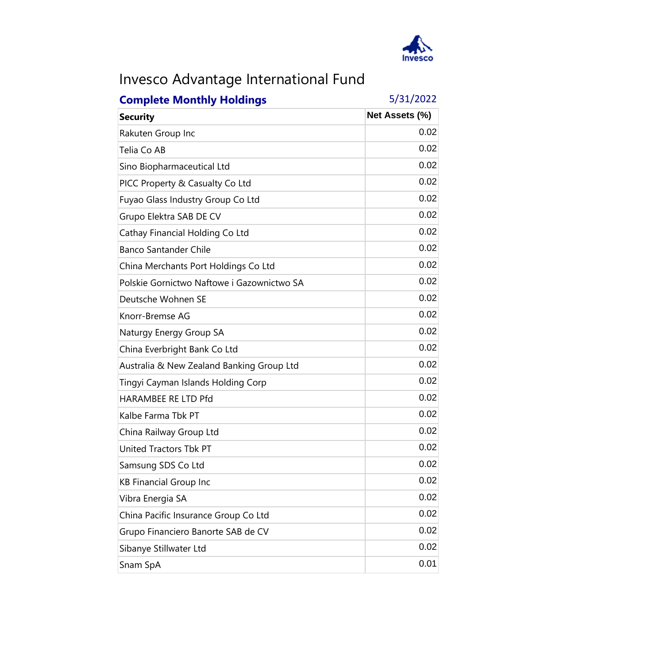

| <b>Complete Monthly Holdings</b>           | 5/31/2022      |
|--------------------------------------------|----------------|
| <b>Security</b>                            | Net Assets (%) |
| Rakuten Group Inc                          | 0.02           |
| Telia Co AB                                | 0.02           |
| Sino Biopharmaceutical Ltd                 | 0.02           |
| PICC Property & Casualty Co Ltd            | 0.02           |
| Fuyao Glass Industry Group Co Ltd          | 0.02           |
| Grupo Elektra SAB DE CV                    | 0.02           |
| Cathay Financial Holding Co Ltd            | 0.02           |
| <b>Banco Santander Chile</b>               | 0.02           |
| China Merchants Port Holdings Co Ltd       | 0.02           |
| Polskie Gornictwo Naftowe i Gazownictwo SA | 0.02           |
| Deutsche Wohnen SE                         | 0.02           |
| Knorr-Bremse AG                            | 0.02           |
| Naturgy Energy Group SA                    | 0.02           |
| China Everbright Bank Co Ltd               | 0.02           |
| Australia & New Zealand Banking Group Ltd  | 0.02           |
| Tingyi Cayman Islands Holding Corp         | 0.02           |
| HARAMBEE RE LTD Pfd                        | 0.02           |
| Kalbe Farma Tbk PT                         | 0.02           |
| China Railway Group Ltd                    | 0.02           |
| United Tractors Tbk PT                     | 0.02           |
| Samsung SDS Co Ltd                         | 0.02           |
| <b>KB Financial Group Inc</b>              | 0.02           |
| Vibra Energia SA                           | 0.02           |
| China Pacific Insurance Group Co Ltd       | 0.02           |
| Grupo Financiero Banorte SAB de CV         | 0.02           |
| Sibanye Stillwater Ltd                     | 0.02           |
| Snam SpA                                   | 0.01           |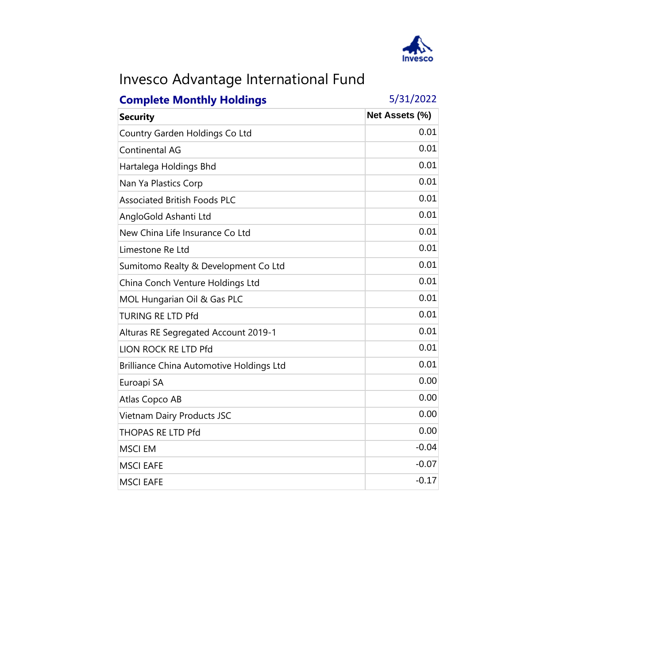

| <b>Complete Monthly Holdings</b>         | 5/31/2022      |
|------------------------------------------|----------------|
| <b>Security</b>                          | Net Assets (%) |
| Country Garden Holdings Co Ltd           | 0.01           |
| <b>Continental AG</b>                    | 0.01           |
| Hartalega Holdings Bhd                   | 0.01           |
| Nan Ya Plastics Corp                     | 0.01           |
| <b>Associated British Foods PLC</b>      | 0.01           |
| AngloGold Ashanti Ltd                    | 0.01           |
| New China Life Insurance Co Ltd          | 0.01           |
| Limestone Re Ltd                         | 0.01           |
| Sumitomo Realty & Development Co Ltd     | 0.01           |
| China Conch Venture Holdings Ltd         | 0.01           |
| MOL Hungarian Oil & Gas PLC              | 0.01           |
| <b>TURING RE LTD Pfd</b>                 | 0.01           |
| Alturas RE Segregated Account 2019-1     | 0.01           |
| LION ROCK RE LTD Pfd                     | 0.01           |
| Brilliance China Automotive Holdings Ltd | 0.01           |
| Euroapi SA                               | 0.00           |
| Atlas Copco AB                           | 0.00           |
| Vietnam Dairy Products JSC               | 0.00           |
| <b>THOPAS RE LTD Pfd</b>                 | 0.00           |
| <b>MSCI EM</b>                           | $-0.04$        |
| <b>MSCI EAFE</b>                         | $-0.07$        |
| <b>MSCI EAFE</b>                         | $-0.17$        |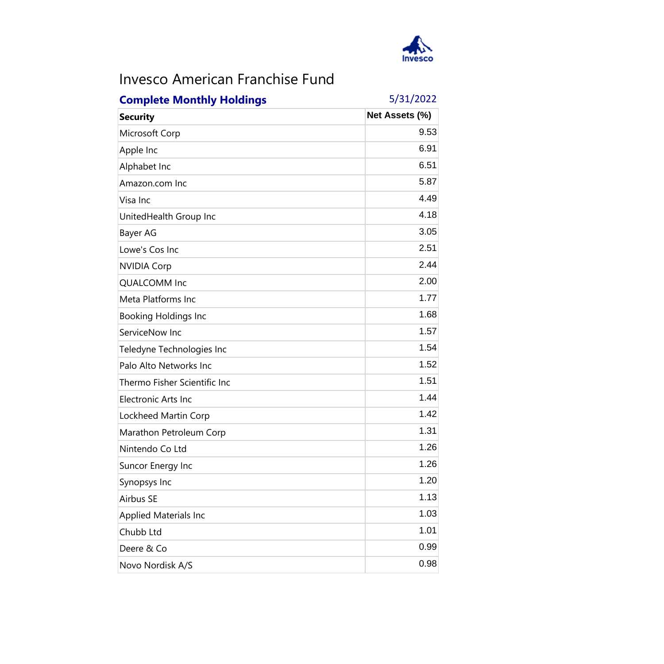

| <b>Complete Monthly Holdings</b> | 5/31/2022      |
|----------------------------------|----------------|
| <b>Security</b>                  | Net Assets (%) |
| Microsoft Corp                   | 9.53           |
| Apple Inc                        | 6.91           |
| Alphabet Inc                     | 6.51           |
| Amazon.com Inc                   | 5.87           |
| Visa Inc                         | 4.49           |
| UnitedHealth Group Inc           | 4.18           |
| Bayer AG                         | 3.05           |
| Lowe's Cos Inc                   | 2.51           |
| <b>NVIDIA Corp</b>               | 2.44           |
| QUALCOMM Inc                     | 2.00           |
| Meta Platforms Inc               | 1.77           |
| <b>Booking Holdings Inc</b>      | 1.68           |
| ServiceNow Inc                   | 1.57           |
| Teledyne Technologies Inc        | 1.54           |
| Palo Alto Networks Inc           | 1.52           |
| Thermo Fisher Scientific Inc     | 1.51           |
| Electronic Arts Inc              | 1.44           |
| Lockheed Martin Corp             | 1.42           |
| Marathon Petroleum Corp          | 1.31           |
| Nintendo Co Ltd                  | 1.26           |
| Suncor Energy Inc                | 1.26           |
| Synopsys Inc                     | 1.20           |
| Airbus SE                        | 1.13           |
| <b>Applied Materials Inc</b>     | 1.03           |
| Chubb Ltd                        | 1.01           |
| Deere & Co                       | 0.99           |
| Novo Nordisk A/S                 | 0.98           |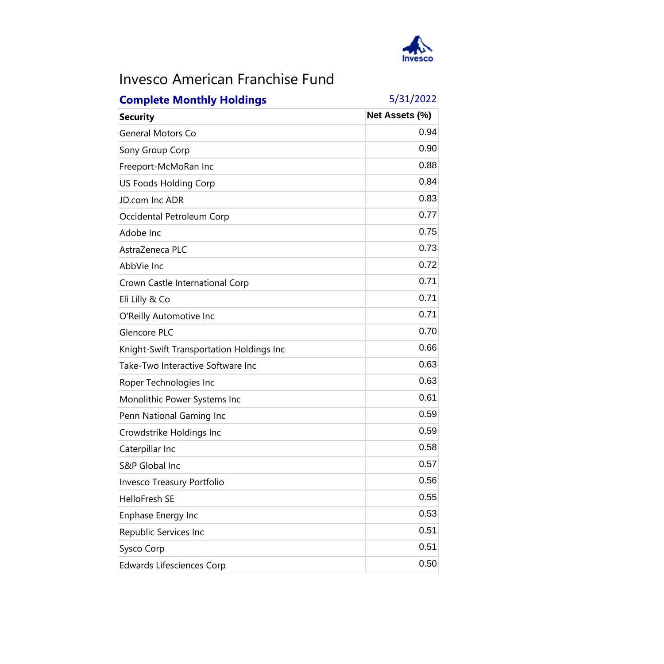

| <b>Complete Monthly Holdings</b>         | 5/31/2022      |
|------------------------------------------|----------------|
| <b>Security</b>                          | Net Assets (%) |
| <b>General Motors Co</b>                 | 0.94           |
| Sony Group Corp                          | 0.90           |
| Freeport-McMoRan Inc                     | 0.88           |
| <b>US Foods Holding Corp</b>             | 0.84           |
| JD.com Inc ADR                           | 0.83           |
| Occidental Petroleum Corp                | 0.77           |
| Adobe Inc                                | 0.75           |
| AstraZeneca PLC                          | 0.73           |
| AbbVie Inc                               | 0.72           |
| Crown Castle International Corp          | 0.71           |
| Eli Lilly & Co                           | 0.71           |
| O'Reilly Automotive Inc                  | 0.71           |
| <b>Glencore PLC</b>                      | 0.70           |
| Knight-Swift Transportation Holdings Inc | 0.66           |
| Take-Two Interactive Software Inc        | 0.63           |
| Roper Technologies Inc                   | 0.63           |
| Monolithic Power Systems Inc             | 0.61           |
| Penn National Gaming Inc                 | 0.59           |
| Crowdstrike Holdings Inc                 | 0.59           |
| Caterpillar Inc                          | 0.58           |
| S&P Global Inc                           | 0.57           |
| Invesco Treasury Portfolio               | 0.56           |
| <b>HelloFresh SE</b>                     | 0.55           |
| Enphase Energy Inc                       | 0.53           |
| Republic Services Inc                    | 0.51           |
| Sysco Corp                               | 0.51           |
| <b>Edwards Lifesciences Corp</b>         | 0.50           |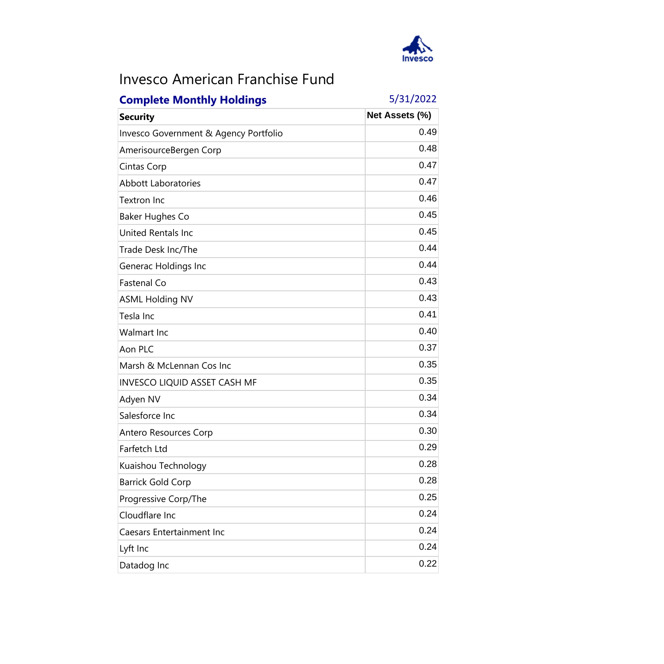

| <b>Complete Monthly Holdings</b>      | 5/31/2022      |
|---------------------------------------|----------------|
| <b>Security</b>                       | Net Assets (%) |
| Invesco Government & Agency Portfolio | 0.49           |
| AmerisourceBergen Corp                | 0.48           |
| Cintas Corp                           | 0.47           |
| <b>Abbott Laboratories</b>            | 0.47           |
| <b>Textron Inc</b>                    | 0.46           |
| Baker Hughes Co                       | 0.45           |
| United Rentals Inc                    | 0.45           |
| Trade Desk Inc/The                    | 0.44           |
| Generac Holdings Inc                  | 0.44           |
| Fastenal Co                           | 0.43           |
| <b>ASML Holding NV</b>                | 0.43           |
| Tesla Inc                             | 0.41           |
| Walmart Inc                           | 0.40           |
| Aon PLC                               | 0.37           |
| Marsh & McLennan Cos Inc              | 0.35           |
| <b>INVESCO LIQUID ASSET CASH MF</b>   | 0.35           |
| Adyen NV                              | 0.34           |
| Salesforce Inc                        | 0.34           |
| Antero Resources Corp                 | 0.30           |
| Farfetch Ltd                          | 0.29           |
| Kuaishou Technology                   | 0.28           |
| <b>Barrick Gold Corp</b>              | 0.28           |
| Progressive Corp/The                  | 0.25           |
| Cloudflare Inc                        | 0.24           |
| <b>Caesars Entertainment Inc</b>      | 0.24           |
| Lyft Inc                              | 0.24           |
| Datadog Inc                           | 0.22           |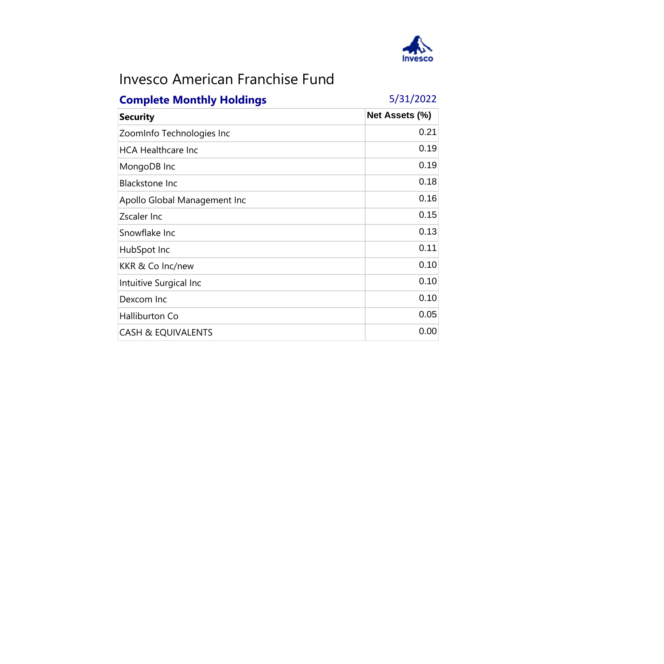

| <b>Complete Monthly Holdings</b> | 5/31/2022      |
|----------------------------------|----------------|
| <b>Security</b>                  | Net Assets (%) |
| ZoomInfo Technologies Inc        | 0.21           |
| <b>HCA Healthcare Inc</b>        | 0.19           |
| MongoDB Inc                      | 0.19           |
| <b>Blackstone Inc</b>            | 0.18           |
| Apollo Global Management Inc     | 0.16           |
| Zscaler Inc                      | 0.15           |
| Snowflake Inc                    | 0.13           |
| HubSpot Inc                      | 0.11           |
| KKR & Co Inc/new                 | 0.10           |
| Intuitive Surgical Inc           | 0.10           |
| Dexcom Inc                       | 0.10           |
| Halliburton Co                   | 0.05           |
| CASH & EQUIVALENTS               | 0.00           |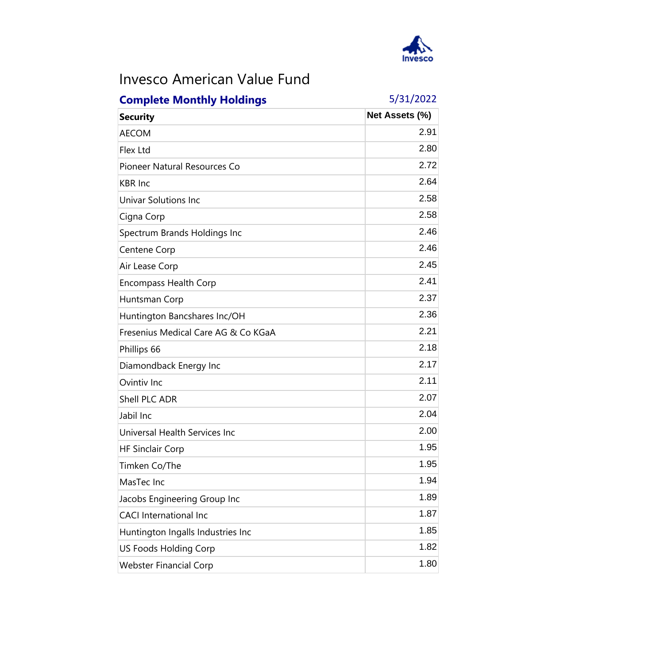

#### Invesco American Value Fund

| <b>Complete Monthly Holdings</b>    | 5/31/2022      |
|-------------------------------------|----------------|
| <b>Security</b>                     | Net Assets (%) |
| <b>AECOM</b>                        | 2.91           |
| Flex Ltd                            | 2.80           |
| Pioneer Natural Resources Co        | 2.72           |
| <b>KBR</b> Inc                      | 2.64           |
| <b>Univar Solutions Inc</b>         | 2.58           |
| Cigna Corp                          | 2.58           |
| Spectrum Brands Holdings Inc        | 2.46           |
| Centene Corp                        | 2.46           |
| Air Lease Corp                      | 2.45           |
| <b>Encompass Health Corp</b>        | 2.41           |
| Huntsman Corp                       | 2.37           |
| Huntington Bancshares Inc/OH        | 2.36           |
| Fresenius Medical Care AG & Co KGaA | 2.21           |
| Phillips 66                         | 2.18           |
| Diamondback Energy Inc              | 2.17           |
| Ovintiv Inc                         | 2.11           |
| Shell PLC ADR                       | 2.07           |
| Jabil Inc                           | 2.04           |
| Universal Health Services Inc       | 2.00           |
| <b>HF Sinclair Corp</b>             | 1.95           |
| Timken Co/The                       | 1.95           |
| MasTec Inc                          | 1.94           |
| Jacobs Engineering Group Inc        | 1.89           |
| <b>CACI</b> International Inc       | 1.87           |
| Huntington Ingalls Industries Inc   | 1.85           |
| <b>US Foods Holding Corp</b>        | 1.82           |
| <b>Webster Financial Corp</b>       | 1.80           |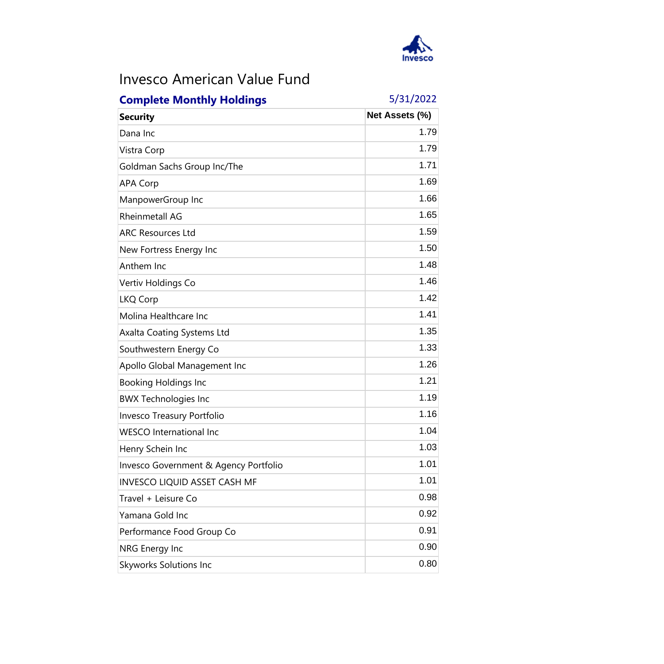

#### Invesco American Value Fund

| <b>Complete Monthly Holdings</b>      | 5/31/2022      |
|---------------------------------------|----------------|
| <b>Security</b>                       | Net Assets (%) |
| Dana Inc                              | 1.79           |
| Vistra Corp                           | 1.79           |
| Goldman Sachs Group Inc/The           | 1.71           |
| <b>APA Corp</b>                       | 1.69           |
| ManpowerGroup Inc                     | 1.66           |
| Rheinmetall AG                        | 1.65           |
| <b>ARC Resources Ltd</b>              | 1.59           |
| New Fortress Energy Inc               | 1.50           |
| Anthem Inc                            | 1.48           |
| Vertiv Holdings Co                    | 1.46           |
| LKQ Corp                              | 1.42           |
| Molina Healthcare Inc                 | 1.41           |
| Axalta Coating Systems Ltd            | 1.35           |
| Southwestern Energy Co                | 1.33           |
| Apollo Global Management Inc          | 1.26           |
| <b>Booking Holdings Inc</b>           | 1.21           |
| <b>BWX Technologies Inc</b>           | 1.19           |
| Invesco Treasury Portfolio            | 1.16           |
| <b>WESCO International Inc</b>        | 1.04           |
| Henry Schein Inc                      | 1.03           |
| Invesco Government & Agency Portfolio | 1.01           |
| <b>INVESCO LIQUID ASSET CASH MF</b>   | 1.01           |
| Travel + Leisure Co                   | 0.98           |
| Yamana Gold Inc                       | 0.92           |
| Performance Food Group Co             | 0.91           |
| NRG Energy Inc                        | 0.90           |
| <b>Skyworks Solutions Inc</b>         | 0.80           |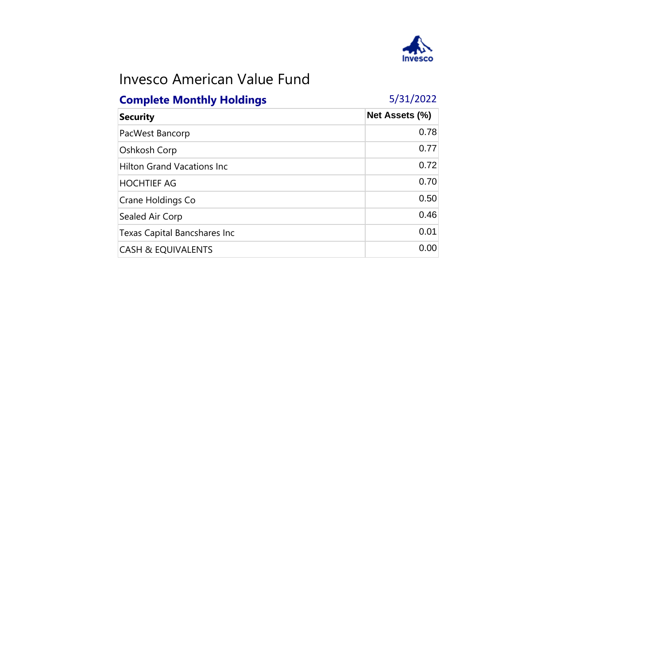

#### Invesco American Value Fund

| <b>Complete Monthly Holdings</b><br><b>Security</b> | 5/31/2022      |
|-----------------------------------------------------|----------------|
|                                                     | Net Assets (%) |
| PacWest Bancorp                                     | 0.78           |
| Oshkosh Corp                                        | 0.77           |
| <b>Hilton Grand Vacations Inc.</b>                  | 0.72           |
| <b>HOCHTIEF AG</b>                                  | 0.70           |
| Crane Holdings Co                                   | 0.50           |
| Sealed Air Corp                                     | 0.46           |
| Texas Capital Bancshares Inc                        | 0.01           |
| <b>CASH &amp; EQUIVALENTS</b>                       | 0.00           |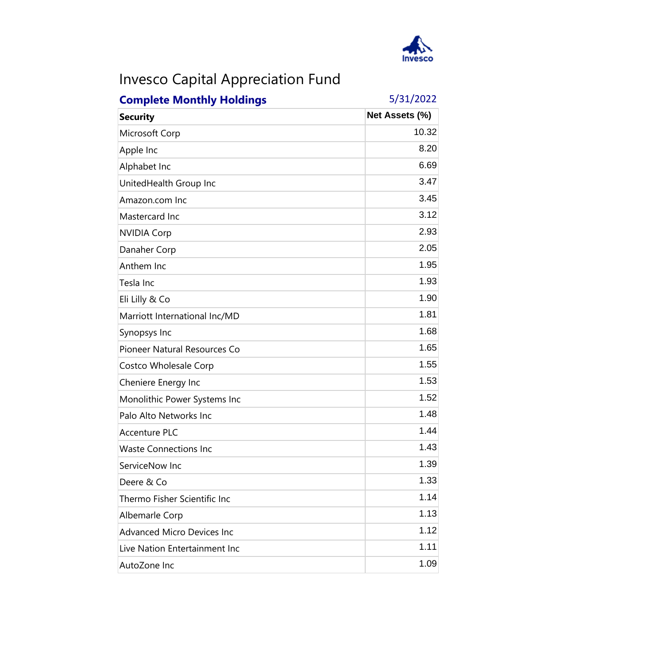

### Invesco Capital Appreciation Fund

| <b>Complete Monthly Holdings</b>  | 5/31/2022      |
|-----------------------------------|----------------|
| <b>Security</b>                   | Net Assets (%) |
| Microsoft Corp                    | 10.32          |
| Apple Inc                         | 8.20           |
| Alphabet Inc                      | 6.69           |
| UnitedHealth Group Inc            | 3.47           |
| Amazon.com Inc                    | 3.45           |
| Mastercard Inc                    | 3.12           |
| <b>NVIDIA Corp</b>                | 2.93           |
| Danaher Corp                      | 2.05           |
| Anthem Inc                        | 1.95           |
| Tesla Inc                         | 1.93           |
| Eli Lilly & Co                    | 1.90           |
| Marriott International Inc/MD     | 1.81           |
| Synopsys Inc                      | 1.68           |
| Pioneer Natural Resources Co      | 1.65           |
| Costco Wholesale Corp             | 1.55           |
| Cheniere Energy Inc               | 1.53           |
| Monolithic Power Systems Inc      | 1.52           |
| Palo Alto Networks Inc            | 1.48           |
| <b>Accenture PLC</b>              | 1.44           |
| <b>Waste Connections Inc</b>      | 1.43           |
| ServiceNow Inc                    | 1.39           |
| Deere & Co                        | 1.33           |
| Thermo Fisher Scientific Inc      | 1.14           |
| Albemarle Corp                    | 1.13           |
| <b>Advanced Micro Devices Inc</b> | 1.12           |
| Live Nation Entertainment Inc     | 1.11           |
| AutoZone Inc                      | 1.09           |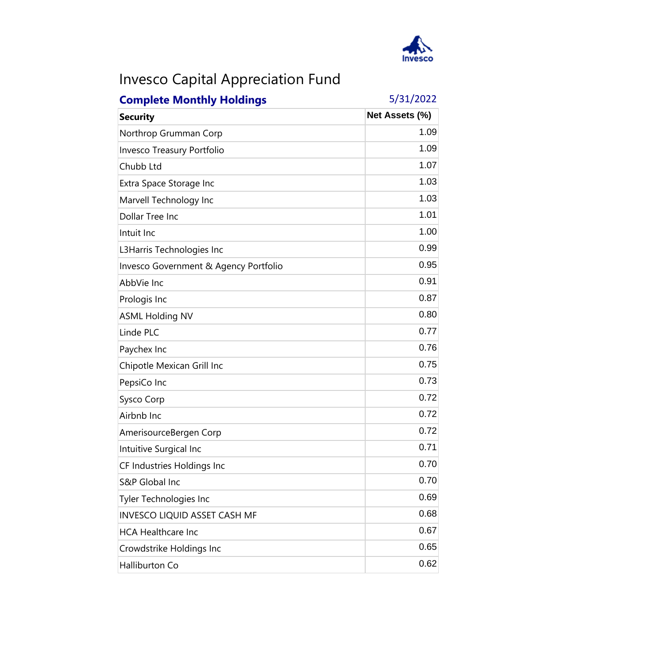

### Invesco Capital Appreciation Fund

| <b>Complete Monthly Holdings</b>      | 5/31/2022      |
|---------------------------------------|----------------|
| <b>Security</b>                       | Net Assets (%) |
| Northrop Grumman Corp                 | 1.09           |
| Invesco Treasury Portfolio            | 1.09           |
| Chubb Ltd                             | 1.07           |
| Extra Space Storage Inc               | 1.03           |
| Marvell Technology Inc                | 1.03           |
| Dollar Tree Inc                       | 1.01           |
| Intuit Inc                            | 1.00           |
| L3Harris Technologies Inc             | 0.99           |
| Invesco Government & Agency Portfolio | 0.95           |
| AbbVie Inc                            | 0.91           |
| Prologis Inc                          | 0.87           |
| <b>ASML Holding NV</b>                | 0.80           |
| Linde PLC                             | 0.77           |
| Paychex Inc                           | 0.76           |
| Chipotle Mexican Grill Inc            | 0.75           |
| PepsiCo Inc                           | 0.73           |
| Sysco Corp                            | 0.72           |
| Airbnb Inc                            | 0.72           |
| AmerisourceBergen Corp                | 0.72           |
| Intuitive Surgical Inc                | 0.71           |
| CF Industries Holdings Inc            | 0.70           |
| S&P Global Inc                        | 0.70           |
| Tyler Technologies Inc                | 0.69           |
| <b>INVESCO LIQUID ASSET CASH MF</b>   | 0.68           |
| <b>HCA Healthcare Inc</b>             | 0.67           |
| Crowdstrike Holdings Inc              | 0.65           |
| Halliburton Co                        | 0.62           |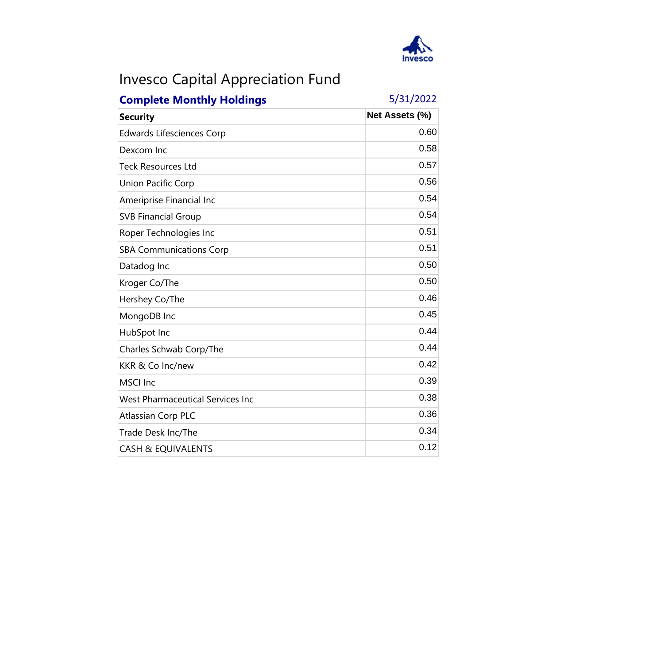

### Invesco Capital Appreciation Fund

| <b>Complete Monthly Holdings</b> | 5/31/2022      |
|----------------------------------|----------------|
| <b>Security</b>                  | Net Assets (%) |
| <b>Edwards Lifesciences Corp</b> | 0.60           |
| Dexcom Inc                       | 0.58           |
| <b>Teck Resources Ltd</b>        | 0.57           |
| Union Pacific Corp               | 0.56           |
| Ameriprise Financial Inc         | 0.54           |
| <b>SVB Financial Group</b>       | 0.54           |
| Roper Technologies Inc           | 0.51           |
| <b>SBA Communications Corp</b>   | 0.51           |
| Datadog Inc                      | 0.50           |
| Kroger Co/The                    | 0.50           |
| Hershey Co/The                   | 0.46           |
| MongoDB Inc                      | 0.45           |
| HubSpot Inc                      | 0.44           |
| Charles Schwab Corp/The          | 0.44           |
| KKR & Co Inc/new                 | 0.42           |
| <b>MSCI Inc</b>                  | 0.39           |
| West Pharmaceutical Services Inc | 0.38           |
| Atlassian Corp PLC               | 0.36           |
| Trade Desk Inc/The               | 0.34           |
| <b>CASH &amp; EQUIVALENTS</b>    | 0.12           |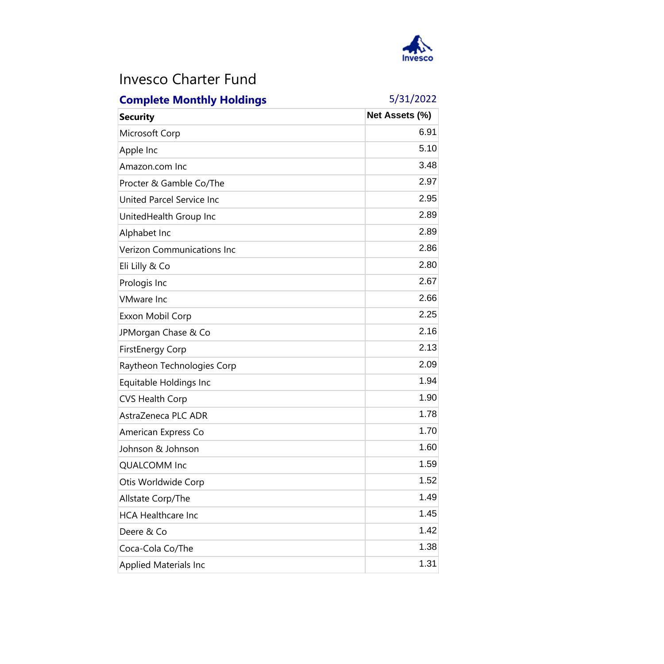

### Invesco Charter Fund

| <b>Complete Monthly Holdings</b> | 5/31/2022      |
|----------------------------------|----------------|
| <b>Security</b>                  | Net Assets (%) |
| Microsoft Corp                   | 6.91           |
| Apple Inc                        | 5.10           |
| Amazon.com Inc                   | 3.48           |
| Procter & Gamble Co/The          | 2.97           |
| United Parcel Service Inc        | 2.95           |
| UnitedHealth Group Inc           | 2.89           |
| Alphabet Inc                     | 2.89           |
| Verizon Communications Inc       | 2.86           |
| Eli Lilly & Co                   | 2.80           |
| Prologis Inc                     | 2.67           |
| <b>VMware Inc</b>                | 2.66           |
| Exxon Mobil Corp                 | 2.25           |
| JPMorgan Chase & Co              | 2.16           |
| <b>FirstEnergy Corp</b>          | 2.13           |
| Raytheon Technologies Corp       | 2.09           |
| Equitable Holdings Inc           | 1.94           |
| CVS Health Corp                  | 1.90           |
| AstraZeneca PLC ADR              | 1.78           |
| American Express Co              | 1.70           |
| Johnson & Johnson                | 1.60           |
| <b>QUALCOMM Inc</b>              | 1.59           |
| Otis Worldwide Corp              | 1.52           |
| Allstate Corp/The                | 1.49           |
| <b>HCA Healthcare Inc</b>        | 1.45           |
| Deere & Co                       | 1.42           |
| Coca-Cola Co/The                 | 1.38           |
| Applied Materials Inc            | 1.31           |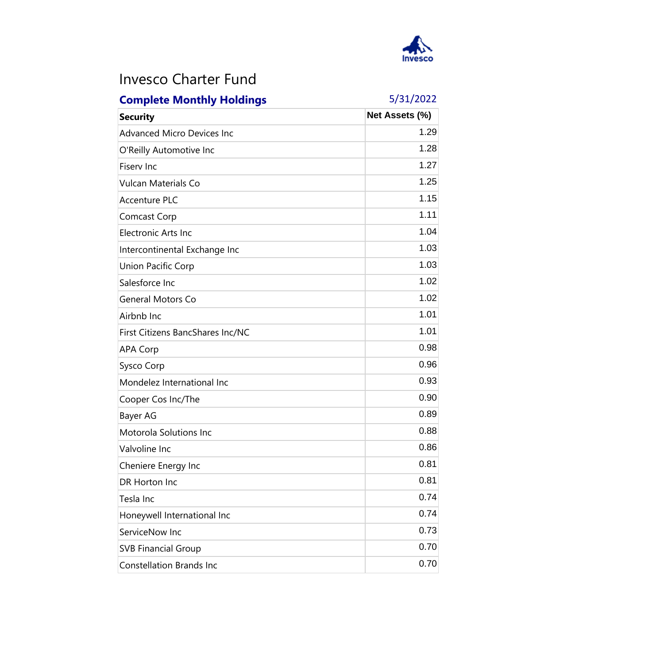

### Invesco Charter Fund

| <b>Complete Monthly Holdings</b>  | 5/31/2022      |
|-----------------------------------|----------------|
| <b>Security</b>                   | Net Assets (%) |
| <b>Advanced Micro Devices Inc</b> | 1.29           |
| O'Reilly Automotive Inc           | 1.28           |
| Fiserv Inc                        | 1.27           |
| <b>Vulcan Materials Co</b>        | 1.25           |
| <b>Accenture PLC</b>              | 1.15           |
| <b>Comcast Corp</b>               | 1.11           |
| Electronic Arts Inc               | 1.04           |
| Intercontinental Exchange Inc     | 1.03           |
| Union Pacific Corp                | 1.03           |
| Salesforce Inc                    | 1.02           |
| <b>General Motors Co</b>          | 1.02           |
| Airbnb Inc                        | 1.01           |
| First Citizens BancShares Inc/NC  | 1.01           |
| <b>APA Corp</b>                   | 0.98           |
| Sysco Corp                        | 0.96           |
| Mondelez International Inc        | 0.93           |
| Cooper Cos Inc/The                | 0.90           |
| Bayer AG                          | 0.89           |
| Motorola Solutions Inc            | 0.88           |
| Valvoline Inc                     | 0.86           |
| Cheniere Energy Inc               | 0.81           |
| DR Horton Inc                     | 0.81           |
| Tesla Inc                         | 0.74           |
| Honeywell International Inc       | 0.74           |
| ServiceNow Inc                    | 0.73           |
| <b>SVB Financial Group</b>        | 0.70           |
| <b>Constellation Brands Inc</b>   | 0.70           |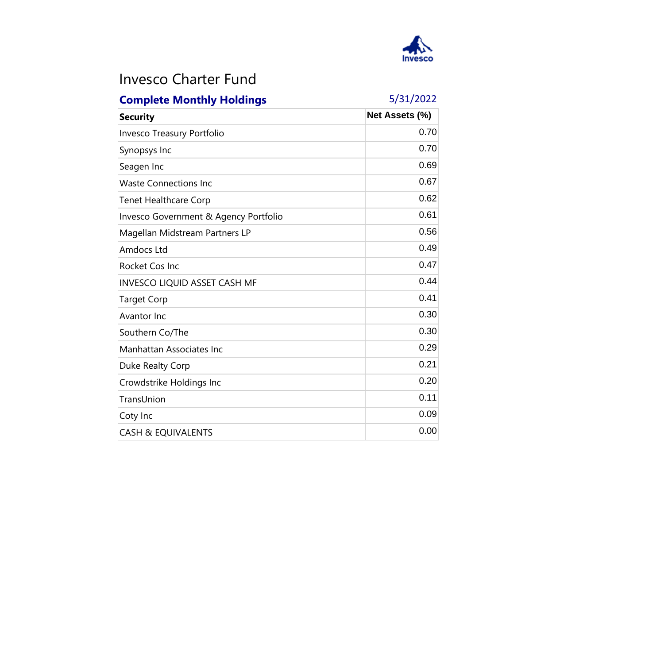

### Invesco Charter Fund

| <b>Complete Monthly Holdings</b>      | 5/31/2022      |
|---------------------------------------|----------------|
| <b>Security</b>                       | Net Assets (%) |
| Invesco Treasury Portfolio            | 0.70           |
| Synopsys Inc                          | 0.70           |
| Seagen Inc                            | 0.69           |
| <b>Waste Connections Inc</b>          | 0.67           |
| <b>Tenet Healthcare Corp</b>          | 0.62           |
| Invesco Government & Agency Portfolio | 0.61           |
| Magellan Midstream Partners LP        | 0.56           |
| Amdocs Ltd                            | 0.49           |
| Rocket Cos Inc                        | 0.47           |
| <b>INVESCO LIQUID ASSET CASH MF</b>   | 0.44           |
| <b>Target Corp</b>                    | 0.41           |
| Avantor Inc                           | 0.30           |
| Southern Co/The                       | 0.30           |
| Manhattan Associates Inc              | 0.29           |
| Duke Realty Corp                      | 0.21           |
| Crowdstrike Holdings Inc              | 0.20           |
| TransUnion                            | 0.11           |
| Coty Inc                              | 0.09           |
| <b>CASH &amp; EQUIVALENTS</b>         | 0.00           |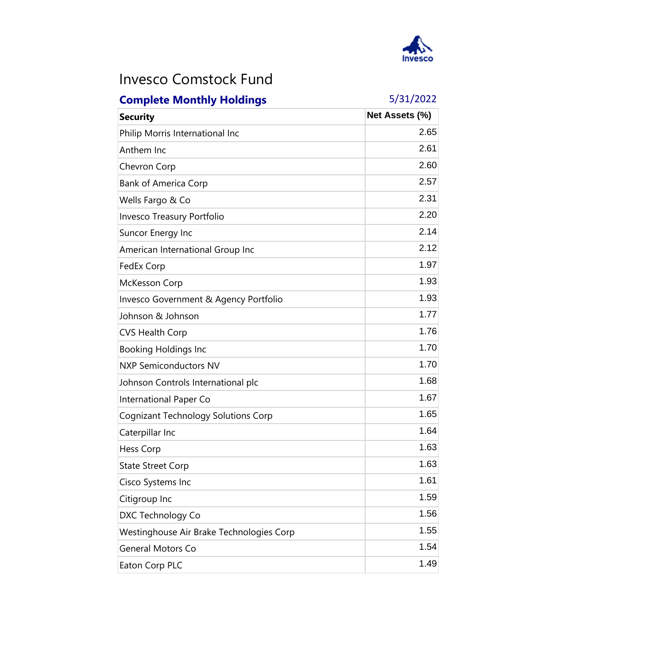

### Invesco Comstock Fund

| <b>Complete Monthly Holdings</b>         | 5/31/2022      |
|------------------------------------------|----------------|
| <b>Security</b>                          | Net Assets (%) |
| Philip Morris International Inc          | 2.65           |
| Anthem Inc                               | 2.61           |
| Chevron Corp                             | 2.60           |
| <b>Bank of America Corp</b>              | 2.57           |
| Wells Fargo & Co                         | 2.31           |
| Invesco Treasury Portfolio               | 2.20           |
| Suncor Energy Inc                        | 2.14           |
| American International Group Inc         | 2.12           |
| FedEx Corp                               | 1.97           |
| McKesson Corp                            | 1.93           |
| Invesco Government & Agency Portfolio    | 1.93           |
| Johnson & Johnson                        | 1.77           |
| <b>CVS Health Corp</b>                   | 1.76           |
| <b>Booking Holdings Inc</b>              | 1.70           |
| <b>NXP Semiconductors NV</b>             | 1.70           |
| Johnson Controls International plc       | 1.68           |
| International Paper Co                   | 1.67           |
| Cognizant Technology Solutions Corp      | 1.65           |
| Caterpillar Inc                          | 1.64           |
| <b>Hess Corp</b>                         | 1.63           |
| <b>State Street Corp</b>                 | 1.63           |
| Cisco Systems Inc                        | 1.61           |
| Citigroup Inc                            | 1.59           |
| DXC Technology Co                        | 1.56           |
| Westinghouse Air Brake Technologies Corp | 1.55           |
| General Motors Co                        | 1.54           |
| Eaton Corp PLC                           | 1.49           |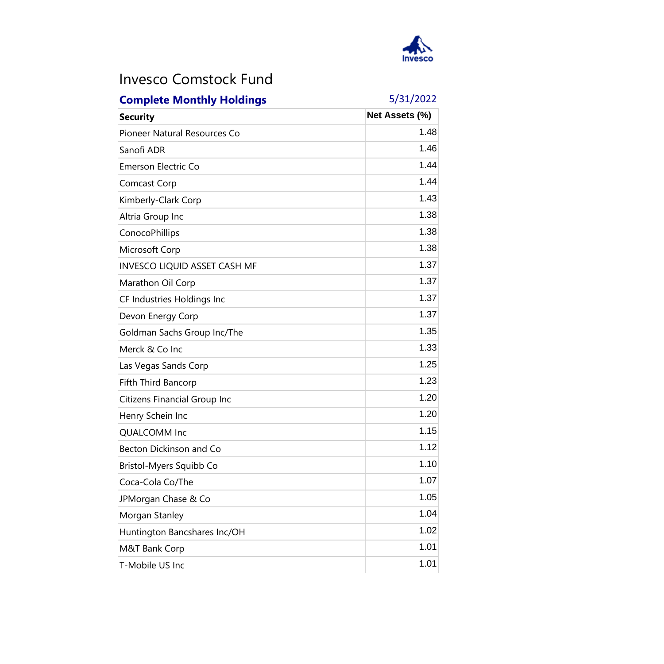

#### Invesco Comstock Fund

| <b>Complete Monthly Holdings</b> | 5/31/2022      |
|----------------------------------|----------------|
| <b>Security</b>                  | Net Assets (%) |
| Pioneer Natural Resources Co     | 1.48           |
| Sanofi ADR                       | 1.46           |
| Emerson Electric Co              | 1.44           |
| Comcast Corp                     | 1.44           |
| Kimberly-Clark Corp              | 1.43           |
| Altria Group Inc                 | 1.38           |
| ConocoPhillips                   | 1.38           |
| Microsoft Corp                   | 1.38           |
| INVESCO LIQUID ASSET CASH MF     | 1.37           |
| Marathon Oil Corp                | 1.37           |
| CF Industries Holdings Inc       | 1.37           |
| Devon Energy Corp                | 1.37           |
| Goldman Sachs Group Inc/The      | 1.35           |
| Merck & Co Inc                   | 1.33           |
| Las Vegas Sands Corp             | 1.25           |
| Fifth Third Bancorp              | 1.23           |
| Citizens Financial Group Inc     | 1.20           |
| Henry Schein Inc                 | 1.20           |
| <b>QUALCOMM Inc</b>              | 1.15           |
| Becton Dickinson and Co          | 1.12           |
| Bristol-Myers Squibb Co          | 1.10           |
| Coca-Cola Co/The                 | 1.07           |
| JPMorgan Chase & Co              | 1.05           |
| Morgan Stanley                   | 1.04           |
| Huntington Bancshares Inc/OH     | 1.02           |
| M&T Bank Corp                    | 1.01           |
| T-Mobile US Inc                  | 1.01           |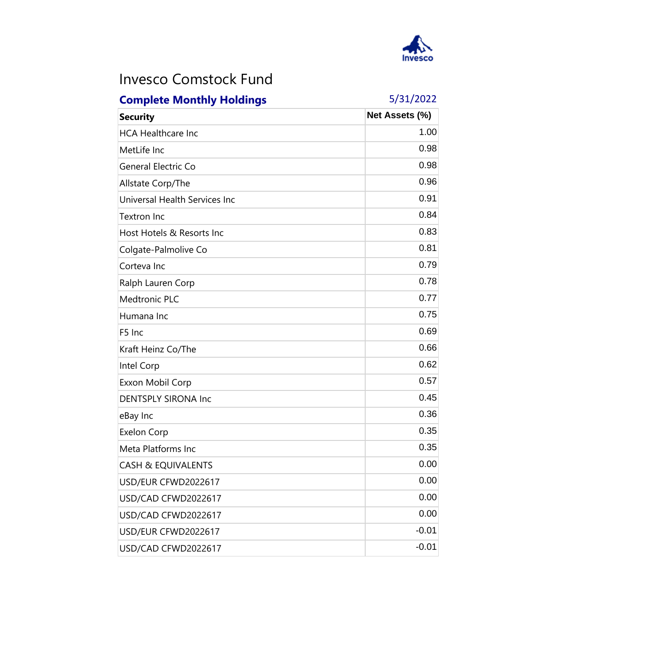

### Invesco Comstock Fund

| <b>Complete Monthly Holdings</b> | 5/31/2022      |
|----------------------------------|----------------|
| <b>Security</b>                  | Net Assets (%) |
| <b>HCA Healthcare Inc</b>        | 1.00           |
| MetLife Inc                      | 0.98           |
| General Electric Co              | 0.98           |
| Allstate Corp/The                | 0.96           |
| Universal Health Services Inc    | 0.91           |
| <b>Textron Inc</b>               | 0.84           |
| Host Hotels & Resorts Inc        | 0.83           |
| Colgate-Palmolive Co             | 0.81           |
| Corteva Inc                      | 0.79           |
| Ralph Lauren Corp                | 0.78           |
| Medtronic PLC                    | 0.77           |
| Humana Inc                       | 0.75           |
| F <sub>5</sub> Inc               | 0.69           |
| Kraft Heinz Co/The               | 0.66           |
| Intel Corp                       | 0.62           |
| Exxon Mobil Corp                 | 0.57           |
| <b>DENTSPLY SIRONA Inc</b>       | 0.45           |
| eBay Inc                         | 0.36           |
| Exelon Corp                      | 0.35           |
| Meta Platforms Inc               | 0.35           |
| CASH & EQUIVALENTS               | 0.00           |
| USD/EUR CFWD2022617              | 0.00           |
| USD/CAD CFWD2022617              | 0.00           |
| USD/CAD CFWD2022617              | 0.00           |
| USD/EUR CFWD2022617              | $-0.01$        |
| USD/CAD CFWD2022617              | $-0.01$        |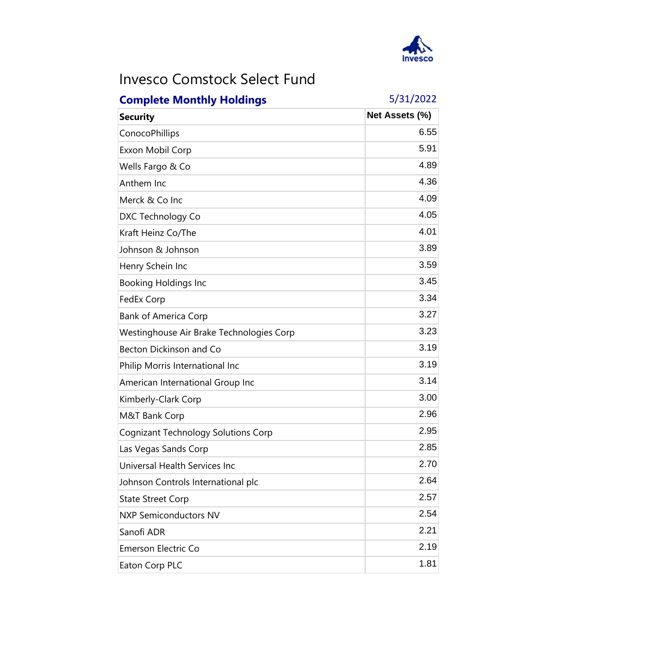

#### Invesco Comstock Select Fund

| <b>Complete Monthly Holdings</b>         | 5/31/2022      |
|------------------------------------------|----------------|
| <b>Security</b>                          | Net Assets (%) |
| ConocoPhillips                           | 6.55           |
| Exxon Mobil Corp                         | 5.91           |
| Wells Fargo & Co                         | 4.89           |
| Anthem Inc                               | 4.36           |
| Merck & Co Inc                           | 4.09           |
| DXC Technology Co                        | 4.05           |
| Kraft Heinz Co/The                       | 4.01           |
| Johnson & Johnson                        | 3.89           |
| Henry Schein Inc                         | 3.59           |
| <b>Booking Holdings Inc</b>              | 3.45           |
| FedEx Corp                               | 3.34           |
| <b>Bank of America Corp</b>              | 3.27           |
| Westinghouse Air Brake Technologies Corp | 3.23           |
| Becton Dickinson and Co                  | 3.19           |
| Philip Morris International Inc          | 3.19           |
| American International Group Inc         | 3.14           |
| Kimberly-Clark Corp                      | 3.00           |
| M&T Bank Corp                            | 2.96           |
| Cognizant Technology Solutions Corp      | 2.95           |
| Las Vegas Sands Corp                     | 2.85           |
| Universal Health Services Inc            | 2.70           |
| Johnson Controls International plc       | 2.64           |
| <b>State Street Corp</b>                 | 2.57           |
| <b>NXP Semiconductors NV</b>             | 2.54           |
| Sanofi ADR                               | 2.21           |
| Emerson Electric Co                      | 2.19           |
| Eaton Corp PLC                           | 1.81           |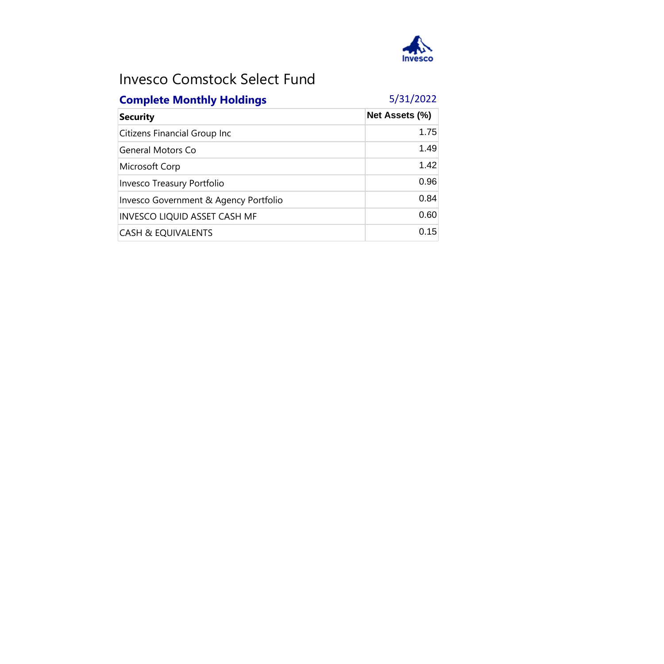

#### Invesco Comstock Select Fund

| <b>Complete Monthly Holdings</b>      | 5/31/2022      |
|---------------------------------------|----------------|
| <b>Security</b>                       | Net Assets (%) |
| Citizens Financial Group Inc          | 1.75           |
| General Motors Co                     | 1.49           |
| Microsoft Corp                        | 1.42           |
| Invesco Treasury Portfolio            | 0.96           |
| Invesco Government & Agency Portfolio | 0.84           |
| <b>INVESCO LIQUID ASSET CASH MF</b>   | 0.60           |
| CASH & EQUIVALENTS                    | 0.15           |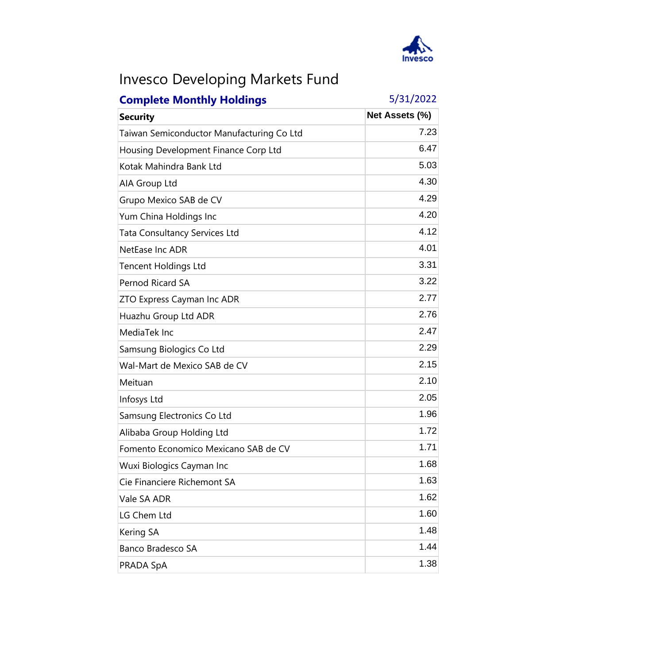

#### Invesco Developing Markets Fund

| <b>Complete Monthly Holdings</b>          | 5/31/2022      |  |
|-------------------------------------------|----------------|--|
| <b>Security</b>                           | Net Assets (%) |  |
| Taiwan Semiconductor Manufacturing Co Ltd | 7.23           |  |
| Housing Development Finance Corp Ltd      | 6.47           |  |
| Kotak Mahindra Bank Ltd                   | 5.03           |  |
| AIA Group Ltd                             | 4.30           |  |
| Grupo Mexico SAB de CV                    | 4.29           |  |
| Yum China Holdings Inc                    | 4.20           |  |
| Tata Consultancy Services Ltd             | 4.12           |  |
| NetEase Inc ADR                           | 4.01           |  |
| <b>Tencent Holdings Ltd</b>               | 3.31           |  |
| Pernod Ricard SA                          | 3.22           |  |
| ZTO Express Cayman Inc ADR                | 2.77           |  |
| Huazhu Group Ltd ADR                      | 2.76           |  |
| MediaTek Inc                              | 2.47           |  |
| Samsung Biologics Co Ltd                  | 2.29           |  |
| Wal-Mart de Mexico SAB de CV              | 2.15           |  |
| Meituan                                   | 2.10           |  |
| Infosys Ltd                               | 2.05           |  |
| Samsung Electronics Co Ltd                | 1.96           |  |
| Alibaba Group Holding Ltd                 | 1.72           |  |
| Fomento Economico Mexicano SAB de CV      | 1.71           |  |
| Wuxi Biologics Cayman Inc                 | 1.68           |  |
| Cie Financiere Richemont SA               | 1.63           |  |
| Vale SA ADR                               | 1.62           |  |
| LG Chem Ltd                               | 1.60           |  |
| Kering SA                                 | 1.48           |  |
| Banco Bradesco SA                         | 1.44           |  |
| PRADA SpA                                 | 1.38           |  |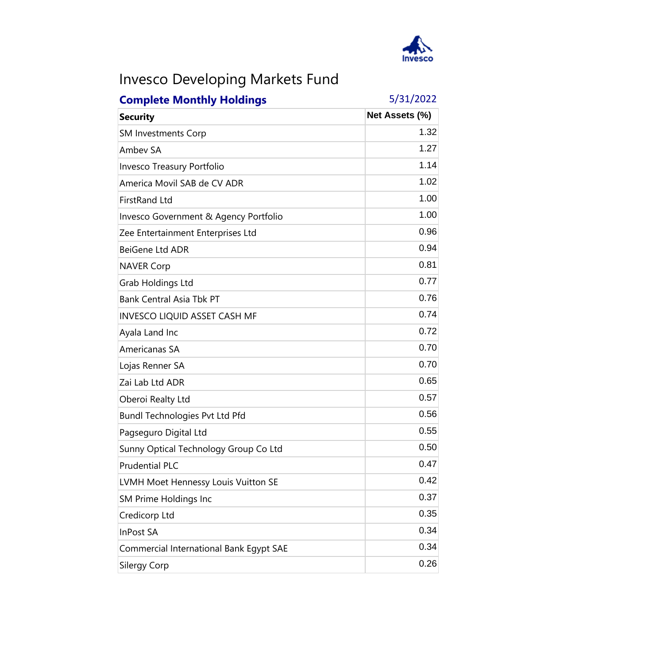

#### Invesco Developing Markets Fund

| <b>Complete Monthly Holdings</b>        | 5/31/2022      |
|-----------------------------------------|----------------|
| <b>Security</b>                         | Net Assets (%) |
| <b>SM Investments Corp</b>              | 1.32           |
| Ambey SA                                | 1.27           |
| Invesco Treasury Portfolio              | 1.14           |
| America Movil SAB de CV ADR             | 1.02           |
| <b>FirstRand Ltd</b>                    | 1.00           |
| Invesco Government & Agency Portfolio   | 1.00           |
| Zee Entertainment Enterprises Ltd       | 0.96           |
| BeiGene Ltd ADR                         | 0.94           |
| <b>NAVER Corp</b>                       | 0.81           |
| Grab Holdings Ltd                       | 0.77           |
| Bank Central Asia Tbk PT                | 0.76           |
| <b>INVESCO LIQUID ASSET CASH MF</b>     | 0.74           |
| Ayala Land Inc                          | 0.72           |
| Americanas SA                           | 0.70           |
| Lojas Renner SA                         | 0.70           |
| Zai Lab Ltd ADR                         | 0.65           |
| Oberoi Realty Ltd                       | 0.57           |
| Bundl Technologies Pvt Ltd Pfd          | 0.56           |
| Pagseguro Digital Ltd                   | 0.55           |
| Sunny Optical Technology Group Co Ltd   | 0.50           |
| <b>Prudential PLC</b>                   | 0.47           |
| LVMH Moet Hennessy Louis Vuitton SE     | 0.42           |
| SM Prime Holdings Inc                   | 0.37           |
| Credicorp Ltd                           | 0.35           |
| <b>InPost SA</b>                        | 0.34           |
| Commercial International Bank Egypt SAE | 0.34           |
| Silergy Corp                            | 0.26           |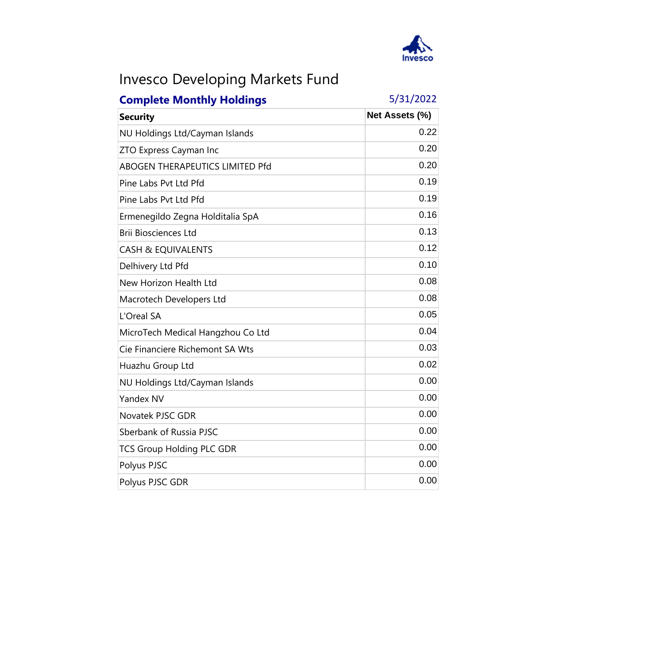

#### Invesco Developing Markets Fund

| <b>Complete Monthly Holdings</b>       | 5/31/2022      |  |
|----------------------------------------|----------------|--|
| <b>Security</b>                        | Net Assets (%) |  |
| NU Holdings Ltd/Cayman Islands         | 0.22           |  |
| ZTO Express Cayman Inc                 | 0.20           |  |
| <b>ABOGEN THERAPEUTICS LIMITED Pfd</b> | 0.20           |  |
| Pine Labs Pvt Ltd Pfd                  | 0.19           |  |
| Pine Labs Pyt Ltd Pfd                  | 0.19           |  |
| Ermenegildo Zegna Holditalia SpA       | 0.16           |  |
| <b>Brii Biosciences Ltd</b>            | 0.13           |  |
| CASH & EQUIVALENTS                     | 0.12           |  |
| Delhivery Ltd Pfd                      | 0.10           |  |
| New Horizon Health Ltd                 | 0.08           |  |
| Macrotech Developers Ltd               | 0.08           |  |
| L'Oreal SA                             | 0.05           |  |
| MicroTech Medical Hangzhou Co Ltd      | 0.04           |  |
| Cie Financiere Richemont SA Wts        | 0.03           |  |
| Huazhu Group Ltd                       | 0.02           |  |
| NU Holdings Ltd/Cayman Islands         | 0.00           |  |
| Yandex NV                              | 0.00           |  |
| Novatek PJSC GDR                       | 0.00           |  |
| Sberbank of Russia PJSC                | 0.00           |  |
| <b>TCS Group Holding PLC GDR</b>       | 0.00           |  |
| Polyus PJSC                            | 0.00           |  |
| Polyus PJSC GDR                        | 0.00           |  |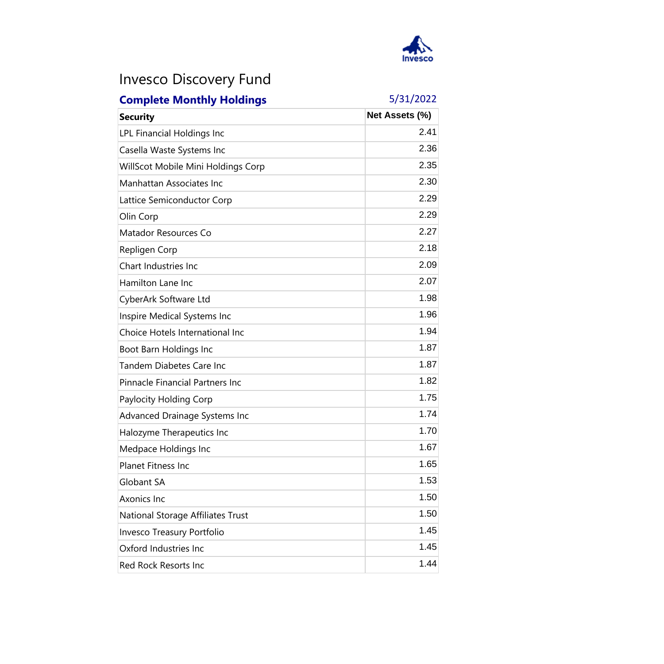

| <b>Complete Monthly Holdings</b>   | 5/31/2022      |
|------------------------------------|----------------|
| <b>Security</b>                    | Net Assets (%) |
| LPL Financial Holdings Inc         | 2.41           |
| Casella Waste Systems Inc          | 2.36           |
| WillScot Mobile Mini Holdings Corp | 2.35           |
| Manhattan Associates Inc           | 2.30           |
| Lattice Semiconductor Corp         | 2.29           |
| Olin Corp                          | 2.29           |
| Matador Resources Co               | 2.27           |
| Repligen Corp                      | 2.18           |
| Chart Industries Inc               | 2.09           |
| Hamilton Lane Inc                  | 2.07           |
| CyberArk Software Ltd              | 1.98           |
| Inspire Medical Systems Inc        | 1.96           |
| Choice Hotels International Inc    | 1.94           |
| Boot Barn Holdings Inc             | 1.87           |
| Tandem Diabetes Care Inc           | 1.87           |
| Pinnacle Financial Partners Inc    | 1.82           |
| Paylocity Holding Corp             | 1.75           |
| Advanced Drainage Systems Inc      | 1.74           |
| Halozyme Therapeutics Inc          | 1.70           |
| Medpace Holdings Inc               | 1.67           |
| <b>Planet Fitness Inc</b>          | 1.65           |
| Globant SA                         | 1.53           |
| Axonics Inc                        | 1.50           |
| National Storage Affiliates Trust  | 1.50           |
| Invesco Treasury Portfolio         | 1.45           |
| Oxford Industries Inc              | 1.45           |
| Red Rock Resorts Inc               | 1.44           |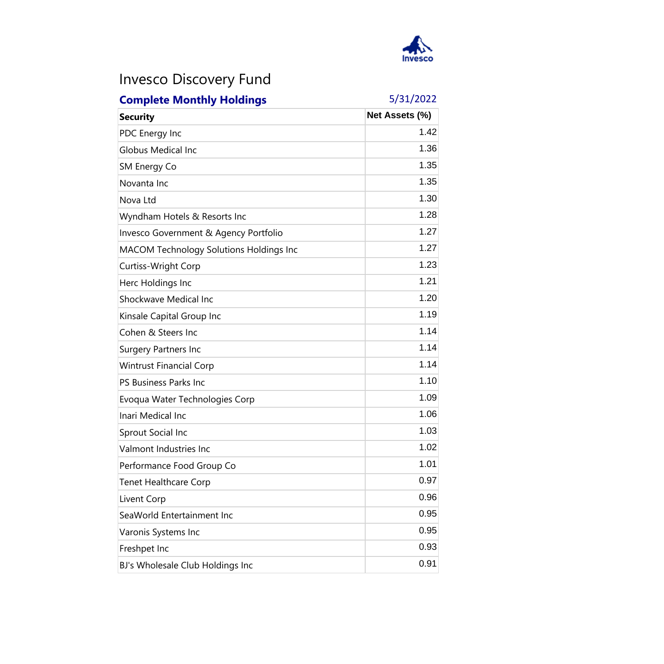

| <b>Complete Monthly Holdings</b>        | 5/31/2022      |
|-----------------------------------------|----------------|
| <b>Security</b>                         | Net Assets (%) |
| PDC Energy Inc                          | 1.42           |
| Globus Medical Inc                      | 1.36           |
| SM Energy Co                            | 1.35           |
| Novanta Inc                             | 1.35           |
| Nova Ltd                                | 1.30           |
| Wyndham Hotels & Resorts Inc            | 1.28           |
| Invesco Government & Agency Portfolio   | 1.27           |
| MACOM Technology Solutions Holdings Inc | 1.27           |
| <b>Curtiss-Wright Corp</b>              | 1.23           |
| Herc Holdings Inc                       | 1.21           |
| Shockwave Medical Inc                   | 1.20           |
| Kinsale Capital Group Inc               | 1.19           |
| Cohen & Steers Inc                      | 1.14           |
| Surgery Partners Inc                    | 1.14           |
| <b>Wintrust Financial Corp</b>          | 1.14           |
| PS Business Parks Inc                   | 1.10           |
| Evoqua Water Technologies Corp          | 1.09           |
| Inari Medical Inc                       | 1.06           |
| Sprout Social Inc                       | 1.03           |
| Valmont Industries Inc                  | 1.02           |
| Performance Food Group Co               | 1.01           |
| <b>Tenet Healthcare Corp</b>            | 0.97           |
| Livent Corp                             | 0.96           |
| SeaWorld Entertainment Inc              | 0.95           |
| Varonis Systems Inc                     | 0.95           |
| Freshpet Inc                            | 0.93           |
| BJ's Wholesale Club Holdings Inc        | 0.91           |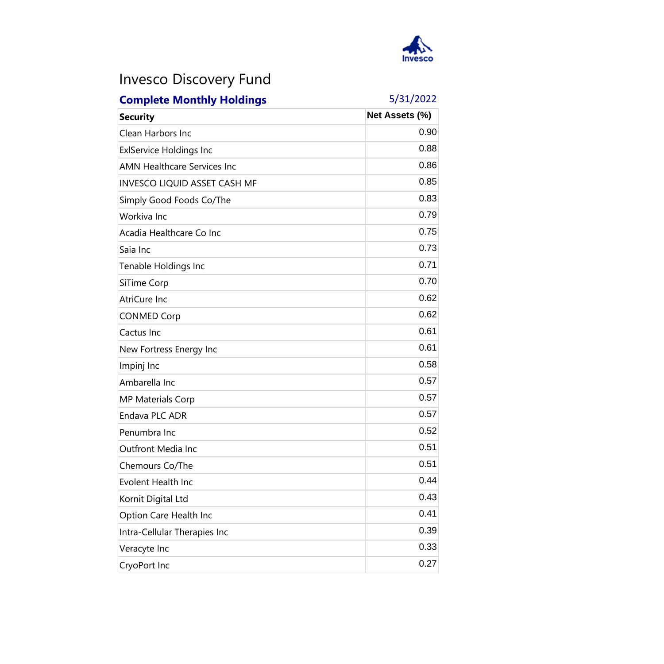

| <b>Complete Monthly Holdings</b>    | 5/31/2022      |  |
|-------------------------------------|----------------|--|
| <b>Security</b>                     | Net Assets (%) |  |
| Clean Harbors Inc                   | 0.90           |  |
| <b>ExIService Holdings Inc</b>      | 0.88           |  |
| <b>AMN Healthcare Services Inc</b>  | 0.86           |  |
| <b>INVESCO LIQUID ASSET CASH MF</b> | 0.85           |  |
| Simply Good Foods Co/The            | 0.83           |  |
| Workiva Inc                         | 0.79           |  |
| Acadia Healthcare Co Inc            | 0.75           |  |
| Saia Inc                            | 0.73           |  |
| Tenable Holdings Inc                | 0.71           |  |
| SiTime Corp                         | 0.70           |  |
| AtriCure Inc                        | 0.62           |  |
| <b>CONMED Corp</b>                  | 0.62           |  |
| Cactus Inc                          | 0.61           |  |
| New Fortress Energy Inc             | 0.61           |  |
| Impinj Inc                          | 0.58           |  |
| Ambarella Inc                       | 0.57           |  |
| MP Materials Corp                   | 0.57           |  |
| Endava PLC ADR                      | 0.57           |  |
| Penumbra Inc                        | 0.52           |  |
| Outfront Media Inc                  | 0.51           |  |
| Chemours Co/The                     | 0.51           |  |
| Evolent Health Inc                  | 0.44           |  |
| Kornit Digital Ltd                  | 0.43           |  |
| Option Care Health Inc              | 0.41           |  |
| Intra-Cellular Therapies Inc        | 0.39           |  |
| Veracyte Inc                        | 0.33           |  |
| CryoPort Inc                        | 0.27           |  |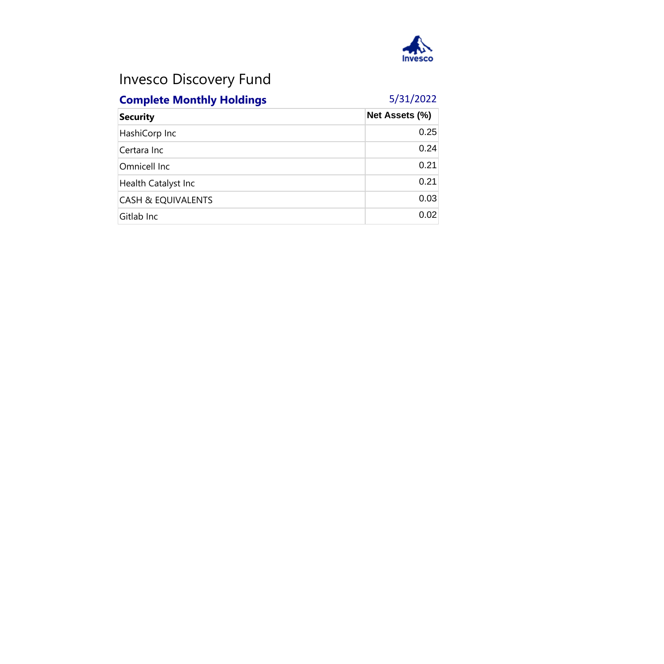

| <b>Complete Monthly Holdings</b> | 5/31/2022      |
|----------------------------------|----------------|
| <b>Security</b>                  | Net Assets (%) |
| HashiCorp Inc                    | 0.25           |
| Certara Inc                      | 0.24           |
| Omnicell Inc                     | 0.21           |
| Health Catalyst Inc              | 0.21           |
| <b>CASH &amp; EQUIVALENTS</b>    | 0.03           |
| Gitlab Inc                       | 0.02           |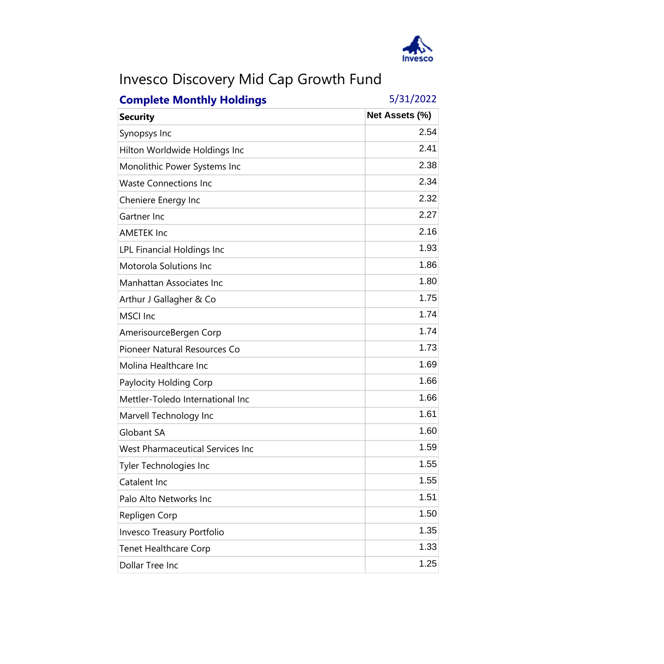

# Invesco Discovery Mid Cap Growth Fund

| <b>Complete Monthly Holdings</b> | 5/31/2022      |
|----------------------------------|----------------|
| <b>Security</b>                  | Net Assets (%) |
| Synopsys Inc                     | 2.54           |
| Hilton Worldwide Holdings Inc    | 2.41           |
| Monolithic Power Systems Inc     | 2.38           |
| <b>Waste Connections Inc</b>     | 2.34           |
| Cheniere Energy Inc              | 2.32           |
| Gartner Inc                      | 2.27           |
| <b>AMETEK Inc</b>                | 2.16           |
| LPL Financial Holdings Inc       | 1.93           |
| Motorola Solutions Inc           | 1.86           |
| Manhattan Associates Inc         | 1.80           |
| Arthur J Gallagher & Co          | 1.75           |
| <b>MSCI</b> Inc                  | 1.74           |
| AmerisourceBergen Corp           | 1.74           |
| Pioneer Natural Resources Co     | 1.73           |
| Molina Healthcare Inc            | 1.69           |
| Paylocity Holding Corp           | 1.66           |
| Mettler-Toledo International Inc | 1.66           |
| Marvell Technology Inc           | 1.61           |
| Globant SA                       | 1.60           |
| West Pharmaceutical Services Inc | 1.59           |
| Tyler Technologies Inc           | 1.55           |
| Catalent Inc                     | 1.55           |
| Palo Alto Networks Inc           | 1.51           |
| Repligen Corp                    | 1.50           |
| Invesco Treasury Portfolio       | 1.35           |
| <b>Tenet Healthcare Corp</b>     | 1.33           |
| Dollar Tree Inc                  | 1.25           |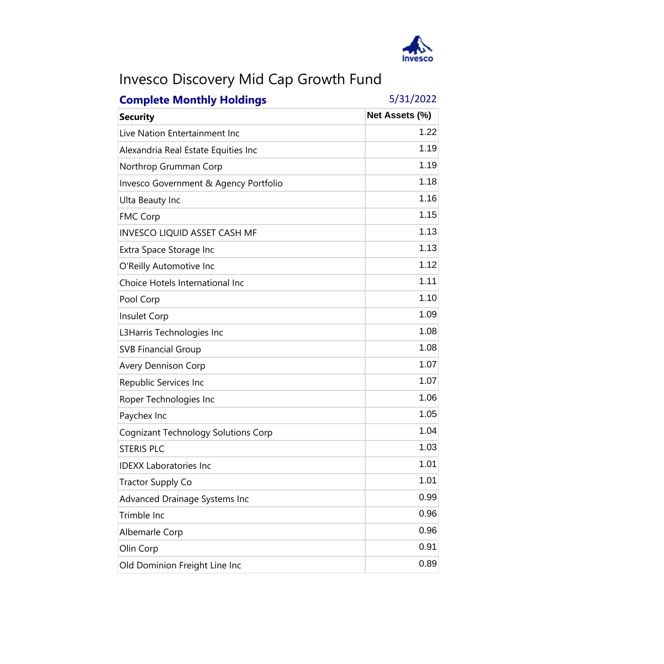

| <b>Invesco Discovery Mid Cap Growth Fund</b> |  |  |  |
|----------------------------------------------|--|--|--|
|----------------------------------------------|--|--|--|

| <b>Complete Monthly Holdings</b>           | 5/31/2022      |  |
|--------------------------------------------|----------------|--|
| <b>Security</b>                            | Net Assets (%) |  |
| Live Nation Entertainment Inc              | 1.22           |  |
| Alexandria Real Estate Equities Inc        | 1.19           |  |
| Northrop Grumman Corp                      | 1.19           |  |
| Invesco Government & Agency Portfolio      | 1.18           |  |
| Ulta Beauty Inc                            | 1.16           |  |
| <b>FMC Corp</b>                            | 1.15           |  |
| <b>INVESCO LIQUID ASSET CASH MF</b>        | 1.13           |  |
| Extra Space Storage Inc                    | 1.13           |  |
| O'Reilly Automotive Inc                    | 1.12           |  |
| Choice Hotels International Inc            | 1.11           |  |
| Pool Corp                                  | 1.10           |  |
| Insulet Corp                               | 1.09           |  |
| L3Harris Technologies Inc                  | 1.08           |  |
| <b>SVB Financial Group</b>                 | 1.08           |  |
| Avery Dennison Corp                        | 1.07           |  |
| Republic Services Inc                      | 1.07           |  |
| Roper Technologies Inc                     | 1.06           |  |
| Paychex Inc                                | 1.05           |  |
| <b>Cognizant Technology Solutions Corp</b> | 1.04           |  |
| <b>STERIS PLC</b>                          | 1.03           |  |
| <b>IDEXX Laboratories Inc</b>              | 1.01           |  |
| <b>Tractor Supply Co</b>                   | 1.01           |  |
| Advanced Drainage Systems Inc              | 0.99           |  |
| Trimble Inc                                | 0.96           |  |
| Albemarle Corp                             | 0.96           |  |
| Olin Corp                                  | 0.91           |  |
| Old Dominion Freight Line Inc              | 0.89           |  |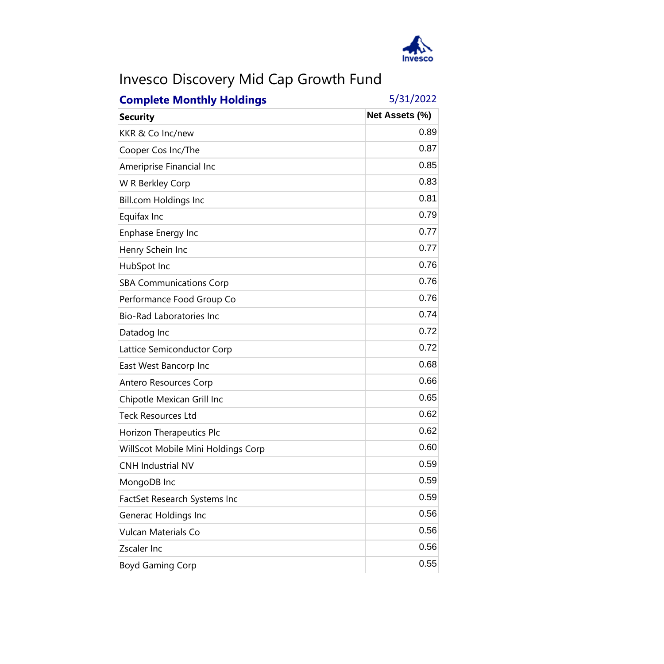

# Invesco Discovery Mid Cap Growth Fund

| <b>Complete Monthly Holdings</b>   | 5/31/2022      |  |
|------------------------------------|----------------|--|
| <b>Security</b>                    | Net Assets (%) |  |
| KKR & Co Inc/new                   | 0.89           |  |
| Cooper Cos Inc/The                 | 0.87           |  |
| Ameriprise Financial Inc           | 0.85           |  |
| W R Berkley Corp                   | 0.83           |  |
| <b>Bill.com Holdings Inc</b>       | 0.81           |  |
| Equifax Inc                        | 0.79           |  |
| Enphase Energy Inc                 | 0.77           |  |
| Henry Schein Inc                   | 0.77           |  |
| HubSpot Inc                        | 0.76           |  |
| <b>SBA Communications Corp</b>     | 0.76           |  |
| Performance Food Group Co          | 0.76           |  |
| Bio-Rad Laboratories Inc           | 0.74           |  |
| Datadog Inc                        | 0.72           |  |
| Lattice Semiconductor Corp         | 0.72           |  |
| East West Bancorp Inc              | 0.68           |  |
| Antero Resources Corp              | 0.66           |  |
| Chipotle Mexican Grill Inc         | 0.65           |  |
| Teck Resources Ltd                 | 0.62           |  |
| Horizon Therapeutics Plc           | 0.62           |  |
| WillScot Mobile Mini Holdings Corp | 0.60           |  |
| <b>CNH Industrial NV</b>           | 0.59           |  |
| MongoDB Inc                        | 0.59           |  |
| FactSet Research Systems Inc       | 0.59           |  |
| Generac Holdings Inc               | 0.56           |  |
| Vulcan Materials Co                | 0.56           |  |
| Zscaler Inc                        | 0.56           |  |
| <b>Boyd Gaming Corp</b>            | 0.55           |  |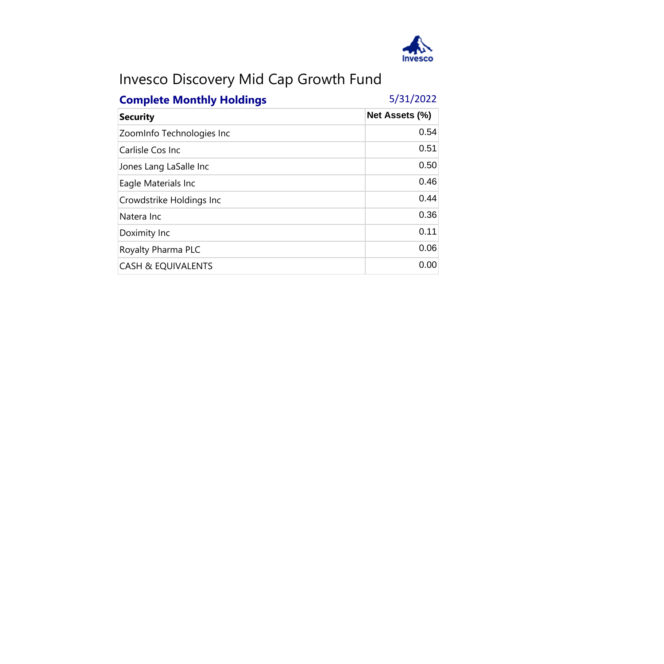

# Invesco Discovery Mid Cap Growth Fund

| <b>Complete Monthly Holdings</b> | 5/31/2022      |
|----------------------------------|----------------|
| <b>Security</b>                  | Net Assets (%) |
| ZoomInfo Technologies Inc        | 0.54           |
| Carlisle Cos Inc                 | 0.51           |
| Jones Lang LaSalle Inc           | 0.50           |
| Eagle Materials Inc              | 0.46           |
| Crowdstrike Holdings Inc         | 0.44           |
| Natera Inc                       | 0.36           |
| Doximity Inc                     | 0.11           |
| Royalty Pharma PLC               | 0.06           |
| <b>CASH &amp; EQUIVALENTS</b>    | 0.00           |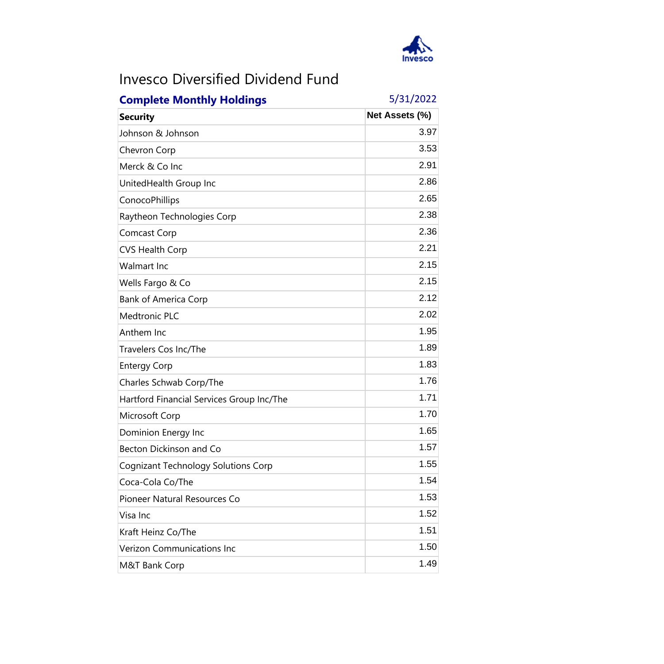

#### Invesco Diversified Dividend Fund

| <b>Complete Monthly Holdings</b>          | 5/31/2022      |
|-------------------------------------------|----------------|
| <b>Security</b>                           | Net Assets (%) |
| Johnson & Johnson                         | 3.97           |
| Chevron Corp                              | 3.53           |
| Merck & Co Inc                            | 2.91           |
| UnitedHealth Group Inc                    | 2.86           |
| ConocoPhillips                            | 2.65           |
| Raytheon Technologies Corp                | 2.38           |
| Comcast Corp                              | 2.36           |
| <b>CVS Health Corp</b>                    | 2.21           |
| <b>Walmart Inc</b>                        | 2.15           |
| Wells Fargo & Co                          | 2.15           |
| <b>Bank of America Corp</b>               | 2.12           |
| Medtronic PLC                             | 2.02           |
| Anthem Inc                                | 1.95           |
| Travelers Cos Inc/The                     | 1.89           |
| <b>Entergy Corp</b>                       | 1.83           |
| Charles Schwab Corp/The                   | 1.76           |
| Hartford Financial Services Group Inc/The | 1.71           |
| Microsoft Corp                            | 1.70           |
| Dominion Energy Inc                       | 1.65           |
| Becton Dickinson and Co                   | 1.57           |
| Cognizant Technology Solutions Corp       | 1.55           |
| Coca-Cola Co/The                          | 1.54           |
| Pioneer Natural Resources Co              | 1.53           |
| Visa Inc                                  | 1.52           |
| Kraft Heinz Co/The                        | 1.51           |
| <b>Verizon Communications Inc</b>         | 1.50           |
| M&T Bank Corp                             | 1.49           |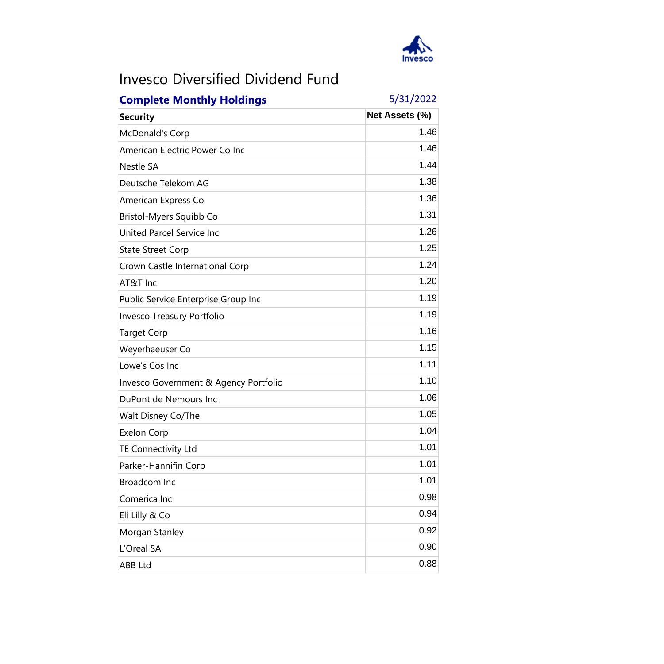

#### Invesco Diversified Dividend Fund

| <b>Complete Monthly Holdings</b>      | 5/31/2022      |  |
|---------------------------------------|----------------|--|
| <b>Security</b>                       | Net Assets (%) |  |
| McDonald's Corp                       | 1.46           |  |
| American Electric Power Co Inc        | 1.46           |  |
| Nestle SA                             | 1.44           |  |
| Deutsche Telekom AG                   | 1.38           |  |
| American Express Co                   | 1.36           |  |
| Bristol-Myers Squibb Co               | 1.31           |  |
| United Parcel Service Inc             | 1.26           |  |
| <b>State Street Corp</b>              | 1.25           |  |
| Crown Castle International Corp       | 1.24           |  |
| AT&T Inc                              | 1.20           |  |
| Public Service Enterprise Group Inc   | 1.19           |  |
| Invesco Treasury Portfolio            | 1.19           |  |
| <b>Target Corp</b>                    | 1.16           |  |
| Weyerhaeuser Co                       | 1.15           |  |
| Lowe's Cos Inc                        | 1.11           |  |
| Invesco Government & Agency Portfolio | 1.10           |  |
| DuPont de Nemours Inc                 | 1.06           |  |
| Walt Disney Co/The                    | 1.05           |  |
| <b>Exelon Corp</b>                    | 1.04           |  |
| TE Connectivity Ltd                   | 1.01           |  |
| Parker-Hannifin Corp                  | 1.01           |  |
| Broadcom Inc                          | 1.01           |  |
| Comerica Inc                          | 0.98           |  |
| Eli Lilly & Co                        | 0.94           |  |
| Morgan Stanley                        | 0.92           |  |
| L'Oreal SA                            | 0.90           |  |
| <b>ABB Ltd</b>                        | 0.88           |  |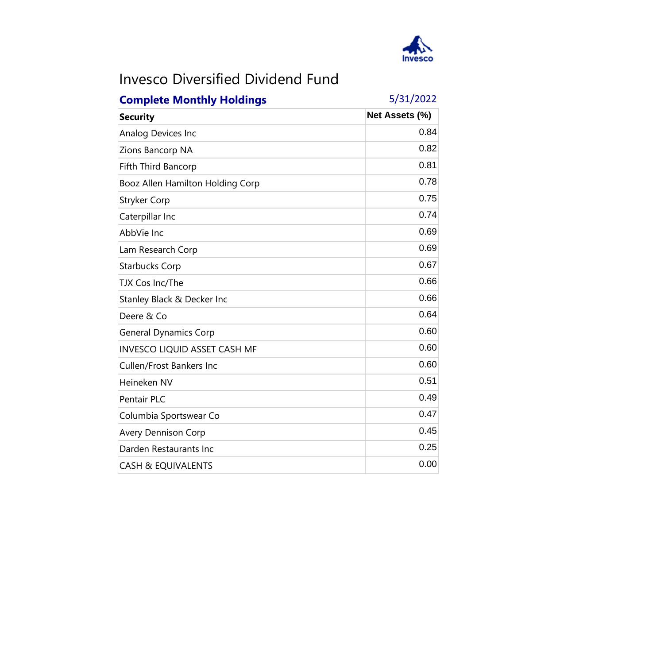

#### Invesco Diversified Dividend Fund

| <b>Complete Monthly Holdings</b>    | 5/31/2022      |
|-------------------------------------|----------------|
| <b>Security</b>                     | Net Assets (%) |
| Analog Devices Inc                  | 0.84           |
| Zions Bancorp NA                    | 0.82           |
| Fifth Third Bancorp                 | 0.81           |
| Booz Allen Hamilton Holding Corp    | 0.78           |
| <b>Stryker Corp</b>                 | 0.75           |
| Caterpillar Inc                     | 0.74           |
| AbbVie Inc                          | 0.69           |
| Lam Research Corp                   | 0.69           |
| <b>Starbucks Corp</b>               | 0.67           |
| TJX Cos Inc/The                     | 0.66           |
| Stanley Black & Decker Inc          | 0.66           |
| Deere & Co                          | 0.64           |
| <b>General Dynamics Corp</b>        | 0.60           |
| <b>INVESCO LIQUID ASSET CASH MF</b> | 0.60           |
| Cullen/Frost Bankers Inc            | 0.60           |
| Heineken NV                         | 0.51           |
| Pentair PLC                         | 0.49           |
| Columbia Sportswear Co              | 0.47           |
| <b>Avery Dennison Corp</b>          | 0.45           |
| Darden Restaurants Inc              | 0.25           |
| CASH & EQUIVALENTS                  | 0.00           |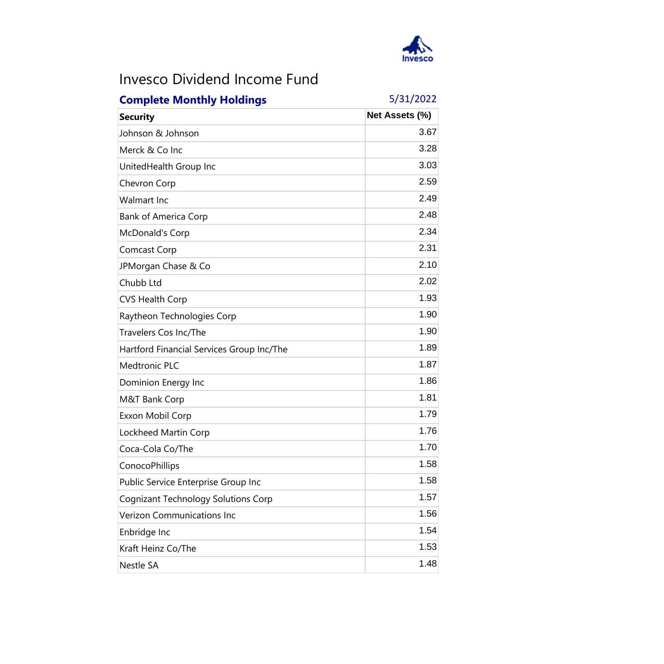

#### Invesco Dividend Income Fund

| <b>Complete Monthly Holdings</b>          | 5/31/2022      |
|-------------------------------------------|----------------|
| <b>Security</b>                           | Net Assets (%) |
| Johnson & Johnson                         | 3.67           |
| Merck & Co Inc                            | 3.28           |
| UnitedHealth Group Inc                    | 3.03           |
| Chevron Corp                              | 2.59           |
| <b>Walmart Inc</b>                        | 2.49           |
| <b>Bank of America Corp</b>               | 2.48           |
| McDonald's Corp                           | 2.34           |
| Comcast Corp                              | 2.31           |
| JPMorgan Chase & Co                       | 2.10           |
| Chubb Ltd                                 | 2.02           |
| CVS Health Corp                           | 1.93           |
| Raytheon Technologies Corp                | 1.90           |
| Travelers Cos Inc/The                     | 1.90           |
| Hartford Financial Services Group Inc/The | 1.89           |
| Medtronic PLC                             | 1.87           |
| Dominion Energy Inc                       | 1.86           |
| M&T Bank Corp                             | 1.81           |
| Exxon Mobil Corp                          | 1.79           |
| Lockheed Martin Corp                      | 1.76           |
| Coca-Cola Co/The                          | 1.70           |
| ConocoPhillips                            | 1.58           |
| Public Service Enterprise Group Inc       | 1.58           |
| Cognizant Technology Solutions Corp       | 1.57           |
| <b>Verizon Communications Inc</b>         | 1.56           |
| Enbridge Inc                              | 1.54           |
| Kraft Heinz Co/The                        | 1.53           |
| Nestle SA                                 | 1.48           |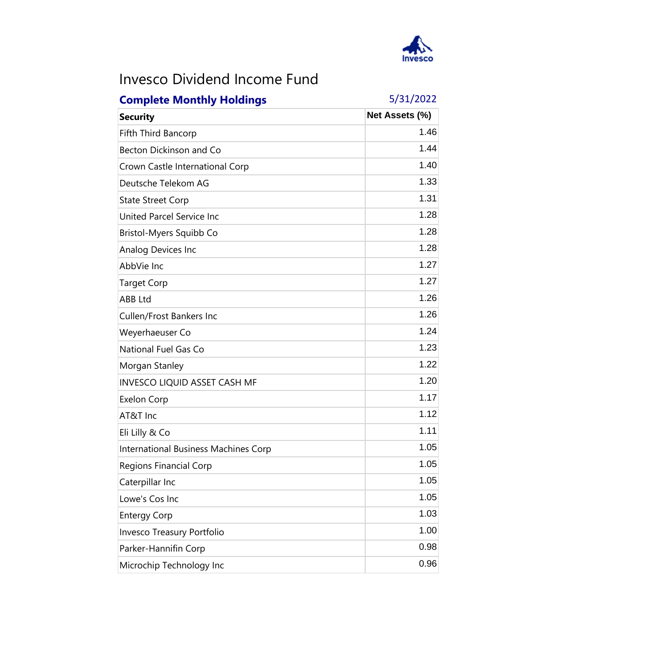

#### Invesco Dividend Income Fund

| <b>Complete Monthly Holdings</b>     | 5/31/2022      |
|--------------------------------------|----------------|
| <b>Security</b>                      | Net Assets (%) |
| Fifth Third Bancorp                  | 1.46           |
| Becton Dickinson and Co              | 1.44           |
| Crown Castle International Corp      | 1.40           |
| Deutsche Telekom AG                  | 1.33           |
| <b>State Street Corp</b>             | 1.31           |
| United Parcel Service Inc            | 1.28           |
| Bristol-Myers Squibb Co              | 1.28           |
| Analog Devices Inc                   | 1.28           |
| AbbVie Inc                           | 1.27           |
| <b>Target Corp</b>                   | 1.27           |
| ABB Ltd                              | 1.26           |
| Cullen/Frost Bankers Inc             | 1.26           |
| Weyerhaeuser Co                      | 1.24           |
| National Fuel Gas Co                 | 1.23           |
| Morgan Stanley                       | 1.22           |
| <b>INVESCO LIQUID ASSET CASH MF</b>  | 1.20           |
| <b>Exelon Corp</b>                   | 1.17           |
| AT&T Inc                             | 1.12           |
| Eli Lilly & Co                       | 1.11           |
| International Business Machines Corp | 1.05           |
| Regions Financial Corp               | 1.05           |
| Caterpillar Inc                      | 1.05           |
| Lowe's Cos Inc                       | 1.05           |
| <b>Entergy Corp</b>                  | 1.03           |
| Invesco Treasury Portfolio           | 1.00           |
| Parker-Hannifin Corp                 | 0.98           |
| Microchip Technology Inc             | 0.96           |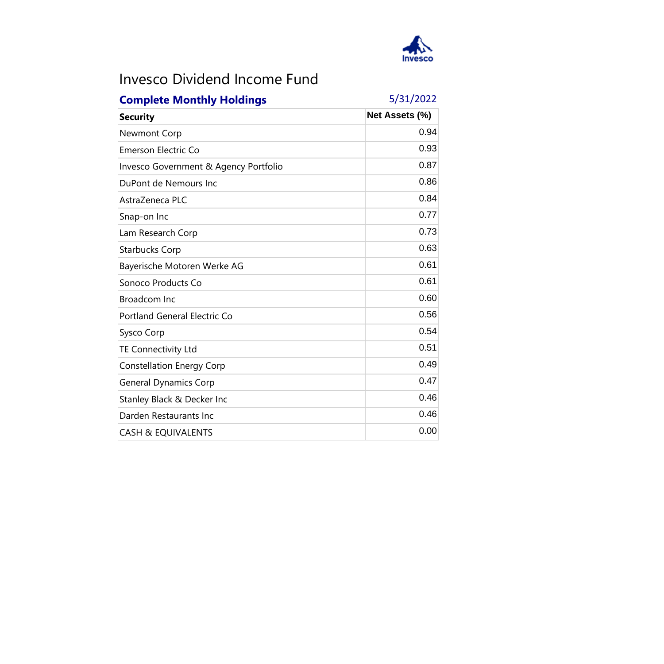

#### Invesco Dividend Income Fund

| <b>Complete Monthly Holdings</b>      | 5/31/2022      |
|---------------------------------------|----------------|
| <b>Security</b>                       | Net Assets (%) |
| Newmont Corp                          | 0.94           |
| Emerson Electric Co                   | 0.93           |
| Invesco Government & Agency Portfolio | 0.87           |
| DuPont de Nemours Inc                 | 0.86           |
| AstraZeneca PLC                       | 0.84           |
| Snap-on Inc                           | 0.77           |
| Lam Research Corp                     | 0.73           |
| <b>Starbucks Corp</b>                 | 0.63           |
| Bayerische Motoren Werke AG           | 0.61           |
| Sonoco Products Co                    | 0.61           |
| Broadcom Inc                          | 0.60           |
| <b>Portland General Electric Co</b>   | 0.56           |
| Sysco Corp                            | 0.54           |
| TE Connectivity Ltd                   | 0.51           |
| <b>Constellation Energy Corp</b>      | 0.49           |
| <b>General Dynamics Corp</b>          | 0.47           |
| Stanley Black & Decker Inc            | 0.46           |
| Darden Restaurants Inc                | 0.46           |
| <b>CASH &amp; EQUIVALENTS</b>         | 0.00           |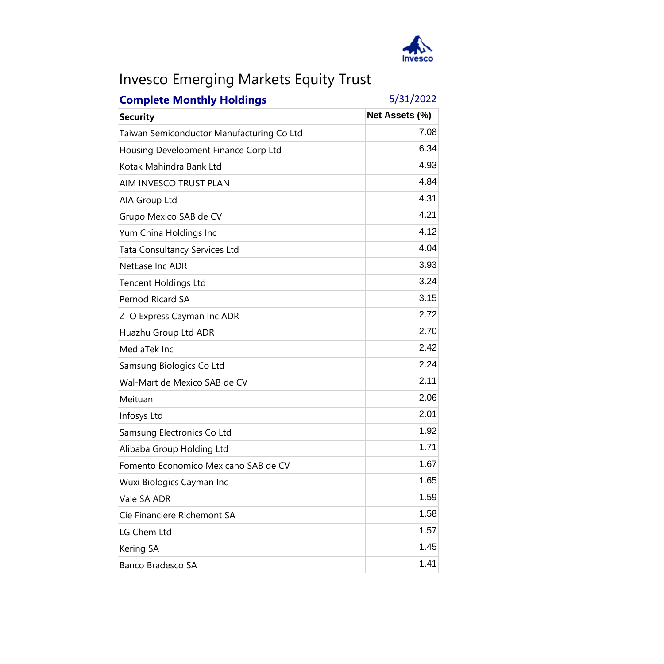

# Invesco Emerging Markets Equity Trust

| <b>Complete Monthly Holdings</b>          | 5/31/2022      |  |
|-------------------------------------------|----------------|--|
| <b>Security</b>                           | Net Assets (%) |  |
| Taiwan Semiconductor Manufacturing Co Ltd | 7.08           |  |
| Housing Development Finance Corp Ltd      | 6.34           |  |
| Kotak Mahindra Bank Ltd                   | 4.93           |  |
| AIM INVESCO TRUST PLAN                    | 4.84           |  |
| AIA Group Ltd                             | 4.31           |  |
| Grupo Mexico SAB de CV                    | 4.21           |  |
| Yum China Holdings Inc                    | 4.12           |  |
| Tata Consultancy Services Ltd             | 4.04           |  |
| NetEase Inc ADR                           | 3.93           |  |
| <b>Tencent Holdings Ltd</b>               | 3.24           |  |
| Pernod Ricard SA                          | 3.15           |  |
| ZTO Express Cayman Inc ADR                | 2.72           |  |
| Huazhu Group Ltd ADR                      | 2.70           |  |
| MediaTek Inc                              | 2.42           |  |
| Samsung Biologics Co Ltd                  | 2.24           |  |
| Wal-Mart de Mexico SAB de CV              | 2.11           |  |
| Meituan                                   | 2.06           |  |
| Infosys Ltd                               | 2.01           |  |
| Samsung Electronics Co Ltd                | 1.92           |  |
| Alibaba Group Holding Ltd                 | 1.71           |  |
| Fomento Economico Mexicano SAB de CV      | 1.67           |  |
| Wuxi Biologics Cayman Inc                 | 1.65           |  |
| Vale SA ADR                               | 1.59           |  |
| Cie Financiere Richemont SA               | 1.58           |  |
| LG Chem Ltd                               | 1.57           |  |
| Kering SA                                 | 1.45           |  |
| <b>Banco Bradesco SA</b>                  | 1.41           |  |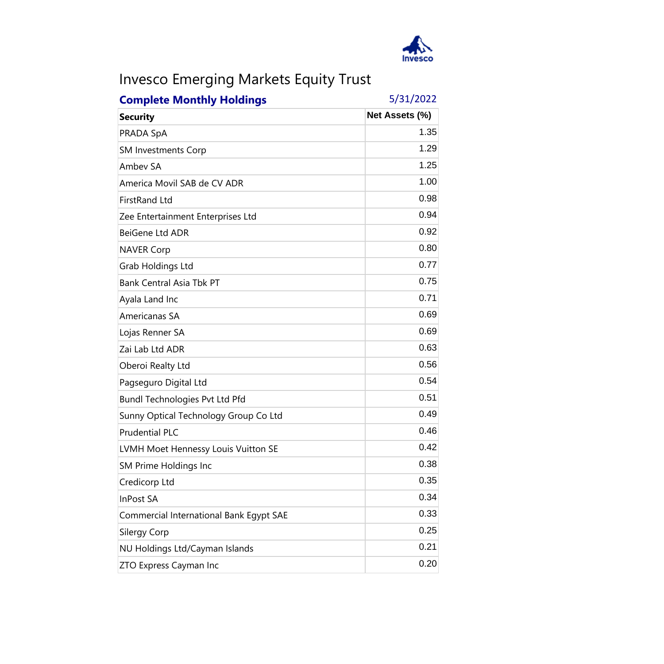

# Invesco Emerging Markets Equity Trust

| <b>Complete Monthly Holdings</b>        | 5/31/2022      |
|-----------------------------------------|----------------|
| <b>Security</b>                         | Net Assets (%) |
| PRADA SpA                               | 1.35           |
| <b>SM Investments Corp</b>              | 1.29           |
| Ambev SA                                | 1.25           |
| America Movil SAB de CV ADR             | 1.00           |
| <b>FirstRand Ltd</b>                    | 0.98           |
| Zee Entertainment Enterprises Ltd       | 0.94           |
| BeiGene Ltd ADR                         | 0.92           |
| <b>NAVER Corp</b>                       | 0.80           |
| Grab Holdings Ltd                       | 0.77           |
| Bank Central Asia Tbk PT                | 0.75           |
| Ayala Land Inc                          | 0.71           |
| Americanas SA                           | 0.69           |
| Lojas Renner SA                         | 0.69           |
| Zai Lab Ltd ADR                         | 0.63           |
| Oberoi Realty Ltd                       | 0.56           |
| Pagseguro Digital Ltd                   | 0.54           |
| Bundl Technologies Pvt Ltd Pfd          | 0.51           |
| Sunny Optical Technology Group Co Ltd   | 0.49           |
| <b>Prudential PLC</b>                   | 0.46           |
| LVMH Moet Hennessy Louis Vuitton SE     | 0.42           |
| SM Prime Holdings Inc                   | 0.38           |
| Credicorp Ltd                           | 0.35           |
| <b>InPost SA</b>                        | 0.34           |
| Commercial International Bank Egypt SAE | 0.33           |
| Silergy Corp                            | 0.25           |
| NU Holdings Ltd/Cayman Islands          | 0.21           |
| ZTO Express Cayman Inc                  | 0.20           |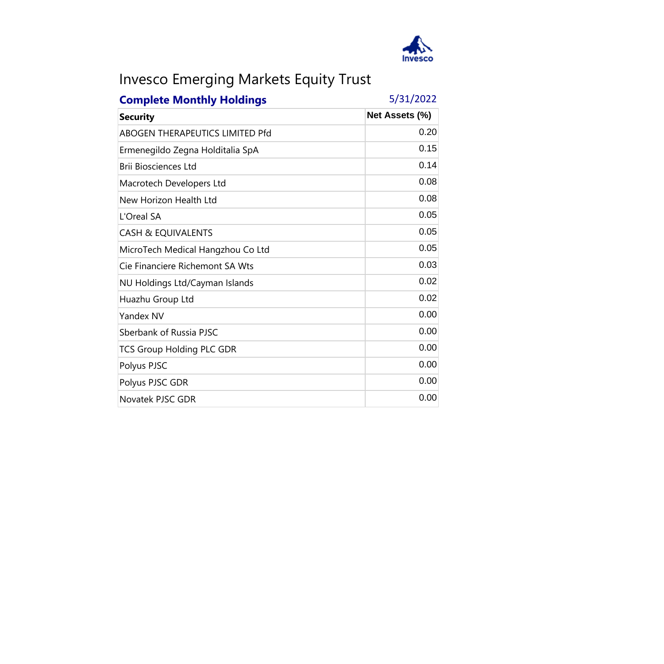

# Invesco Emerging Markets Equity Trust

| <b>Complete Monthly Holdings</b>  | 5/31/2022      |
|-----------------------------------|----------------|
| <b>Security</b>                   | Net Assets (%) |
| ABOGEN THERAPEUTICS LIMITED Pfd   | 0.20           |
| Ermenegildo Zegna Holditalia SpA  | 0.15           |
| <b>Brii Biosciences Ltd</b>       | 0.14           |
| Macrotech Developers Ltd          | 0.08           |
| New Horizon Health Ltd            | 0.08           |
| L'Oreal SA                        | 0.05           |
| CASH & EQUIVALENTS                | 0.05           |
| MicroTech Medical Hangzhou Co Ltd | 0.05           |
| Cie Financiere Richemont SA Wts   | 0.03           |
| NU Holdings Ltd/Cayman Islands    | 0.02           |
| Huazhu Group Ltd                  | 0.02           |
| <b>Yandex NV</b>                  | 0.00           |
| Sberbank of Russia PJSC           | 0.00           |
| <b>TCS Group Holding PLC GDR</b>  | 0.00           |
| Polyus PJSC                       | 0.00           |
| Polyus PJSC GDR                   | 0.00           |
| Novatek PJSC GDR                  | 0.00           |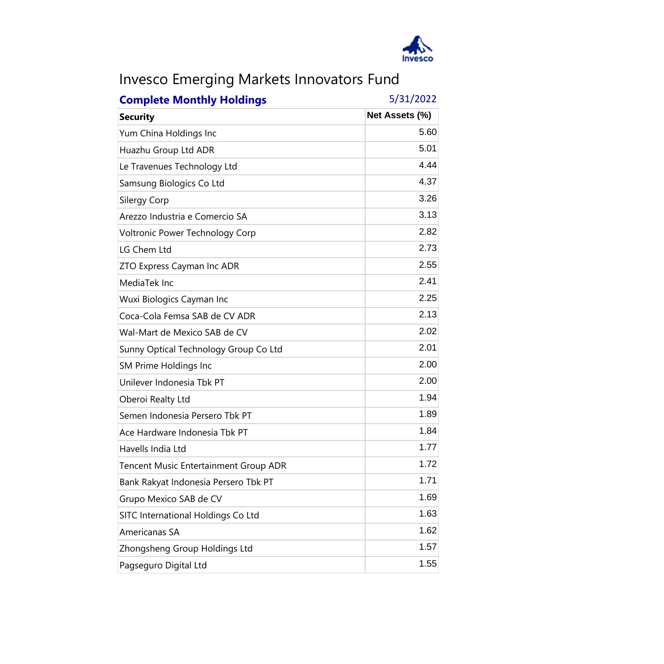

| Invesco Emerging Markets Innovators Fund |  |  |  |
|------------------------------------------|--|--|--|
|------------------------------------------|--|--|--|

| <b>Complete Monthly Holdings</b>      | 5/31/2022      |
|---------------------------------------|----------------|
| <b>Security</b>                       | Net Assets (%) |
| Yum China Holdings Inc                | 5.60           |
| Huazhu Group Ltd ADR                  | 5.01           |
| Le Travenues Technology Ltd           | 4.44           |
| Samsung Biologics Co Ltd              | 4.37           |
| Silergy Corp                          | 3.26           |
| Arezzo Industria e Comercio SA        | 3.13           |
| Voltronic Power Technology Corp       | 2.82           |
| LG Chem Ltd                           | 2.73           |
| ZTO Express Cayman Inc ADR            | 2.55           |
| MediaTek Inc                          | 2.41           |
| Wuxi Biologics Cayman Inc             | 2.25           |
| Coca-Cola Femsa SAB de CV ADR         | 2.13           |
| Wal-Mart de Mexico SAB de CV          | 2.02           |
| Sunny Optical Technology Group Co Ltd | 2.01           |
| SM Prime Holdings Inc                 | 2.00           |
| Unilever Indonesia Tbk PT             | 2.00           |
| Oberoi Realty Ltd                     | 1.94           |
| Semen Indonesia Persero Tbk PT        | 1.89           |
| Ace Hardware Indonesia Tbk PT         | 1.84           |
| Havells India Ltd                     | 1.77           |
| Tencent Music Entertainment Group ADR | 1.72           |
| Bank Rakyat Indonesia Persero Tbk PT  | 1.71           |
| Grupo Mexico SAB de CV                | 1.69           |
| SITC International Holdings Co Ltd    | 1.63           |
| Americanas SA                         | 1.62           |
| Zhongsheng Group Holdings Ltd         | 1.57           |
| Pagseguro Digital Ltd                 | 1.55           |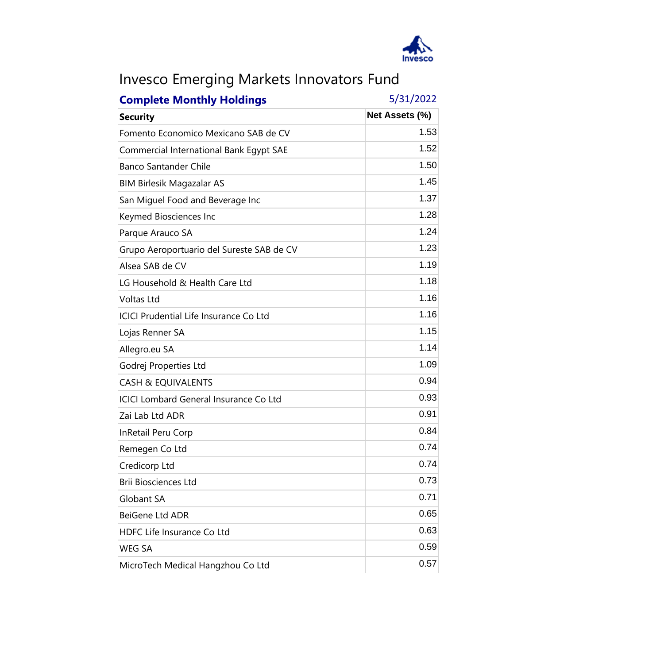

# Invesco Emerging Markets Innovators Fund

| <b>Complete Monthly Holdings</b>              | 5/31/2022      |
|-----------------------------------------------|----------------|
| <b>Security</b>                               | Net Assets (%) |
| Fomento Economico Mexicano SAB de CV          | 1.53           |
| Commercial International Bank Egypt SAE       | 1.52           |
| <b>Banco Santander Chile</b>                  | 1.50           |
| <b>BIM Birlesik Magazalar AS</b>              | 1.45           |
| San Miguel Food and Beverage Inc              | 1.37           |
| Keymed Biosciences Inc                        | 1.28           |
| Parque Arauco SA                              | 1.24           |
| Grupo Aeroportuario del Sureste SAB de CV     | 1.23           |
| Alsea SAB de CV                               | 1.19           |
| LG Household & Health Care Ltd                | 1.18           |
| Voltas Ltd                                    | 1.16           |
| ICICI Prudential Life Insurance Co Ltd        | 1.16           |
| Lojas Renner SA                               | 1.15           |
| Allegro.eu SA                                 | 1.14           |
| Godrej Properties Ltd                         | 1.09           |
| <b>CASH &amp; EQUIVALENTS</b>                 | 0.94           |
| <b>ICICI Lombard General Insurance Co Ltd</b> | 0.93           |
| Zai Lab Ltd ADR                               | 0.91           |
| InRetail Peru Corp                            | 0.84           |
| Remegen Co Ltd                                | 0.74           |
| Credicorp Ltd                                 | 0.74           |
| Brii Biosciences Ltd                          | 0.73           |
| Globant SA                                    | 0.71           |
| BeiGene Ltd ADR                               | 0.65           |
| HDFC Life Insurance Co Ltd                    | 0.63           |
| <b>WEG SA</b>                                 | 0.59           |
| MicroTech Medical Hangzhou Co Ltd             | 0.57           |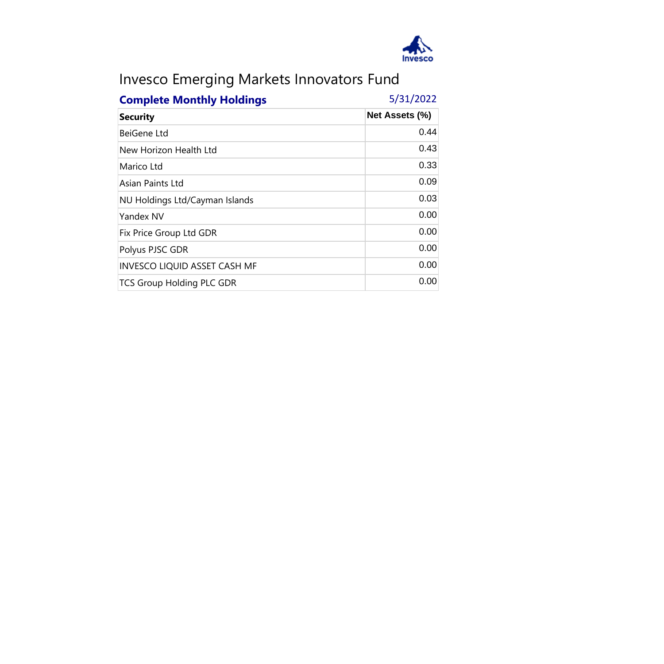

# Invesco Emerging Markets Innovators Fund

| <b>Complete Monthly Holdings</b>    | 5/31/2022      |
|-------------------------------------|----------------|
| <b>Security</b>                     | Net Assets (%) |
| BeiGene Ltd                         | 0.44           |
| New Horizon Health Ltd              | 0.43           |
| Marico I td                         | 0.33           |
| Asian Paints Ltd                    | 0.09           |
| NU Holdings Ltd/Cayman Islands      | 0.03           |
| Yandex NV                           | 0.00           |
| Fix Price Group Ltd GDR             | 0.00           |
| Polyus PJSC GDR                     | 0.00           |
| <b>INVESCO LIQUID ASSET CASH MF</b> | 0.00           |
| <b>TCS Group Holding PLC GDR</b>    | 0.00           |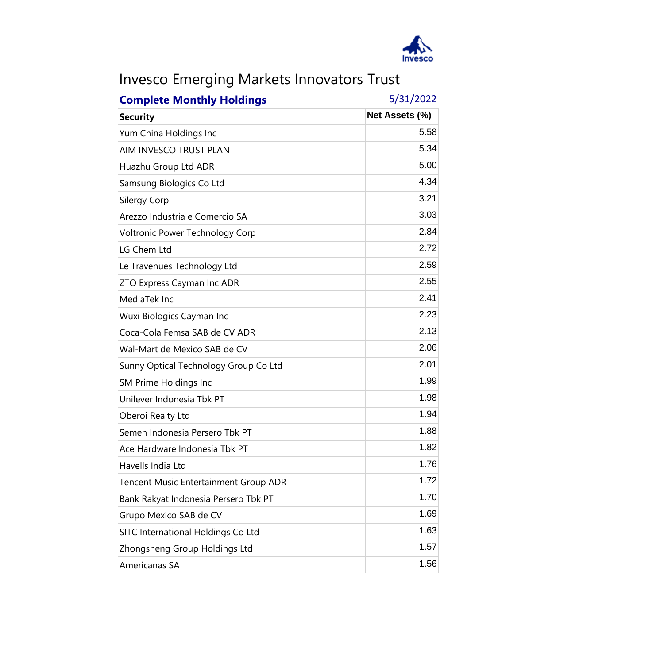

| Invesco Emerging Markets Innovators Trust |  |  |  |
|-------------------------------------------|--|--|--|
|-------------------------------------------|--|--|--|

| <b>Complete Monthly Holdings</b>      | 5/31/2022      |
|---------------------------------------|----------------|
| <b>Security</b>                       | Net Assets (%) |
| Yum China Holdings Inc                | 5.58           |
| AIM INVESCO TRUST PLAN                | 5.34           |
| Huazhu Group Ltd ADR                  | 5.00           |
| Samsung Biologics Co Ltd              | 4.34           |
| Silergy Corp                          | 3.21           |
| Arezzo Industria e Comercio SA        | 3.03           |
| Voltronic Power Technology Corp       | 2.84           |
| LG Chem Ltd                           | 2.72           |
| Le Travenues Technology Ltd           | 2.59           |
| ZTO Express Cayman Inc ADR            | 2.55           |
| MediaTek Inc                          | 2.41           |
| Wuxi Biologics Cayman Inc             | 2.23           |
| Coca-Cola Femsa SAB de CV ADR         | 2.13           |
| Wal-Mart de Mexico SAB de CV          | 2.06           |
| Sunny Optical Technology Group Co Ltd | 2.01           |
| SM Prime Holdings Inc                 | 1.99           |
| Unilever Indonesia Tbk PT             | 1.98           |
| Oberoi Realty Ltd                     | 1.94           |
| Semen Indonesia Persero Tbk PT        | 1.88           |
| Ace Hardware Indonesia Tbk PT         | 1.82           |
| Havells India Ltd                     | 1.76           |
| Tencent Music Entertainment Group ADR | 1.72           |
| Bank Rakyat Indonesia Persero Tbk PT  | 1.70           |
| Grupo Mexico SAB de CV                | 1.69           |
| SITC International Holdings Co Ltd    | 1.63           |
| Zhongsheng Group Holdings Ltd         | 1.57           |
| Americanas SA                         | 1.56           |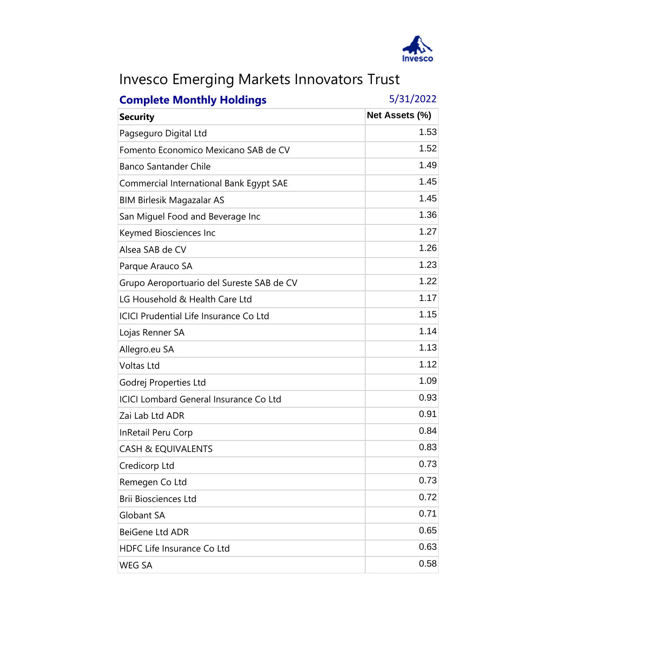

| <b>Invesco Emerging Markets Innovators Trust</b> |  |  |  |
|--------------------------------------------------|--|--|--|
|--------------------------------------------------|--|--|--|

| <b>Complete Monthly Holdings</b>              | 5/31/2022      |
|-----------------------------------------------|----------------|
| <b>Security</b>                               | Net Assets (%) |
| Pagseguro Digital Ltd                         | 1.53           |
| Fomento Economico Mexicano SAB de CV          | 1.52           |
| <b>Banco Santander Chile</b>                  | 1.49           |
| Commercial International Bank Egypt SAE       | 1.45           |
| <b>BIM Birlesik Magazalar AS</b>              | 1.45           |
| San Miguel Food and Beverage Inc              | 1.36           |
| Keymed Biosciences Inc                        | 1.27           |
| Alsea SAB de CV                               | 1.26           |
| Parque Arauco SA                              | 1.23           |
| Grupo Aeroportuario del Sureste SAB de CV     | 1.22           |
| LG Household & Health Care Ltd                | 1.17           |
| ICICI Prudential Life Insurance Co Ltd        | 1.15           |
| Lojas Renner SA                               | 1.14           |
| Allegro.eu SA                                 | 1.13           |
| Voltas Ltd                                    | 1.12           |
| Godrej Properties Ltd                         | 1.09           |
| <b>ICICI Lombard General Insurance Co Ltd</b> | 0.93           |
| Zai Lab Ltd ADR                               | 0.91           |
| InRetail Peru Corp                            | 0.84           |
| CASH & EQUIVALENTS                            | 0.83           |
| Credicorp Ltd                                 | 0.73           |
| Remegen Co Ltd                                | 0.73           |
| Brii Biosciences Ltd                          | 0.72           |
| Globant SA                                    | 0.71           |
| BeiGene Ltd ADR                               | 0.65           |
| HDFC Life Insurance Co Ltd                    | 0.63           |
| WEG SA                                        | 0.58           |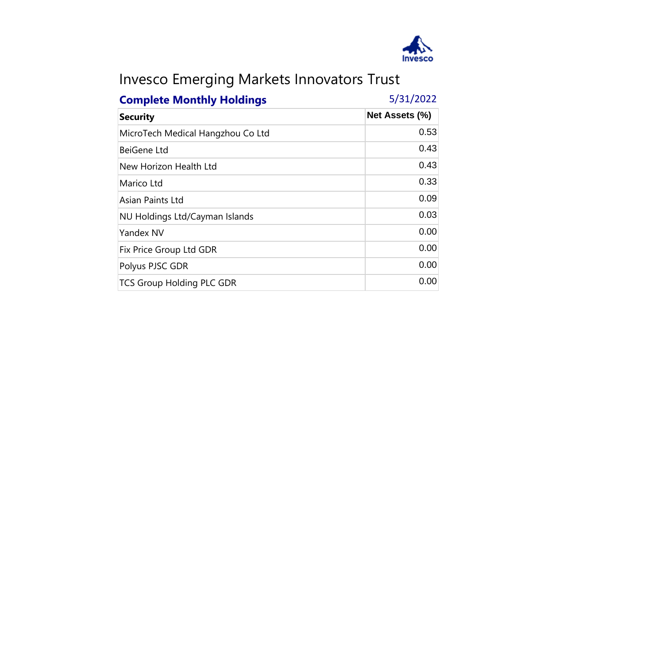

# Invesco Emerging Markets Innovators Trust

| <b>Complete Monthly Holdings</b>  | 5/31/2022      |
|-----------------------------------|----------------|
| <b>Security</b>                   | Net Assets (%) |
| MicroTech Medical Hangzhou Co Ltd | 0.53           |
| BeiGene Ltd                       | 0.43           |
| New Horizon Health Ltd            | 0.43           |
| Marico I td                       | 0.33           |
| Asian Paints Ltd                  | 0.09           |
| NU Holdings Ltd/Cayman Islands    | 0.03           |
| Yandex NV                         | 0.00           |
| Fix Price Group Ltd GDR           | 0.00           |
| Polyus PJSC GDR                   | 0.00           |
| <b>TCS Group Holding PLC GDR</b>  | 0.00           |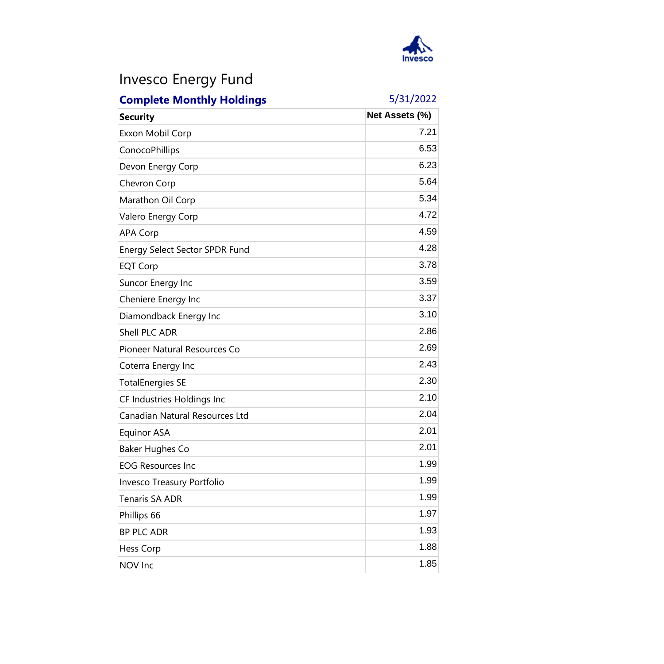

# Invesco Energy Fund

| <b>Complete Monthly Holdings</b> | 5/31/2022      |
|----------------------------------|----------------|
| <b>Security</b>                  | Net Assets (%) |
| Exxon Mobil Corp                 | 7.21           |
| ConocoPhillips                   | 6.53           |
| Devon Energy Corp                | 6.23           |
| Chevron Corp                     | 5.64           |
| Marathon Oil Corp                | 5.34           |
| Valero Energy Corp               | 4.72           |
| <b>APA Corp</b>                  | 4.59           |
| Energy Select Sector SPDR Fund   | 4.28           |
| <b>EQT Corp</b>                  | 3.78           |
| Suncor Energy Inc                | 3.59           |
| Cheniere Energy Inc              | 3.37           |
| Diamondback Energy Inc           | 3.10           |
| Shell PLC ADR                    | 2.86           |
| Pioneer Natural Resources Co     | 2.69           |
| Coterra Energy Inc               | 2.43           |
| <b>TotalEnergies SE</b>          | 2.30           |
| CF Industries Holdings Inc       | 2.10           |
| Canadian Natural Resources Ltd   | 2.04           |
| <b>Equinor ASA</b>               | 2.01           |
| Baker Hughes Co                  | 2.01           |
| <b>EOG Resources Inc</b>         | 1.99           |
| Invesco Treasury Portfolio       | 1.99           |
| Tenaris SA ADR                   | 1.99           |
| Phillips 66                      | 1.97           |
| <b>BP PLC ADR</b>                | 1.93           |
| <b>Hess Corp</b>                 | 1.88           |
| NOV Inc                          | 1.85           |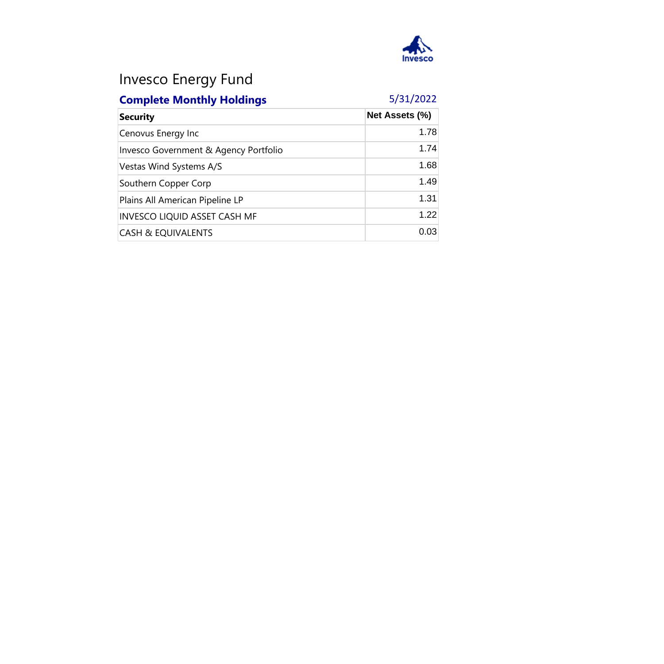

# Invesco Energy Fund

| <b>Complete Monthly Holdings</b>      | 5/31/2022      |
|---------------------------------------|----------------|
| <b>Security</b>                       | Net Assets (%) |
| Cenovus Energy Inc                    | 1.78           |
| Invesco Government & Agency Portfolio | 1.74           |
| Vestas Wind Systems A/S               | 1.68           |
| Southern Copper Corp                  | 1.49           |
| Plains All American Pipeline LP       | 1.31           |
| <b>INVESCO LIQUID ASSET CASH MF</b>   | 1.22           |
| CASH & EQUIVALENTS                    | 0.03           |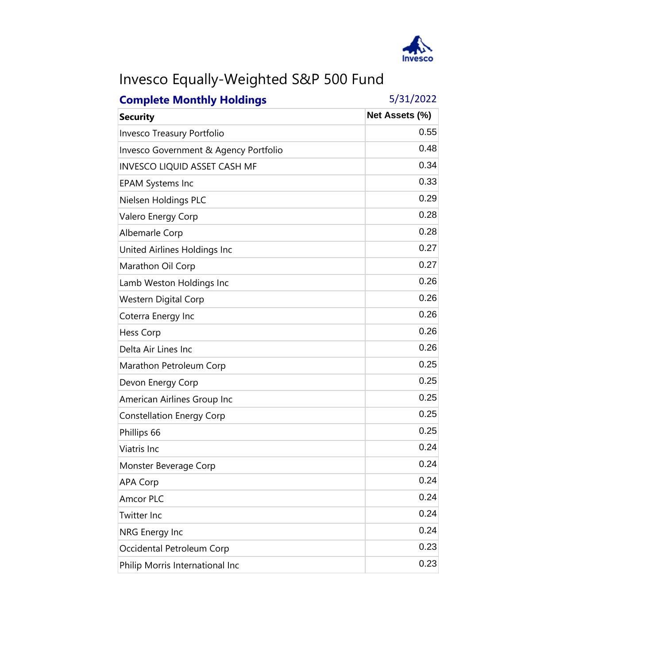

| <b>Complete Monthly Holdings</b>      | 5/31/2022      |
|---------------------------------------|----------------|
| <b>Security</b>                       | Net Assets (%) |
| Invesco Treasury Portfolio            | 0.55           |
| Invesco Government & Agency Portfolio | 0.48           |
| <b>INVESCO LIQUID ASSET CASH MF</b>   | 0.34           |
| <b>EPAM Systems Inc</b>               | 0.33           |
| Nielsen Holdings PLC                  | 0.29           |
| Valero Energy Corp                    | 0.28           |
| Albemarle Corp                        | 0.28           |
| United Airlines Holdings Inc          | 0.27           |
| Marathon Oil Corp                     | 0.27           |
| Lamb Weston Holdings Inc              | 0.26           |
| Western Digital Corp                  | 0.26           |
| Coterra Energy Inc                    | 0.26           |
| <b>Hess Corp</b>                      | 0.26           |
| Delta Air Lines Inc                   | 0.26           |
| Marathon Petroleum Corp               | 0.25           |
| Devon Energy Corp                     | 0.25           |
| American Airlines Group Inc           | 0.25           |
| <b>Constellation Energy Corp</b>      | 0.25           |
| Phillips 66                           | 0.25           |
| Viatris Inc                           | 0.24           |
| Monster Beverage Corp                 | 0.24           |
| <b>APA Corp</b>                       | 0.24           |
| <b>Amcor PLC</b>                      | 0.24           |
| Twitter Inc                           | 0.24           |
| NRG Energy Inc                        | 0.24           |
| Occidental Petroleum Corp             | 0.23           |
| Philip Morris International Inc       | 0.23           |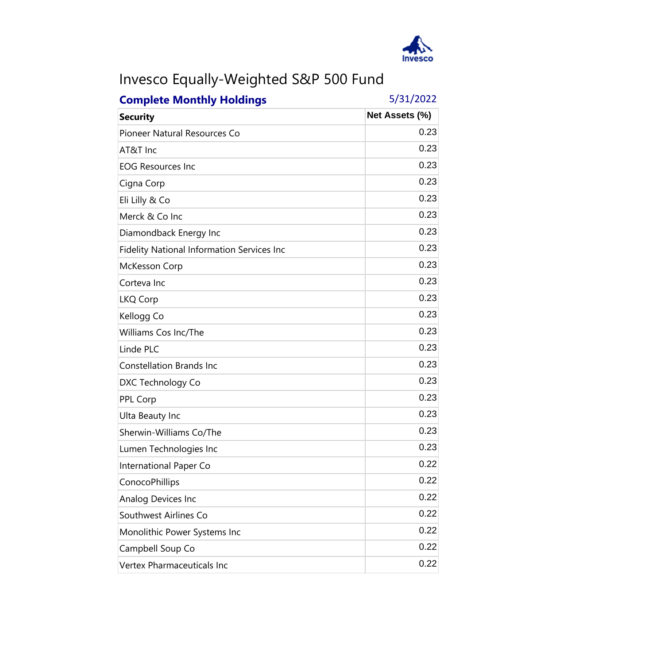

| <b>Complete Monthly Holdings</b>           | 5/31/2022      |
|--------------------------------------------|----------------|
| <b>Security</b>                            | Net Assets (%) |
| Pioneer Natural Resources Co               | 0.23           |
| AT&T Inc                                   | 0.23           |
| <b>EOG Resources Inc</b>                   | 0.23           |
| Cigna Corp                                 | 0.23           |
| Eli Lilly & Co                             | 0.23           |
| Merck & Co Inc                             | 0.23           |
| Diamondback Energy Inc                     | 0.23           |
| Fidelity National Information Services Inc | 0.23           |
| McKesson Corp                              | 0.23           |
| Corteva Inc                                | 0.23           |
| LKQ Corp                                   | 0.23           |
| Kellogg Co                                 | 0.23           |
| Williams Cos Inc/The                       | 0.23           |
| Linde PLC                                  | 0.23           |
| <b>Constellation Brands Inc</b>            | 0.23           |
| DXC Technology Co                          | 0.23           |
| PPL Corp                                   | 0.23           |
| Ulta Beauty Inc                            | 0.23           |
| Sherwin-Williams Co/The                    | 0.23           |
| Lumen Technologies Inc                     | 0.23           |
| International Paper Co                     | 0.22           |
| ConocoPhillips                             | 0.22           |
| Analog Devices Inc                         | 0.22           |
| Southwest Airlines Co                      | 0.22           |
| Monolithic Power Systems Inc               | 0.22           |
| Campbell Soup Co                           | 0.22           |
| Vertex Pharmaceuticals Inc                 | 0.22           |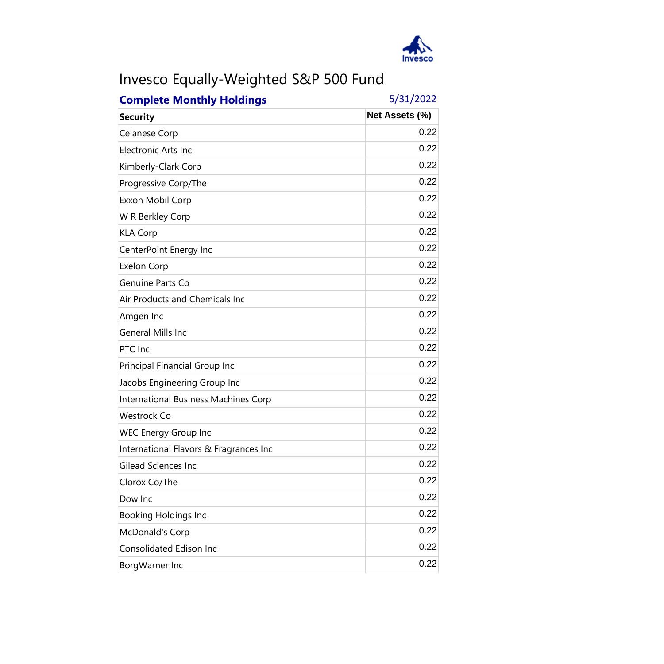

| <b>Complete Monthly Holdings</b>       | 5/31/2022      |
|----------------------------------------|----------------|
| <b>Security</b>                        | Net Assets (%) |
| Celanese Corp                          | 0.22           |
| Electronic Arts Inc                    | 0.22           |
| Kimberly-Clark Corp                    | 0.22           |
| Progressive Corp/The                   | 0.22           |
| Exxon Mobil Corp                       | 0.22           |
| W R Berkley Corp                       | 0.22           |
| <b>KLA Corp</b>                        | 0.22           |
| CenterPoint Energy Inc                 | 0.22           |
| <b>Exelon Corp</b>                     | 0.22           |
| Genuine Parts Co                       | 0.22           |
| Air Products and Chemicals Inc         | 0.22           |
| Amgen Inc                              | 0.22           |
| <b>General Mills Inc</b>               | 0.22           |
| PTC Inc                                | 0.22           |
| Principal Financial Group Inc          | 0.22           |
| Jacobs Engineering Group Inc           | 0.22           |
| International Business Machines Corp   | 0.22           |
| Westrock Co                            | 0.22           |
| <b>WEC Energy Group Inc</b>            | 0.22           |
| International Flavors & Fragrances Inc | 0.22           |
| <b>Gilead Sciences Inc</b>             | 0.22           |
| Clorox Co/The                          | 0.22           |
| Dow Inc                                | 0.22           |
| <b>Booking Holdings Inc</b>            | 0.22           |
| McDonald's Corp                        | 0.22           |
| Consolidated Edison Inc                | 0.22           |
| BorgWarner Inc                         | 0.22           |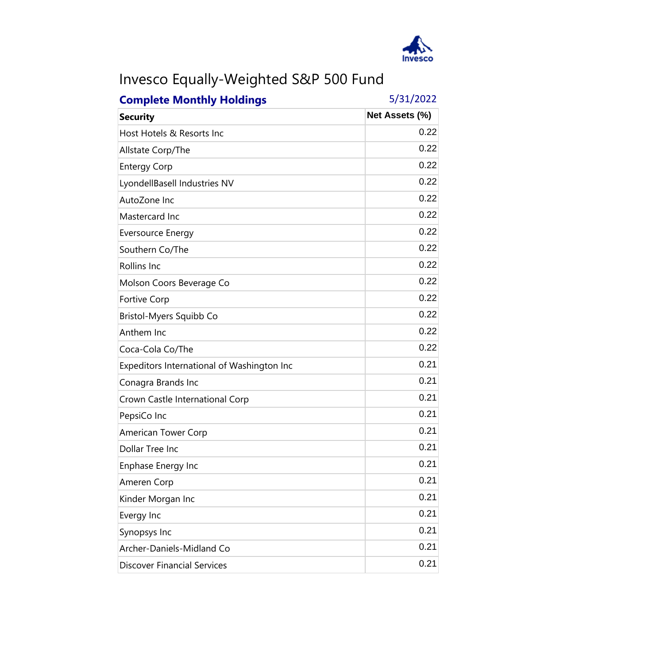

| <b>Complete Monthly Holdings</b>           | 5/31/2022      |
|--------------------------------------------|----------------|
| <b>Security</b>                            | Net Assets (%) |
| Host Hotels & Resorts Inc                  | 0.22           |
| Allstate Corp/The                          | 0.22           |
| <b>Entergy Corp</b>                        | 0.22           |
| LyondellBasell Industries NV               | 0.22           |
| AutoZone Inc                               | 0.22           |
| Mastercard Inc                             | 0.22           |
| <b>Eversource Energy</b>                   | 0.22           |
| Southern Co/The                            | 0.22           |
| Rollins Inc                                | 0.22           |
| Molson Coors Beverage Co                   | 0.22           |
| <b>Fortive Corp</b>                        | 0.22           |
| Bristol-Myers Squibb Co                    | 0.22           |
| Anthem Inc                                 | 0.22           |
| Coca-Cola Co/The                           | 0.22           |
| Expeditors International of Washington Inc | 0.21           |
| Conagra Brands Inc                         | 0.21           |
| Crown Castle International Corp            | 0.21           |
| PepsiCo Inc                                | 0.21           |
| American Tower Corp                        | 0.21           |
| Dollar Tree Inc                            | 0.21           |
| Enphase Energy Inc                         | 0.21           |
| Ameren Corp                                | 0.21           |
| Kinder Morgan Inc                          | 0.21           |
| Evergy Inc                                 | 0.21           |
| Synopsys Inc                               | 0.21           |
| Archer-Daniels-Midland Co                  | 0.21           |
| <b>Discover Financial Services</b>         | 0.21           |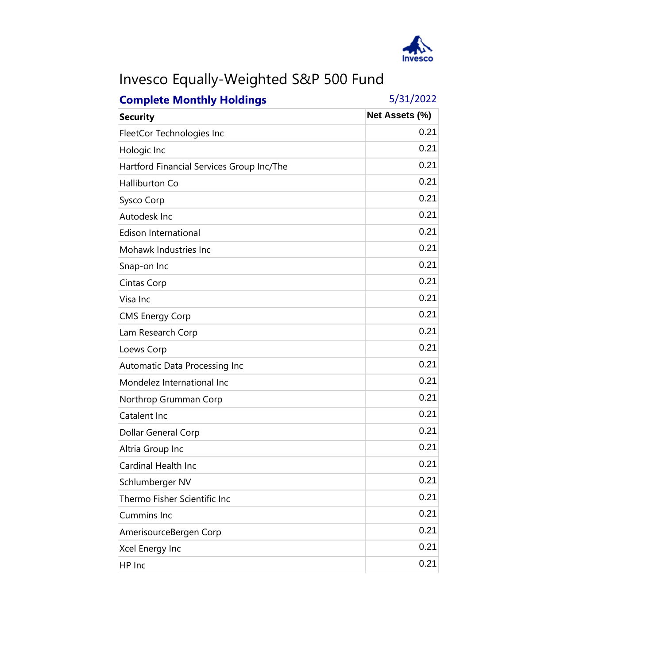

| <b>Complete Monthly Holdings</b>          | 5/31/2022      |
|-------------------------------------------|----------------|
| <b>Security</b>                           | Net Assets (%) |
| FleetCor Technologies Inc                 | 0.21           |
| Hologic Inc                               | 0.21           |
| Hartford Financial Services Group Inc/The | 0.21           |
| Halliburton Co                            | 0.21           |
| Sysco Corp                                | 0.21           |
| Autodesk Inc                              | 0.21           |
| Edison International                      | 0.21           |
| Mohawk Industries Inc                     | 0.21           |
| Snap-on Inc                               | 0.21           |
| Cintas Corp                               | 0.21           |
| Visa Inc                                  | 0.21           |
| <b>CMS Energy Corp</b>                    | 0.21           |
| Lam Research Corp                         | 0.21           |
| Loews Corp                                | 0.21           |
| Automatic Data Processing Inc             | 0.21           |
| Mondelez International Inc                | 0.21           |
| Northrop Grumman Corp                     | 0.21           |
| Catalent Inc                              | 0.21           |
| Dollar General Corp                       | 0.21           |
| Altria Group Inc                          | 0.21           |
| Cardinal Health Inc                       | 0.21           |
| Schlumberger NV                           | 0.21           |
| Thermo Fisher Scientific Inc              | 0.21           |
| Cummins Inc                               | 0.21           |
| AmerisourceBergen Corp                    | 0.21           |
| Xcel Energy Inc                           | 0.21           |
| HP Inc                                    | 0.21           |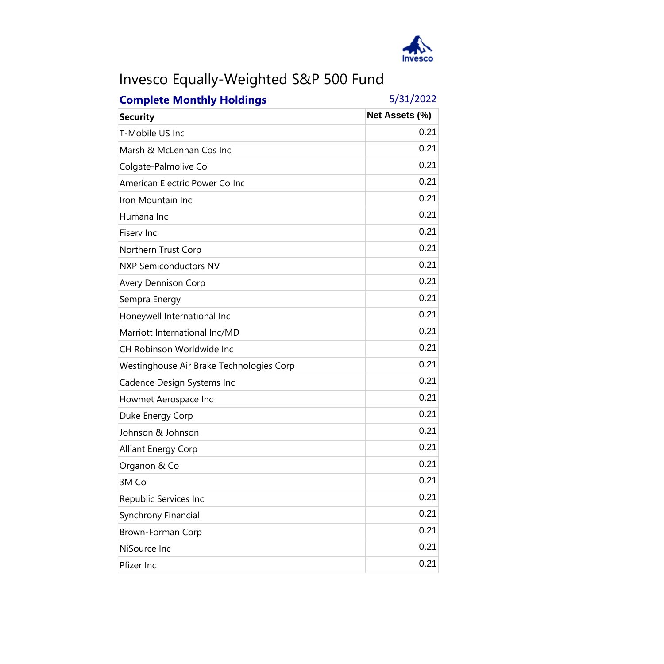

| <b>Complete Monthly Holdings</b>         | 5/31/2022      |
|------------------------------------------|----------------|
| <b>Security</b>                          | Net Assets (%) |
| T-Mobile US Inc                          | 0.21           |
| Marsh & McLennan Cos Inc                 | 0.21           |
| Colgate-Palmolive Co                     | 0.21           |
| American Electric Power Co Inc           | 0.21           |
| Iron Mountain Inc                        | 0.21           |
| Humana Inc                               | 0.21           |
| Fisery Inc                               | 0.21           |
| Northern Trust Corp                      | 0.21           |
| <b>NXP Semiconductors NV</b>             | 0.21           |
| Avery Dennison Corp                      | 0.21           |
| Sempra Energy                            | 0.21           |
| Honeywell International Inc              | 0.21           |
| Marriott International Inc/MD            | 0.21           |
| CH Robinson Worldwide Inc                | 0.21           |
| Westinghouse Air Brake Technologies Corp | 0.21           |
| Cadence Design Systems Inc               | 0.21           |
| Howmet Aerospace Inc                     | 0.21           |
| Duke Energy Corp                         | 0.21           |
| Johnson & Johnson                        | 0.21           |
| <b>Alliant Energy Corp</b>               | 0.21           |
| Organon & Co                             | 0.21           |
| 3M Co                                    | 0.21           |
| Republic Services Inc                    | 0.21           |
| Synchrony Financial                      | 0.21           |
| Brown-Forman Corp                        | 0.21           |
| NiSource Inc                             | 0.21           |
| Pfizer Inc                               | 0.21           |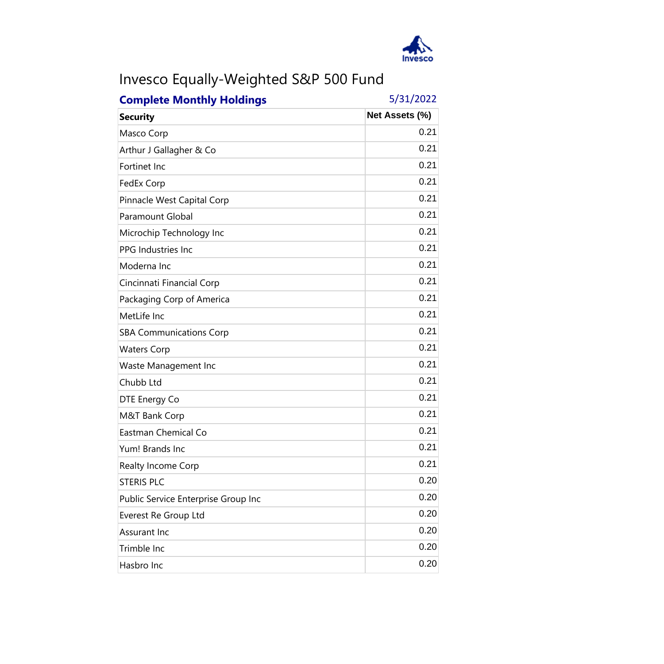

| <b>Complete Monthly Holdings</b>    | 5/31/2022      |
|-------------------------------------|----------------|
| <b>Security</b>                     | Net Assets (%) |
| Masco Corp                          | 0.21           |
| Arthur J Gallagher & Co             | 0.21           |
| Fortinet Inc                        | 0.21           |
| FedEx Corp                          | 0.21           |
| Pinnacle West Capital Corp          | 0.21           |
| Paramount Global                    | 0.21           |
| Microchip Technology Inc            | 0.21           |
| PPG Industries Inc.                 | 0.21           |
| Moderna Inc                         | 0.21           |
| Cincinnati Financial Corp           | 0.21           |
| Packaging Corp of America           | 0.21           |
| MetLife Inc                         | 0.21           |
| <b>SBA Communications Corp</b>      | 0.21           |
| <b>Waters Corp</b>                  | 0.21           |
| Waste Management Inc                | 0.21           |
| Chubb Ltd                           | 0.21           |
| DTE Energy Co                       | 0.21           |
| M&T Bank Corp                       | 0.21           |
| Eastman Chemical Co                 | 0.21           |
| Yum! Brands Inc                     | 0.21           |
| Realty Income Corp                  | 0.21           |
| <b>STERIS PLC</b>                   | 0.20           |
| Public Service Enterprise Group Inc | 0.20           |
| Everest Re Group Ltd                | 0.20           |
| Assurant Inc                        | 0.20           |
| Trimble Inc                         | 0.20           |
| Hasbro Inc                          | 0.20           |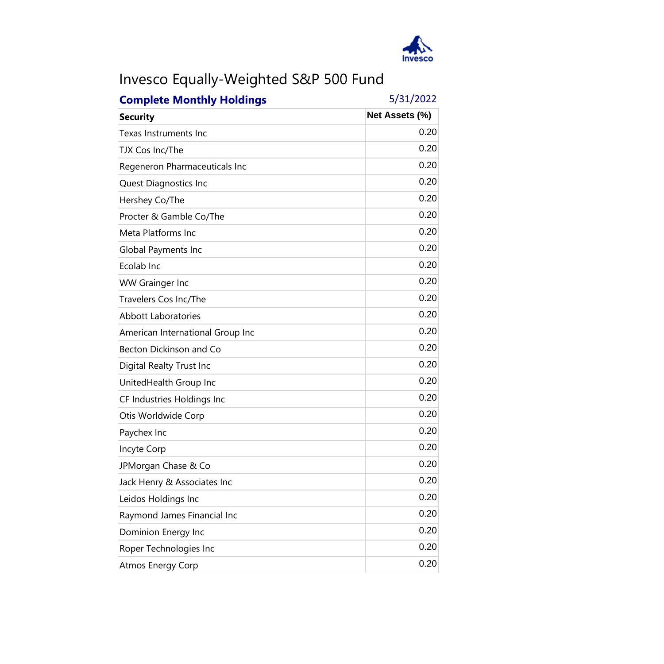

| <b>Complete Monthly Holdings</b> | 5/31/2022      |
|----------------------------------|----------------|
| <b>Security</b>                  | Net Assets (%) |
| Texas Instruments Inc            | 0.20           |
| TJX Cos Inc/The                  | 0.20           |
| Regeneron Pharmaceuticals Inc    | 0.20           |
| Quest Diagnostics Inc            | 0.20           |
| Hershey Co/The                   | 0.20           |
| Procter & Gamble Co/The          | 0.20           |
| Meta Platforms Inc               | 0.20           |
| Global Payments Inc              | 0.20           |
| Ecolab Inc                       | 0.20           |
| <b>WW Grainger Inc</b>           | 0.20           |
| Travelers Cos Inc/The            | 0.20           |
| <b>Abbott Laboratories</b>       | 0.20           |
| American International Group Inc | 0.20           |
| Becton Dickinson and Co          | 0.20           |
| Digital Realty Trust Inc         | 0.20           |
| UnitedHealth Group Inc           | 0.20           |
| CF Industries Holdings Inc       | 0.20           |
| Otis Worldwide Corp              | 0.20           |
| Paychex Inc                      | 0.20           |
| Incyte Corp                      | 0.20           |
| JPMorgan Chase & Co              | 0.20           |
| Jack Henry & Associates Inc      | 0.20           |
| Leidos Holdings Inc              | 0.20           |
| Raymond James Financial Inc      | 0.20           |
| Dominion Energy Inc              | 0.20           |
| Roper Technologies Inc           | 0.20           |
| <b>Atmos Energy Corp</b>         | 0.20           |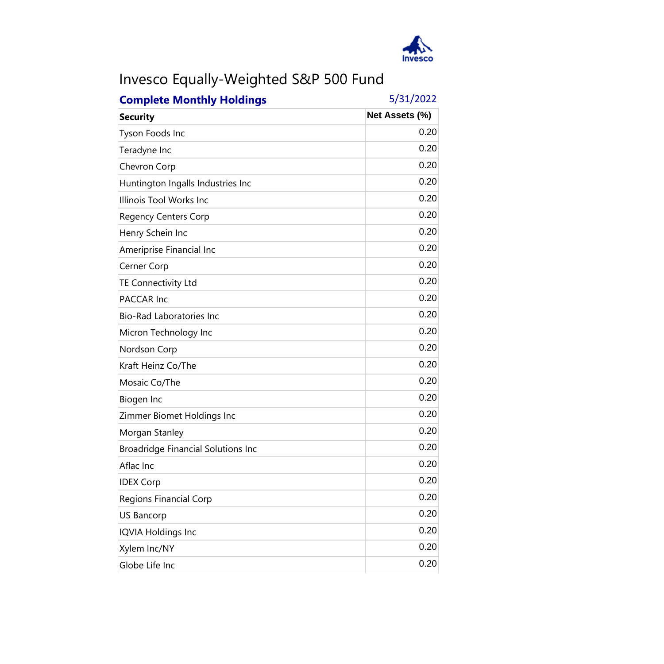

| <b>Complete Monthly Holdings</b>          | 5/31/2022      |
|-------------------------------------------|----------------|
| <b>Security</b>                           | Net Assets (%) |
| Tyson Foods Inc                           | 0.20           |
| Teradyne Inc                              | 0.20           |
| Chevron Corp                              | 0.20           |
| Huntington Ingalls Industries Inc         | 0.20           |
| Illinois Tool Works Inc                   | 0.20           |
| <b>Regency Centers Corp</b>               | 0.20           |
| Henry Schein Inc                          | 0.20           |
| Ameriprise Financial Inc                  | 0.20           |
| Cerner Corp                               | 0.20           |
| TE Connectivity Ltd                       | 0.20           |
| PACCAR Inc                                | 0.20           |
| <b>Bio-Rad Laboratories Inc</b>           | 0.20           |
| Micron Technology Inc                     | 0.20           |
| Nordson Corp                              | 0.20           |
| Kraft Heinz Co/The                        | 0.20           |
| Mosaic Co/The                             | 0.20           |
| Biogen Inc                                | 0.20           |
| Zimmer Biomet Holdings Inc                | 0.20           |
| Morgan Stanley                            | 0.20           |
| <b>Broadridge Financial Solutions Inc</b> | 0.20           |
| Aflac Inc                                 | 0.20           |
| <b>IDEX Corp</b>                          | 0.20           |
| <b>Regions Financial Corp</b>             | 0.20           |
| <b>US Bancorp</b>                         | 0.20           |
| IQVIA Holdings Inc                        | 0.20           |
| Xylem Inc/NY                              | 0.20           |
| Globe Life Inc                            | 0.20           |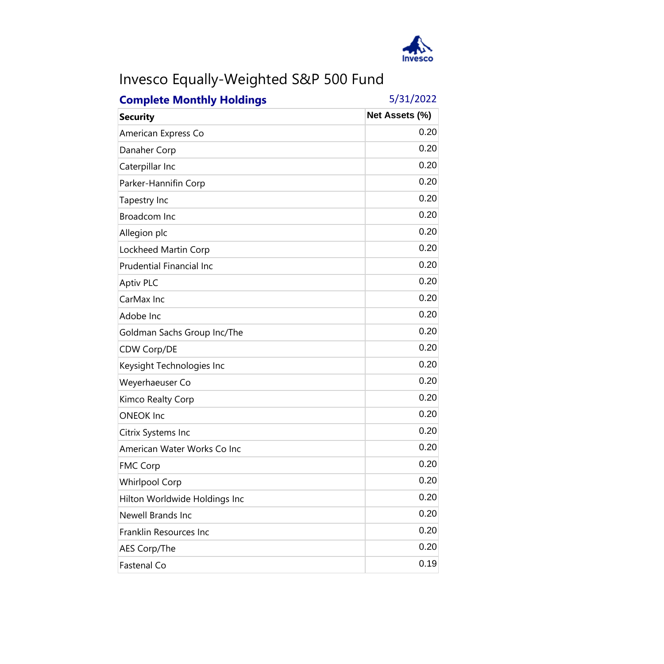

| <b>Complete Monthly Holdings</b> | 5/31/2022      |
|----------------------------------|----------------|
| <b>Security</b>                  | Net Assets (%) |
| American Express Co              | 0.20           |
| Danaher Corp                     | 0.20           |
| Caterpillar Inc                  | 0.20           |
| Parker-Hannifin Corp             | 0.20           |
| Tapestry Inc                     | 0.20           |
| Broadcom Inc                     | 0.20           |
| Allegion plc                     | 0.20           |
| Lockheed Martin Corp             | 0.20           |
| <b>Prudential Financial Inc</b>  | 0.20           |
| <b>Aptiv PLC</b>                 | 0.20           |
| CarMax Inc                       | 0.20           |
| Adobe Inc                        | 0.20           |
| Goldman Sachs Group Inc/The      | 0.20           |
| CDW Corp/DE                      | 0.20           |
| Keysight Technologies Inc        | 0.20           |
| Weyerhaeuser Co                  | 0.20           |
| Kimco Realty Corp                | 0.20           |
| <b>ONEOK Inc</b>                 | 0.20           |
| Citrix Systems Inc               | 0.20           |
| American Water Works Co Inc      | 0.20           |
| <b>FMC Corp</b>                  | 0.20           |
| <b>Whirlpool Corp</b>            | 0.20           |
| Hilton Worldwide Holdings Inc    | 0.20           |
| Newell Brands Inc                | 0.20           |
| Franklin Resources Inc           | 0.20           |
| AES Corp/The                     | 0.20           |
| Fastenal Co                      | 0.19           |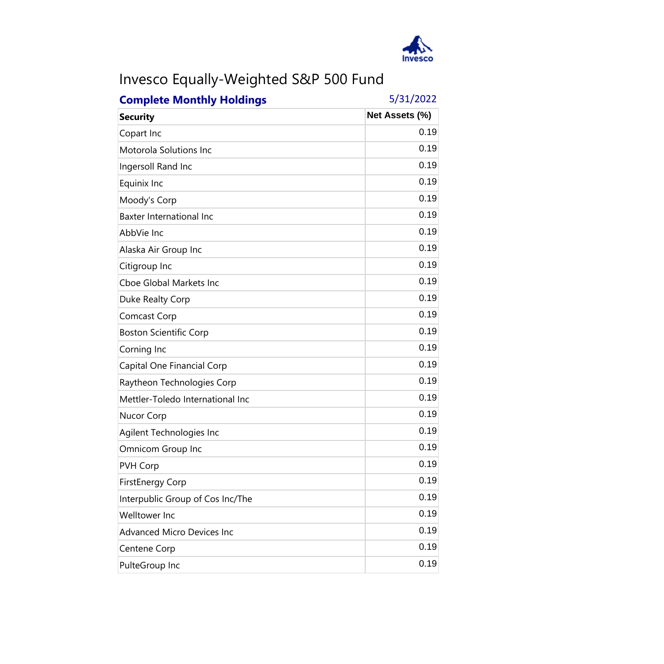

| <b>Complete Monthly Holdings</b>  | 5/31/2022      |
|-----------------------------------|----------------|
| <b>Security</b>                   | Net Assets (%) |
| Copart Inc                        | 0.19           |
| Motorola Solutions Inc            | 0.19           |
| Ingersoll Rand Inc                | 0.19           |
| Equinix Inc                       | 0.19           |
| Moody's Corp                      | 0.19           |
| <b>Baxter International Inc</b>   | 0.19           |
| AbbVie Inc                        | 0.19           |
| Alaska Air Group Inc              | 0.19           |
| Citigroup Inc                     | 0.19           |
| Cboe Global Markets Inc           | 0.19           |
| Duke Realty Corp                  | 0.19           |
| Comcast Corp                      | 0.19           |
| <b>Boston Scientific Corp</b>     | 0.19           |
| Corning Inc                       | 0.19           |
| Capital One Financial Corp        | 0.19           |
| Raytheon Technologies Corp        | 0.19           |
| Mettler-Toledo International Inc  | 0.19           |
| Nucor Corp                        | 0.19           |
| Agilent Technologies Inc          | 0.19           |
| Omnicom Group Inc                 | 0.19           |
| PVH Corp                          | 0.19           |
| <b>FirstEnergy Corp</b>           | 0.19           |
| Interpublic Group of Cos Inc/The  | 0.19           |
| Welltower Inc                     | 0.19           |
| <b>Advanced Micro Devices Inc</b> | 0.19           |
| Centene Corp                      | 0.19           |
| PulteGroup Inc                    | 0.19           |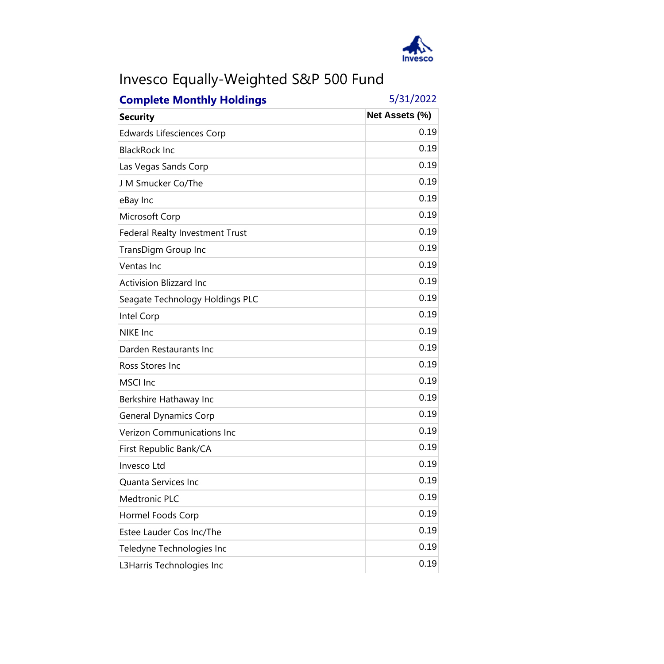

| <b>Complete Monthly Holdings</b> | 5/31/2022      |
|----------------------------------|----------------|
| <b>Security</b>                  | Net Assets (%) |
| <b>Edwards Lifesciences Corp</b> | 0.19           |
| <b>BlackRock Inc</b>             | 0.19           |
| Las Vegas Sands Corp             | 0.19           |
| J M Smucker Co/The               | 0.19           |
| eBay Inc                         | 0.19           |
| Microsoft Corp                   | 0.19           |
| Federal Realty Investment Trust  | 0.19           |
| TransDigm Group Inc              | 0.19           |
| Ventas Inc                       | 0.19           |
| <b>Activision Blizzard Inc</b>   | 0.19           |
| Seagate Technology Holdings PLC  | 0.19           |
| Intel Corp                       | 0.19           |
| NIKE Inc                         | 0.19           |
| Darden Restaurants Inc           | 0.19           |
| Ross Stores Inc                  | 0.19           |
| <b>MSCI Inc</b>                  | 0.19           |
| Berkshire Hathaway Inc           | 0.19           |
| <b>General Dynamics Corp</b>     | 0.19           |
| Verizon Communications Inc       | 0.19           |
| First Republic Bank/CA           | 0.19           |
| Invesco Ltd                      | 0.19           |
| Quanta Services Inc              | 0.19           |
| <b>Medtronic PLC</b>             | 0.19           |
| Hormel Foods Corp                | 0.19           |
| Estee Lauder Cos Inc/The         | 0.19           |
| Teledyne Technologies Inc        | 0.19           |
| L3Harris Technologies Inc        | 0.19           |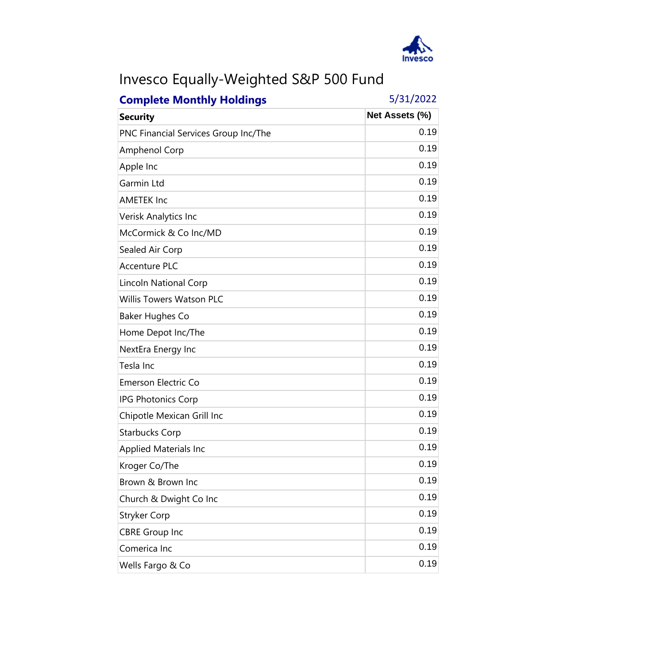

| <b>Complete Monthly Holdings</b>     | 5/31/2022      |
|--------------------------------------|----------------|
| <b>Security</b>                      | Net Assets (%) |
| PNC Financial Services Group Inc/The | 0.19           |
| Amphenol Corp                        | 0.19           |
| Apple Inc                            | 0.19           |
| Garmin Ltd                           | 0.19           |
| <b>AMETEK Inc</b>                    | 0.19           |
| Verisk Analytics Inc                 | 0.19           |
| McCormick & Co Inc/MD                | 0.19           |
| Sealed Air Corp                      | 0.19           |
| <b>Accenture PLC</b>                 | 0.19           |
| Lincoln National Corp                | 0.19           |
| Willis Towers Watson PLC             | 0.19           |
| <b>Baker Hughes Co</b>               | 0.19           |
| Home Depot Inc/The                   | 0.19           |
| NextEra Energy Inc                   | 0.19           |
| Tesla Inc                            | 0.19           |
| Emerson Electric Co                  | 0.19           |
| IPG Photonics Corp                   | 0.19           |
| Chipotle Mexican Grill Inc           | 0.19           |
| <b>Starbucks Corp</b>                | 0.19           |
| <b>Applied Materials Inc</b>         | 0.19           |
| Kroger Co/The                        | 0.19           |
| Brown & Brown Inc                    | 0.19           |
| Church & Dwight Co Inc               | 0.19           |
| <b>Stryker Corp</b>                  | 0.19           |
| <b>CBRE Group Inc</b>                | 0.19           |
| Comerica Inc                         | 0.19           |
| Wells Fargo & Co                     | 0.19           |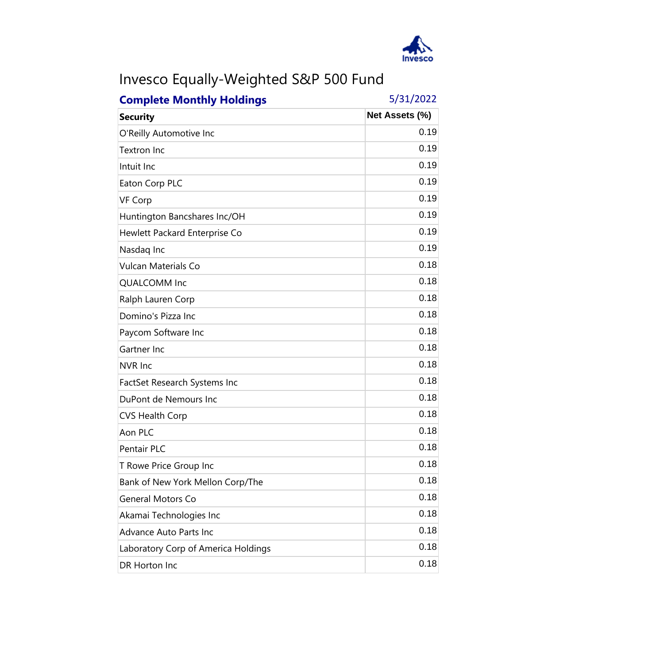

| <b>Complete Monthly Holdings</b>    | 5/31/2022      |
|-------------------------------------|----------------|
| <b>Security</b>                     | Net Assets (%) |
| O'Reilly Automotive Inc             | 0.19           |
| <b>Textron Inc</b>                  | 0.19           |
| Intuit Inc                          | 0.19           |
| Eaton Corp PLC                      | 0.19           |
| <b>VF Corp</b>                      | 0.19           |
| Huntington Bancshares Inc/OH        | 0.19           |
| Hewlett Packard Enterprise Co       | 0.19           |
| Nasdag Inc                          | 0.19           |
| <b>Vulcan Materials Co</b>          | 0.18           |
| <b>QUALCOMM Inc</b>                 | 0.18           |
| Ralph Lauren Corp                   | 0.18           |
| Domino's Pizza Inc                  | 0.18           |
| Paycom Software Inc                 | 0.18           |
| Gartner Inc                         | 0.18           |
| NVR Inc                             | 0.18           |
| FactSet Research Systems Inc        | 0.18           |
| DuPont de Nemours Inc               | 0.18           |
| <b>CVS Health Corp</b>              | 0.18           |
| Aon PLC                             | 0.18           |
| Pentair PLC                         | 0.18           |
| T Rowe Price Group Inc              | 0.18           |
| Bank of New York Mellon Corp/The    | 0.18           |
| General Motors Co                   | 0.18           |
| Akamai Technologies Inc             | 0.18           |
| Advance Auto Parts Inc              | 0.18           |
| Laboratory Corp of America Holdings | 0.18           |
| DR Horton Inc                       | 0.18           |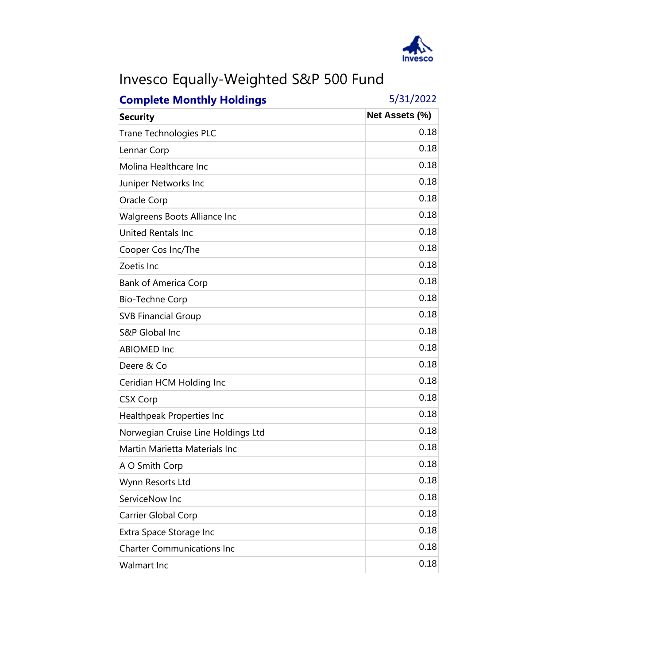

| <b>Complete Monthly Holdings</b>   | 5/31/2022      |
|------------------------------------|----------------|
| <b>Security</b>                    | Net Assets (%) |
| Trane Technologies PLC             | 0.18           |
| Lennar Corp                        | 0.18           |
| Molina Healthcare Inc              | 0.18           |
| Juniper Networks Inc               | 0.18           |
| Oracle Corp                        | 0.18           |
| Walgreens Boots Alliance Inc       | 0.18           |
| United Rentals Inc                 | 0.18           |
| Cooper Cos Inc/The                 | 0.18           |
| Zoetis Inc                         | 0.18           |
| <b>Bank of America Corp</b>        | 0.18           |
| Bio-Techne Corp                    | 0.18           |
| <b>SVB Financial Group</b>         | 0.18           |
| S&P Global Inc                     | 0.18           |
| <b>ABIOMED Inc</b>                 | 0.18           |
| Deere & Co                         | 0.18           |
| Ceridian HCM Holding Inc           | 0.18           |
| CSX Corp                           | 0.18           |
| Healthpeak Properties Inc          | 0.18           |
| Norwegian Cruise Line Holdings Ltd | 0.18           |
| Martin Marietta Materials Inc      | 0.18           |
| A O Smith Corp                     | 0.18           |
| Wynn Resorts Ltd                   | 0.18           |
| ServiceNow Inc                     | 0.18           |
| Carrier Global Corp                | 0.18           |
| Extra Space Storage Inc            | 0.18           |
| <b>Charter Communications Inc</b>  | 0.18           |
| Walmart Inc                        | 0.18           |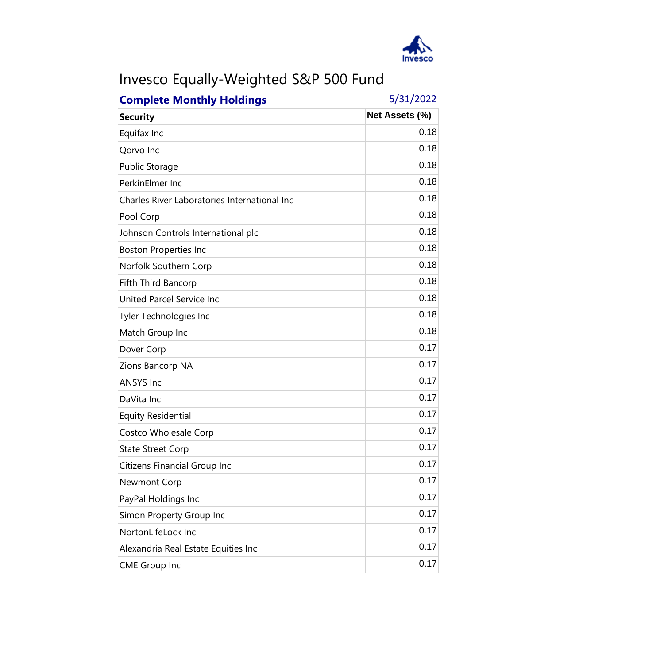

| <b>Complete Monthly Holdings</b>             | 5/31/2022      |
|----------------------------------------------|----------------|
| <b>Security</b>                              | Net Assets (%) |
| Equifax Inc                                  | 0.18           |
| Oorvo Inc                                    | 0.18           |
| Public Storage                               | 0.18           |
| PerkinElmer Inc                              | 0.18           |
| Charles River Laboratories International Inc | 0.18           |
| Pool Corp                                    | 0.18           |
| Johnson Controls International plc           | 0.18           |
| <b>Boston Properties Inc</b>                 | 0.18           |
| Norfolk Southern Corp                        | 0.18           |
| Fifth Third Bancorp                          | 0.18           |
| United Parcel Service Inc                    | 0.18           |
| Tyler Technologies Inc                       | 0.18           |
| Match Group Inc                              | 0.18           |
| Dover Corp                                   | 0.17           |
| Zions Bancorp NA                             | 0.17           |
| <b>ANSYS Inc</b>                             | 0.17           |
| DaVita Inc                                   | 0.17           |
| <b>Equity Residential</b>                    | 0.17           |
| Costco Wholesale Corp                        | 0.17           |
| <b>State Street Corp</b>                     | 0.17           |
| Citizens Financial Group Inc                 | 0.17           |
| Newmont Corp                                 | 0.17           |
| PayPal Holdings Inc                          | 0.17           |
| Simon Property Group Inc                     | 0.17           |
| NortonLifeLock Inc                           | 0.17           |
| Alexandria Real Estate Equities Inc          | 0.17           |
| <b>CME Group Inc</b>                         | 0.17           |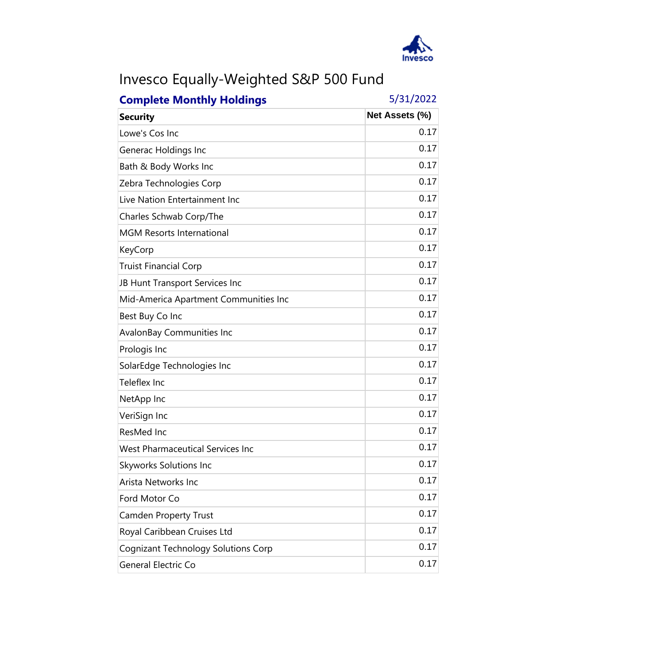

| <b>Complete Monthly Holdings</b>      | 5/31/2022      |
|---------------------------------------|----------------|
| <b>Security</b>                       | Net Assets (%) |
| Lowe's Cos Inc                        | 0.17           |
| Generac Holdings Inc                  | 0.17           |
| Bath & Body Works Inc                 | 0.17           |
| Zebra Technologies Corp               | 0.17           |
| Live Nation Entertainment Inc         | 0.17           |
| Charles Schwab Corp/The               | 0.17           |
| <b>MGM Resorts International</b>      | 0.17           |
| KeyCorp                               | 0.17           |
| <b>Truist Financial Corp</b>          | 0.17           |
| JB Hunt Transport Services Inc        | 0.17           |
| Mid-America Apartment Communities Inc | 0.17           |
| Best Buy Co Inc                       | 0.17           |
| AvalonBay Communities Inc             | 0.17           |
| Prologis Inc                          | 0.17           |
| SolarEdge Technologies Inc            | 0.17           |
| Teleflex Inc                          | 0.17           |
| NetApp Inc                            | 0.17           |
| VeriSign Inc                          | 0.17           |
| ResMed Inc                            | 0.17           |
| West Pharmaceutical Services Inc      | 0.17           |
| Skyworks Solutions Inc                | 0.17           |
| Arista Networks Inc                   | 0.17           |
| Ford Motor Co                         | 0.17           |
| Camden Property Trust                 | 0.17           |
| Royal Caribbean Cruises Ltd           | 0.17           |
| Cognizant Technology Solutions Corp   | 0.17           |
| General Electric Co                   | 0.17           |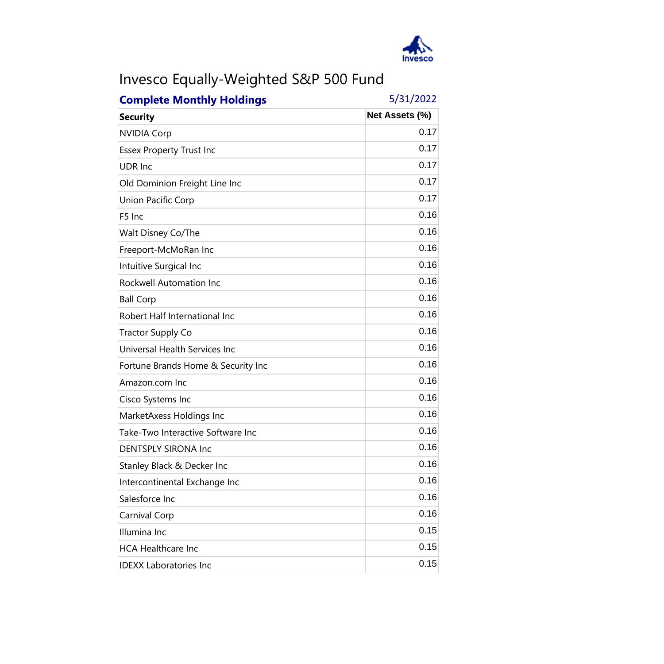

| <b>Complete Monthly Holdings</b>   | 5/31/2022      |
|------------------------------------|----------------|
| <b>Security</b>                    | Net Assets (%) |
| <b>NVIDIA Corp</b>                 | 0.17           |
| <b>Essex Property Trust Inc</b>    | 0.17           |
| UDR Inc                            | 0.17           |
| Old Dominion Freight Line Inc      | 0.17           |
| Union Pacific Corp                 | 0.17           |
| F5 Inc                             | 0.16           |
| Walt Disney Co/The                 | 0.16           |
| Freeport-McMoRan Inc               | 0.16           |
| Intuitive Surgical Inc             | 0.16           |
| Rockwell Automation Inc            | 0.16           |
| <b>Ball Corp</b>                   | 0.16           |
| Robert Half International Inc      | 0.16           |
| <b>Tractor Supply Co</b>           | 0.16           |
| Universal Health Services Inc      | 0.16           |
| Fortune Brands Home & Security Inc | 0.16           |
| Amazon.com Inc                     | 0.16           |
| Cisco Systems Inc                  | 0.16           |
| MarketAxess Holdings Inc           | 0.16           |
| Take-Two Interactive Software Inc  | 0.16           |
| <b>DENTSPLY SIRONA Inc</b>         | 0.16           |
| Stanley Black & Decker Inc         | 0.16           |
| Intercontinental Exchange Inc      | 0.16           |
| Salesforce Inc                     | 0.16           |
| Carnival Corp                      | 0.16           |
| Illumina Inc                       | 0.15           |
| <b>HCA Healthcare Inc</b>          | 0.15           |
| <b>IDEXX Laboratories Inc</b>      | 0.15           |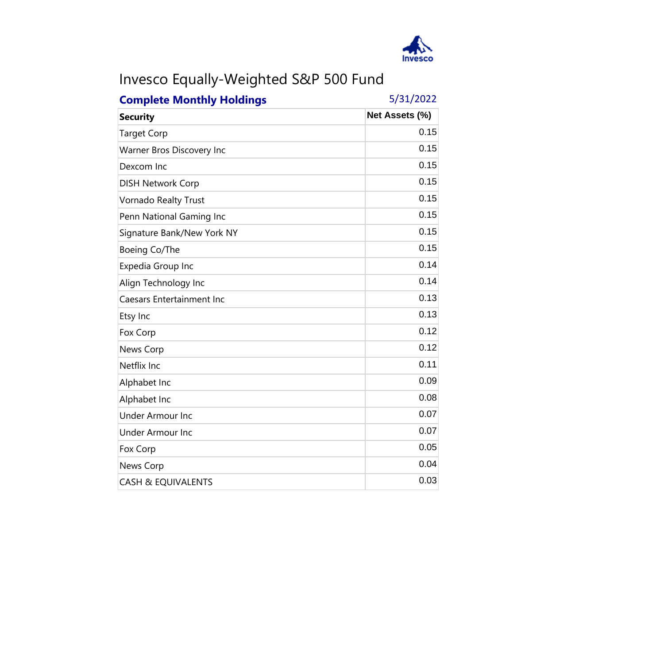

| <b>Complete Monthly Holdings</b> | 5/31/2022      |
|----------------------------------|----------------|
| <b>Security</b>                  | Net Assets (%) |
| <b>Target Corp</b>               | 0.15           |
| Warner Bros Discovery Inc        | 0.15           |
| Dexcom Inc                       | 0.15           |
| <b>DISH Network Corp</b>         | 0.15           |
| Vornado Realty Trust             | 0.15           |
| Penn National Gaming Inc         | 0.15           |
| Signature Bank/New York NY       | 0.15           |
| Boeing Co/The                    | 0.15           |
| Expedia Group Inc                | 0.14           |
| Align Technology Inc             | 0.14           |
| <b>Caesars Entertainment Inc</b> | 0.13           |
| Etsy Inc                         | 0.13           |
| Fox Corp                         | 0.12           |
| News Corp                        | 0.12           |
| Netflix Inc                      | 0.11           |
| Alphabet Inc                     | 0.09           |
| Alphabet Inc                     | 0.08           |
| Under Armour Inc                 | 0.07           |
| Under Armour Inc                 | 0.07           |
| Fox Corp                         | 0.05           |
| News Corp                        | 0.04           |
| <b>CASH &amp; EQUIVALENTS</b>    | 0.03           |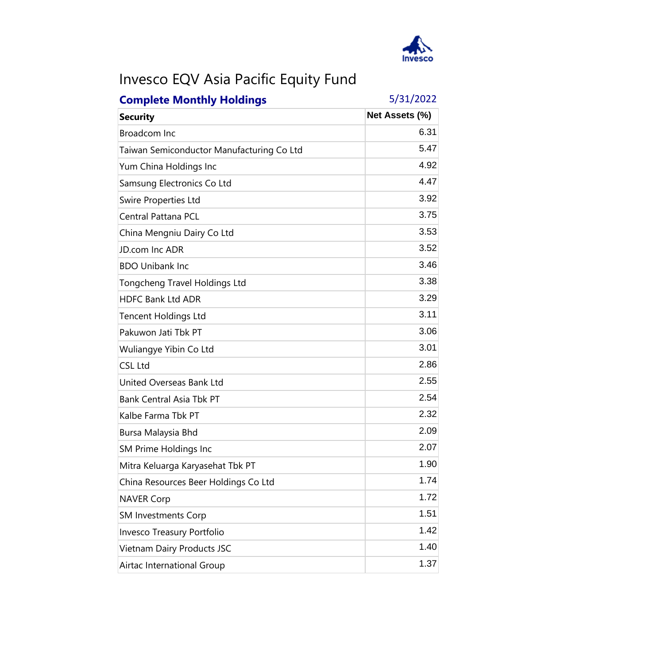

## Invesco EQV Asia Pacific Equity Fund

| <b>Complete Monthly Holdings</b>          | 5/31/2022      |
|-------------------------------------------|----------------|
| <b>Security</b>                           | Net Assets (%) |
| Broadcom Inc                              | 6.31           |
| Taiwan Semiconductor Manufacturing Co Ltd | 5.47           |
| Yum China Holdings Inc                    | 4.92           |
| Samsung Electronics Co Ltd                | 4.47           |
| Swire Properties Ltd                      | 3.92           |
| Central Pattana PCL                       | 3.75           |
| China Mengniu Dairy Co Ltd                | 3.53           |
| JD.com Inc ADR                            | 3.52           |
| <b>BDO Unibank Inc</b>                    | 3.46           |
| Tongcheng Travel Holdings Ltd             | 3.38           |
| <b>HDFC Bank Ltd ADR</b>                  | 3.29           |
| <b>Tencent Holdings Ltd</b>               | 3.11           |
| Pakuwon Jati Tbk PT                       | 3.06           |
| Wuliangye Yibin Co Ltd                    | 3.01           |
| <b>CSL Ltd</b>                            | 2.86           |
| United Overseas Bank Ltd                  | 2.55           |
| <b>Bank Central Asia Tbk PT</b>           | 2.54           |
| Kalbe Farma Tbk PT                        | 2.32           |
| Bursa Malaysia Bhd                        | 2.09           |
| SM Prime Holdings Inc                     | 2.07           |
| Mitra Keluarga Karyasehat Tbk PT          | 1.90           |
| China Resources Beer Holdings Co Ltd      | 1.74           |
| <b>NAVER Corp</b>                         | 1.72           |
| <b>SM Investments Corp</b>                | 1.51           |
| Invesco Treasury Portfolio                | 1.42           |
| Vietnam Dairy Products JSC                | 1.40           |
| Airtac International Group                | 1.37           |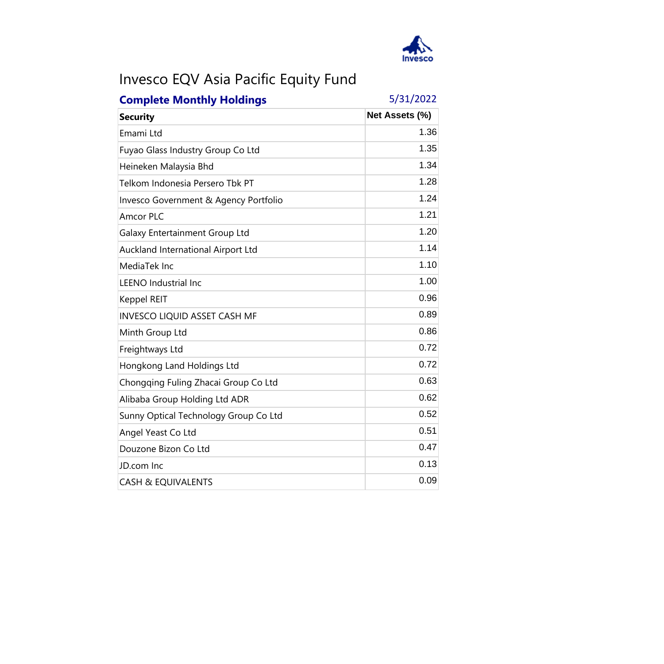

## Invesco EQV Asia Pacific Equity Fund

| <b>Complete Monthly Holdings</b>      | 5/31/2022      |
|---------------------------------------|----------------|
| <b>Security</b>                       | Net Assets (%) |
| Emami Ltd                             | 1.36           |
| Fuyao Glass Industry Group Co Ltd     | 1.35           |
| Heineken Malaysia Bhd                 | 1.34           |
| Telkom Indonesia Persero Tbk PT       | 1.28           |
| Invesco Government & Agency Portfolio | 1.24           |
| <b>Amcor PLC</b>                      | 1.21           |
| Galaxy Entertainment Group Ltd        | 1.20           |
| Auckland International Airport Ltd    | 1.14           |
| MediaTek Inc                          | 1.10           |
| <b>LEENO Industrial Inc</b>           | 1.00           |
| Keppel REIT                           | 0.96           |
| <b>INVESCO LIQUID ASSET CASH MF</b>   | 0.89           |
| Minth Group Ltd                       | 0.86           |
| Freightways Ltd                       | 0.72           |
| Hongkong Land Holdings Ltd            | 0.72           |
| Chongging Fuling Zhacai Group Co Ltd  | 0.63           |
| Alibaba Group Holding Ltd ADR         | 0.62           |
| Sunny Optical Technology Group Co Ltd | 0.52           |
| Angel Yeast Co Ltd                    | 0.51           |
| Douzone Bizon Co Ltd                  | 0.47           |
| JD.com Inc                            | 0.13           |
| <b>CASH &amp; EQUIVALENTS</b>         | 0.09           |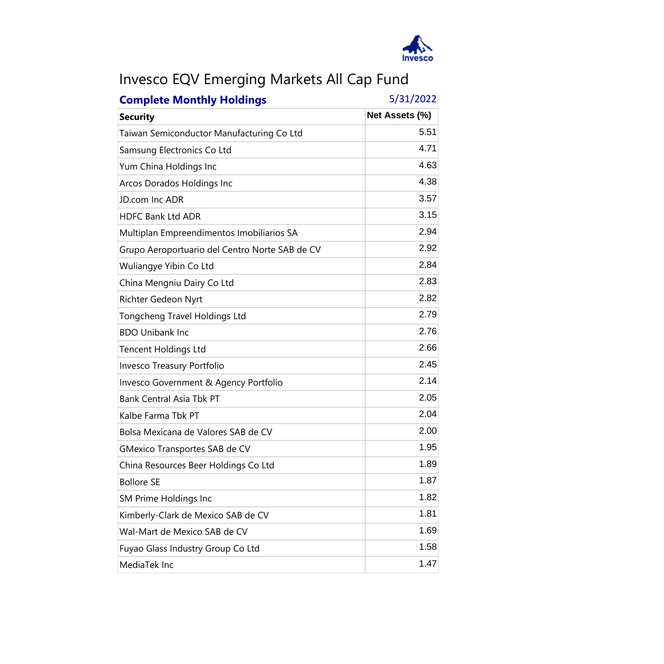

## Invesco EQV Emerging Markets All Cap Fund

| <b>Complete Monthly Holdings</b>               | 5/31/2022      |
|------------------------------------------------|----------------|
| <b>Security</b>                                | Net Assets (%) |
| Taiwan Semiconductor Manufacturing Co Ltd      | 5.51           |
| Samsung Electronics Co Ltd                     | 4.71           |
| Yum China Holdings Inc                         | 4.63           |
| Arcos Dorados Holdings Inc                     | 4.38           |
| <b>JD.com Inc ADR</b>                          | 3.57           |
| <b>HDFC Bank Ltd ADR</b>                       | 3.15           |
| Multiplan Empreendimentos Imobiliarios SA      | 2.94           |
| Grupo Aeroportuario del Centro Norte SAB de CV | 2.92           |
| Wuliangye Yibin Co Ltd                         | 2.84           |
| China Mengniu Dairy Co Ltd                     | 2.83           |
| Richter Gedeon Nyrt                            | 2.82           |
| Tongcheng Travel Holdings Ltd                  | 2.79           |
| <b>BDO Unibank Inc</b>                         | 2.76           |
| <b>Tencent Holdings Ltd</b>                    | 2.66           |
| Invesco Treasury Portfolio                     | 2.45           |
| Invesco Government & Agency Portfolio          | 2.14           |
| <b>Bank Central Asia Tbk PT</b>                | 2.05           |
| Kalbe Farma Tbk PT                             | 2.04           |
| Bolsa Mexicana de Valores SAB de CV            | 2.00           |
| GMexico Transportes SAB de CV                  | 1.95           |
| China Resources Beer Holdings Co Ltd           | 1.89           |
| <b>Bollore SE</b>                              | 1.87           |
| SM Prime Holdings Inc                          | 1.82           |
| Kimberly-Clark de Mexico SAB de CV             | 1.81           |
| Wal-Mart de Mexico SAB de CV                   | 1.69           |
| Fuyao Glass Industry Group Co Ltd              | 1.58           |
| MediaTek Inc                                   | 1.47           |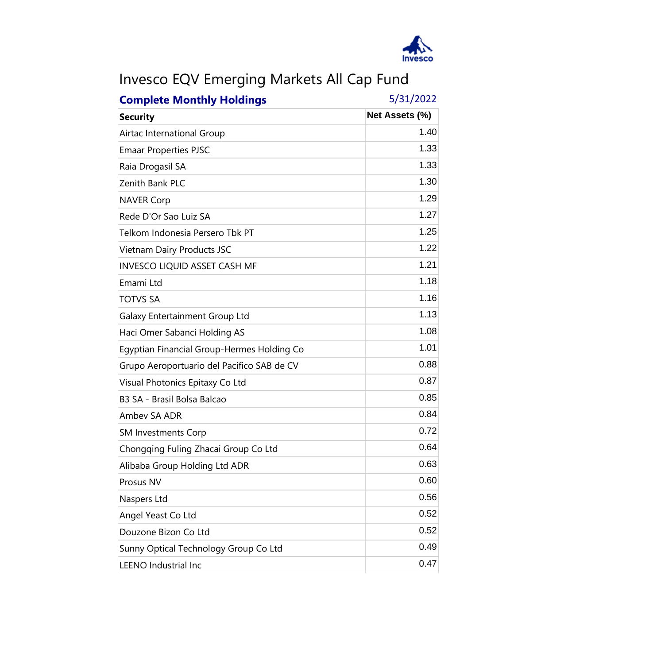

## Invesco EQV Emerging Markets All Cap Fund

| <b>Complete Monthly Holdings</b>           | 5/31/2022      |
|--------------------------------------------|----------------|
| <b>Security</b>                            | Net Assets (%) |
| Airtac International Group                 | 1.40           |
| <b>Emaar Properties PJSC</b>               | 1.33           |
| Raia Drogasil SA                           | 1.33           |
| Zenith Bank PLC                            | 1.30           |
| <b>NAVER Corp</b>                          | 1.29           |
| Rede D'Or Sao Luiz SA                      | 1.27           |
| Telkom Indonesia Persero Tbk PT            | 1.25           |
| Vietnam Dairy Products JSC                 | 1.22           |
| <b>INVESCO LIQUID ASSET CASH MF</b>        | 1.21           |
| Emami Ltd                                  | 1.18           |
| <b>TOTVS SA</b>                            | 1.16           |
| Galaxy Entertainment Group Ltd             | 1.13           |
| Haci Omer Sabanci Holding AS               | 1.08           |
| Egyptian Financial Group-Hermes Holding Co | 1.01           |
| Grupo Aeroportuario del Pacifico SAB de CV | 0.88           |
| Visual Photonics Epitaxy Co Ltd            | 0.87           |
| B3 SA - Brasil Bolsa Balcao                | 0.85           |
| Ambey SA ADR                               | 0.84           |
| <b>SM Investments Corp</b>                 | 0.72           |
| Chongqing Fuling Zhacai Group Co Ltd       | 0.64           |
| Alibaba Group Holding Ltd ADR              | 0.63           |
| Prosus NV                                  | 0.60           |
| Naspers Ltd                                | 0.56           |
| Angel Yeast Co Ltd                         | 0.52           |
| Douzone Bizon Co Ltd                       | 0.52           |
| Sunny Optical Technology Group Co Ltd      | 0.49           |
| <b>LEENO Industrial Inc</b>                | 0.47           |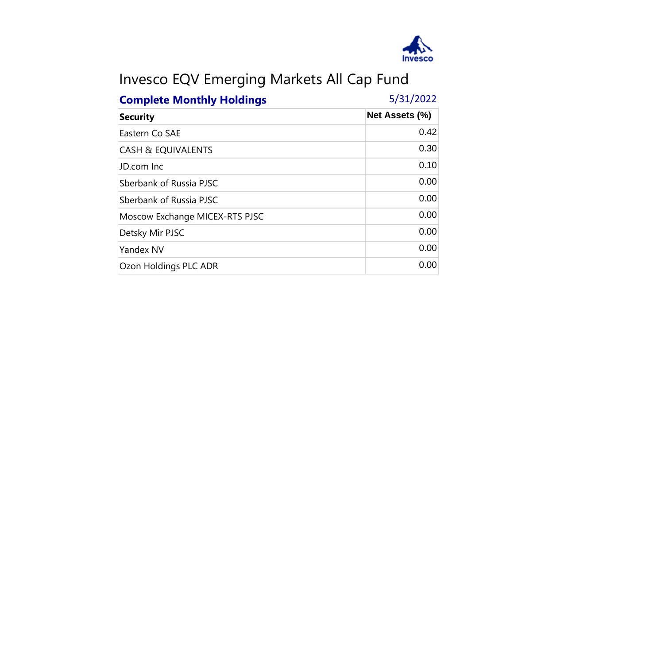

## Invesco EQV Emerging Markets All Cap Fund

| <b>Complete Monthly Holdings</b> | 5/31/2022      |
|----------------------------------|----------------|
| <b>Security</b>                  | Net Assets (%) |
| Eastern Co SAE                   | 0.42           |
| CASH & EQUIVALENTS               | 0.30           |
| JD.com Inc.                      | 0.10           |
| Sberbank of Russia PJSC          | 0.00           |
| Sberbank of Russia PJSC          | 0.00           |
| Moscow Exchange MICEX-RTS PJSC   | 0.00           |
| Detsky Mir PJSC                  | 0.00           |
| Yandex NV                        | 0.00           |
| Ozon Holdings PLC ADR            | 0.00           |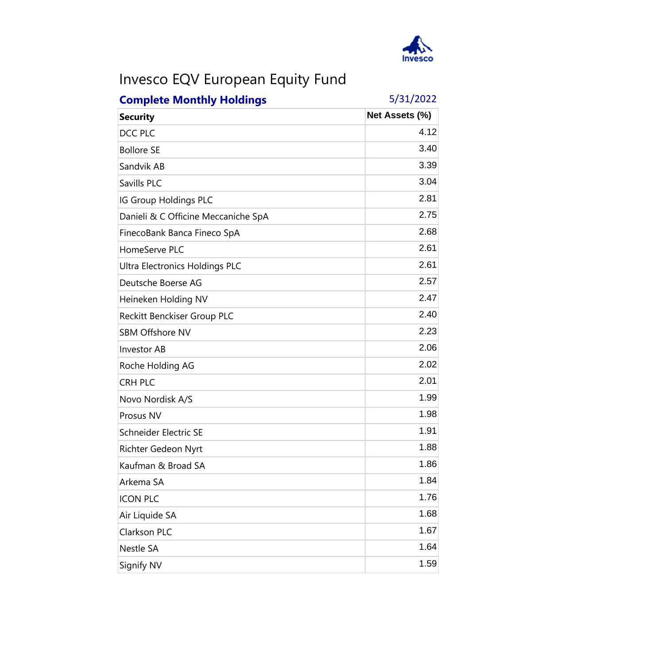

## Invesco EQV European Equity Fund

| <b>Complete Monthly Holdings</b>    | 5/31/2022      |
|-------------------------------------|----------------|
| <b>Security</b>                     | Net Assets (%) |
| DCC PLC                             | 4.12           |
| <b>Bollore SE</b>                   | 3.40           |
| Sandvik AB                          | 3.39           |
| Savills PLC                         | 3.04           |
| IG Group Holdings PLC               | 2.81           |
| Danieli & C Officine Meccaniche SpA | 2.75           |
| FinecoBank Banca Fineco SpA         | 2.68           |
| HomeServe PLC                       | 2.61           |
| Ultra Electronics Holdings PLC      | 2.61           |
| Deutsche Boerse AG                  | 2.57           |
| Heineken Holding NV                 | 2.47           |
| Reckitt Benckiser Group PLC         | 2.40           |
| <b>SBM Offshore NV</b>              | 2.23           |
| <b>Investor AB</b>                  | 2.06           |
| Roche Holding AG                    | 2.02           |
| <b>CRH PLC</b>                      | 2.01           |
| Novo Nordisk A/S                    | 1.99           |
| Prosus NV                           | 1.98           |
| Schneider Electric SE               | 1.91           |
| Richter Gedeon Nyrt                 | 1.88           |
| Kaufman & Broad SA                  | 1.86           |
| Arkema SA                           | 1.84           |
| <b>ICON PLC</b>                     | 1.76           |
| Air Liquide SA                      | 1.68           |
| Clarkson PLC                        | 1.67           |
| Nestle SA                           | 1.64           |
| Signify NV                          | 1.59           |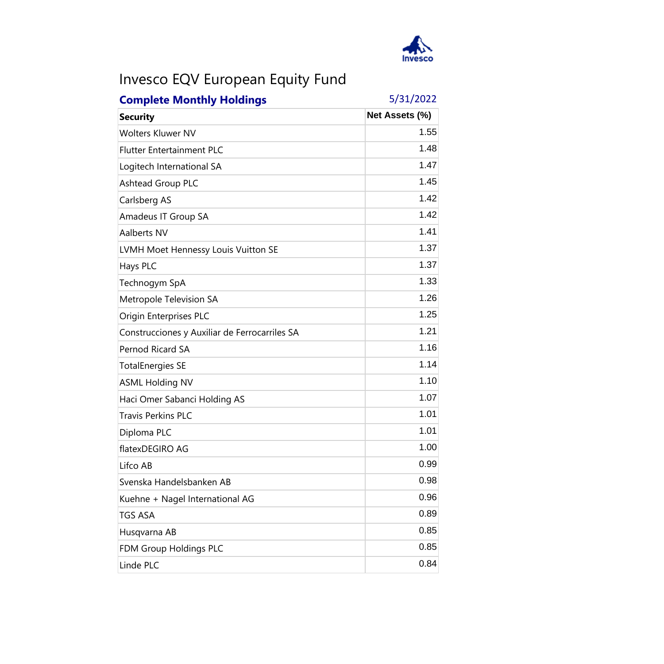

## Invesco EQV European Equity Fund

| <b>Complete Monthly Holdings</b>              | 5/31/2022      |  |
|-----------------------------------------------|----------------|--|
| <b>Security</b>                               | Net Assets (%) |  |
| <b>Wolters Kluwer NV</b>                      | 1.55           |  |
| <b>Flutter Entertainment PLC</b>              | 1.48           |  |
| Logitech International SA                     | 1.47           |  |
| Ashtead Group PLC                             | 1.45           |  |
| Carlsberg AS                                  | 1.42           |  |
| Amadeus IT Group SA                           | 1.42           |  |
| Aalberts NV                                   | 1.41           |  |
| LVMH Moet Hennessy Louis Vuitton SE           | 1.37           |  |
| Hays PLC                                      | 1.37           |  |
| Technogym SpA                                 | 1.33           |  |
| Metropole Television SA                       | 1.26           |  |
| Origin Enterprises PLC                        | 1.25           |  |
| Construcciones y Auxiliar de Ferrocarriles SA | 1.21           |  |
| Pernod Ricard SA                              | 1.16           |  |
| <b>TotalEnergies SE</b>                       | 1.14           |  |
| <b>ASML Holding NV</b>                        | 1.10           |  |
| Haci Omer Sabanci Holding AS                  | 1.07           |  |
| <b>Travis Perkins PLC</b>                     | 1.01           |  |
| Diploma PLC                                   | 1.01           |  |
| flatexDEGIRO AG                               | 1.00           |  |
| Lifco AB                                      | 0.99           |  |
| Svenska Handelsbanken AB                      | 0.98           |  |
| Kuehne + Nagel International AG               | 0.96           |  |
| <b>TGS ASA</b>                                | 0.89           |  |
| Husqvarna AB                                  | 0.85           |  |
| FDM Group Holdings PLC                        | 0.85           |  |
| Linde PLC                                     | 0.84           |  |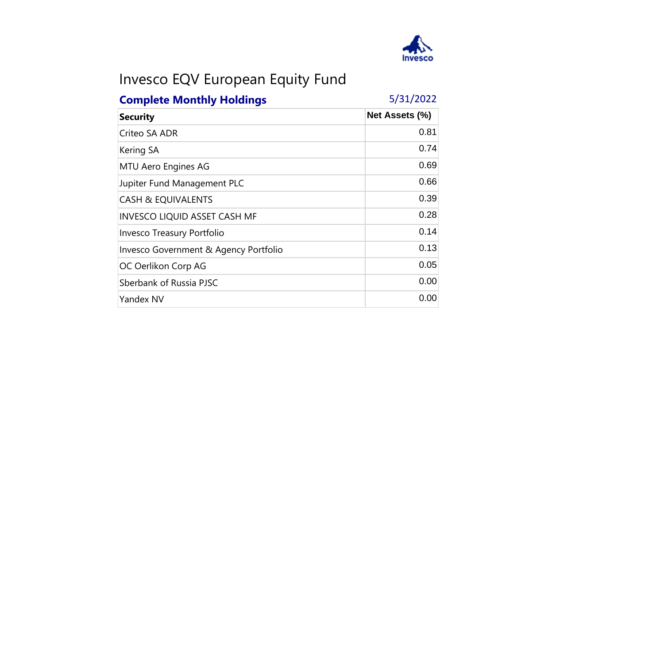

## Invesco EQV European Equity Fund

| <b>Complete Monthly Holdings</b>      | 5/31/2022      |  |
|---------------------------------------|----------------|--|
| <b>Security</b>                       | Net Assets (%) |  |
| Criteo SA ADR                         | 0.81           |  |
| Kering SA                             | 0.74           |  |
| MTU Aero Engines AG                   | 0.69           |  |
| Jupiter Fund Management PLC           | 0.66           |  |
| CASH & EQUIVALENTS                    | 0.39           |  |
| INVESCO LIQUID ASSET CASH MF          | 0.28           |  |
| Invesco Treasury Portfolio            | 0.14           |  |
| Invesco Government & Agency Portfolio | 0.13           |  |
| OC Oerlikon Corp AG                   | 0.05           |  |
| Sberbank of Russia PJSC               | 0.00           |  |
| Yandex NV                             | 0.00           |  |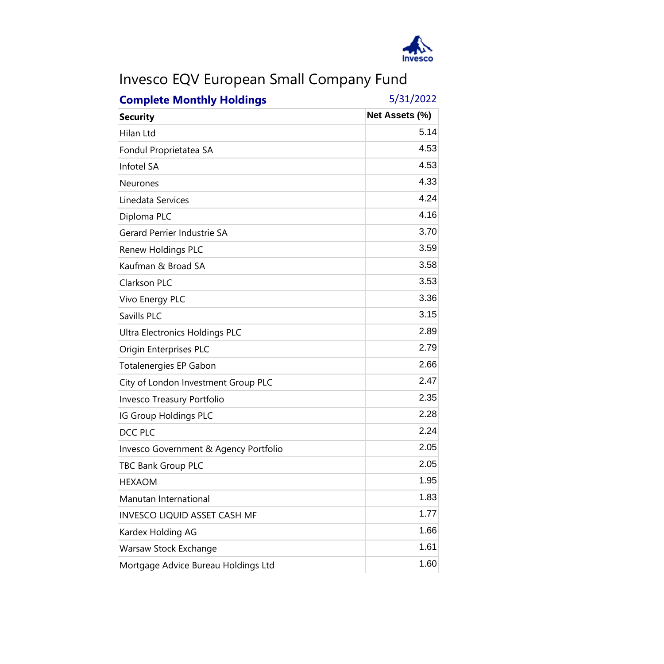

| <b>Complete Monthly Holdings</b>      | 5/31/2022      |
|---------------------------------------|----------------|
| <b>Security</b>                       | Net Assets (%) |
| Hilan Ltd                             | 5.14           |
| Fondul Proprietatea SA                | 4.53           |
| Infotel SA                            | 4.53           |
| Neurones                              | 4.33           |
| Linedata Services                     | 4.24           |
| Diploma PLC                           | 4.16           |
| Gerard Perrier Industrie SA           | 3.70           |
| Renew Holdings PLC                    | 3.59           |
| Kaufman & Broad SA                    | 3.58           |
| Clarkson PLC                          | 3.53           |
| Vivo Energy PLC                       | 3.36           |
| Savills PLC                           | 3.15           |
| Ultra Electronics Holdings PLC        | 2.89           |
| Origin Enterprises PLC                | 2.79           |
| Totalenergies EP Gabon                | 2.66           |
| City of London Investment Group PLC   | 2.47           |
| Invesco Treasury Portfolio            | 2.35           |
| IG Group Holdings PLC                 | 2.28           |
| DCC PLC                               | 2.24           |
| Invesco Government & Agency Portfolio | 2.05           |
| <b>TBC Bank Group PLC</b>             | 2.05           |
| <b>HEXAOM</b>                         | 1.95           |
| Manutan International                 | 1.83           |
| INVESCO LIQUID ASSET CASH MF          | 1.77           |
| Kardex Holding AG                     | 1.66           |

Warsaw Stock Exchange 1.61 Mortgage Advice Bureau Holdings Ltd 1.60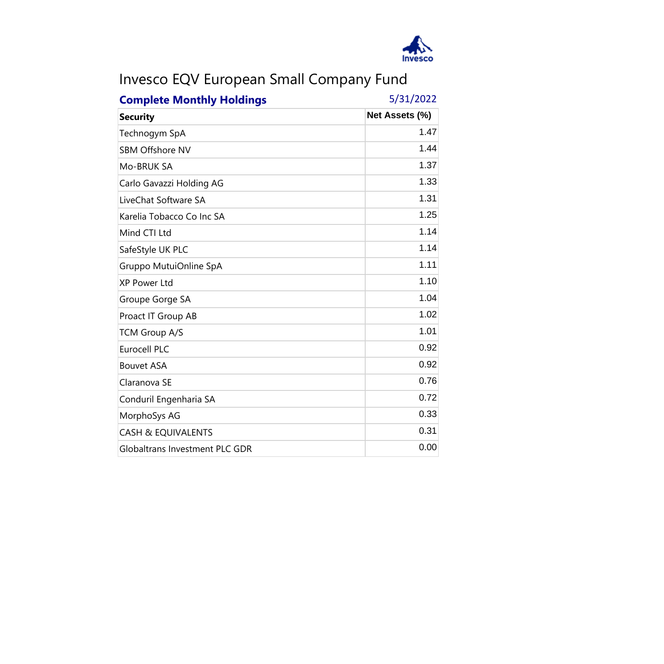

| Invesco EQV European Small Company Fund |  |  |  |
|-----------------------------------------|--|--|--|
|-----------------------------------------|--|--|--|

| <b>Complete Monthly Holdings</b> | 5/31/2022      |
|----------------------------------|----------------|
| <b>Security</b>                  | Net Assets (%) |
| Technogym SpA                    | 1.47           |
| <b>SBM Offshore NV</b>           | 1.44           |
| Mo-BRUK SA                       | 1.37           |
| Carlo Gavazzi Holding AG         | 1.33           |
| LiveChat Software SA             | 1.31           |
| Karelia Tobacco Co Inc SA        | 1.25           |
| Mind CTI Ltd                     | 1.14           |
| SafeStyle UK PLC                 | 1.14           |
| Gruppo MutuiOnline SpA           | 1.11           |
| <b>XP Power Ltd</b>              | 1.10           |
| Groupe Gorge SA                  | 1.04           |
| Proact IT Group AB               | 1.02           |
| TCM Group A/S                    | 1.01           |
| <b>Eurocell PLC</b>              | 0.92           |
| <b>Bouvet ASA</b>                | 0.92           |
| Claranova SE                     | 0.76           |
| Conduril Engenharia SA           | 0.72           |
| MorphoSys AG                     | 0.33           |
| <b>CASH &amp; EQUIVALENTS</b>    | 0.31           |
| Globaltrans Investment PLC GDR   | 0.00           |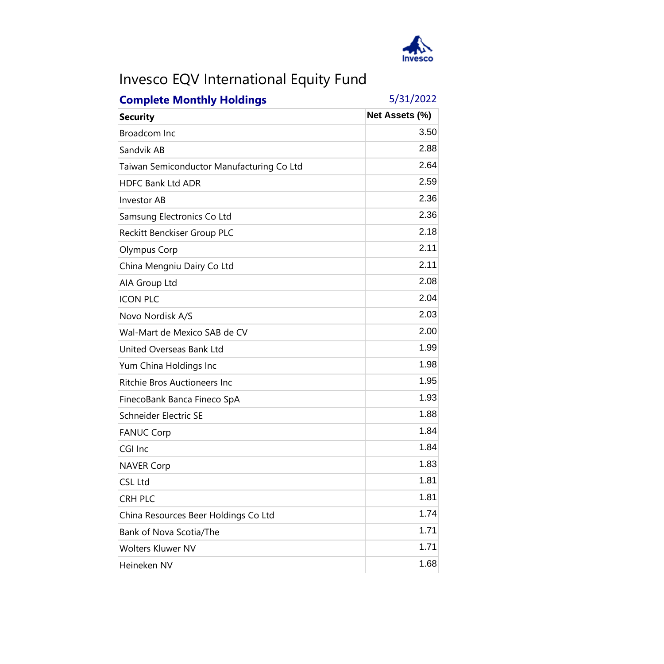

## Invesco EQV International Equity Fund

| <b>Complete Monthly Holdings</b>          | 5/31/2022      |
|-------------------------------------------|----------------|
| <b>Security</b>                           | Net Assets (%) |
| Broadcom Inc                              | 3.50           |
| Sandvik AB                                | 2.88           |
| Taiwan Semiconductor Manufacturing Co Ltd | 2.64           |
| <b>HDFC Bank Ltd ADR</b>                  | 2.59           |
| <b>Investor AB</b>                        | 2.36           |
| Samsung Electronics Co Ltd                | 2.36           |
| Reckitt Benckiser Group PLC               | 2.18           |
| Olympus Corp                              | 2.11           |
| China Mengniu Dairy Co Ltd                | 2.11           |
| AIA Group Ltd                             | 2.08           |
| <b>ICON PLC</b>                           | 2.04           |
| Novo Nordisk A/S                          | 2.03           |
| Wal-Mart de Mexico SAB de CV              | 2.00           |
| United Overseas Bank Ltd                  | 1.99           |
| Yum China Holdings Inc                    | 1.98           |
| Ritchie Bros Auctioneers Inc              | 1.95           |
| FinecoBank Banca Fineco SpA               | 1.93           |
| Schneider Electric SE                     | 1.88           |
| <b>FANUC Corp</b>                         | 1.84           |
| CGI Inc                                   | 1.84           |
| <b>NAVER Corp</b>                         | 1.83           |
| CSL Ltd                                   | 1.81           |
| CRH PLC                                   | 1.81           |
| China Resources Beer Holdings Co Ltd      | 1.74           |
| Bank of Nova Scotia/The                   | 1.71           |
| <b>Wolters Kluwer NV</b>                  | 1.71           |
| Heineken NV                               | 1.68           |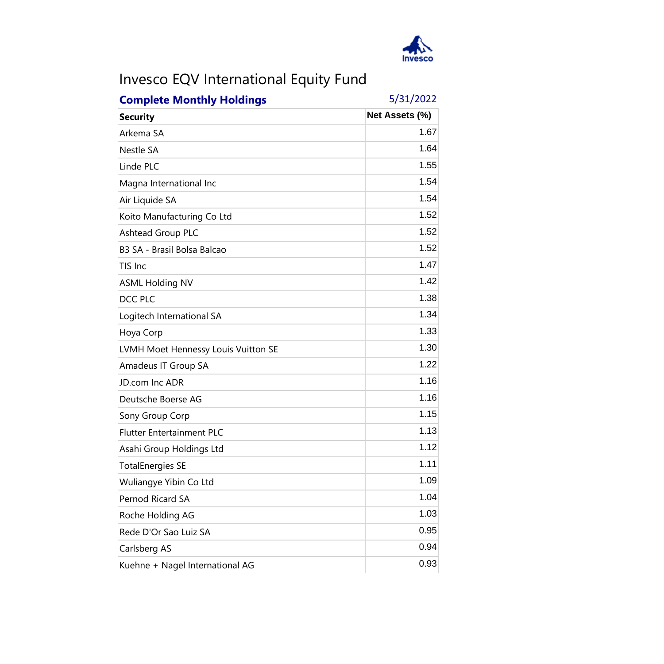

## Invesco EQV International Equity Fund

| <b>Complete Monthly Holdings</b>    | 5/31/2022      |
|-------------------------------------|----------------|
| <b>Security</b>                     | Net Assets (%) |
| Arkema SA                           | 1.67           |
| Nestle SA                           | 1.64           |
| Linde PLC                           | 1.55           |
| Magna International Inc             | 1.54           |
| Air Liquide SA                      | 1.54           |
| Koito Manufacturing Co Ltd          | 1.52           |
| Ashtead Group PLC                   | 1.52           |
| B3 SA - Brasil Bolsa Balcao         | 1.52           |
| TIS Inc                             | 1.47           |
| <b>ASML Holding NV</b>              | 1.42           |
| DCC PLC                             | 1.38           |
| Logitech International SA           | 1.34           |
| Hoya Corp                           | 1.33           |
| LVMH Moet Hennessy Louis Vuitton SE | 1.30           |
| Amadeus IT Group SA                 | 1.22           |
| JD.com Inc ADR                      | 1.16           |
| Deutsche Boerse AG                  | 1.16           |
| Sony Group Corp                     | 1.15           |
| <b>Flutter Entertainment PLC</b>    | 1.13           |
| Asahi Group Holdings Ltd            | 1.12           |
| <b>TotalEnergies SE</b>             | 1.11           |
| Wuliangye Yibin Co Ltd              | 1.09           |
| Pernod Ricard SA                    | 1.04           |
| Roche Holding AG                    | 1.03           |
| Rede D'Or Sao Luiz SA               | 0.95           |
| Carlsberg AS                        | 0.94           |
| Kuehne + Nagel International AG     | 0.93           |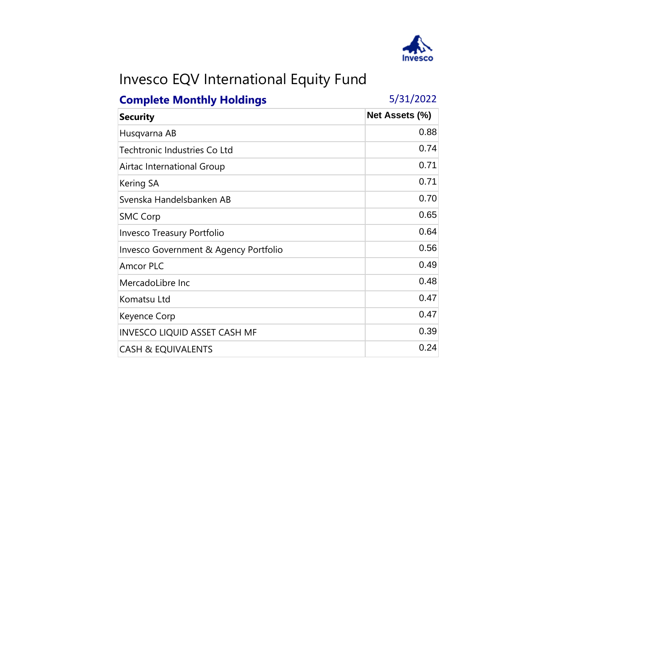

## Invesco EQV International Equity Fund

| <b>Complete Monthly Holdings</b>      | 5/31/2022      |
|---------------------------------------|----------------|
| <b>Security</b>                       | Net Assets (%) |
| Husqvarna AB                          | 0.88           |
| Techtronic Industries Co Ltd          | 0.74           |
| Airtac International Group            | 0.71           |
| Kering SA                             | 0.71           |
| Svenska Handelsbanken AB              | 0.70           |
| <b>SMC Corp</b>                       | 0.65           |
| Invesco Treasury Portfolio            | 0.64           |
| Invesco Government & Agency Portfolio | 0.56           |
| Amcor PLC                             | 0.49           |
| MercadoLibre Inc                      | 0.48           |
| Komatsu Ltd                           | 0.47           |
| Keyence Corp                          | 0.47           |
| <b>INVESCO LIQUID ASSET CASH MF</b>   | 0.39           |
| CASH & EQUIVALENTS                    | 0.24           |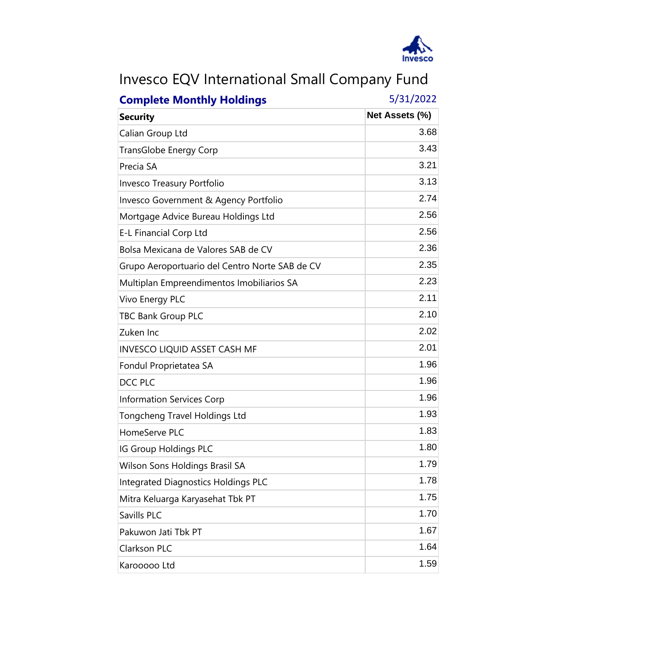

#### Invesco EQV International Small Company Fund

| <b>Complete Monthly Holdings</b>               | 5/31/2022      |
|------------------------------------------------|----------------|
| <b>Security</b>                                | Net Assets (%) |
| Calian Group Ltd                               | 3.68           |
| TransGlobe Energy Corp                         | 3.43           |
| Precia SA                                      | 3.21           |
| Invesco Treasury Portfolio                     | 3.13           |
| Invesco Government & Agency Portfolio          | 2.74           |
| Mortgage Advice Bureau Holdings Ltd            | 2.56           |
| E-L Financial Corp Ltd                         | 2.56           |
| Bolsa Mexicana de Valores SAB de CV            | 2.36           |
| Grupo Aeroportuario del Centro Norte SAB de CV | 2.35           |
| Multiplan Empreendimentos Imobiliarios SA      | 2.23           |
| Vivo Energy PLC                                | 2.11           |
| TBC Bank Group PLC                             | 2.10           |
| Zuken Inc                                      | 2.02           |
| <b>INVESCO LIQUID ASSET CASH MF</b>            | 2.01           |
| Fondul Proprietatea SA                         | 1.96           |
| DCC PLC                                        | 1.96           |
| <b>Information Services Corp</b>               | 1.96           |
| Tongcheng Travel Holdings Ltd                  | 1.93           |
| HomeServe PLC                                  | 1.83           |
| IG Group Holdings PLC                          | 1.80           |
| Wilson Sons Holdings Brasil SA                 | 1.79           |
| <b>Integrated Diagnostics Holdings PLC</b>     | 1.78           |
| Mitra Keluarga Karyasehat Tbk PT               | 1.75           |
| Savills PLC                                    | 1.70           |
| Pakuwon Jati Tbk PT                            | 1.67           |
| Clarkson PLC                                   | 1.64           |
| Karooooo Ltd                                   | 1.59           |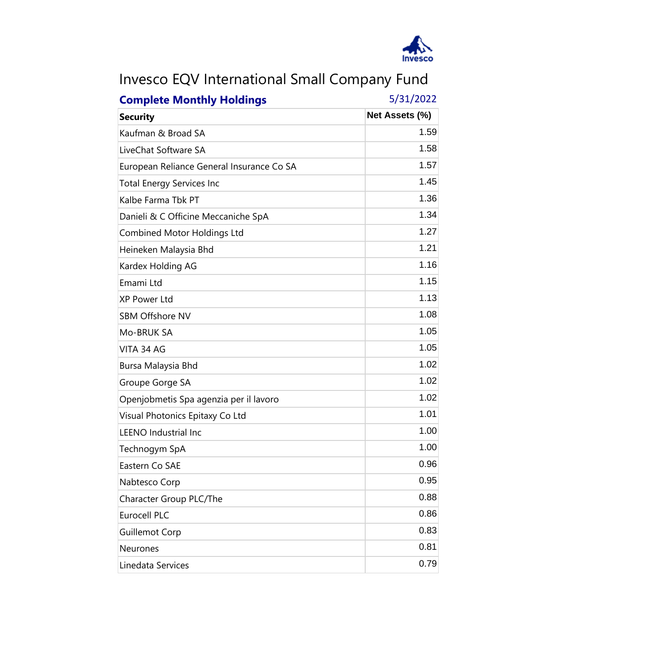

|  | Invesco EQV International Small Company Fund |  |
|--|----------------------------------------------|--|
|--|----------------------------------------------|--|

| <b>Complete Monthly Holdings</b>          | 5/31/2022      |
|-------------------------------------------|----------------|
| <b>Security</b>                           | Net Assets (%) |
| Kaufman & Broad SA                        | 1.59           |
| LiveChat Software SA                      | 1.58           |
| European Reliance General Insurance Co SA | 1.57           |
| <b>Total Energy Services Inc</b>          | 1.45           |
| Kalbe Farma Tbk PT                        | 1.36           |
| Danieli & C Officine Meccaniche SpA       | 1.34           |
| Combined Motor Holdings Ltd               | 1.27           |
| Heineken Malaysia Bhd                     | 1.21           |
| Kardex Holding AG                         | 1.16           |
| Emami Ltd                                 | 1.15           |
| <b>XP Power Ltd</b>                       | 1.13           |
| <b>SBM Offshore NV</b>                    | 1.08           |
| Mo-BRUK SA                                | 1.05           |
| VITA 34 AG                                | 1.05           |
| Bursa Malaysia Bhd                        | 1.02           |
| Groupe Gorge SA                           | 1.02           |
| Openjobmetis Spa agenzia per il lavoro    | 1.02           |
| Visual Photonics Epitaxy Co Ltd           | 1.01           |
| <b>LEENO Industrial Inc</b>               | 1.00           |
| Technogym SpA                             | 1.00           |
| Eastern Co SAE                            | 0.96           |
| Nabtesco Corp                             | 0.95           |
| Character Group PLC/The                   | 0.88           |
| <b>Eurocell PLC</b>                       | 0.86           |
| Guillemot Corp                            | 0.83           |
| Neurones                                  | 0.81           |
| Linedata Services                         | 0.79           |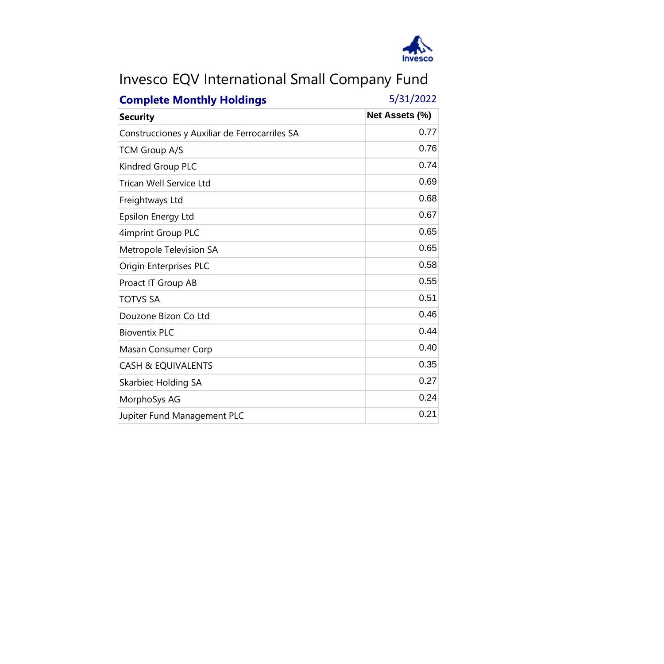

#### Invesco EQV International Small Company Fund

| <b>Complete Monthly Holdings</b>              | 5/31/2022      |
|-----------------------------------------------|----------------|
| <b>Security</b>                               | Net Assets (%) |
| Construcciones y Auxiliar de Ferrocarriles SA | 0.77           |
| <b>TCM Group A/S</b>                          | 0.76           |
| Kindred Group PLC                             | 0.74           |
| Trican Well Service Ltd                       | 0.69           |
| Freightways Ltd                               | 0.68           |
| Epsilon Energy Ltd                            | 0.67           |
| 4imprint Group PLC                            | 0.65           |
| Metropole Television SA                       | 0.65           |
| Origin Enterprises PLC                        | 0.58           |
| Proact IT Group AB                            | 0.55           |
| <b>TOTVS SA</b>                               | 0.51           |
| Douzone Bizon Co Ltd                          | 0.46           |
| <b>Bioventix PLC</b>                          | 0.44           |
| Masan Consumer Corp                           | 0.40           |
| CASH & EQUIVALENTS                            | 0.35           |
| Skarbiec Holding SA                           | 0.27           |
| MorphoSys AG                                  | 0.24           |
| Jupiter Fund Management PLC                   | 0.21           |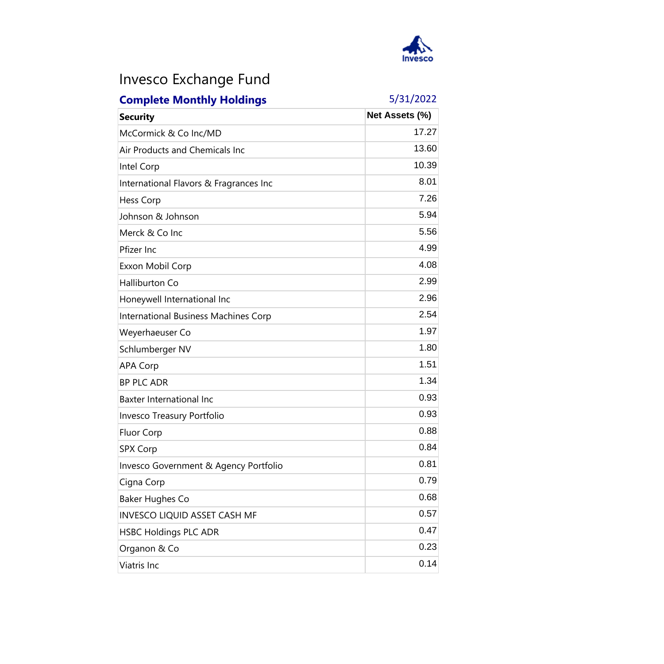

## Invesco Exchange Fund

| 5/31/2022      |
|----------------|
| Net Assets (%) |
| 17.27          |
| 13.60          |
| 10.39          |
| 8.01           |
| 7.26           |
| 5.94           |
| 5.56           |
| 4.99           |
| 4.08           |
| 2.99           |
| 2.96           |
| 2.54           |
| 1.97           |
| 1.80           |
| 1.51           |
| 1.34           |
| 0.93           |
| 0.93           |
| 0.88           |
| 0.84           |
| 0.81           |
| 0.79           |
| 0.68           |
| 0.57           |
| 0.47           |
| 0.23           |
| 0.14           |
|                |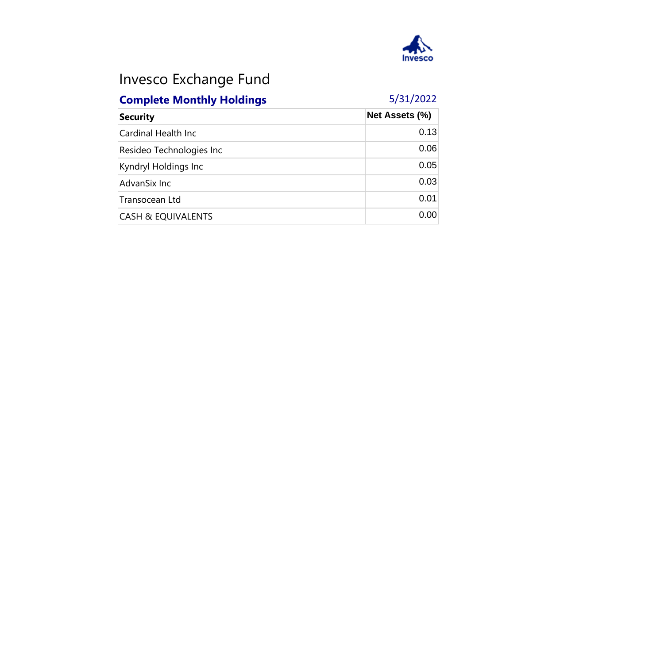

## Invesco Exchange Fund

| <b>Complete Monthly Holdings</b> | 5/31/2022      |  |
|----------------------------------|----------------|--|
| <b>Security</b>                  | Net Assets (%) |  |
| Cardinal Health Inc              | 0.13           |  |
| Resideo Technologies Inc         | 0.06           |  |
| Kyndryl Holdings Inc             | 0.05           |  |
| AdvanSix Inc                     | 0.03           |  |
| Transocean Ltd                   | 0.01           |  |
| CASH & EQUIVALENTS               | 0.00           |  |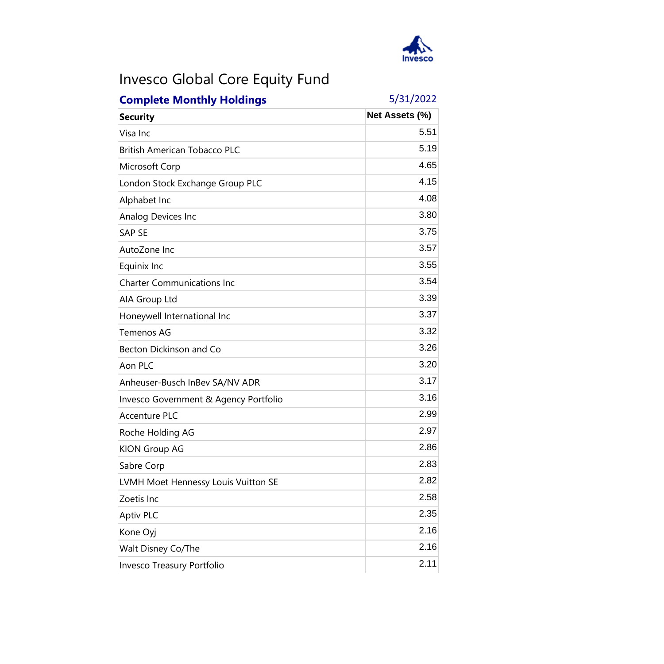

## Invesco Global Core Equity Fund

| <b>Complete Monthly Holdings</b>      | 5/31/2022      |
|---------------------------------------|----------------|
| <b>Security</b>                       | Net Assets (%) |
| Visa Inc                              | 5.51           |
| <b>British American Tobacco PLC</b>   | 5.19           |
| Microsoft Corp                        | 4.65           |
| London Stock Exchange Group PLC       | 4.15           |
| Alphabet Inc                          | 4.08           |
| Analog Devices Inc                    | 3.80           |
| <b>SAP SE</b>                         | 3.75           |
| AutoZone Inc                          | 3.57           |
| Equinix Inc                           | 3.55           |
| <b>Charter Communications Inc</b>     | 3.54           |
| AIA Group Ltd                         | 3.39           |
| Honeywell International Inc           | 3.37           |
| <b>Temenos AG</b>                     | 3.32           |
| Becton Dickinson and Co               | 3.26           |
| Aon PLC                               | 3.20           |
| Anheuser-Busch InBev SA/NV ADR        | 3.17           |
| Invesco Government & Agency Portfolio | 3.16           |
| Accenture PLC                         | 2.99           |
| Roche Holding AG                      | 2.97           |
| KION Group AG                         | 2.86           |
| Sabre Corp                            | 2.83           |
| LVMH Moet Hennessy Louis Vuitton SE   | 2.82           |
| Zoetis Inc                            | 2.58           |
| <b>Aptiv PLC</b>                      | 2.35           |
| Kone Oyj                              | 2.16           |
| Walt Disney Co/The                    | 2.16           |
| Invesco Treasury Portfolio            | 2.11           |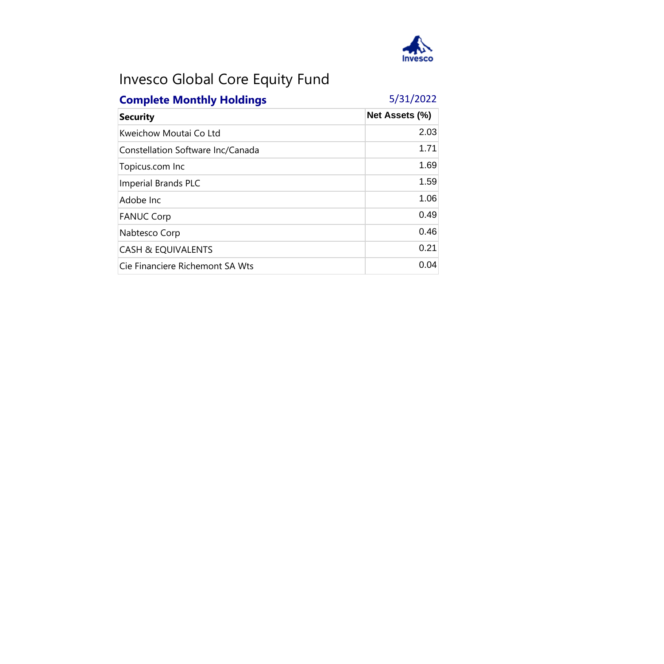

## Invesco Global Core Equity Fund

| <b>Complete Monthly Holdings</b>  | 5/31/2022      |
|-----------------------------------|----------------|
| <b>Security</b>                   | Net Assets (%) |
| Kweichow Moutai Co Ltd            | 2.03           |
| Constellation Software Inc/Canada | 1.71           |
| Topicus.com Inc                   | 1.69           |
| Imperial Brands PLC               | 1.59           |
| Adobe Inc                         | 1.06           |
| <b>FANUC Corp</b>                 | 0.49           |
| Nabtesco Corp                     | 0.46           |
| <b>CASH &amp; EQUIVALENTS</b>     | 0.21           |
| Cie Financiere Richemont SA Wts   | 0.04           |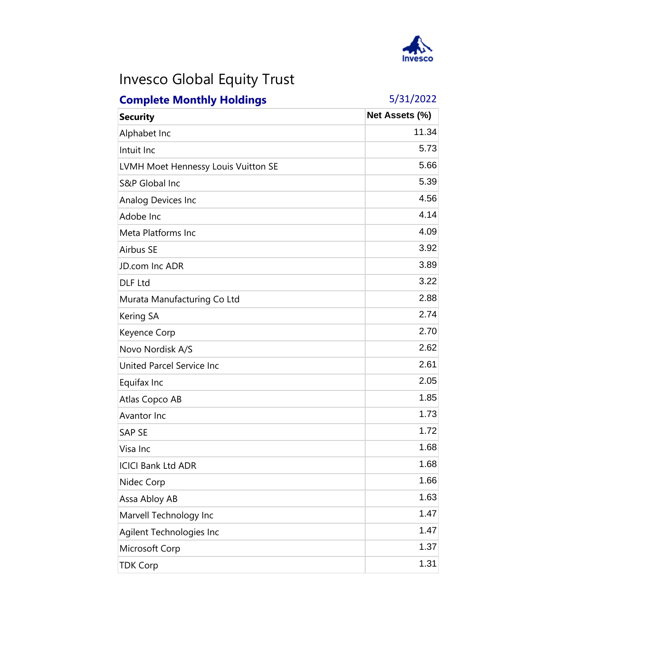

# Invesco Global Equity Trust

| 5/31/2022      |
|----------------|
| Net Assets (%) |
| 11.34          |
| 5.73           |
| 5.66           |
| 5.39           |
| 4.56           |
| 4.14           |
| 4.09           |
| 3.92           |
| 3.89           |
| 3.22           |
| 2.88           |
| 2.74           |
| 2.70           |
| 2.62           |
| 2.61           |
| 2.05           |
| 1.85           |
| 1.73           |
| 1.72           |
| 1.68           |
| 1.68           |
| 1.66           |
| 1.63           |
| 1.47           |
| 1.47           |
| 1.37           |
| 1.31           |
|                |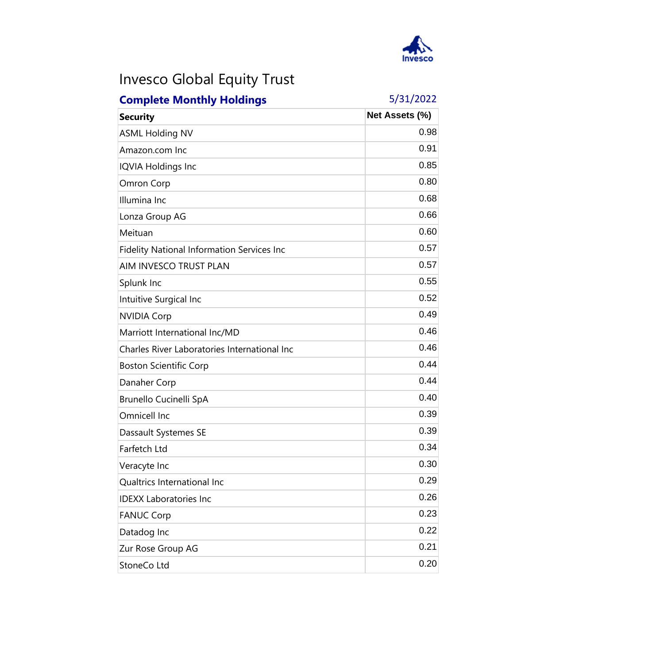

# Invesco Global Equity Trust

| <b>Complete Monthly Holdings</b>             | 5/31/2022      |
|----------------------------------------------|----------------|
| <b>Security</b>                              | Net Assets (%) |
| <b>ASML Holding NV</b>                       | 0.98           |
| Amazon.com Inc                               | 0.91           |
| IQVIA Holdings Inc                           | 0.85           |
| Omron Corp                                   | 0.80           |
| Illumina Inc                                 | 0.68           |
| Lonza Group AG                               | 0.66           |
| Meituan                                      | 0.60           |
| Fidelity National Information Services Inc   | 0.57           |
| AIM INVESCO TRUST PLAN                       | 0.57           |
| Splunk Inc                                   | 0.55           |
| Intuitive Surgical Inc                       | 0.52           |
| <b>NVIDIA Corp</b>                           | 0.49           |
| Marriott International Inc/MD                | 0.46           |
| Charles River Laboratories International Inc | 0.46           |
| <b>Boston Scientific Corp</b>                | 0.44           |
| Danaher Corp                                 | 0.44           |
| Brunello Cucinelli SpA                       | 0.40           |
| Omnicell Inc                                 | 0.39           |
| Dassault Systemes SE                         | 0.39           |
| Farfetch Ltd                                 | 0.34           |
| Veracyte Inc                                 | 0.30           |
| Qualtrics International Inc                  | 0.29           |
| <b>IDEXX Laboratories Inc</b>                | 0.26           |
| <b>FANUC Corp</b>                            | 0.23           |
| Datadog Inc                                  | 0.22           |
| Zur Rose Group AG                            | 0.21           |
| StoneCo Ltd                                  | 0.20           |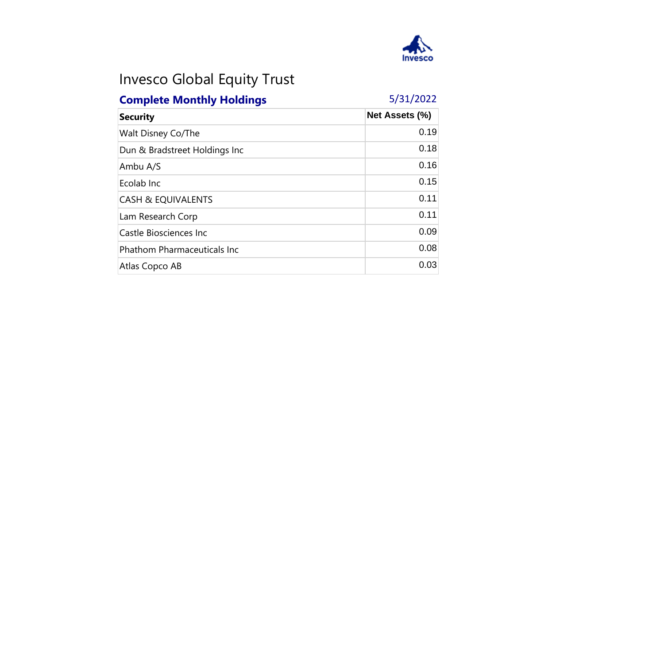

# Invesco Global Equity Trust

| <b>Complete Monthly Holdings</b>    | 5/31/2022      |
|-------------------------------------|----------------|
| <b>Security</b>                     | Net Assets (%) |
| Walt Disney Co/The                  | 0.19           |
| Dun & Bradstreet Holdings Inc       | 0.18           |
| Ambu A/S                            | 0.16           |
| Ecolab Inc                          | 0.15           |
| CASH & EQUIVALENTS                  | 0.11           |
| Lam Research Corp                   | 0.11           |
| Castle Biosciences Inc              | 0.09           |
| <b>Phathom Pharmaceuticals Inc.</b> | 0.08           |
| Atlas Copco AB                      | 0.03           |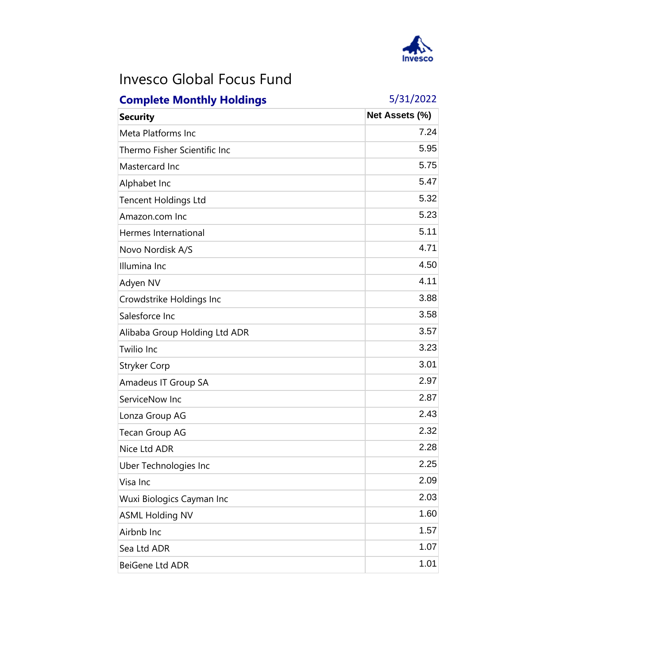

#### Invesco Global Focus Fund

| <b>Complete Monthly Holdings</b> | 5/31/2022      |
|----------------------------------|----------------|
| <b>Security</b>                  | Net Assets (%) |
| Meta Platforms Inc               | 7.24           |
| Thermo Fisher Scientific Inc     | 5.95           |
| Mastercard Inc                   | 5.75           |
| Alphabet Inc                     | 5.47           |
| <b>Tencent Holdings Ltd</b>      | 5.32           |
| Amazon.com Inc                   | 5.23           |
| Hermes International             | 5.11           |
| Novo Nordisk A/S                 | 4.71           |
| Illumina Inc                     | 4.50           |
| Adyen NV                         | 4.11           |
| Crowdstrike Holdings Inc         | 3.88           |
| Salesforce Inc                   | 3.58           |
| Alibaba Group Holding Ltd ADR    | 3.57           |
| Twilio Inc                       | 3.23           |
| <b>Stryker Corp</b>              | 3.01           |
| Amadeus IT Group SA              | 2.97           |
| ServiceNow Inc                   | 2.87           |
| Lonza Group AG                   | 2.43           |
| Tecan Group AG                   | 2.32           |
| Nice Ltd ADR                     | 2.28           |
| Uber Technologies Inc            | 2.25           |
| Visa Inc                         | 2.09           |
| Wuxi Biologics Cayman Inc        | 2.03           |
| <b>ASML Holding NV</b>           | 1.60           |
| Airbnb Inc                       | 1.57           |
| Sea Ltd ADR                      | 1.07           |
| BeiGene Ltd ADR                  | 1.01           |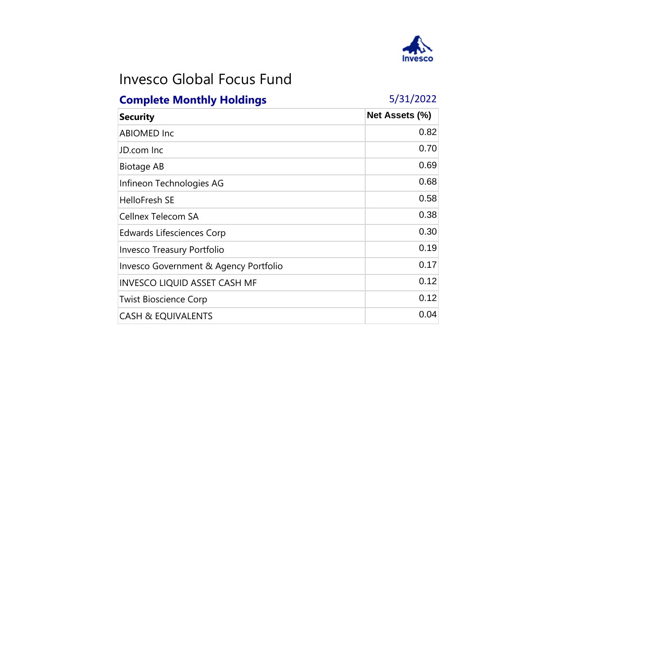

### Invesco Global Focus Fund

| <b>Complete Monthly Holdings</b>      | 5/31/2022      |
|---------------------------------------|----------------|
| <b>Security</b>                       | Net Assets (%) |
| <b>ABIOMED Inc.</b>                   | 0.82           |
| JD.com Inc                            | 0.70           |
| Biotage AB                            | 0.69           |
| Infineon Technologies AG              | 0.68           |
| <b>HelloFresh SE</b>                  | 0.58           |
| Cellnex Telecom SA                    | 0.38           |
| Edwards Lifesciences Corp             | 0.30           |
| Invesco Treasury Portfolio            | 0.19           |
| Invesco Government & Agency Portfolio | 0.17           |
| INVESCO LIQUID ASSET CASH MF          | 0.12           |
| <b>Twist Bioscience Corp</b>          | 0.12           |
| CASH & EQUIVALENTS                    | 0.04           |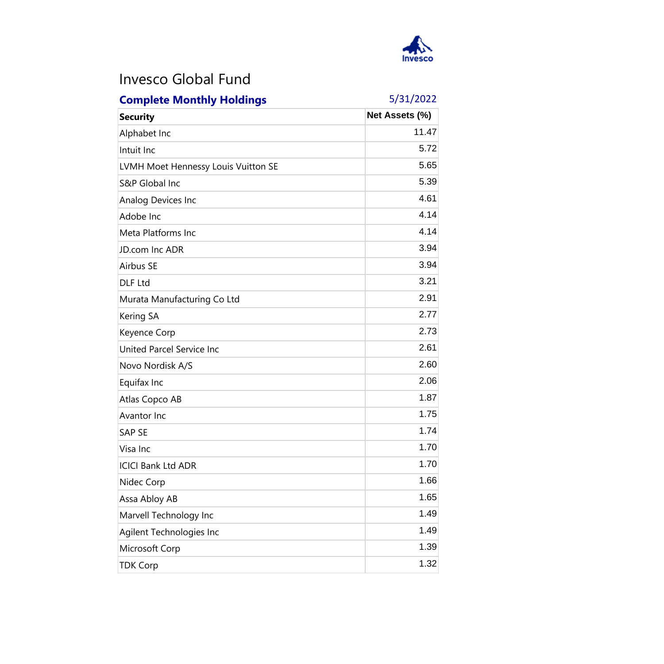

### Invesco Global Fund

| <b>Complete Monthly Holdings</b>    | 5/31/2022      |
|-------------------------------------|----------------|
| <b>Security</b>                     | Net Assets (%) |
| Alphabet Inc                        | 11.47          |
| Intuit Inc                          | 5.72           |
| LVMH Moet Hennessy Louis Vuitton SE | 5.65           |
| S&P Global Inc                      | 5.39           |
| Analog Devices Inc                  | 4.61           |
| Adobe Inc                           | 4.14           |
| Meta Platforms Inc                  | 4.14           |
| JD.com Inc ADR                      | 3.94           |
| <b>Airbus SE</b>                    | 3.94           |
| DLF Ltd                             | 3.21           |
| Murata Manufacturing Co Ltd         | 2.91           |
| Kering SA                           | 2.77           |
| Keyence Corp                        | 2.73           |
| United Parcel Service Inc           | 2.61           |
| Novo Nordisk A/S                    | 2.60           |
| Equifax Inc                         | 2.06           |
| Atlas Copco AB                      | 1.87           |
| Avantor Inc                         | 1.75           |
| SAP SE                              | 1.74           |
| Visa Inc                            | 1.70           |
| <b>ICICI Bank Ltd ADR</b>           | 1.70           |
| Nidec Corp                          | 1.66           |
| Assa Abloy AB                       | 1.65           |
| Marvell Technology Inc              | 1.49           |
| Agilent Technologies Inc            | 1.49           |
| Microsoft Corp                      | 1.39           |
| <b>TDK Corp</b>                     | 1.32           |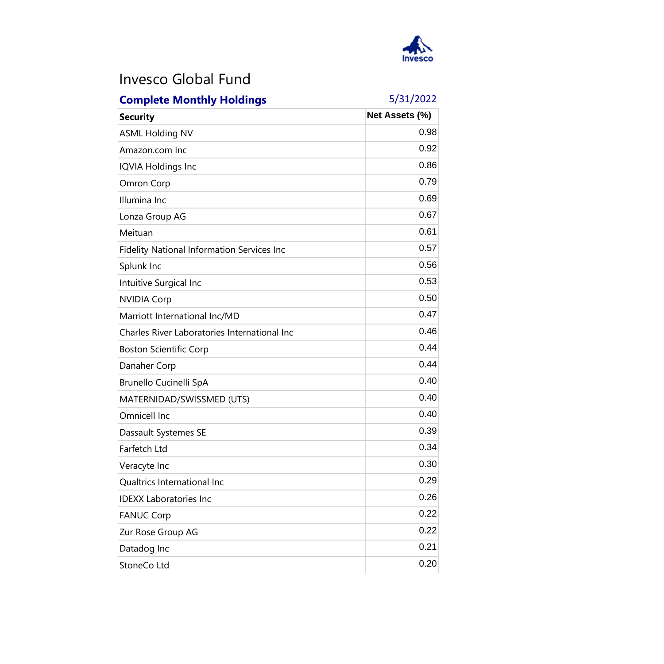

### Invesco Global Fund

| <b>Complete Monthly Holdings</b>                  | 5/31/2022      |
|---------------------------------------------------|----------------|
| <b>Security</b>                                   | Net Assets (%) |
| <b>ASML Holding NV</b>                            | 0.98           |
| Amazon.com Inc                                    | 0.92           |
| IQVIA Holdings Inc                                | 0.86           |
| Omron Corp                                        | 0.79           |
| Illumina Inc                                      | 0.69           |
| Lonza Group AG                                    | 0.67           |
| Meituan                                           | 0.61           |
| <b>Fidelity National Information Services Inc</b> | 0.57           |
| Splunk Inc                                        | 0.56           |
| Intuitive Surgical Inc                            | 0.53           |
| <b>NVIDIA Corp</b>                                | 0.50           |
| Marriott International Inc/MD                     | 0.47           |
| Charles River Laboratories International Inc      | 0.46           |
| <b>Boston Scientific Corp</b>                     | 0.44           |
| Danaher Corp                                      | 0.44           |
| Brunello Cucinelli SpA                            | 0.40           |
| MATERNIDAD/SWISSMED (UTS)                         | 0.40           |
| Omnicell Inc                                      | 0.40           |
| Dassault Systemes SE                              | 0.39           |
| Farfetch Ltd                                      | 0.34           |
| Veracyte Inc                                      | 0.30           |
| Qualtrics International Inc                       | 0.29           |
| <b>IDEXX Laboratories Inc</b>                     | 0.26           |
| <b>FANUC Corp</b>                                 | 0.22           |
| Zur Rose Group AG                                 | 0.22           |
| Datadog Inc                                       | 0.21           |
| StoneCo Ltd                                       | 0.20           |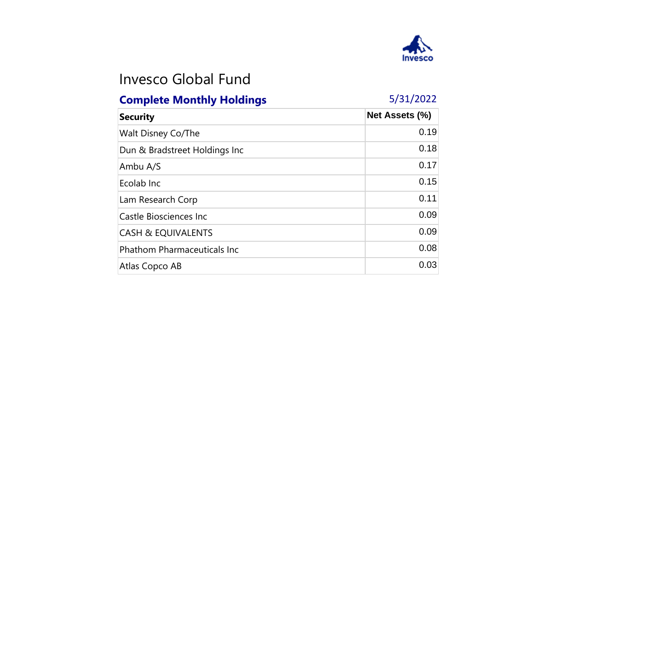

### Invesco Global Fund

| <b>Complete Monthly Holdings</b>    | 5/31/2022      |
|-------------------------------------|----------------|
| <b>Security</b>                     | Net Assets (%) |
| Walt Disney Co/The                  | 0.19           |
| Dun & Bradstreet Holdings Inc       | 0.18           |
| Ambu A/S                            | 0.17           |
| Ecolab Inc                          | 0.15           |
| Lam Research Corp                   | 0.11           |
| Castle Biosciences Inc              | 0.09           |
| <b>CASH &amp; EQUIVALENTS</b>       | 0.09           |
| <b>Phathom Pharmaceuticals Inc.</b> | 0.08           |
| Atlas Copco AB                      | 0.03           |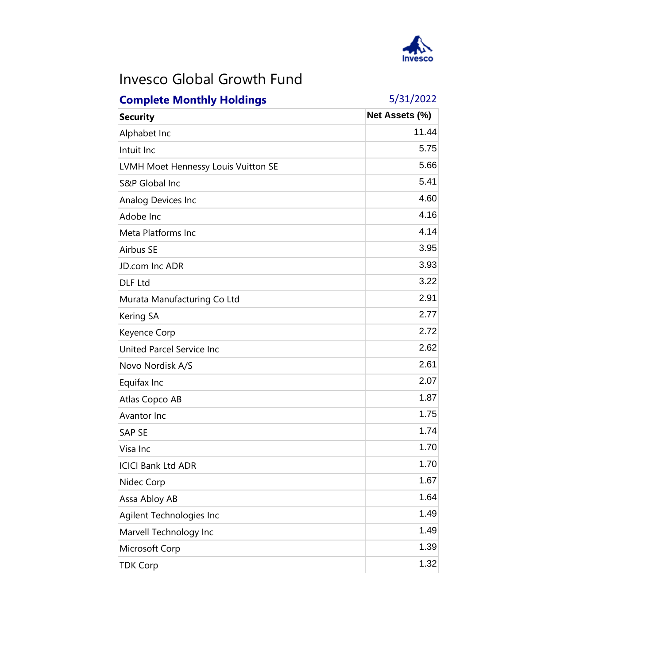

### Invesco Global Growth Fund

| <b>Complete Monthly Holdings</b>    | 5/31/2022      |
|-------------------------------------|----------------|
| <b>Security</b>                     | Net Assets (%) |
| Alphabet Inc                        | 11.44          |
| Intuit Inc                          | 5.75           |
| LVMH Moet Hennessy Louis Vuitton SE | 5.66           |
| S&P Global Inc                      | 5.41           |
| Analog Devices Inc                  | 4.60           |
| Adobe Inc                           | 4.16           |
| Meta Platforms Inc                  | 4.14           |
| Airbus SE                           | 3.95           |
| JD.com Inc ADR                      | 3.93           |
| DLF Ltd                             | 3.22           |
| Murata Manufacturing Co Ltd         | 2.91           |
| Kering SA                           | 2.77           |
| Keyence Corp                        | 2.72           |
| United Parcel Service Inc           | 2.62           |
| Novo Nordisk A/S                    | 2.61           |
| Equifax Inc                         | 2.07           |
| Atlas Copco AB                      | 1.87           |
| Avantor Inc                         | 1.75           |
| SAP SE                              | 1.74           |
| Visa Inc                            | 1.70           |
| <b>ICICI Bank Ltd ADR</b>           | 1.70           |
| Nidec Corp                          | 1.67           |
| Assa Abloy AB                       | 1.64           |
| Agilent Technologies Inc            | 1.49           |
| Marvell Technology Inc              | 1.49           |
| Microsoft Corp                      | 1.39           |
| <b>TDK Corp</b>                     | 1.32           |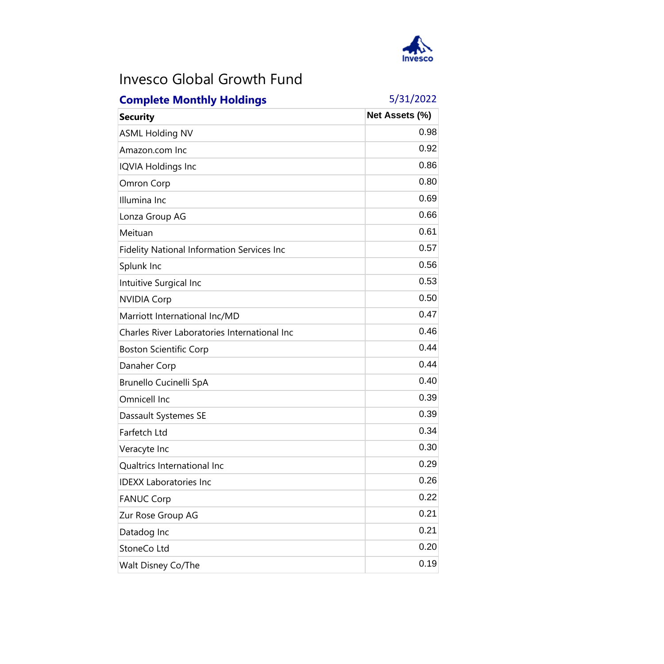

### Invesco Global Growth Fund

| <b>Complete Monthly Holdings</b>             | 5/31/2022      |
|----------------------------------------------|----------------|
| <b>Security</b>                              | Net Assets (%) |
| <b>ASML Holding NV</b>                       | 0.98           |
| Amazon.com Inc                               | 0.92           |
| IQVIA Holdings Inc                           | 0.86           |
| Omron Corp                                   | 0.80           |
| Illumina Inc                                 | 0.69           |
| Lonza Group AG                               | 0.66           |
| Meituan                                      | 0.61           |
| Fidelity National Information Services Inc   | 0.57           |
| Splunk Inc                                   | 0.56           |
| Intuitive Surgical Inc                       | 0.53           |
| <b>NVIDIA Corp</b>                           | 0.50           |
| Marriott International Inc/MD                | 0.47           |
| Charles River Laboratories International Inc | 0.46           |
| <b>Boston Scientific Corp</b>                | 0.44           |
| Danaher Corp                                 | 0.44           |
| Brunello Cucinelli SpA                       | 0.40           |
| Omnicell Inc                                 | 0.39           |
| Dassault Systemes SE                         | 0.39           |
| Farfetch Ltd                                 | 0.34           |
| Veracyte Inc                                 | 0.30           |
| Qualtrics International Inc                  | 0.29           |
| <b>IDEXX Laboratories Inc</b>                | 0.26           |
| <b>FANUC Corp</b>                            | 0.22           |
| Zur Rose Group AG                            | 0.21           |
| Datadog Inc                                  | 0.21           |
| StoneCo Ltd                                  | 0.20           |
| Walt Disney Co/The                           | 0.19           |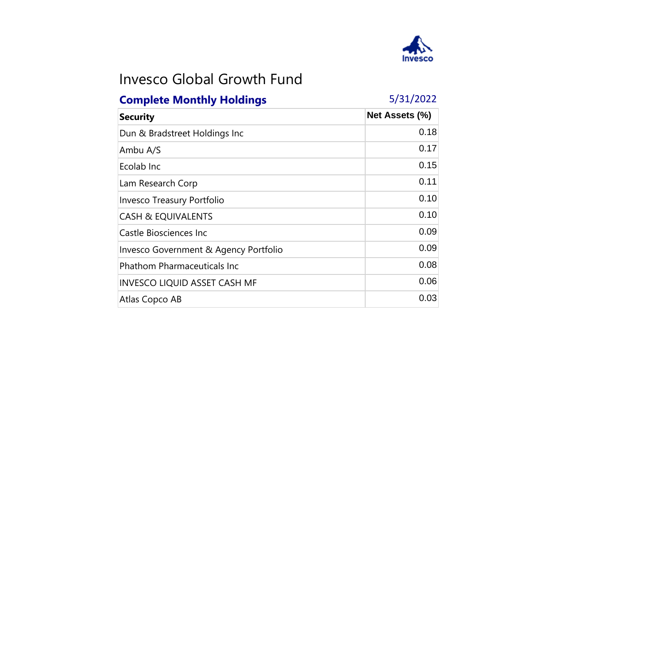

### Invesco Global Growth Fund

| <b>Complete Monthly Holdings</b>      | 5/31/2022      |
|---------------------------------------|----------------|
| <b>Security</b>                       | Net Assets (%) |
| Dun & Bradstreet Holdings Inc         | 0.18           |
| Ambu A/S                              | 0.17           |
| Ecolab Inc                            | 0.15           |
| Lam Research Corp                     | 0.11           |
| Invesco Treasury Portfolio            | 0.10           |
| CASH & EQUIVALENTS                    | 0.10           |
| Castle Biosciences Inc                | 0.09           |
| Invesco Government & Agency Portfolio | 0.09           |
| Phathom Pharmaceuticals Inc.          | 0.08           |
| INVESCO LIQUID ASSET CASH MF          | 0.06           |
| Atlas Copco AB                        | 0.03           |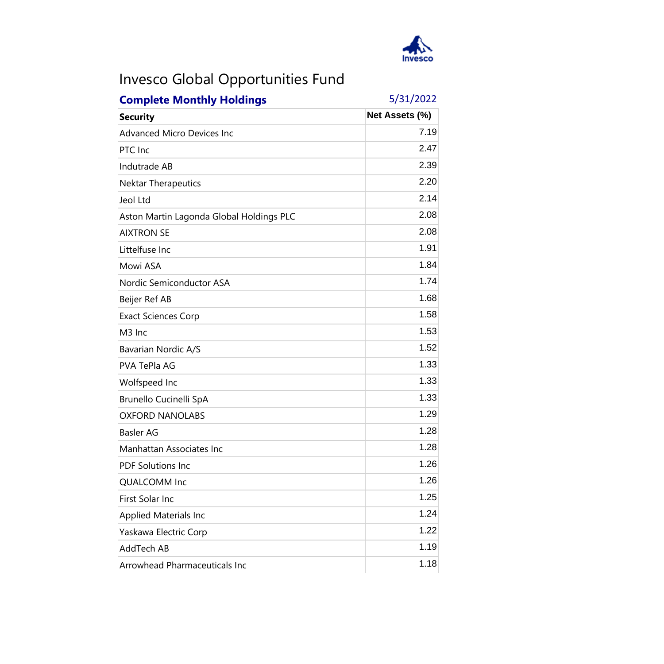

| <b>Complete Monthly Holdings</b>         | 5/31/2022      |
|------------------------------------------|----------------|
| <b>Security</b>                          | Net Assets (%) |
| <b>Advanced Micro Devices Inc</b>        | 7.19           |
| PTC Inc                                  | 2.47           |
| Indutrade AB                             | 2.39           |
| <b>Nektar Therapeutics</b>               | 2.20           |
| Jeol Ltd                                 | 2.14           |
| Aston Martin Lagonda Global Holdings PLC | 2.08           |
| <b>AIXTRON SE</b>                        | 2.08           |
| Littelfuse Inc                           | 1.91           |
| Mowi ASA                                 | 1.84           |
| Nordic Semiconductor ASA                 | 1.74           |
| Beijer Ref AB                            | 1.68           |
| <b>Exact Sciences Corp</b>               | 1.58           |
| M3 Inc                                   | 1.53           |
| Bavarian Nordic A/S                      | 1.52           |
| PVA TePla AG                             | 1.33           |
| Wolfspeed Inc                            | 1.33           |
| Brunello Cucinelli SpA                   | 1.33           |
| <b>OXFORD NANOLABS</b>                   | 1.29           |
| <b>Basler AG</b>                         | 1.28           |
| Manhattan Associates Inc                 | 1.28           |
| <b>PDF Solutions Inc</b>                 | 1.26           |
| <b>QUALCOMM Inc</b>                      | 1.26           |
| First Solar Inc                          | 1.25           |
| <b>Applied Materials Inc</b>             | 1.24           |
| Yaskawa Electric Corp                    | 1.22           |
| AddTech AB                               | 1.19           |
| Arrowhead Pharmaceuticals Inc            | 1.18           |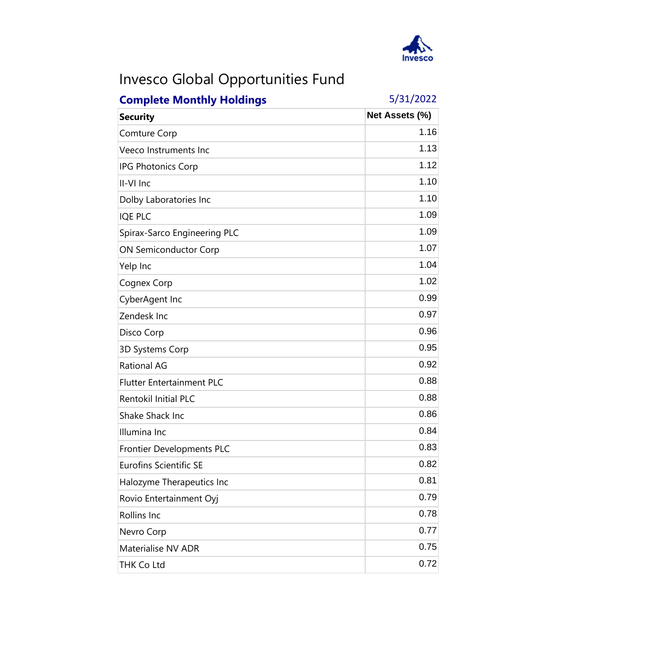

| <b>Complete Monthly Holdings</b> | 5/31/2022      |
|----------------------------------|----------------|
| <b>Security</b>                  | Net Assets (%) |
| Comture Corp                     | 1.16           |
| Veeco Instruments Inc            | 1.13           |
| IPG Photonics Corp               | 1.12           |
| II-VI Inc                        | 1.10           |
| Dolby Laboratories Inc           | 1.10           |
| <b>IQE PLC</b>                   | 1.09           |
| Spirax-Sarco Engineering PLC     | 1.09           |
| <b>ON Semiconductor Corp</b>     | 1.07           |
| Yelp Inc                         | 1.04           |
| Cognex Corp                      | 1.02           |
| CyberAgent Inc                   | 0.99           |
| Zendesk Inc                      | 0.97           |
| Disco Corp                       | 0.96           |
| 3D Systems Corp                  | 0.95           |
| <b>Rational AG</b>               | 0.92           |
| <b>Flutter Entertainment PLC</b> | 0.88           |
| Rentokil Initial PLC             | 0.88           |
| Shake Shack Inc                  | 0.86           |
| Illumina Inc                     | 0.84           |
| Frontier Developments PLC        | 0.83           |
| <b>Eurofins Scientific SE</b>    | 0.82           |
| Halozyme Therapeutics Inc        | 0.81           |
| Rovio Entertainment Oyj          | 0.79           |
| Rollins Inc                      | 0.78           |
| Nevro Corp                       | 0.77           |
| Materialise NV ADR               | 0.75           |
| THK Co Ltd                       | 0.72           |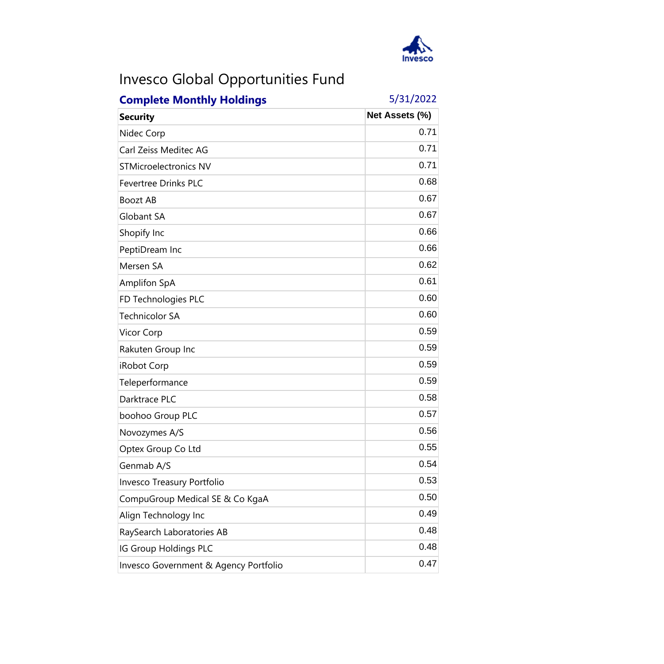

| <b>Complete Monthly Holdings</b>      | 5/31/2022      |
|---------------------------------------|----------------|
| <b>Security</b>                       | Net Assets (%) |
| Nidec Corp                            | 0.71           |
| Carl Zeiss Meditec AG                 | 0.71           |
| <b>STMicroelectronics NV</b>          | 0.71           |
| Fevertree Drinks PLC                  | 0.68           |
| <b>Boozt AB</b>                       | 0.67           |
| Globant SA                            | 0.67           |
| Shopify Inc                           | 0.66           |
| PeptiDream Inc                        | 0.66           |
| Mersen SA                             | 0.62           |
| Amplifon SpA                          | 0.61           |
| FD Technologies PLC                   | 0.60           |
| <b>Technicolor SA</b>                 | 0.60           |
| Vicor Corp                            | 0.59           |
| Rakuten Group Inc                     | 0.59           |
| iRobot Corp                           | 0.59           |
| Teleperformance                       | 0.59           |
| Darktrace PLC                         | 0.58           |
| boohoo Group PLC                      | 0.57           |
| Novozymes A/S                         | 0.56           |
| Optex Group Co Ltd                    | 0.55           |
| Genmab A/S                            | 0.54           |
| Invesco Treasury Portfolio            | 0.53           |
| CompuGroup Medical SE & Co KgaA       | 0.50           |
| Align Technology Inc                  | 0.49           |
| RaySearch Laboratories AB             | 0.48           |
| IG Group Holdings PLC                 | 0.48           |
| Invesco Government & Agency Portfolio | 0.47           |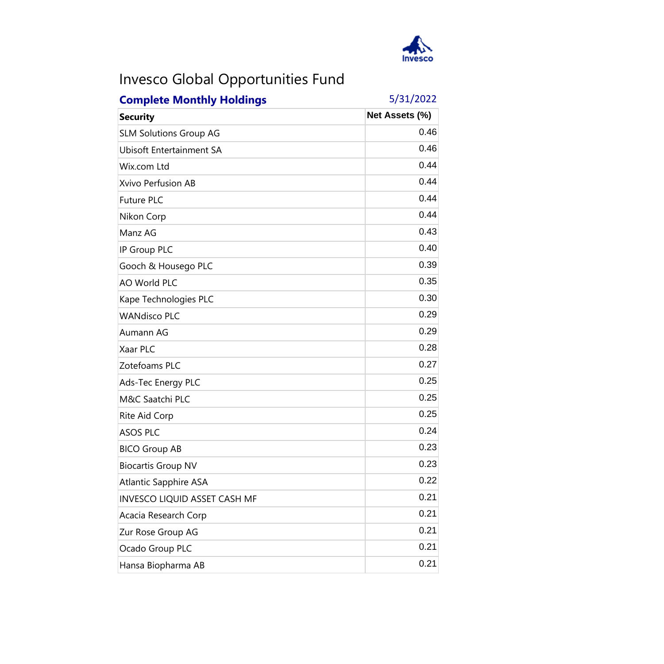

| <b>Complete Monthly Holdings</b>    | 5/31/2022      |
|-------------------------------------|----------------|
| <b>Security</b>                     | Net Assets (%) |
| <b>SLM Solutions Group AG</b>       | 0.46           |
| <b>Ubisoft Entertainment SA</b>     | 0.46           |
| Wix.com Ltd                         | 0.44           |
| Xvivo Perfusion AB                  | 0.44           |
| Future PLC                          | 0.44           |
| Nikon Corp                          | 0.44           |
| Manz AG                             | 0.43           |
| IP Group PLC                        | 0.40           |
| Gooch & Housego PLC                 | 0.39           |
| <b>AO World PLC</b>                 | 0.35           |
| Kape Technologies PLC               | 0.30           |
| <b>WANdisco PLC</b>                 | 0.29           |
| Aumann AG                           | 0.29           |
| Xaar PLC                            | 0.28           |
| Zotefoams PLC                       | 0.27           |
| Ads-Tec Energy PLC                  | 0.25           |
| M&C Saatchi PLC                     | 0.25           |
| Rite Aid Corp                       | 0.25           |
| ASOS PLC                            | 0.24           |
| <b>BICO Group AB</b>                | 0.23           |
| <b>Biocartis Group NV</b>           | 0.23           |
| <b>Atlantic Sapphire ASA</b>        | 0.22           |
| <b>INVESCO LIQUID ASSET CASH MF</b> | 0.21           |
| Acacia Research Corp                | 0.21           |
| Zur Rose Group AG                   | 0.21           |
| Ocado Group PLC                     | 0.21           |
| Hansa Biopharma AB                  | 0.21           |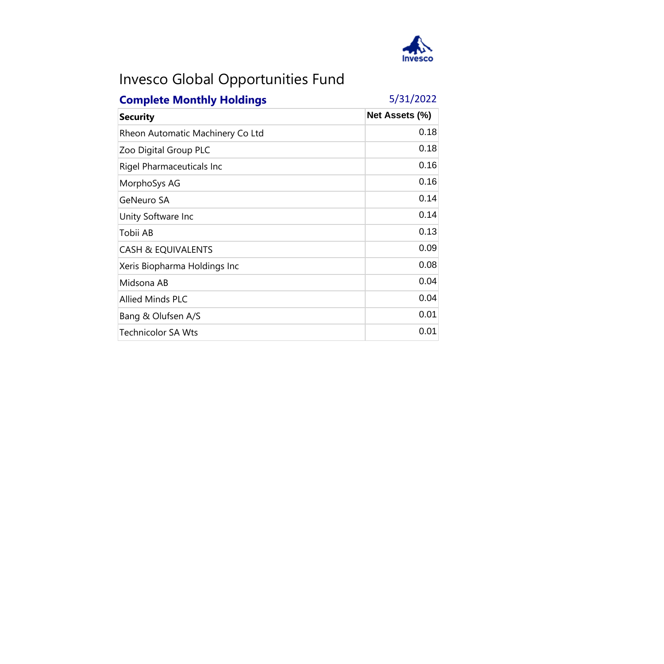

| <b>Complete Monthly Holdings</b> | 5/31/2022      |
|----------------------------------|----------------|
| <b>Security</b>                  | Net Assets (%) |
| Rheon Automatic Machinery Co Ltd | 0.18           |
| Zoo Digital Group PLC            | 0.18           |
| Rigel Pharmaceuticals Inc        | 0.16           |
| MorphoSys AG                     | 0.16           |
| GeNeuro SA                       | 0.14           |
| Unity Software Inc               | 0.14           |
| Tobii AB                         | 0.13           |
| <b>CASH &amp; EQUIVALENTS</b>    | 0.09           |
| Xeris Biopharma Holdings Inc     | 0.08           |
| Midsona AB                       | 0.04           |
| Allied Minds PLC                 | 0.04           |
| Bang & Olufsen A/S               | 0.01           |
| <b>Technicolor SA Wts</b>        | 0.01           |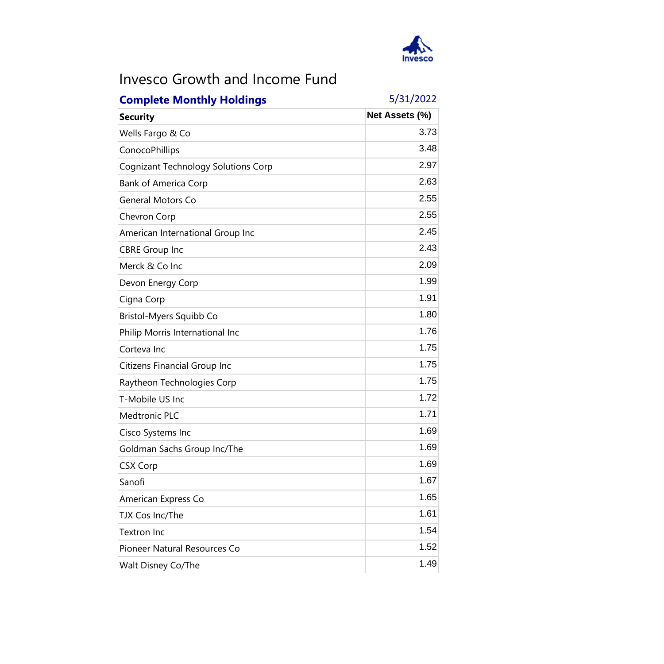

| <b>Complete Monthly Holdings</b>    | 5/31/2022      |
|-------------------------------------|----------------|
| <b>Security</b>                     | Net Assets (%) |
| Wells Fargo & Co                    | 3.73           |
| ConocoPhillips                      | 3.48           |
| Cognizant Technology Solutions Corp | 2.97           |
| <b>Bank of America Corp</b>         | 2.63           |
| General Motors Co                   | 2.55           |
| Chevron Corp                        | 2.55           |
| American International Group Inc    | 2.45           |
| <b>CBRE Group Inc</b>               | 2.43           |
| Merck & Co Inc                      | 2.09           |
| Devon Energy Corp                   | 1.99           |
| Cigna Corp                          | 1.91           |
| Bristol-Myers Squibb Co             | 1.80           |
| Philip Morris International Inc     | 1.76           |
| Corteva Inc                         | 1.75           |
| Citizens Financial Group Inc        | 1.75           |
| Raytheon Technologies Corp          | 1.75           |
| T-Mobile US Inc                     | 1.72           |
| Medtronic PLC                       | 1.71           |
| Cisco Systems Inc                   | 1.69           |
| Goldman Sachs Group Inc/The         | 1.69           |
| <b>CSX Corp</b>                     | 1.69           |
| Sanofi                              | 1.67           |
| American Express Co                 | 1.65           |
| TJX Cos Inc/The                     | 1.61           |
| <b>Textron Inc</b>                  | 1.54           |
| Pioneer Natural Resources Co        | 1.52           |
| Walt Disney Co/The                  | 1.49           |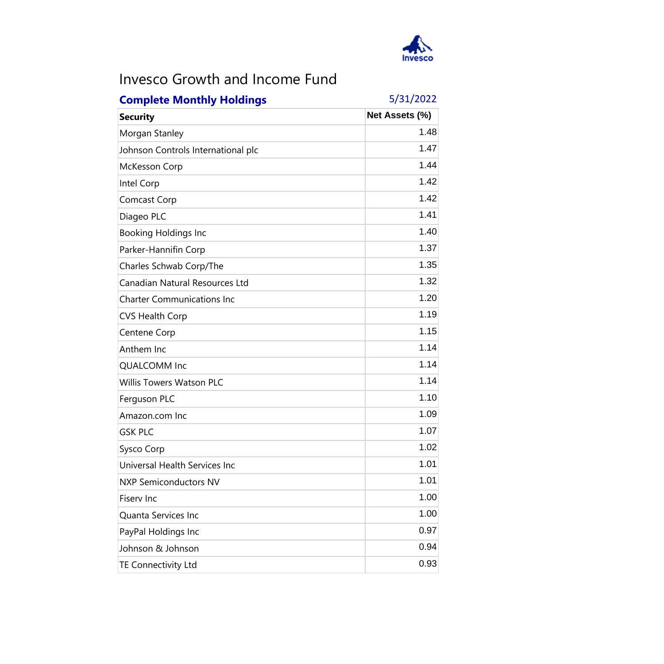

| <b>Complete Monthly Holdings</b>   | 5/31/2022      |
|------------------------------------|----------------|
| <b>Security</b>                    | Net Assets (%) |
| Morgan Stanley                     | 1.48           |
| Johnson Controls International plc | 1.47           |
| McKesson Corp                      | 1.44           |
| Intel Corp                         | 1.42           |
| Comcast Corp                       | 1.42           |
| Diageo PLC                         | 1.41           |
| <b>Booking Holdings Inc</b>        | 1.40           |
| Parker-Hannifin Corp               | 1.37           |
| Charles Schwab Corp/The            | 1.35           |
| Canadian Natural Resources Ltd     | 1.32           |
| <b>Charter Communications Inc</b>  | 1.20           |
| <b>CVS Health Corp</b>             | 1.19           |
| Centene Corp                       | 1.15           |
| Anthem Inc                         | 1.14           |
| QUALCOMM Inc                       | 1.14           |
| Willis Towers Watson PLC           | 1.14           |
| Ferguson PLC                       | 1.10           |
| Amazon.com Inc                     | 1.09           |
| <b>GSK PLC</b>                     | 1.07           |
| Sysco Corp                         | 1.02           |
| Universal Health Services Inc      | 1.01           |
| <b>NXP Semiconductors NV</b>       | 1.01           |
| Fiserv Inc                         | 1.00           |
| Quanta Services Inc                | 1.00           |
| PayPal Holdings Inc                | 0.97           |
| Johnson & Johnson                  | 0.94           |
| TE Connectivity Ltd                | 0.93           |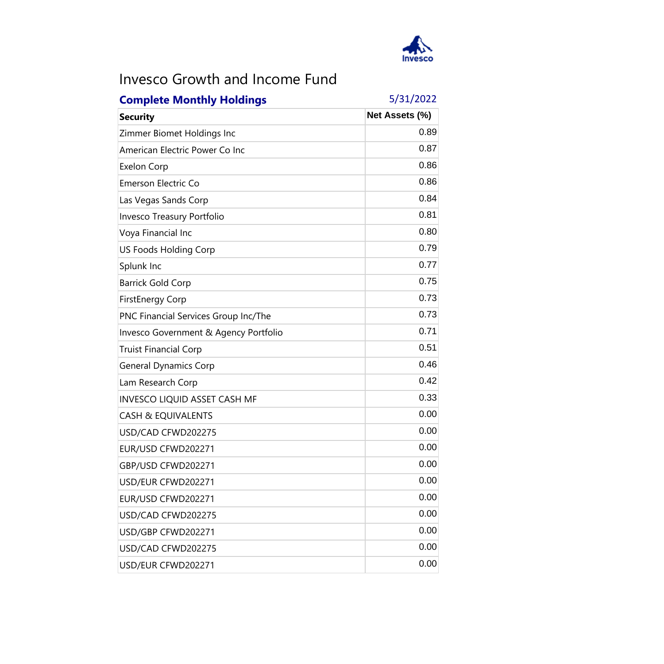

| <b>Complete Monthly Holdings</b>      | 5/31/2022      |
|---------------------------------------|----------------|
| <b>Security</b>                       | Net Assets (%) |
| Zimmer Biomet Holdings Inc            | 0.89           |
| American Electric Power Co Inc        | 0.87           |
| <b>Exelon Corp</b>                    | 0.86           |
| Emerson Electric Co                   | 0.86           |
| Las Vegas Sands Corp                  | 0.84           |
| Invesco Treasury Portfolio            | 0.81           |
| Voya Financial Inc                    | 0.80           |
| <b>US Foods Holding Corp</b>          | 0.79           |
| Splunk Inc                            | 0.77           |
| <b>Barrick Gold Corp</b>              | 0.75           |
| <b>FirstEnergy Corp</b>               | 0.73           |
| PNC Financial Services Group Inc/The  | 0.73           |
| Invesco Government & Agency Portfolio | 0.71           |
| <b>Truist Financial Corp</b>          | 0.51           |
| <b>General Dynamics Corp</b>          | 0.46           |
| Lam Research Corp                     | 0.42           |
| <b>INVESCO LIQUID ASSET CASH MF</b>   | 0.33           |
| <b>CASH &amp; EQUIVALENTS</b>         | 0.00           |
| USD/CAD CFWD202275                    | 0.00           |
| EUR/USD CFWD202271                    | 0.00           |
| GBP/USD CFWD202271                    | 0.00           |
| USD/EUR CFWD202271                    | 0.00           |
| EUR/USD CFWD202271                    | 0.00           |
| USD/CAD CFWD202275                    | 0.00           |
| USD/GBP CFWD202271                    | 0.00           |
| USD/CAD CFWD202275                    | 0.00           |
| USD/EUR CFWD202271                    | 0.00           |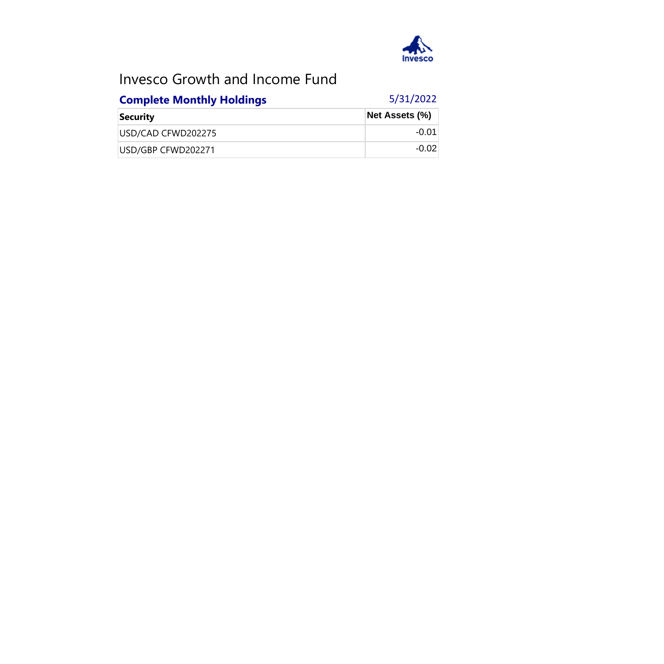

| <b>Complete Monthly Holdings</b> | 5/31/2022      |
|----------------------------------|----------------|
| <b>Security</b>                  | Net Assets (%) |
| USD/CAD CFWD202275               | $-0.01$        |
| USD/GBP CFWD202271               | $-0.02$        |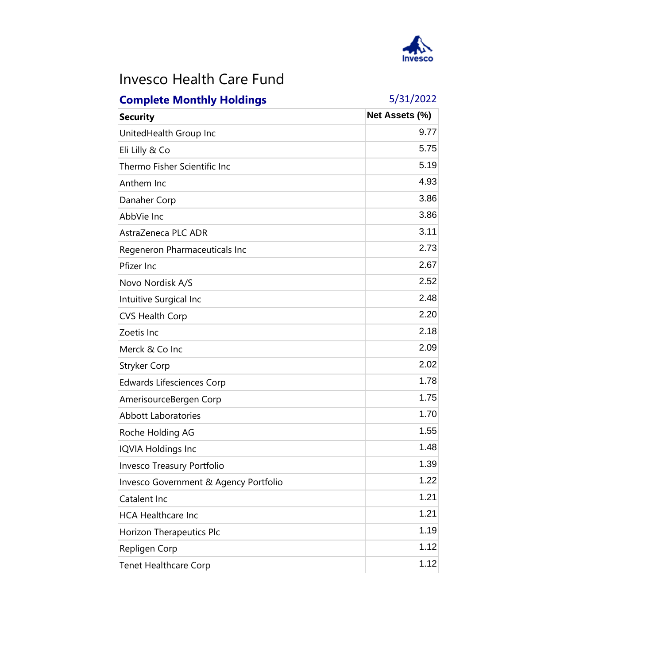

| <b>Complete Monthly Holdings</b>      | 5/31/2022      |
|---------------------------------------|----------------|
| <b>Security</b>                       | Net Assets (%) |
| UnitedHealth Group Inc                | 9.77           |
| Eli Lilly & Co                        | 5.75           |
| Thermo Fisher Scientific Inc          | 5.19           |
| Anthem Inc                            | 4.93           |
| Danaher Corp                          | 3.86           |
| AbbVie Inc                            | 3.86           |
| AstraZeneca PLC ADR                   | 3.11           |
| Regeneron Pharmaceuticals Inc         | 2.73           |
| Pfizer Inc                            | 2.67           |
| Novo Nordisk A/S                      | 2.52           |
| Intuitive Surgical Inc                | 2.48           |
| <b>CVS Health Corp</b>                | 2.20           |
| Zoetis Inc                            | 2.18           |
| Merck & Co Inc                        | 2.09           |
| <b>Stryker Corp</b>                   | 2.02           |
| <b>Edwards Lifesciences Corp</b>      | 1.78           |
| AmerisourceBergen Corp                | 1.75           |
| <b>Abbott Laboratories</b>            | 1.70           |
| Roche Holding AG                      | 1.55           |
| IQVIA Holdings Inc                    | 1.48           |
| Invesco Treasury Portfolio            | 1.39           |
| Invesco Government & Agency Portfolio | 1.22           |
| Catalent Inc                          | 1.21           |
| <b>HCA Healthcare Inc</b>             | 1.21           |
| Horizon Therapeutics Plc              | 1.19           |
| Repligen Corp                         | 1.12           |
| <b>Tenet Healthcare Corp</b>          | 1.12           |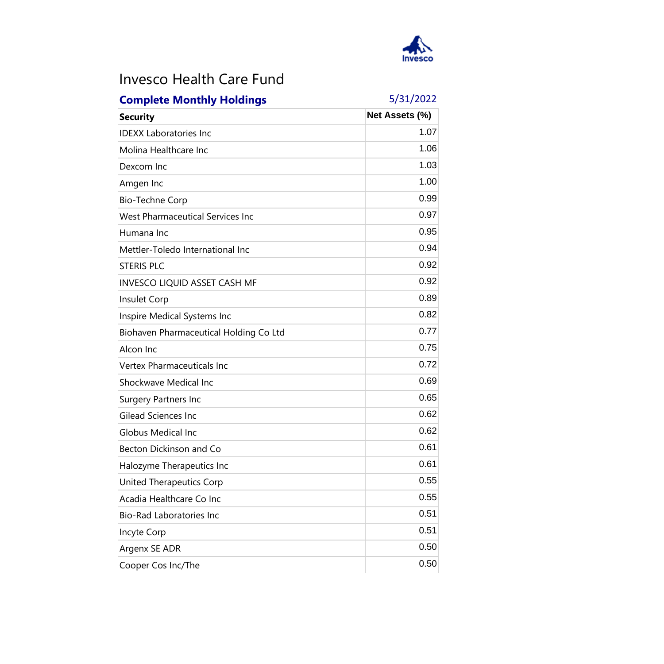

| <b>Complete Monthly Holdings</b>       | 5/31/2022      |
|----------------------------------------|----------------|
| <b>Security</b>                        | Net Assets (%) |
| <b>IDEXX Laboratories Inc</b>          | 1.07           |
| Molina Healthcare Inc                  | 1.06           |
| Dexcom Inc                             | 1.03           |
| Amgen Inc                              | 1.00           |
| <b>Bio-Techne Corp</b>                 | 0.99           |
| West Pharmaceutical Services Inc       | 0.97           |
| Humana Inc                             | 0.95           |
| Mettler-Toledo International Inc       | 0.94           |
| <b>STERIS PLC</b>                      | 0.92           |
| INVESCO LIQUID ASSET CASH MF           | 0.92           |
| Insulet Corp                           | 0.89           |
| Inspire Medical Systems Inc            | 0.82           |
| Biohaven Pharmaceutical Holding Co Ltd | 0.77           |
| Alcon Inc                              | 0.75           |
| Vertex Pharmaceuticals Inc             | 0.72           |
| Shockwave Medical Inc                  | 0.69           |
| Surgery Partners Inc                   | 0.65           |
| <b>Gilead Sciences Inc</b>             | 0.62           |
| <b>Globus Medical Inc</b>              | 0.62           |
| Becton Dickinson and Co                | 0.61           |
| Halozyme Therapeutics Inc              | 0.61           |
| <b>United Therapeutics Corp</b>        | 0.55           |
| Acadia Healthcare Co Inc               | 0.55           |
| <b>Bio-Rad Laboratories Inc</b>        | 0.51           |
| Incyte Corp                            | 0.51           |
| Argenx SE ADR                          | 0.50           |
| Cooper Cos Inc/The                     | 0.50           |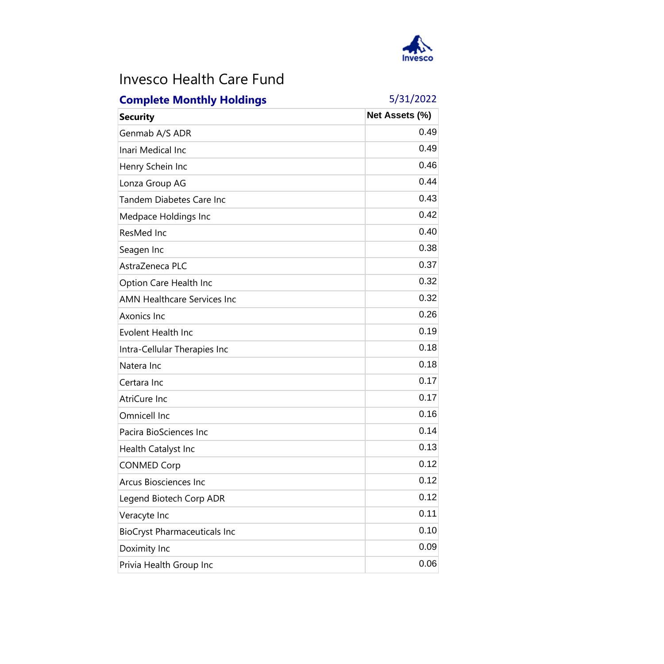

| <b>Complete Monthly Holdings</b>    | 5/31/2022      |
|-------------------------------------|----------------|
| <b>Security</b>                     | Net Assets (%) |
| Genmab A/S ADR                      | 0.49           |
| Inari Medical Inc                   | 0.49           |
| Henry Schein Inc                    | 0.46           |
| Lonza Group AG                      | 0.44           |
| Tandem Diabetes Care Inc            | 0.43           |
| Medpace Holdings Inc                | 0.42           |
| ResMed Inc                          | 0.40           |
| Seagen Inc                          | 0.38           |
| AstraZeneca PLC                     | 0.37           |
| Option Care Health Inc              | 0.32           |
| <b>AMN Healthcare Services Inc</b>  | 0.32           |
| Axonics Inc                         | 0.26           |
| Evolent Health Inc                  | 0.19           |
| Intra-Cellular Therapies Inc        | 0.18           |
| Natera Inc                          | 0.18           |
| Certara Inc                         | 0.17           |
| AtriCure Inc                        | 0.17           |
| Omnicell Inc                        | 0.16           |
| Pacira BioSciences Inc              | 0.14           |
| Health Catalyst Inc                 | 0.13           |
| <b>CONMED Corp</b>                  | 0.12           |
| Arcus Biosciences Inc               | 0.12           |
| Legend Biotech Corp ADR             | 0.12           |
| Veracyte Inc                        | 0.11           |
| <b>BioCryst Pharmaceuticals Inc</b> | 0.10           |
| Doximity Inc                        | 0.09           |
| Privia Health Group Inc             | 0.06           |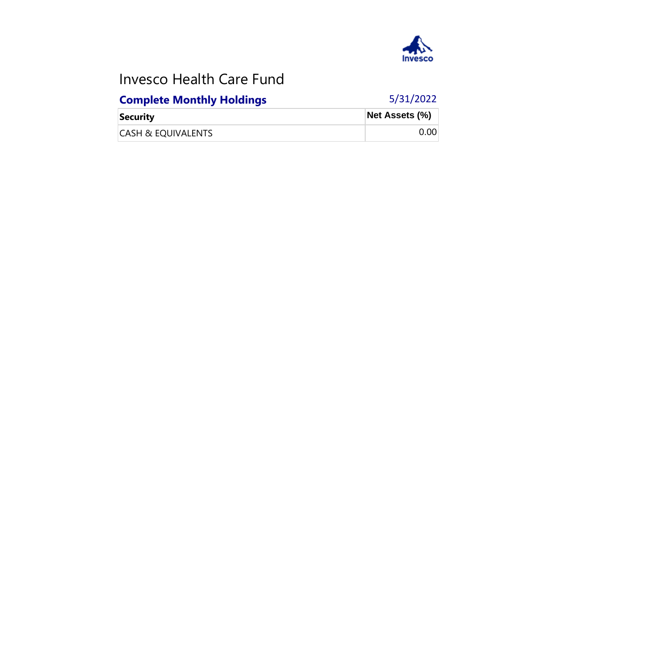

| <b>Complete Monthly Holdings</b> | 5/31/2022      |  |
|----------------------------------|----------------|--|
| Security                         | Net Assets (%) |  |
| <b>CASH &amp; EQUIVALENTS</b>    | 0.00           |  |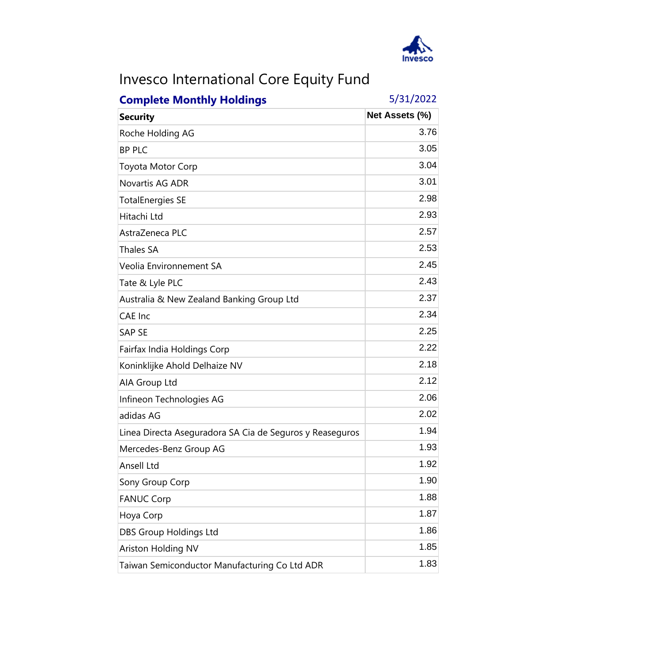

| <b>Complete Monthly Holdings</b>                         | 5/31/2022      |
|----------------------------------------------------------|----------------|
| <b>Security</b>                                          | Net Assets (%) |
| Roche Holding AG                                         | 3.76           |
| <b>BP PLC</b>                                            | 3.05           |
| Toyota Motor Corp                                        | 3.04           |
| Novartis AG ADR                                          | 3.01           |
| <b>TotalEnergies SE</b>                                  | 2.98           |
| Hitachi Ltd                                              | 2.93           |
| AstraZeneca PLC                                          | 2.57           |
| Thales SA                                                | 2.53           |
| Veolia Environnement SA                                  | 2.45           |
| Tate & Lyle PLC                                          | 2.43           |
| Australia & New Zealand Banking Group Ltd                | 2.37           |
| CAE Inc                                                  | 2.34           |
| SAP SE                                                   | 2.25           |
| Fairfax India Holdings Corp                              | 2.22           |
| Koninklijke Ahold Delhaize NV                            | 2.18           |
| AIA Group Ltd                                            | 2.12           |
| Infineon Technologies AG                                 | 2.06           |
| adidas AG                                                | 2.02           |
| Linea Directa Aseguradora SA Cia de Seguros y Reaseguros | 1.94           |
| Mercedes-Benz Group AG                                   | 1.93           |
| Ansell Ltd                                               | 1.92           |
| Sony Group Corp                                          | 1.90           |
| <b>FANUC Corp</b>                                        | 1.88           |
| Hoya Corp                                                | 1.87           |
| DBS Group Holdings Ltd                                   | 1.86           |
| Ariston Holding NV                                       | 1.85           |
| Taiwan Semiconductor Manufacturing Co Ltd ADR            | 1.83           |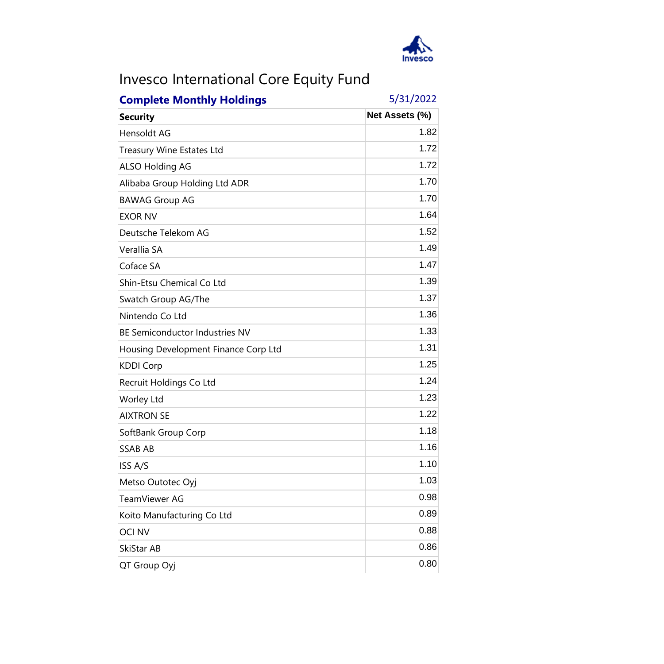

| <b>Complete Monthly Holdings</b>     | 5/31/2022      |
|--------------------------------------|----------------|
| <b>Security</b>                      | Net Assets (%) |
| Hensoldt AG                          | 1.82           |
| Treasury Wine Estates Ltd            | 1.72           |
| ALSO Holding AG                      | 1.72           |
| Alibaba Group Holding Ltd ADR        | 1.70           |
| <b>BAWAG Group AG</b>                | 1.70           |
| <b>EXOR NV</b>                       | 1.64           |
| Deutsche Telekom AG                  | 1.52           |
| Verallia SA                          | 1.49           |
| Coface SA                            | 1.47           |
| Shin-Etsu Chemical Co Ltd            | 1.39           |
| Swatch Group AG/The                  | 1.37           |
| Nintendo Co Ltd                      | 1.36           |
| BE Semiconductor Industries NV       | 1.33           |
| Housing Development Finance Corp Ltd | 1.31           |
| <b>KDDI Corp</b>                     | 1.25           |
| Recruit Holdings Co Ltd              | 1.24           |
| Worley Ltd                           | 1.23           |
| <b>AIXTRON SE</b>                    | 1.22           |
| SoftBank Group Corp                  | 1.18           |
| SSAB AB                              | 1.16           |
| ISS A/S                              | 1.10           |
| Metso Outotec Oyj                    | 1.03           |
| TeamViewer AG                        | 0.98           |
| Koito Manufacturing Co Ltd           | 0.89           |
| <b>OCI NV</b>                        | 0.88           |
| SkiStar AB                           | 0.86           |
| QT Group Oyj                         | 0.80           |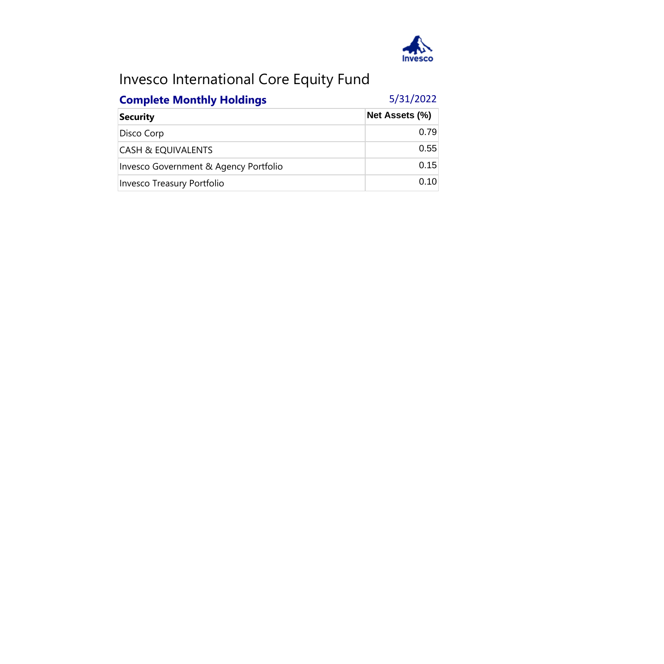

| <b>Complete Monthly Holdings</b>      | 5/31/2022      |
|---------------------------------------|----------------|
| <b>Security</b>                       | Net Assets (%) |
| Disco Corp                            | 0.79           |
| <b>CASH &amp; EQUIVALENTS</b>         | 0.55           |
| Invesco Government & Agency Portfolio | 0.15           |
| Invesco Treasury Portfolio            | 0.10           |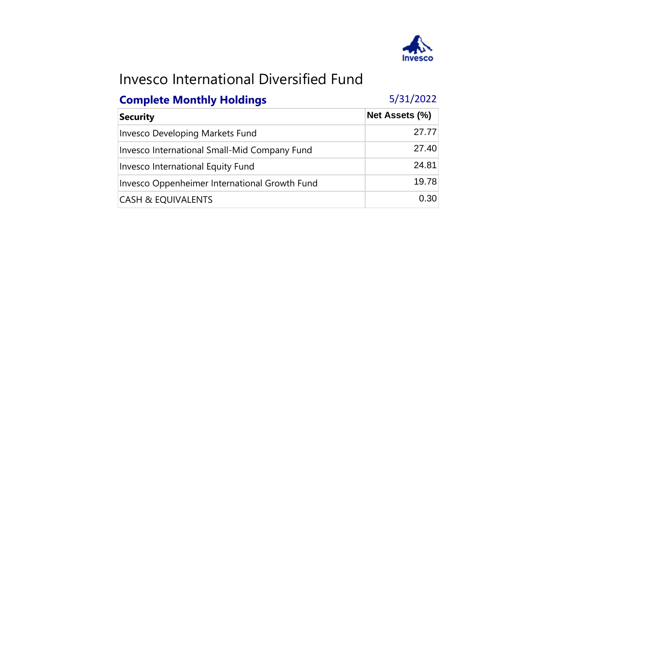

### Invesco International Diversified Fund

| <b>Complete Monthly Holdings</b>              | 5/31/2022      |
|-----------------------------------------------|----------------|
| <b>Security</b>                               | Net Assets (%) |
| Invesco Developing Markets Fund               | 27.77          |
| Invesco International Small-Mid Company Fund  | 27.40          |
| Invesco International Equity Fund             | 24.81          |
| Invesco Oppenheimer International Growth Fund | 19.78          |
| <b>CASH &amp; EQUIVALENTS</b>                 | 0.30           |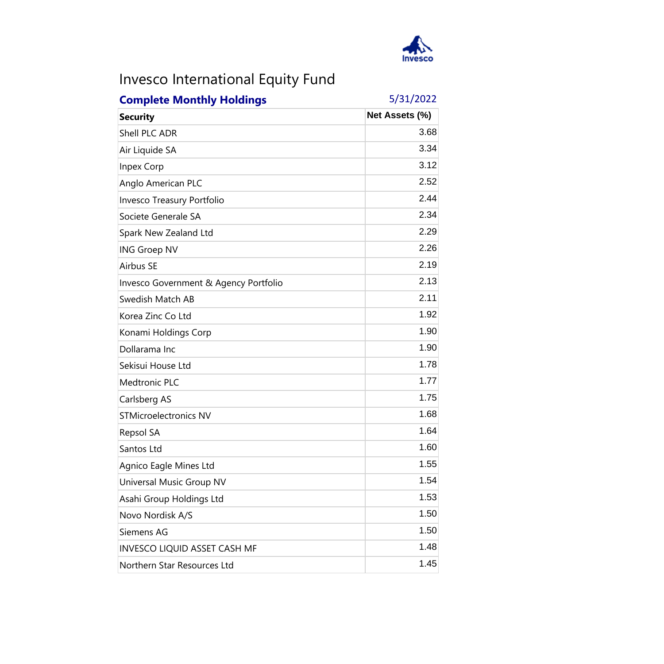

| <b>Complete Monthly Holdings</b>      | 5/31/2022      |
|---------------------------------------|----------------|
| <b>Security</b>                       | Net Assets (%) |
| Shell PLC ADR                         | 3.68           |
| Air Liquide SA                        | 3.34           |
| Inpex Corp                            | 3.12           |
| Anglo American PLC                    | 2.52           |
| Invesco Treasury Portfolio            | 2.44           |
| Societe Generale SA                   | 2.34           |
| Spark New Zealand Ltd                 | 2.29           |
| <b>ING Groep NV</b>                   | 2.26           |
| <b>Airbus SE</b>                      | 2.19           |
| Invesco Government & Agency Portfolio | 2.13           |
| Swedish Match AB                      | 2.11           |
| Korea Zinc Co Ltd                     | 1.92           |
| Konami Holdings Corp                  | 1.90           |
| Dollarama Inc                         | 1.90           |
| Sekisui House Ltd                     | 1.78           |
| Medtronic PLC                         | 1.77           |
| Carlsberg AS                          | 1.75           |
| <b>STMicroelectronics NV</b>          | 1.68           |
| Repsol SA                             | 1.64           |
| Santos Ltd                            | 1.60           |
| Agnico Eagle Mines Ltd                | 1.55           |
| <b>Universal Music Group NV</b>       | 1.54           |
| Asahi Group Holdings Ltd              | 1.53           |
| Novo Nordisk A/S                      | 1.50           |
| Siemens AG                            | 1.50           |
| <b>INVESCO LIQUID ASSET CASH MF</b>   | 1.48           |
| Northern Star Resources Ltd           | 1.45           |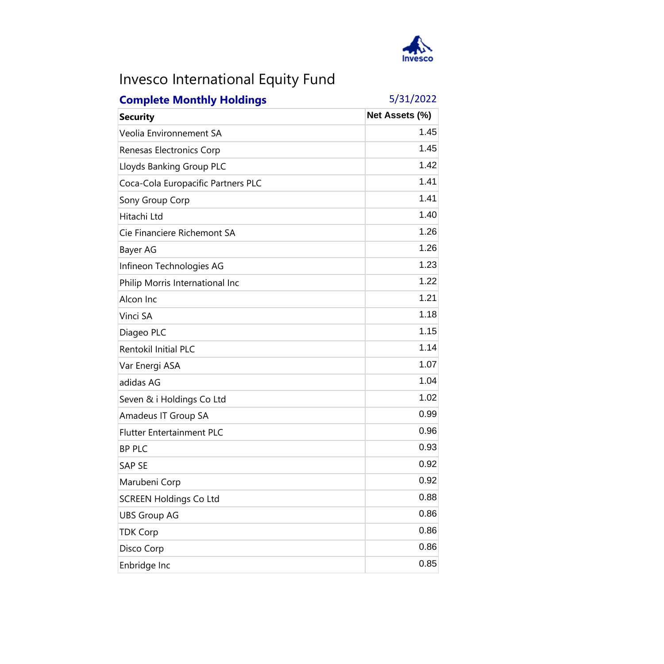

| <b>Complete Monthly Holdings</b>   | 5/31/2022      |
|------------------------------------|----------------|
| <b>Security</b>                    | Net Assets (%) |
| Veolia Environnement SA            | 1.45           |
| Renesas Electronics Corp           | 1.45           |
| Lloyds Banking Group PLC           | 1.42           |
| Coca-Cola Europacific Partners PLC | 1.41           |
| Sony Group Corp                    | 1.41           |
| Hitachi Ltd                        | 1.40           |
| Cie Financiere Richemont SA        | 1.26           |
| Bayer AG                           | 1.26           |
| Infineon Technologies AG           | 1.23           |
| Philip Morris International Inc    | 1.22           |
| Alcon Inc                          | 1.21           |
| Vinci SA                           | 1.18           |
| Diageo PLC                         | 1.15           |
| Rentokil Initial PLC               | 1.14           |
| Var Energi ASA                     | 1.07           |
| adidas AG                          | 1.04           |
| Seven & i Holdings Co Ltd          | 1.02           |
| Amadeus IT Group SA                | 0.99           |
| <b>Flutter Entertainment PLC</b>   | 0.96           |
| <b>BP PLC</b>                      | 0.93           |
| <b>SAP SE</b>                      | 0.92           |
| Marubeni Corp                      | 0.92           |
| <b>SCREEN Holdings Co Ltd</b>      | 0.88           |
| <b>UBS Group AG</b>                | 0.86           |
| <b>TDK Corp</b>                    | 0.86           |
| Disco Corp                         | 0.86           |
| Enbridge Inc                       | 0.85           |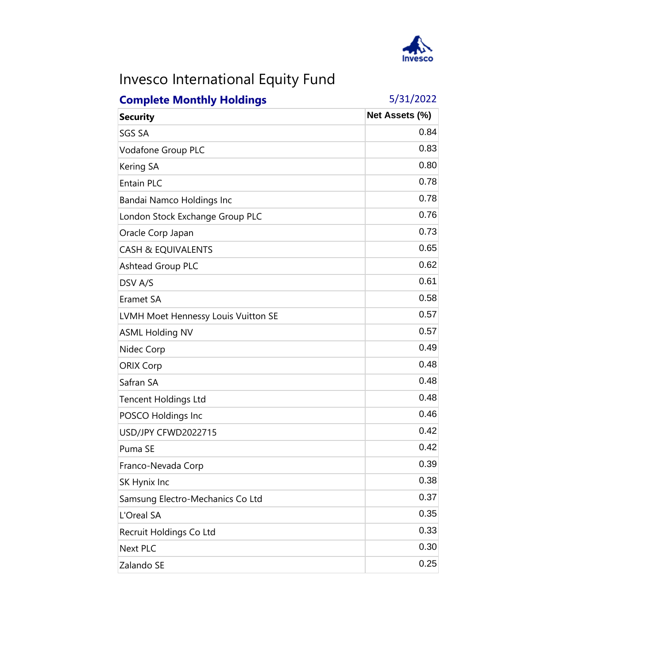

| <b>Complete Monthly Holdings</b>    | 5/31/2022      |
|-------------------------------------|----------------|
| <b>Security</b>                     | Net Assets (%) |
| <b>SGS SA</b>                       | 0.84           |
| Vodafone Group PLC                  | 0.83           |
| Kering SA                           | 0.80           |
| Entain PLC                          | 0.78           |
| Bandai Namco Holdings Inc           | 0.78           |
| London Stock Exchange Group PLC     | 0.76           |
| Oracle Corp Japan                   | 0.73           |
| <b>CASH &amp; EQUIVALENTS</b>       | 0.65           |
| Ashtead Group PLC                   | 0.62           |
| DSV A/S                             | 0.61           |
| Eramet SA                           | 0.58           |
| LVMH Moet Hennessy Louis Vuitton SE | 0.57           |
| <b>ASML Holding NV</b>              | 0.57           |
| Nidec Corp                          | 0.49           |
| <b>ORIX Corp</b>                    | 0.48           |
| Safran SA                           | 0.48           |
| <b>Tencent Holdings Ltd</b>         | 0.48           |
| POSCO Holdings Inc                  | 0.46           |
| USD/JPY CFWD2022715                 | 0.42           |
| Puma SE                             | 0.42           |
| Franco-Nevada Corp                  | 0.39           |
| SK Hynix Inc                        | 0.38           |
| Samsung Electro-Mechanics Co Ltd    | 0.37           |
| L'Oreal SA                          | 0.35           |
| Recruit Holdings Co Ltd             | 0.33           |
| Next PLC                            | 0.30           |
| Zalando SE                          | 0.25           |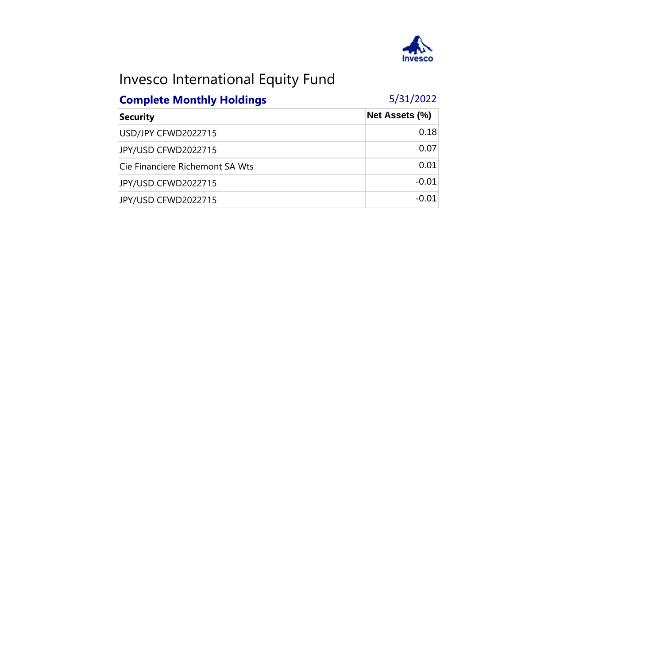

| <b>Complete Monthly Holdings</b> | 5/31/2022      |
|----------------------------------|----------------|
| <b>Security</b>                  | Net Assets (%) |
| USD/JPY CFWD2022715              | 0.18           |
| JPY/USD CFWD2022715              | 0.07           |
| Cie Financiere Richemont SA Wts  | 0.01           |
| JPY/USD CFWD2022715              | $-0.01$        |
| JPY/USD CFWD2022715              | $-0.01$        |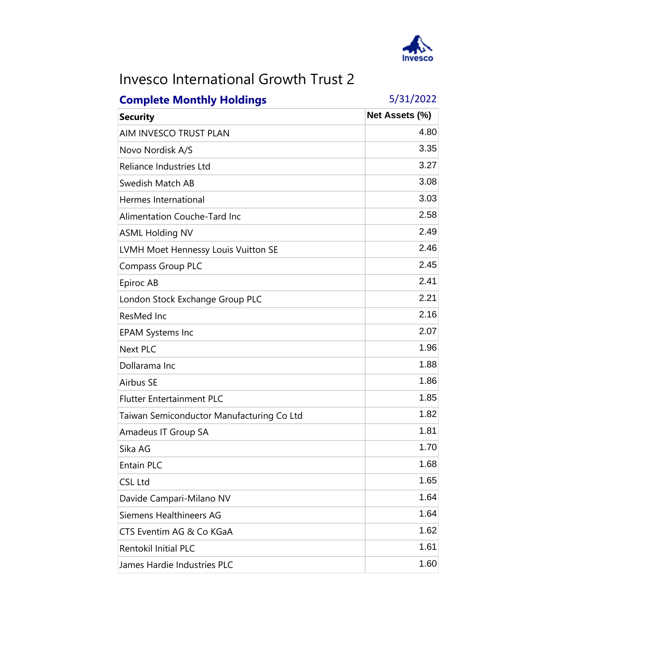

### Invesco International Growth Trust 2

| <b>Complete Monthly Holdings</b>          | 5/31/2022      |
|-------------------------------------------|----------------|
| <b>Security</b>                           | Net Assets (%) |
| AIM INVESCO TRUST PLAN                    | 4.80           |
| Novo Nordisk A/S                          | 3.35           |
| Reliance Industries Ltd                   | 3.27           |
| Swedish Match AB                          | 3.08           |
| Hermes International                      | 3.03           |
| Alimentation Couche-Tard Inc              | 2.58           |
| <b>ASML Holding NV</b>                    | 2.49           |
| LVMH Moet Hennessy Louis Vuitton SE       | 2.46           |
| Compass Group PLC                         | 2.45           |
| Epiroc AB                                 | 2.41           |
| London Stock Exchange Group PLC           | 2.21           |
| <b>ResMed Inc</b>                         | 2.16           |
| <b>EPAM Systems Inc</b>                   | 2.07           |
| Next PLC                                  | 1.96           |
| Dollarama Inc                             | 1.88           |
| <b>Airbus SE</b>                          | 1.86           |
| <b>Flutter Entertainment PLC</b>          | 1.85           |
| Taiwan Semiconductor Manufacturing Co Ltd | 1.82           |
| Amadeus IT Group SA                       | 1.81           |
| Sika AG                                   | 1.70           |
| Entain PLC                                | 1.68           |
| <b>CSL Ltd</b>                            | 1.65           |
| Davide Campari-Milano NV                  | 1.64           |
| Siemens Healthineers AG                   | 1.64           |
| CTS Eventim AG & Co KGaA                  | 1.62           |
| <b>Rentokil Initial PLC</b>               | 1.61           |
| James Hardie Industries PLC               | 1.60           |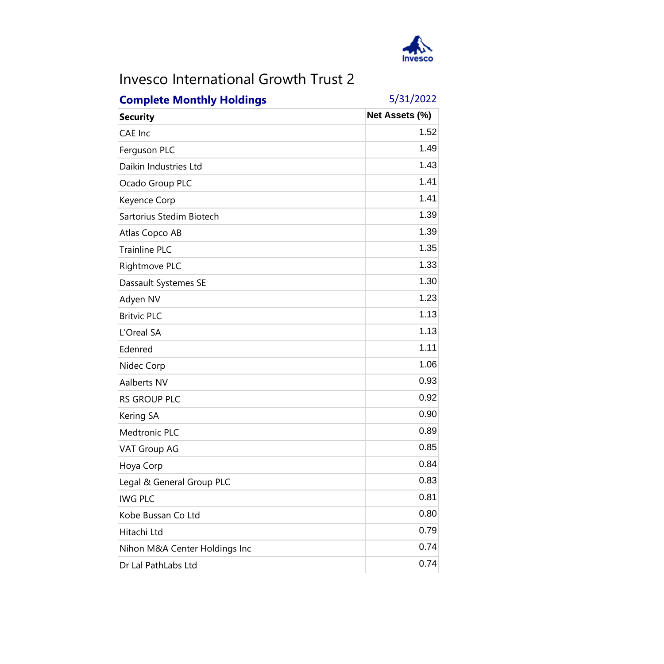

### Invesco International Growth Trust 2

| <b>Complete Monthly Holdings</b> | 5/31/2022      |
|----------------------------------|----------------|
| <b>Security</b>                  | Net Assets (%) |
| CAE Inc                          | 1.52           |
| Ferguson PLC                     | 1.49           |
| Daikin Industries Ltd            | 1.43           |
| Ocado Group PLC                  | 1.41           |
| Keyence Corp                     | 1.41           |
| Sartorius Stedim Biotech         | 1.39           |
| Atlas Copco AB                   | 1.39           |
| <b>Trainline PLC</b>             | 1.35           |
| Rightmove PLC                    | 1.33           |
| Dassault Systemes SE             | 1.30           |
| Adyen NV                         | 1.23           |
| <b>Britvic PLC</b>               | 1.13           |
| L'Oreal SA                       | 1.13           |
| Edenred                          | 1.11           |
| Nidec Corp                       | 1.06           |
| Aalberts NV                      | 0.93           |
| <b>RS GROUP PLC</b>              | 0.92           |
| Kering SA                        | 0.90           |
| Medtronic PLC                    | 0.89           |
| VAT Group AG                     | 0.85           |
| Hoya Corp                        | 0.84           |
| Legal & General Group PLC        | 0.83           |
| <b>IWG PLC</b>                   | 0.81           |
| Kobe Bussan Co Ltd               | 0.80           |
| Hitachi Ltd                      | 0.79           |
| Nihon M&A Center Holdings Inc    | 0.74           |
| Dr Lal PathLabs Ltd              | 0.74           |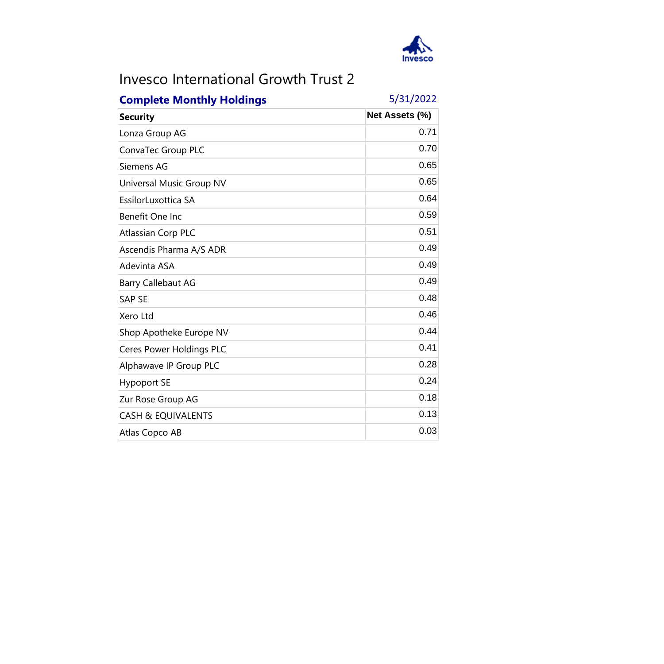

### Invesco International Growth Trust 2

| <b>Complete Monthly Holdings</b> | 5/31/2022      |
|----------------------------------|----------------|
| <b>Security</b>                  | Net Assets (%) |
| Lonza Group AG                   | 0.71           |
| ConvaTec Group PLC               | 0.70           |
| Siemens AG                       | 0.65           |
| Universal Music Group NV         | 0.65           |
| EssilorLuxottica SA              | 0.64           |
| Benefit One Inc                  | 0.59           |
| Atlassian Corp PLC               | 0.51           |
| Ascendis Pharma A/S ADR          | 0.49           |
| Adevinta ASA                     | 0.49           |
| <b>Barry Callebaut AG</b>        | 0.49           |
| <b>SAP SE</b>                    | 0.48           |
| Xero Ltd                         | 0.46           |
| Shop Apotheke Europe NV          | 0.44           |
| Ceres Power Holdings PLC         | 0.41           |
| Alphawave IP Group PLC           | 0.28           |
| <b>Hypoport SE</b>               | 0.24           |
| Zur Rose Group AG                | 0.18           |
| CASH & EQUIVALENTS               | 0.13           |
| Atlas Copco AB                   | 0.03           |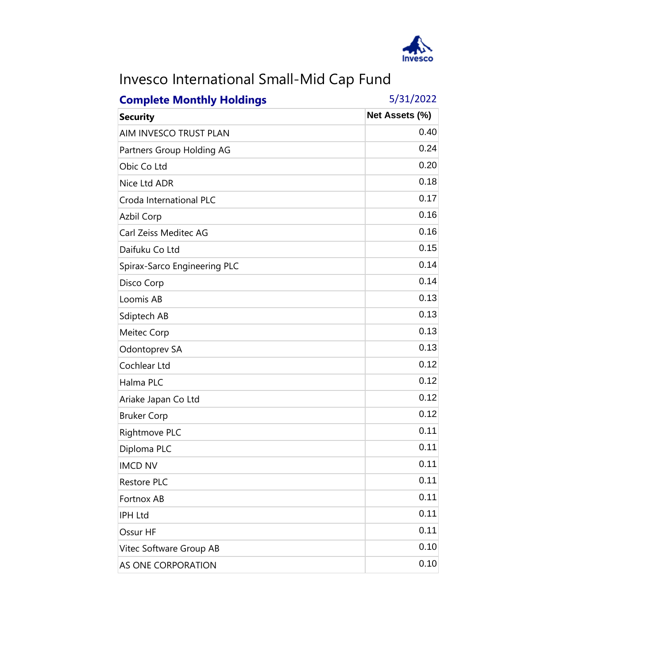

| <b>Complete Monthly Holdings</b> | 5/31/2022      |
|----------------------------------|----------------|
| <b>Security</b>                  | Net Assets (%) |
| AIM INVESCO TRUST PLAN           | 0.40           |
| Partners Group Holding AG        | 0.24           |
| Obic Co Ltd                      | 0.20           |
| Nice Ltd ADR                     | 0.18           |
| Croda International PLC          | 0.17           |
| Azbil Corp                       | 0.16           |
| Carl Zeiss Meditec AG            | 0.16           |
| Daifuku Co Ltd                   | 0.15           |
| Spirax-Sarco Engineering PLC     | 0.14           |
| Disco Corp                       | 0.14           |
| Loomis AB                        | 0.13           |
| Sdiptech AB                      | 0.13           |
| Meitec Corp                      | 0.13           |
| Odontoprev SA                    | 0.13           |
| Cochlear Ltd                     | 0.12           |
| Halma PLC                        | 0.12           |
| Ariake Japan Co Ltd              | 0.12           |
| <b>Bruker Corp</b>               | 0.12           |
| Rightmove PLC                    | 0.11           |
| Diploma PLC                      | 0.11           |
| <b>IMCD NV</b>                   | 0.11           |
| Restore PLC                      | 0.11           |
| Fortnox AB                       | 0.11           |
| <b>IPH Ltd</b>                   | 0.11           |
| Ossur HF                         | 0.11           |
| Vitec Software Group AB          | 0.10           |
| AS ONE CORPORATION               | 0.10           |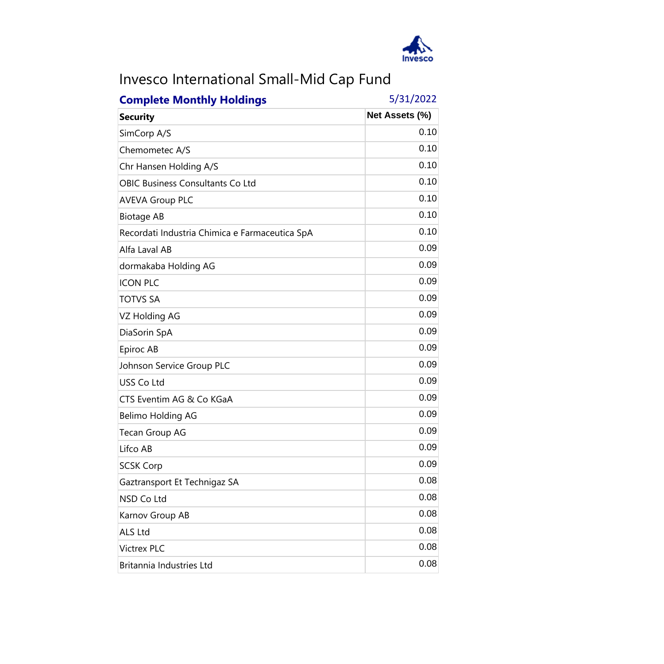

| <b>Complete Monthly Holdings</b>               | 5/31/2022      |
|------------------------------------------------|----------------|
| <b>Security</b>                                | Net Assets (%) |
| SimCorp A/S                                    | 0.10           |
| Chemometec A/S                                 | 0.10           |
| Chr Hansen Holding A/S                         | 0.10           |
| OBIC Business Consultants Co Ltd               | 0.10           |
| <b>AVEVA Group PLC</b>                         | 0.10           |
| <b>Biotage AB</b>                              | 0.10           |
| Recordati Industria Chimica e Farmaceutica SpA | 0.10           |
| Alfa Laval AB                                  | 0.09           |
| dormakaba Holding AG                           | 0.09           |
| <b>ICON PLC</b>                                | 0.09           |
| <b>TOTVS SA</b>                                | 0.09           |
| VZ Holding AG                                  | 0.09           |
| DiaSorin SpA                                   | 0.09           |
| Epiroc AB                                      | 0.09           |
| Johnson Service Group PLC                      | 0.09           |
| USS Co Ltd                                     | 0.09           |
| CTS Eventim AG & Co KGaA                       | 0.09           |
| Belimo Holding AG                              | 0.09           |
| Tecan Group AG                                 | 0.09           |
| Lifco AB                                       | 0.09           |
| <b>SCSK Corp</b>                               | 0.09           |
| Gaztransport Et Technigaz SA                   | 0.08           |
| NSD Co Ltd                                     | 0.08           |
| Karnov Group AB                                | 0.08           |
| ALS Ltd                                        | 0.08           |
| Victrex PLC                                    | 0.08           |
| Britannia Industries Ltd                       | 0.08           |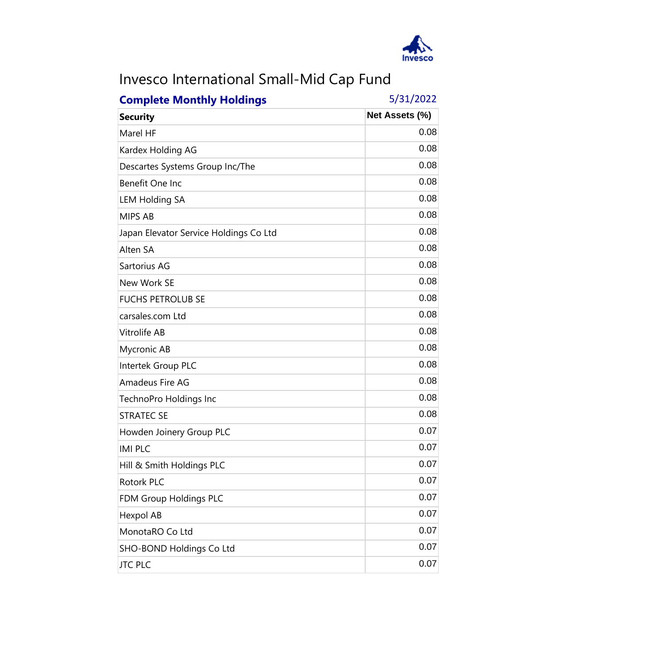

| <b>Complete Monthly Holdings</b>       | 5/31/2022      |
|----------------------------------------|----------------|
| <b>Security</b>                        | Net Assets (%) |
| Marel HF                               | 0.08           |
| Kardex Holding AG                      | 0.08           |
| Descartes Systems Group Inc/The        | 0.08           |
| Benefit One Inc                        | 0.08           |
| <b>LEM Holding SA</b>                  | 0.08           |
| MIPS AB                                | 0.08           |
| Japan Elevator Service Holdings Co Ltd | 0.08           |
| Alten SA                               | 0.08           |
| Sartorius AG                           | 0.08           |
| New Work SE                            | 0.08           |
| <b>FUCHS PETROLUB SE</b>               | 0.08           |
| carsales.com Ltd                       | 0.08           |
| Vitrolife AB                           | 0.08           |
| Mycronic AB                            | 0.08           |
| Intertek Group PLC                     | 0.08           |
| Amadeus Fire AG                        | 0.08           |
| TechnoPro Holdings Inc                 | 0.08           |
| <b>STRATEC SE</b>                      | 0.08           |
| Howden Joinery Group PLC               | 0.07           |
| <b>IMI PLC</b>                         | 0.07           |
| Hill & Smith Holdings PLC              | 0.07           |
| Rotork PLC                             | 0.07           |
| FDM Group Holdings PLC                 | 0.07           |
| Hexpol AB                              | 0.07           |
| MonotaRO Co Ltd                        | 0.07           |
| SHO-BOND Holdings Co Ltd               | 0.07           |
| <b>JTC PLC</b>                         | 0.07           |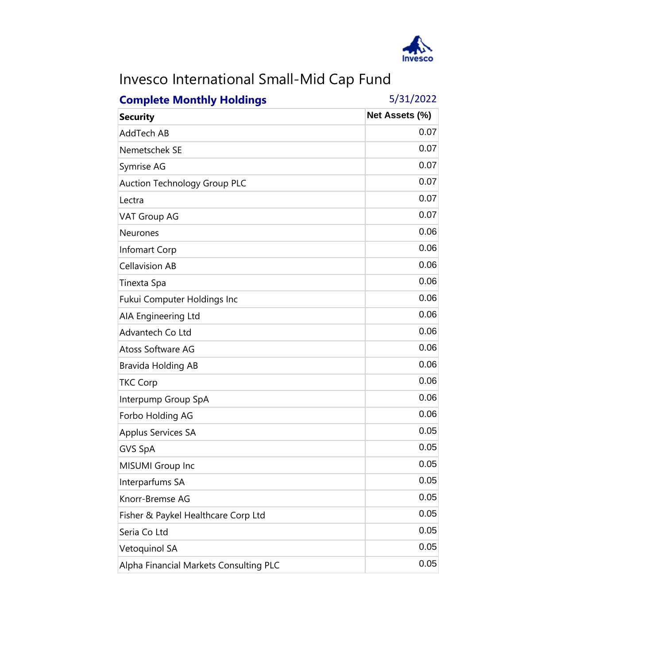

| <b>Complete Monthly Holdings</b>       | 5/31/2022      |
|----------------------------------------|----------------|
| <b>Security</b>                        | Net Assets (%) |
| AddTech AB                             | 0.07           |
| Nemetschek SE                          | 0.07           |
| Symrise AG                             | 0.07           |
| <b>Auction Technology Group PLC</b>    | 0.07           |
| Lectra                                 | 0.07           |
| <b>VAT Group AG</b>                    | 0.07           |
| <b>Neurones</b>                        | 0.06           |
| Infomart Corp                          | 0.06           |
| <b>Cellavision AB</b>                  | 0.06           |
| Tinexta Spa                            | 0.06           |
| Fukui Computer Holdings Inc            | 0.06           |
| AIA Engineering Ltd                    | 0.06           |
| Advantech Co Ltd                       | 0.06           |
| Atoss Software AG                      | 0.06           |
| Bravida Holding AB                     | 0.06           |
| <b>TKC Corp</b>                        | 0.06           |
| Interpump Group SpA                    | 0.06           |
| Forbo Holding AG                       | 0.06           |
| Applus Services SA                     | 0.05           |
| GVS SpA                                | 0.05           |
| MISUMI Group Inc                       | 0.05           |
| Interparfums SA                        | 0.05           |
| Knorr-Bremse AG                        | 0.05           |
| Fisher & Paykel Healthcare Corp Ltd    | 0.05           |
| Seria Co Ltd                           | 0.05           |
| Vetoquinol SA                          | 0.05           |
| Alpha Financial Markets Consulting PLC | 0.05           |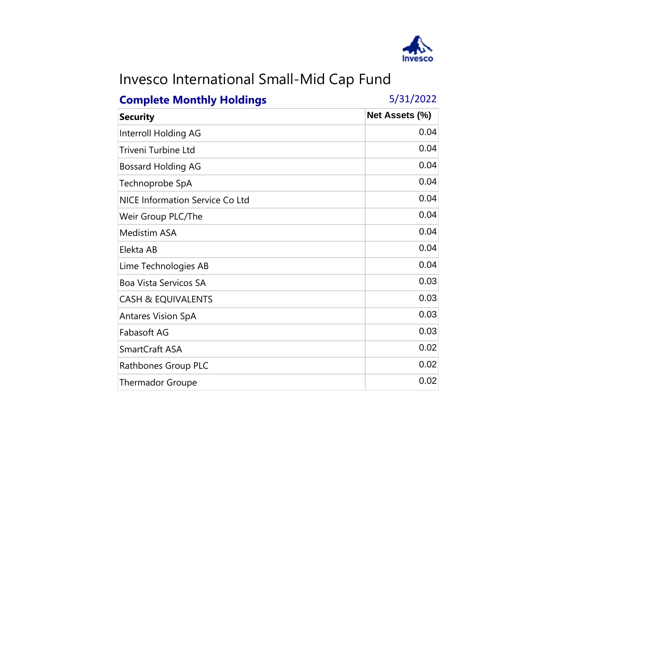

| <b>Complete Monthly Holdings</b> | 5/31/2022      |
|----------------------------------|----------------|
| <b>Security</b>                  | Net Assets (%) |
| Interroll Holding AG             | 0.04           |
| Triveni Turbine Ltd              | 0.04           |
| <b>Bossard Holding AG</b>        | 0.04           |
| Technoprobe SpA                  | 0.04           |
| NICE Information Service Co Ltd  | 0.04           |
| Weir Group PLC/The               | 0.04           |
| Medistim ASA                     | 0.04           |
| Elekta AB                        | 0.04           |
| Lime Technologies AB             | 0.04           |
| Boa Vista Servicos SA            | 0.03           |
| CASH & EQUIVALENTS               | 0.03           |
| <b>Antares Vision SpA</b>        | 0.03           |
| Fabasoft AG                      | 0.03           |
| SmartCraft ASA                   | 0.02           |
| Rathbones Group PLC              | 0.02           |
| Thermador Groupe                 | 0.02           |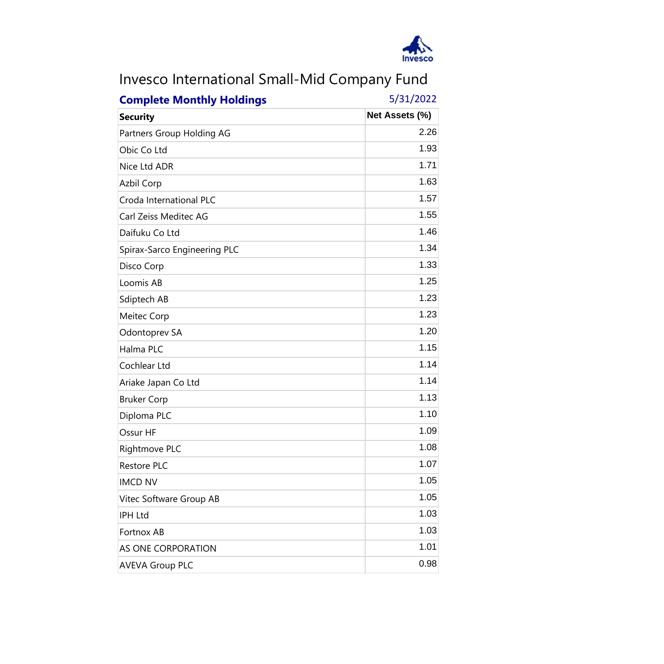

| <b>Invesco International Small-Mid Company Fund</b> |  |  |
|-----------------------------------------------------|--|--|
|                                                     |  |  |

| <b>Complete Monthly Holdings</b> | 5/31/2022      |
|----------------------------------|----------------|
| <b>Security</b>                  | Net Assets (%) |
| Partners Group Holding AG        | 2.26           |
| Obic Co Ltd                      | 1.93           |
| Nice Ltd ADR                     | 1.71           |
| Azbil Corp                       | 1.63           |
| Croda International PLC          | 1.57           |
| Carl Zeiss Meditec AG            | 1.55           |
| Daifuku Co Ltd                   | 1.46           |
| Spirax-Sarco Engineering PLC     | 1.34           |
| Disco Corp                       | 1.33           |
| Loomis AB                        | 1.25           |
| Sdiptech AB                      | 1.23           |
| Meitec Corp                      | 1.23           |
| Odontoprev SA                    | 1.20           |
| Halma PLC                        | 1.15           |
| Cochlear Ltd                     | 1.14           |
| Ariake Japan Co Ltd              | 1.14           |
| <b>Bruker Corp</b>               | 1.13           |
| Diploma PLC                      | 1.10           |
| Ossur HF                         | 1.09           |
| Rightmove PLC                    | 1.08           |
| <b>Restore PLC</b>               | 1.07           |
| <b>IMCD NV</b>                   | 1.05           |
| Vitec Software Group AB          | 1.05           |
| <b>IPH Ltd</b>                   | 1.03           |
| Fortnox AB                       | 1.03           |
| AS ONE CORPORATION               | 1.01           |
| <b>AVEVA Group PLC</b>           | 0.98           |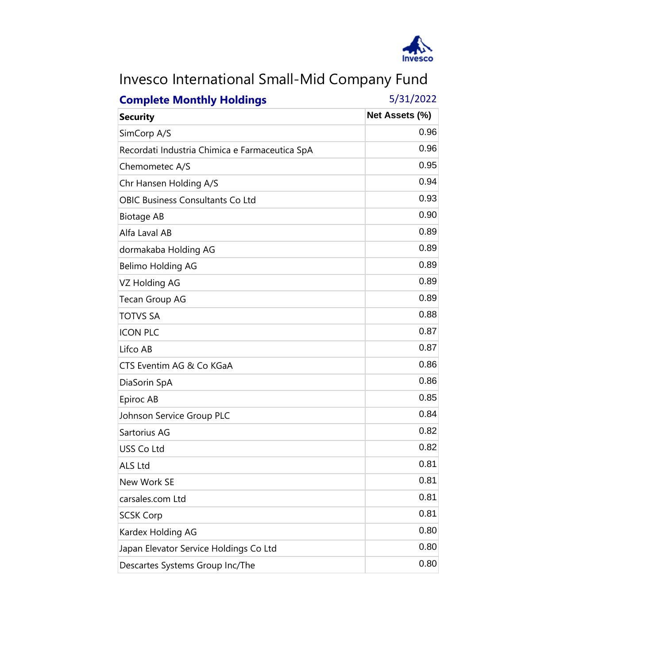

# Invesco International Small-Mid Company Fund

| <b>Complete Monthly Holdings</b>               | 5/31/2022      |
|------------------------------------------------|----------------|
| <b>Security</b>                                | Net Assets (%) |
| SimCorp A/S                                    | 0.96           |
| Recordati Industria Chimica e Farmaceutica SpA | 0.96           |
| Chemometec A/S                                 | 0.95           |
| Chr Hansen Holding A/S                         | 0.94           |
| OBIC Business Consultants Co Ltd               | 0.93           |
| <b>Biotage AB</b>                              | 0.90           |
| Alfa Laval AB                                  | 0.89           |
| dormakaba Holding AG                           | 0.89           |
| Belimo Holding AG                              | 0.89           |
| VZ Holding AG                                  | 0.89           |
| Tecan Group AG                                 | 0.89           |
| <b>TOTVS SA</b>                                | 0.88           |
| <b>ICON PLC</b>                                | 0.87           |
| Lifco AB                                       | 0.87           |
| CTS Eventim AG & Co KGaA                       | 0.86           |
| DiaSorin SpA                                   | 0.86           |
| Epiroc AB                                      | 0.85           |
| Johnson Service Group PLC                      | 0.84           |
| Sartorius AG                                   | 0.82           |
| USS Co Ltd                                     | 0.82           |
| ALS Ltd                                        | 0.81           |
| New Work SE                                    | 0.81           |
| carsales.com Ltd                               | 0.81           |
| <b>SCSK Corp</b>                               | 0.81           |
| Kardex Holding AG                              | 0.80           |
| Japan Elevator Service Holdings Co Ltd         | 0.80           |
| Descartes Systems Group Inc/The                | 0.80           |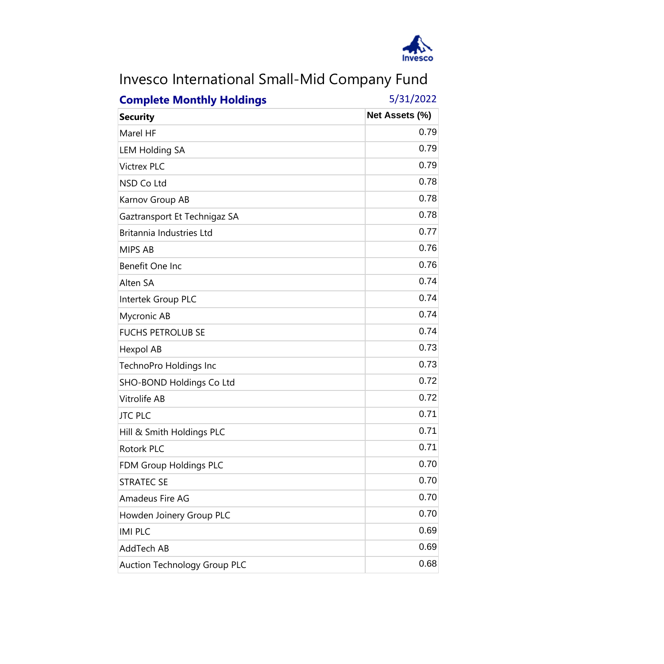

Invesco International Small-Mid Company Fund

| <b>Complete Monthly Holdings</b>    | 5/31/2022      |  |
|-------------------------------------|----------------|--|
| <b>Security</b>                     | Net Assets (%) |  |
| Marel HF                            | 0.79           |  |
| <b>LEM Holding SA</b>               | 0.79           |  |
| <b>Victrex PLC</b>                  | 0.79           |  |
| NSD Co Ltd                          | 0.78           |  |
| Karnov Group AB                     | 0.78           |  |
| Gaztransport Et Technigaz SA        | 0.78           |  |
| Britannia Industries Ltd            | 0.77           |  |
| MIPS AB                             | 0.76           |  |
| Benefit One Inc                     | 0.76           |  |
| Alten SA                            | 0.74           |  |
| Intertek Group PLC                  | 0.74           |  |
| Mycronic AB                         | 0.74           |  |
| <b>FUCHS PETROLUB SE</b>            | 0.74           |  |
| Hexpol AB                           | 0.73           |  |
| TechnoPro Holdings Inc              | 0.73           |  |
| SHO-BOND Holdings Co Ltd            | 0.72           |  |
| Vitrolife AB                        | 0.72           |  |
| <b>JTC PLC</b>                      | 0.71           |  |
| Hill & Smith Holdings PLC           | 0.71           |  |
| Rotork PLC                          | 0.71           |  |
| FDM Group Holdings PLC              | 0.70           |  |
| <b>STRATEC SE</b>                   | 0.70           |  |
| Amadeus Fire AG                     | 0.70           |  |
| Howden Joinery Group PLC            | 0.70           |  |
| <b>IMI PLC</b>                      | 0.69           |  |
| AddTech AB                          | 0.69           |  |
| <b>Auction Technology Group PLC</b> | 0.68           |  |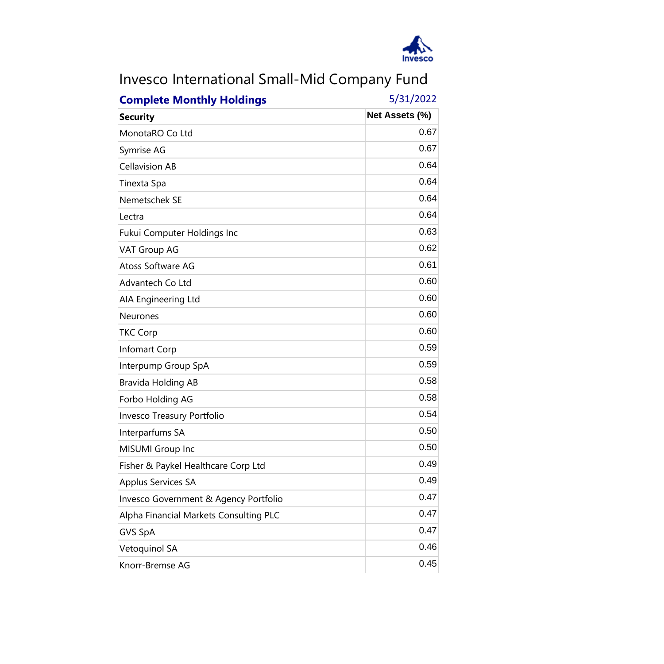

| Invesco International Small-Mid Company Fund |  |
|----------------------------------------------|--|
|----------------------------------------------|--|

| <b>Complete Monthly Holdings</b>       | 5/31/2022      |  |
|----------------------------------------|----------------|--|
| <b>Security</b>                        | Net Assets (%) |  |
| MonotaRO Co Ltd                        | 0.67           |  |
| Symrise AG                             | 0.67           |  |
| <b>Cellavision AB</b>                  | 0.64           |  |
| Tinexta Spa                            | 0.64           |  |
| Nemetschek SE                          | 0.64           |  |
| Lectra                                 | 0.64           |  |
| Fukui Computer Holdings Inc            | 0.63           |  |
| VAT Group AG                           | 0.62           |  |
| Atoss Software AG                      | 0.61           |  |
| Advantech Co Ltd                       | 0.60           |  |
| AIA Engineering Ltd                    | 0.60           |  |
| <b>Neurones</b>                        | 0.60           |  |
| <b>TKC Corp</b>                        | 0.60           |  |
| Infomart Corp                          | 0.59           |  |
| Interpump Group SpA                    | 0.59           |  |
| Bravida Holding AB                     | 0.58           |  |
| Forbo Holding AG                       | 0.58           |  |
| Invesco Treasury Portfolio             | 0.54           |  |
| Interparfums SA                        | 0.50           |  |
| MISUMI Group Inc                       | 0.50           |  |
| Fisher & Paykel Healthcare Corp Ltd    | 0.49           |  |
| Applus Services SA                     | 0.49           |  |
| Invesco Government & Agency Portfolio  | 0.47           |  |
| Alpha Financial Markets Consulting PLC | 0.47           |  |
| <b>GVS SpA</b>                         | 0.47           |  |
| Vetoquinol SA                          | 0.46           |  |
| Knorr-Bremse AG                        | 0.45           |  |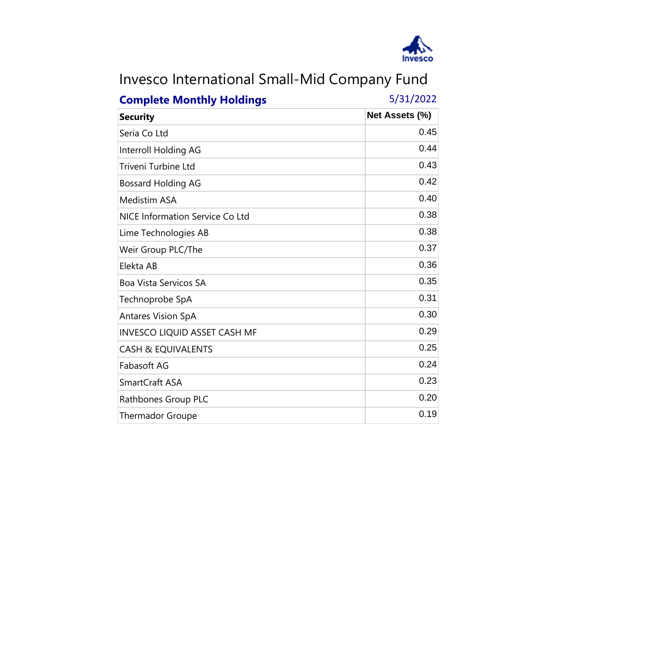

| <b>Invesco International Small-Mid Company Fund</b> |  |  |
|-----------------------------------------------------|--|--|
|                                                     |  |  |

| <b>Complete Monthly Holdings</b>    | 5/31/2022      |
|-------------------------------------|----------------|
| <b>Security</b>                     | Net Assets (%) |
| Seria Co Ltd                        | 0.45           |
| Interroll Holding AG                | 0.44           |
| Triveni Turbine Ltd                 | 0.43           |
| <b>Bossard Holding AG</b>           | 0.42           |
| Medistim ASA                        | 0.40           |
| NICE Information Service Co Ltd     | 0.38           |
| Lime Technologies AB                | 0.38           |
| Weir Group PLC/The                  | 0.37           |
| Elekta AB                           | 0.36           |
| <b>Boa Vista Servicos SA</b>        | 0.35           |
| Technoprobe SpA                     | 0.31           |
| <b>Antares Vision SpA</b>           | 0.30           |
| <b>INVESCO LIQUID ASSET CASH MF</b> | 0.29           |
| CASH & EQUIVALENTS                  | 0.25           |
| Fabasoft AG                         | 0.24           |
| SmartCraft ASA                      | 0.23           |
| Rathbones Group PLC                 | 0.20           |
| Thermador Groupe                    | 0.19           |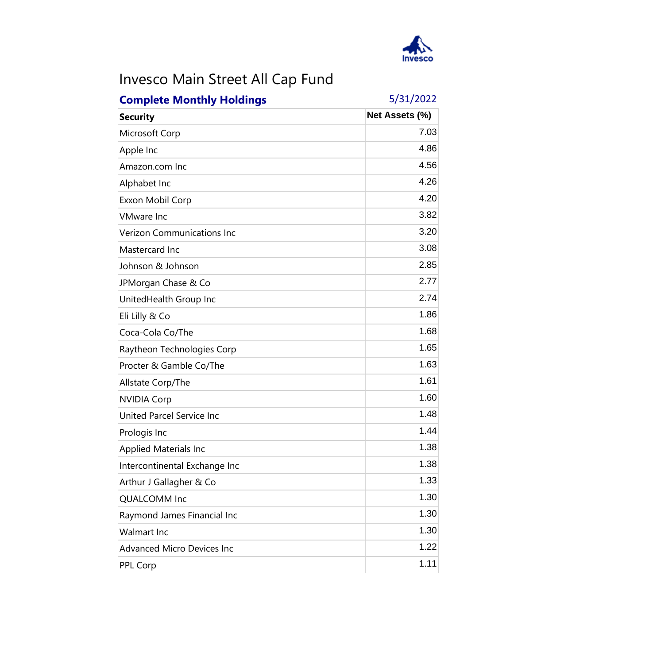

| <b>Complete Monthly Holdings</b>  | 5/31/2022      |
|-----------------------------------|----------------|
| <b>Security</b>                   | Net Assets (%) |
| Microsoft Corp                    | 7.03           |
| Apple Inc                         | 4.86           |
| Amazon.com Inc                    | 4.56           |
| Alphabet Inc                      | 4.26           |
| Exxon Mobil Corp                  | 4.20           |
| <b>VMware Inc</b>                 | 3.82           |
| <b>Verizon Communications Inc</b> | 3.20           |
| Mastercard Inc                    | 3.08           |
| Johnson & Johnson                 | 2.85           |
| JPMorgan Chase & Co               | 2.77           |
| UnitedHealth Group Inc            | 2.74           |
| Eli Lilly & Co                    | 1.86           |
| Coca-Cola Co/The                  | 1.68           |
| Raytheon Technologies Corp        | 1.65           |
| Procter & Gamble Co/The           | 1.63           |
| Allstate Corp/The                 | 1.61           |
| <b>NVIDIA Corp</b>                | 1.60           |
| United Parcel Service Inc         | 1.48           |
| Prologis Inc                      | 1.44           |
| <b>Applied Materials Inc</b>      | 1.38           |
| Intercontinental Exchange Inc     | 1.38           |
| Arthur J Gallagher & Co           | 1.33           |
| <b>QUALCOMM Inc</b>               | 1.30           |
| Raymond James Financial Inc       | 1.30           |
| Walmart Inc                       | 1.30           |
| <b>Advanced Micro Devices Inc</b> | 1.22           |
| PPL Corp                          | 1.11           |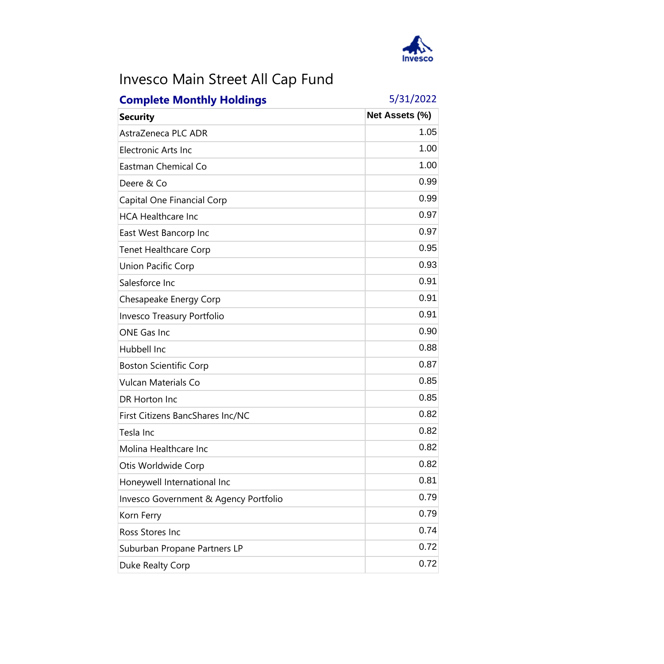

| <b>Complete Monthly Holdings</b>      | 5/31/2022      |
|---------------------------------------|----------------|
| <b>Security</b>                       | Net Assets (%) |
| AstraZeneca PLC ADR                   | 1.05           |
| Electronic Arts Inc                   | 1.00           |
| Eastman Chemical Co                   | 1.00           |
| Deere & Co                            | 0.99           |
| Capital One Financial Corp            | 0.99           |
| <b>HCA Healthcare Inc</b>             | 0.97           |
| East West Bancorp Inc                 | 0.97           |
| Tenet Healthcare Corp                 | 0.95           |
| Union Pacific Corp                    | 0.93           |
| Salesforce Inc                        | 0.91           |
| Chesapeake Energy Corp                | 0.91           |
| Invesco Treasury Portfolio            | 0.91           |
| <b>ONE Gas Inc</b>                    | 0.90           |
| Hubbell Inc                           | 0.88           |
| <b>Boston Scientific Corp</b>         | 0.87           |
| <b>Vulcan Materials Co</b>            | 0.85           |
| DR Horton Inc                         | 0.85           |
| First Citizens BancShares Inc/NC      | 0.82           |
| Tesla Inc                             | 0.82           |
| Molina Healthcare Inc                 | 0.82           |
| Otis Worldwide Corp                   | 0.82           |
| Honeywell International Inc           | 0.81           |
| Invesco Government & Agency Portfolio | 0.79           |
| Korn Ferry                            | 0.79           |
| Ross Stores Inc                       | 0.74           |
| Suburban Propane Partners LP          | 0.72           |
| Duke Realty Corp                      | 0.72           |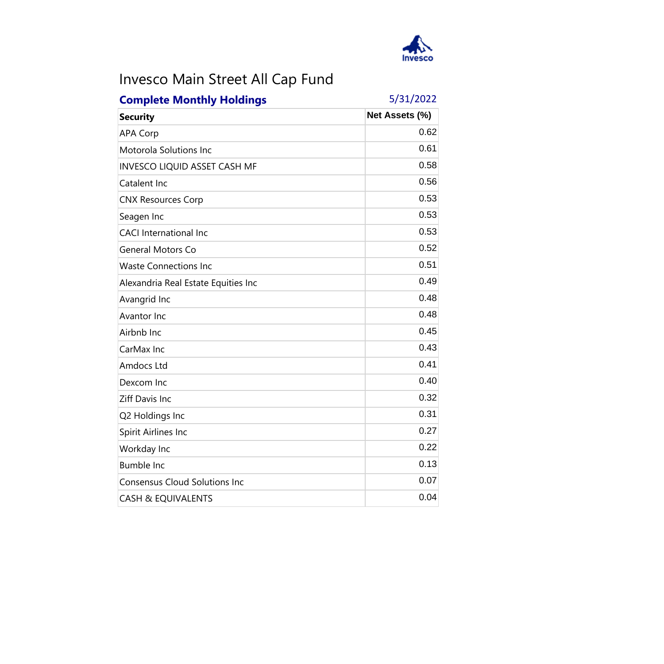

| <b>Complete Monthly Holdings</b>     | 5/31/2022      |  |
|--------------------------------------|----------------|--|
| <b>Security</b>                      | Net Assets (%) |  |
| <b>APA Corp</b>                      | 0.62           |  |
| Motorola Solutions Inc               | 0.61           |  |
| <b>INVESCO LIQUID ASSET CASH MF</b>  | 0.58           |  |
| Catalent Inc                         | 0.56           |  |
| <b>CNX Resources Corp</b>            | 0.53           |  |
| Seagen Inc                           | 0.53           |  |
| <b>CACI</b> International Inc        | 0.53           |  |
| <b>General Motors Co</b>             | 0.52           |  |
| <b>Waste Connections Inc</b>         | 0.51           |  |
| Alexandria Real Estate Equities Inc  | 0.49           |  |
| Avangrid Inc                         | 0.48           |  |
| Avantor Inc                          | 0.48           |  |
| Airbnb Inc                           | 0.45           |  |
| CarMax Inc                           | 0.43           |  |
| Amdocs Ltd                           | 0.41           |  |
| Dexcom Inc                           | 0.40           |  |
| <b>Ziff Davis Inc</b>                | 0.32           |  |
| Q2 Holdings Inc                      | 0.31           |  |
| Spirit Airlines Inc                  | 0.27           |  |
| Workday Inc                          | 0.22           |  |
| <b>Bumble Inc</b>                    | 0.13           |  |
| <b>Consensus Cloud Solutions Inc</b> | 0.07           |  |
| <b>CASH &amp; EQUIVALENTS</b>        | 0.04           |  |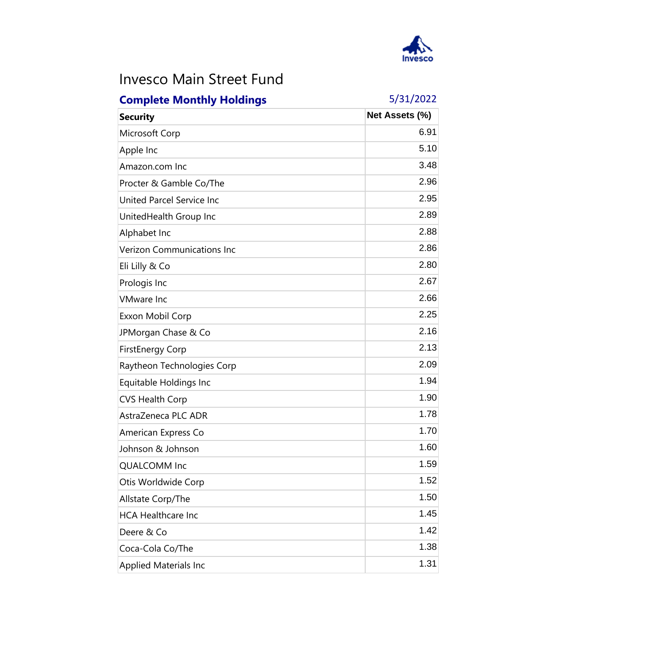

#### Invesco Main Street Fund

| <b>Complete Monthly Holdings</b>  | 5/31/2022      |
|-----------------------------------|----------------|
| <b>Security</b>                   | Net Assets (%) |
| Microsoft Corp                    | 6.91           |
| Apple Inc                         | 5.10           |
| Amazon.com Inc                    | 3.48           |
| Procter & Gamble Co/The           | 2.96           |
| United Parcel Service Inc         | 2.95           |
| UnitedHealth Group Inc            | 2.89           |
| Alphabet Inc                      | 2.88           |
| <b>Verizon Communications Inc</b> | 2.86           |
| Eli Lilly & Co                    | 2.80           |
| Prologis Inc                      | 2.67           |
| <b>VMware Inc</b>                 | 2.66           |
| Exxon Mobil Corp                  | 2.25           |
| JPMorgan Chase & Co               | 2.16           |
| <b>FirstEnergy Corp</b>           | 2.13           |
| Raytheon Technologies Corp        | 2.09           |
| Equitable Holdings Inc            | 1.94           |
| CVS Health Corp                   | 1.90           |
| AstraZeneca PLC ADR               | 1.78           |
| American Express Co               | 1.70           |
| Johnson & Johnson                 | 1.60           |
| QUALCOMM Inc                      | 1.59           |
| Otis Worldwide Corp               | 1.52           |
| Allstate Corp/The                 | 1.50           |
| HCA Healthcare Inc                | 1.45           |
| Deere & Co                        | 1.42           |
| Coca-Cola Co/The                  | 1.38           |
| Applied Materials Inc             | 1.31           |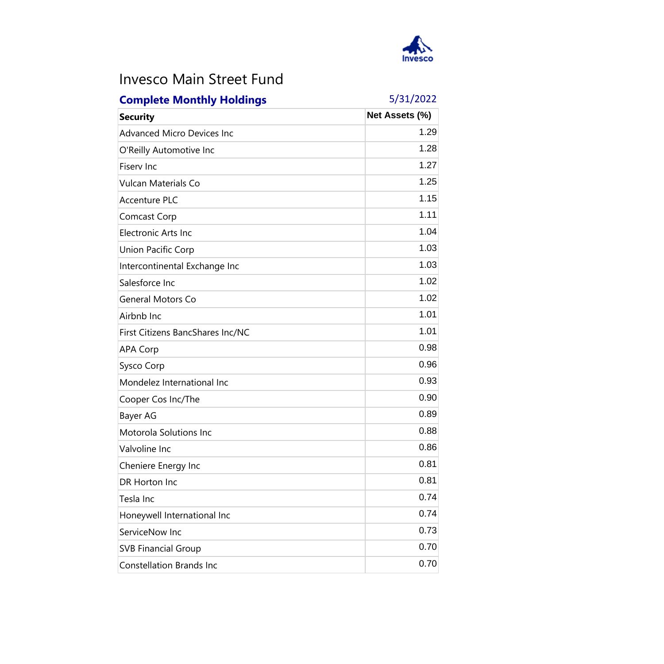

#### Invesco Main Street Fund

| <b>Complete Monthly Holdings</b>  | 5/31/2022      |  |
|-----------------------------------|----------------|--|
| <b>Security</b>                   | Net Assets (%) |  |
| <b>Advanced Micro Devices Inc</b> | 1.29           |  |
| O'Reilly Automotive Inc           | 1.28           |  |
| Fiserv Inc                        | 1.27           |  |
| <b>Vulcan Materials Co</b>        | 1.25           |  |
| <b>Accenture PLC</b>              | 1.15           |  |
| Comcast Corp                      | 1.11           |  |
| Electronic Arts Inc               | 1.04           |  |
| Union Pacific Corp                | 1.03           |  |
| Intercontinental Exchange Inc     | 1.03           |  |
| Salesforce Inc                    | 1.02           |  |
| <b>General Motors Co</b>          | 1.02           |  |
| Airbnb Inc                        | 1.01           |  |
| First Citizens BancShares Inc/NC  | 1.01           |  |
| <b>APA Corp</b>                   | 0.98           |  |
| Sysco Corp                        | 0.96           |  |
| Mondelez International Inc        | 0.93           |  |
| Cooper Cos Inc/The                | 0.90           |  |
| Bayer AG                          | 0.89           |  |
| Motorola Solutions Inc            | 0.88           |  |
| Valvoline Inc                     | 0.86           |  |
| Cheniere Energy Inc               | 0.81           |  |
| DR Horton Inc                     | 0.81           |  |
| Tesla Inc                         | 0.74           |  |
| Honeywell International Inc       | 0.74           |  |
| ServiceNow Inc                    | 0.73           |  |
| <b>SVB Financial Group</b>        | 0.70           |  |
| <b>Constellation Brands Inc</b>   | 0.70           |  |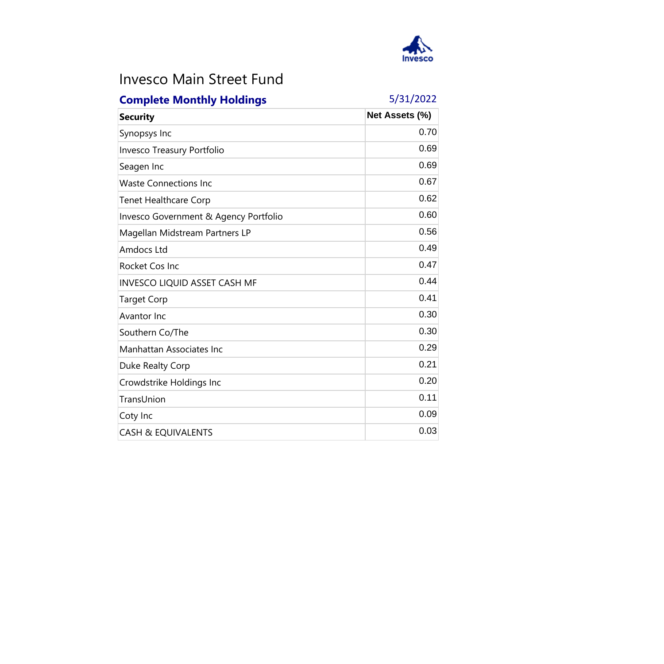

#### Invesco Main Street Fund

| <b>Complete Monthly Holdings</b>      | 5/31/2022      |
|---------------------------------------|----------------|
| <b>Security</b>                       | Net Assets (%) |
| Synopsys Inc                          | 0.70           |
| Invesco Treasury Portfolio            | 0.69           |
| Seagen Inc                            | 0.69           |
| <b>Waste Connections Inc</b>          | 0.67           |
| <b>Tenet Healthcare Corp</b>          | 0.62           |
| Invesco Government & Agency Portfolio | 0.60           |
| Magellan Midstream Partners LP        | 0.56           |
| Amdocs Ltd                            | 0.49           |
| Rocket Cos Inc                        | 0.47           |
| <b>INVESCO LIQUID ASSET CASH MF</b>   | 0.44           |
| <b>Target Corp</b>                    | 0.41           |
| Avantor Inc                           | 0.30           |
| Southern Co/The                       | 0.30           |
| Manhattan Associates Inc              | 0.29           |
| Duke Realty Corp                      | 0.21           |
| Crowdstrike Holdings Inc              | 0.20           |
| TransUnion                            | 0.11           |
| Coty Inc                              | 0.09           |
| <b>CASH &amp; EQUIVALENTS</b>         | 0.03           |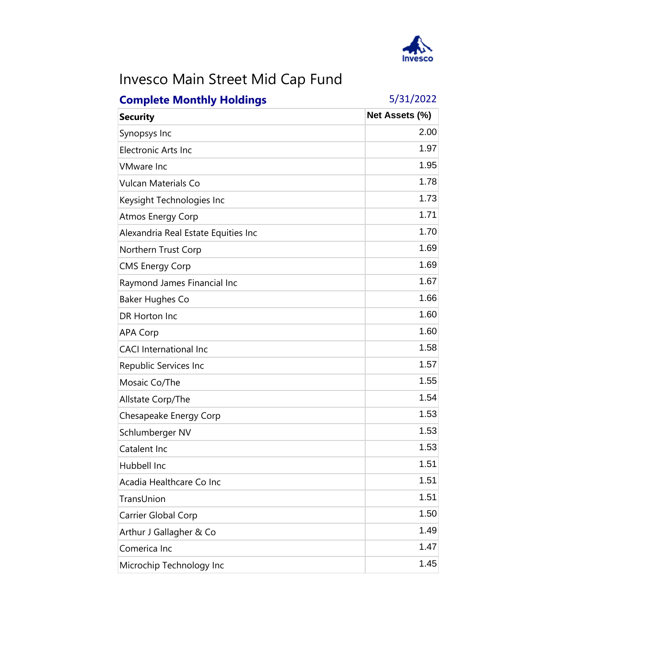

| <b>Complete Monthly Holdings</b>    | 5/31/2022      |
|-------------------------------------|----------------|
| <b>Security</b>                     | Net Assets (%) |
| Synopsys Inc                        | 2.00           |
| Electronic Arts Inc                 | 1.97           |
| <b>VMware Inc</b>                   | 1.95           |
| <b>Vulcan Materials Co</b>          | 1.78           |
| Keysight Technologies Inc           | 1.73           |
| Atmos Energy Corp                   | 1.71           |
| Alexandria Real Estate Equities Inc | 1.70           |
| Northern Trust Corp                 | 1.69           |
| <b>CMS Energy Corp</b>              | 1.69           |
| Raymond James Financial Inc         | 1.67           |
| Baker Hughes Co                     | 1.66           |
| DR Horton Inc                       | 1.60           |
| <b>APA Corp</b>                     | 1.60           |
| <b>CACI</b> International Inc       | 1.58           |
| Republic Services Inc               | 1.57           |
| Mosaic Co/The                       | 1.55           |
| Allstate Corp/The                   | 1.54           |
| Chesapeake Energy Corp              | 1.53           |
| Schlumberger NV                     | 1.53           |
| Catalent Inc                        | 1.53           |
| Hubbell Inc                         | 1.51           |
| Acadia Healthcare Co Inc            | 1.51           |
| TransUnion                          | 1.51           |
| Carrier Global Corp                 | 1.50           |
| Arthur J Gallagher & Co             | 1.49           |
| Comerica Inc                        | 1.47           |
| Microchip Technology Inc            | 1.45           |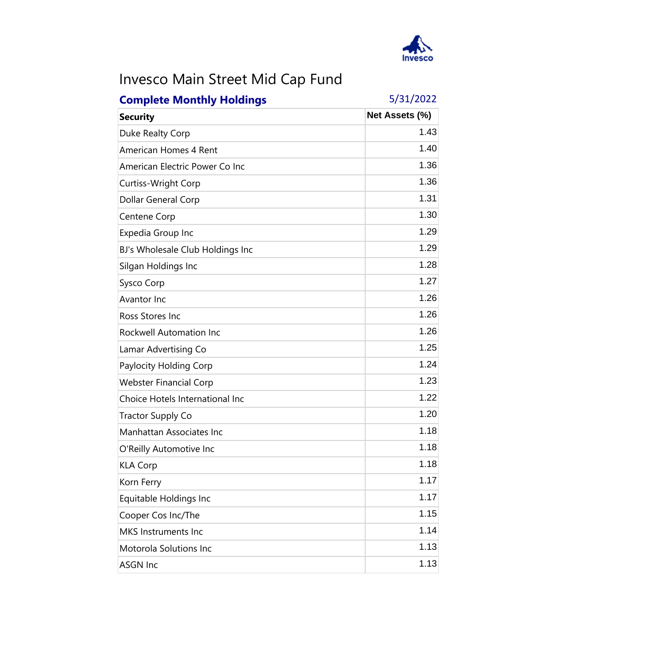

| <b>Complete Monthly Holdings</b> | 5/31/2022      |
|----------------------------------|----------------|
| <b>Security</b>                  | Net Assets (%) |
| Duke Realty Corp                 | 1.43           |
| American Homes 4 Rent            | 1.40           |
| American Electric Power Co Inc   | 1.36           |
| Curtiss-Wright Corp              | 1.36           |
| Dollar General Corp              | 1.31           |
| Centene Corp                     | 1.30           |
| Expedia Group Inc                | 1.29           |
| BJ's Wholesale Club Holdings Inc | 1.29           |
| Silgan Holdings Inc              | 1.28           |
| Sysco Corp                       | 1.27           |
| Avantor Inc                      | 1.26           |
| Ross Stores Inc                  | 1.26           |
| Rockwell Automation Inc          | 1.26           |
| Lamar Advertising Co             | 1.25           |
| Paylocity Holding Corp           | 1.24           |
| <b>Webster Financial Corp</b>    | 1.23           |
| Choice Hotels International Inc  | 1.22           |
| <b>Tractor Supply Co</b>         | 1.20           |
| Manhattan Associates Inc         | 1.18           |
| O'Reilly Automotive Inc          | 1.18           |
| <b>KLA Corp</b>                  | 1.18           |
| Korn Ferry                       | 1.17           |
| Equitable Holdings Inc           | 1.17           |
| Cooper Cos Inc/The               | 1.15           |
| MKS Instruments Inc              | 1.14           |
| Motorola Solutions Inc           | 1.13           |
| <b>ASGN Inc</b>                  | 1.13           |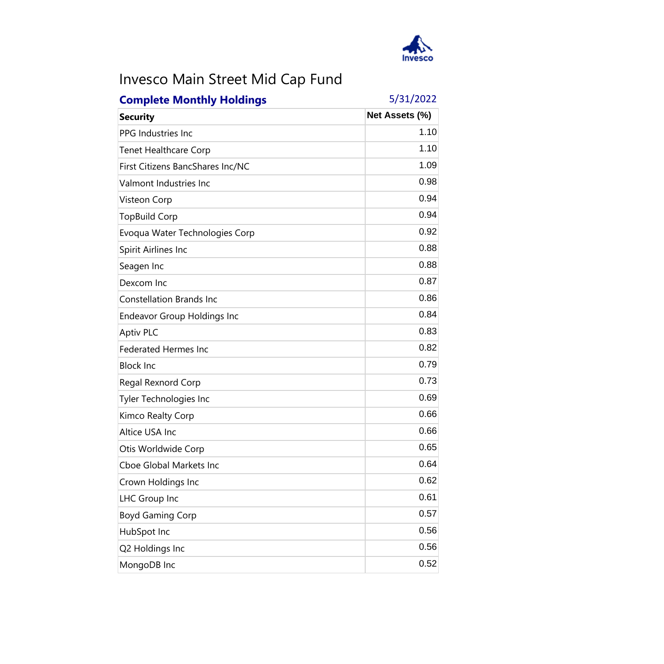

| <b>Complete Monthly Holdings</b>   | 5/31/2022      |
|------------------------------------|----------------|
| <b>Security</b>                    | Net Assets (%) |
| PPG Industries Inc                 | 1.10           |
| <b>Tenet Healthcare Corp</b>       | 1.10           |
| First Citizens BancShares Inc/NC   | 1.09           |
| Valmont Industries Inc             | 0.98           |
| Visteon Corp                       | 0.94           |
| <b>TopBuild Corp</b>               | 0.94           |
| Evoqua Water Technologies Corp     | 0.92           |
| Spirit Airlines Inc                | 0.88           |
| Seagen Inc                         | 0.88           |
| Dexcom Inc                         | 0.87           |
| <b>Constellation Brands Inc</b>    | 0.86           |
| <b>Endeavor Group Holdings Inc</b> | 0.84           |
| <b>Aptiv PLC</b>                   | 0.83           |
| <b>Federated Hermes Inc</b>        | 0.82           |
| <b>Block Inc</b>                   | 0.79           |
| Regal Rexnord Corp                 | 0.73           |
| Tyler Technologies Inc             | 0.69           |
| Kimco Realty Corp                  | 0.66           |
| Altice USA Inc                     | 0.66           |
| Otis Worldwide Corp                | 0.65           |
| Cboe Global Markets Inc            | 0.64           |
| Crown Holdings Inc                 | 0.62           |
| LHC Group Inc                      | 0.61           |
| <b>Boyd Gaming Corp</b>            | 0.57           |
| HubSpot Inc                        | 0.56           |
| Q2 Holdings Inc                    | 0.56           |
| MongoDB Inc                        | 0.52           |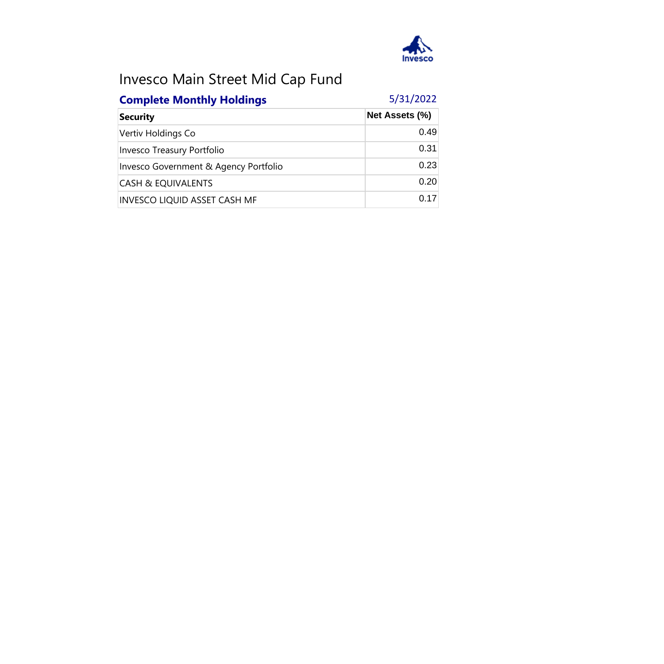

| <b>Complete Monthly Holdings</b>      | 5/31/2022      |
|---------------------------------------|----------------|
| <b>Security</b>                       | Net Assets (%) |
| Vertiv Holdings Co                    | 0.49           |
| Invesco Treasury Portfolio            | 0.31           |
| Invesco Government & Agency Portfolio | 0.23           |
| <b>CASH &amp; EQUIVALENTS</b>         | 0.20           |
| <b>INVESCO LIQUID ASSET CASH MF</b>   | 0.17           |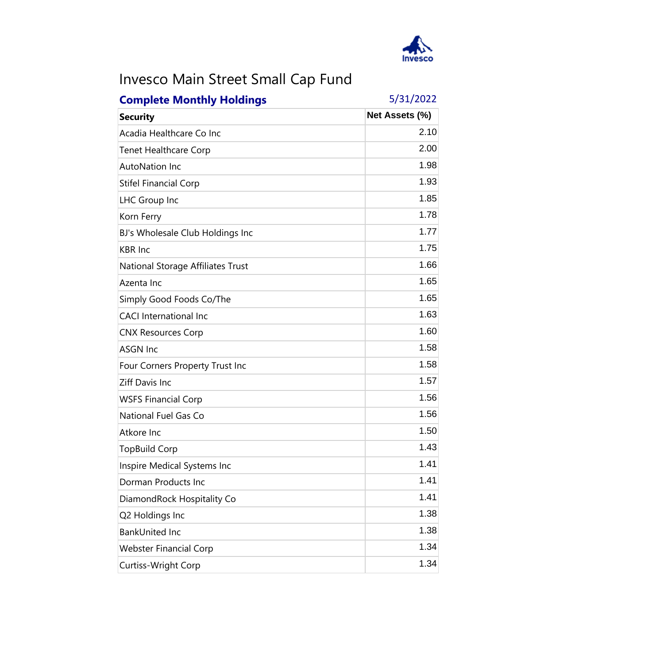

| <b>Complete Monthly Holdings</b>  | 5/31/2022      |
|-----------------------------------|----------------|
| <b>Security</b>                   | Net Assets (%) |
| Acadia Healthcare Co Inc          | 2.10           |
| <b>Tenet Healthcare Corp</b>      | 2.00           |
| <b>AutoNation Inc</b>             | 1.98           |
| <b>Stifel Financial Corp</b>      | 1.93           |
| LHC Group Inc                     | 1.85           |
| Korn Ferry                        | 1.78           |
| BJ's Wholesale Club Holdings Inc  | 1.77           |
| <b>KBR</b> Inc                    | 1.75           |
| National Storage Affiliates Trust | 1.66           |
| Azenta Inc                        | 1.65           |
| Simply Good Foods Co/The          | 1.65           |
| <b>CACI</b> International Inc     | 1.63           |
| <b>CNX Resources Corp</b>         | 1.60           |
| ASGN Inc                          | 1.58           |
| Four Corners Property Trust Inc   | 1.58           |
| Ziff Davis Inc                    | 1.57           |
| <b>WSFS Financial Corp</b>        | 1.56           |
| National Fuel Gas Co              | 1.56           |
| Atkore Inc                        | 1.50           |
| <b>TopBuild Corp</b>              | 1.43           |
| Inspire Medical Systems Inc       | 1.41           |
| Dorman Products Inc               | 1.41           |
| DiamondRock Hospitality Co        | 1.41           |
| Q2 Holdings Inc                   | 1.38           |
| BankUnited Inc                    | 1.38           |
| <b>Webster Financial Corp</b>     | 1.34           |
| Curtiss-Wright Corp               | 1.34           |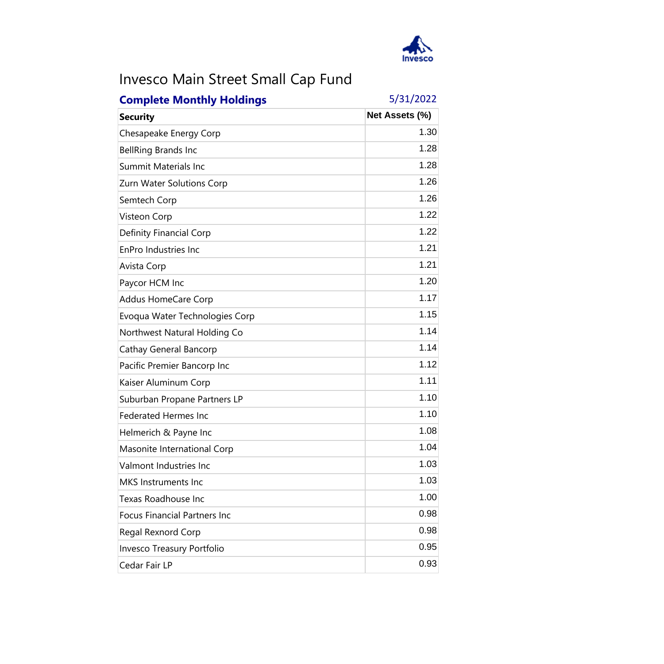

| <b>Complete Monthly Holdings</b>    | 5/31/2022      |
|-------------------------------------|----------------|
| <b>Security</b>                     | Net Assets (%) |
| Chesapeake Energy Corp              | 1.30           |
| <b>BellRing Brands Inc</b>          | 1.28           |
| <b>Summit Materials Inc</b>         | 1.28           |
| Zurn Water Solutions Corp           | 1.26           |
| Semtech Corp                        | 1.26           |
| Visteon Corp                        | 1.22           |
| Definity Financial Corp             | 1.22           |
| <b>EnPro Industries Inc</b>         | 1.21           |
| Avista Corp                         | 1.21           |
| Paycor HCM Inc                      | 1.20           |
| Addus HomeCare Corp                 | 1.17           |
| Evoqua Water Technologies Corp      | 1.15           |
| Northwest Natural Holding Co        | 1.14           |
| Cathay General Bancorp              | 1.14           |
| Pacific Premier Bancorp Inc         | 1.12           |
| Kaiser Aluminum Corp                | 1.11           |
| Suburban Propane Partners LP        | 1.10           |
| <b>Federated Hermes Inc</b>         | 1.10           |
| Helmerich & Payne Inc               | 1.08           |
| Masonite International Corp         | 1.04           |
| Valmont Industries Inc              | 1.03           |
| MKS Instruments Inc                 | 1.03           |
| Texas Roadhouse Inc                 | 1.00           |
| <b>Focus Financial Partners Inc</b> | 0.98           |
| Regal Rexnord Corp                  | 0.98           |
| Invesco Treasury Portfolio          | 0.95           |
| Cedar Fair LP                       | 0.93           |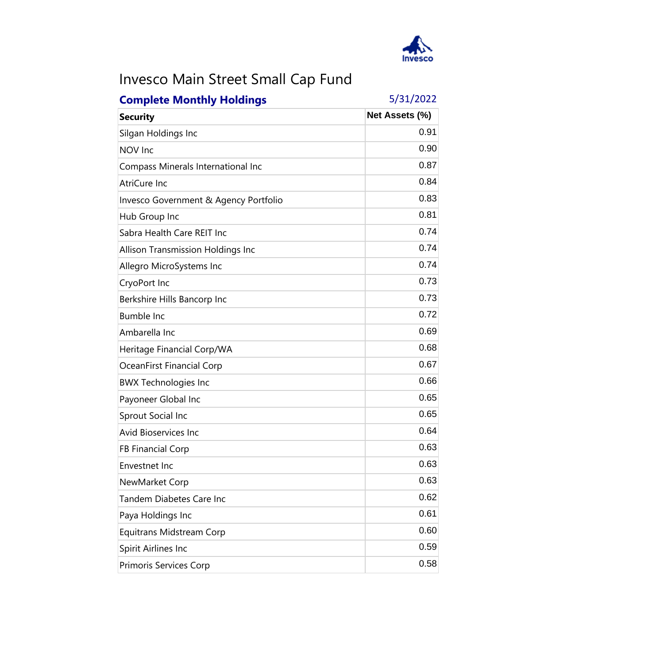

| <b>Complete Monthly Holdings</b>      | 5/31/2022      |
|---------------------------------------|----------------|
| <b>Security</b>                       | Net Assets (%) |
| Silgan Holdings Inc                   | 0.91           |
| NOV Inc                               | 0.90           |
| Compass Minerals International Inc    | 0.87           |
| AtriCure Inc                          | 0.84           |
| Invesco Government & Agency Portfolio | 0.83           |
| Hub Group Inc                         | 0.81           |
| Sabra Health Care REIT Inc            | 0.74           |
| Allison Transmission Holdings Inc     | 0.74           |
| Allegro MicroSystems Inc              | 0.74           |
| CryoPort Inc                          | 0.73           |
| Berkshire Hills Bancorp Inc           | 0.73           |
| <b>Bumble Inc</b>                     | 0.72           |
| Ambarella Inc                         | 0.69           |
| Heritage Financial Corp/WA            | 0.68           |
| OceanFirst Financial Corp             | 0.67           |
| <b>BWX Technologies Inc</b>           | 0.66           |
| Payoneer Global Inc                   | 0.65           |
| Sprout Social Inc                     | 0.65           |
| Avid Bioservices Inc                  | 0.64           |
| <b>FB Financial Corp</b>              | 0.63           |
| Envestnet Inc                         | 0.63           |
| NewMarket Corp                        | 0.63           |
| Tandem Diabetes Care Inc              | 0.62           |
| Paya Holdings Inc                     | 0.61           |
| Equitrans Midstream Corp              | 0.60           |
| Spirit Airlines Inc                   | 0.59           |
| Primoris Services Corp                | 0.58           |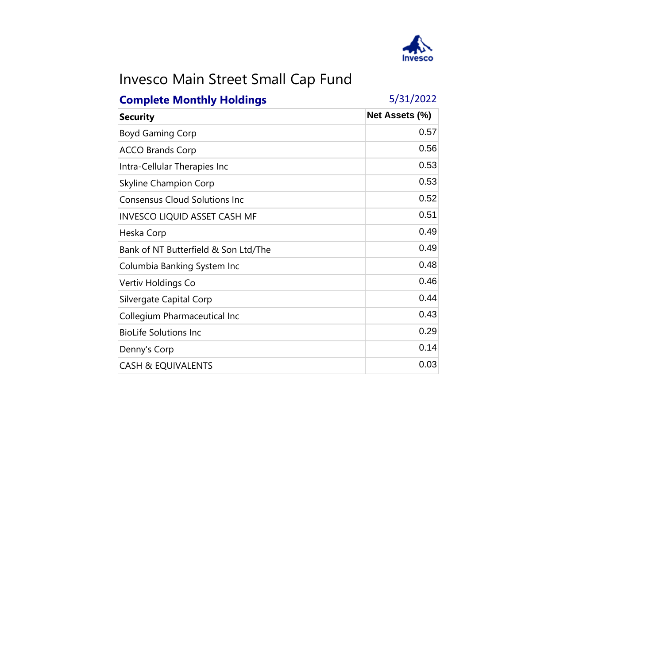

| <b>Complete Monthly Holdings</b>      | 5/31/2022      |
|---------------------------------------|----------------|
| <b>Security</b>                       | Net Assets (%) |
| <b>Boyd Gaming Corp</b>               | 0.57           |
| <b>ACCO Brands Corp</b>               | 0.56           |
| Intra-Cellular Therapies Inc          | 0.53           |
| Skyline Champion Corp                 | 0.53           |
| <b>Consensus Cloud Solutions Inc.</b> | 0.52           |
| <b>INVESCO LIQUID ASSET CASH MF</b>   | 0.51           |
| Heska Corp                            | 0.49           |
| Bank of NT Butterfield & Son Ltd/The  | 0.49           |
| Columbia Banking System Inc           | 0.48           |
| Vertiv Holdings Co                    | 0.46           |
| Silvergate Capital Corp               | 0.44           |
| Collegium Pharmaceutical Inc          | 0.43           |
| <b>Biol ife Solutions Inc.</b>        | 0.29           |
| Denny's Corp                          | 0.14           |
| <b>CASH &amp; EQUIVALENTS</b>         | 0.03           |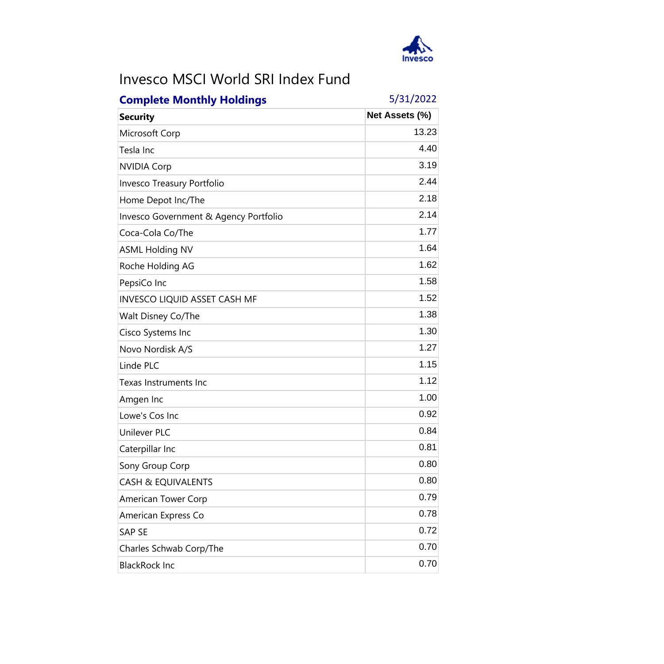

| <b>Complete Monthly Holdings</b>      | 5/31/2022      |
|---------------------------------------|----------------|
| <b>Security</b>                       | Net Assets (%) |
| Microsoft Corp                        | 13.23          |
| Tesla Inc                             | 4.40           |
| <b>NVIDIA Corp</b>                    | 3.19           |
| Invesco Treasury Portfolio            | 2.44           |
| Home Depot Inc/The                    | 2.18           |
| Invesco Government & Agency Portfolio | 2.14           |
| Coca-Cola Co/The                      | 1.77           |
| <b>ASML Holding NV</b>                | 1.64           |
| Roche Holding AG                      | 1.62           |
| PepsiCo Inc                           | 1.58           |
| INVESCO LIQUID ASSET CASH MF          | 1.52           |
| Walt Disney Co/The                    | 1.38           |
| Cisco Systems Inc                     | 1.30           |
| Novo Nordisk A/S                      | 1.27           |
| Linde PLC                             | 1.15           |
| Texas Instruments Inc                 | 1.12           |
| Amgen Inc                             | 1.00           |
| Lowe's Cos Inc                        | 0.92           |
| Unilever PLC                          | 0.84           |
| Caterpillar Inc                       | 0.81           |
| Sony Group Corp                       | 0.80           |
| CASH & EQUIVALENTS                    | 0.80           |
| American Tower Corp                   | 0.79           |
| American Express Co                   | 0.78           |
| <b>SAP SE</b>                         | 0.72           |
| Charles Schwab Corp/The               | 0.70           |
| <b>BlackRock Inc.</b>                 | 0.70           |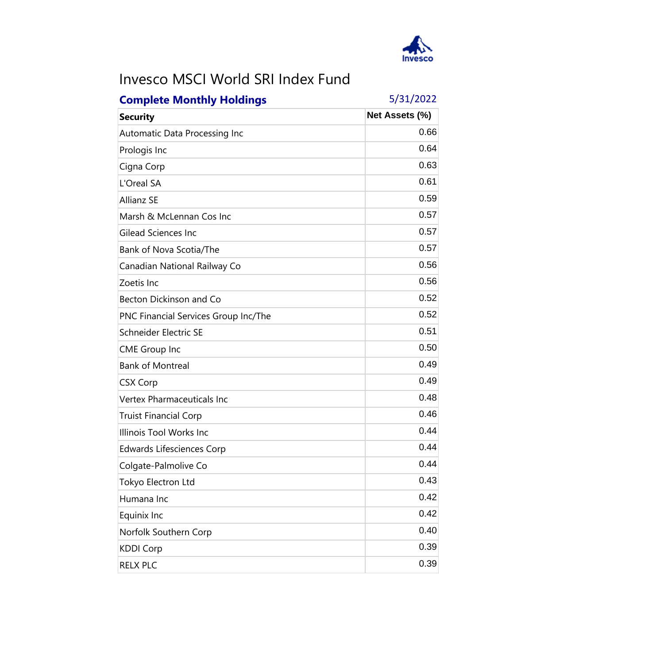

| <b>Complete Monthly Holdings</b>     | 5/31/2022      |
|--------------------------------------|----------------|
| <b>Security</b>                      | Net Assets (%) |
| Automatic Data Processing Inc        | 0.66           |
| Prologis Inc                         | 0.64           |
| Cigna Corp                           | 0.63           |
| L'Oreal SA                           | 0.61           |
| <b>Allianz SE</b>                    | 0.59           |
| Marsh & McLennan Cos Inc             | 0.57           |
| <b>Gilead Sciences Inc</b>           | 0.57           |
| Bank of Nova Scotia/The              | 0.57           |
| Canadian National Railway Co         | 0.56           |
| Zoetis Inc                           | 0.56           |
| Becton Dickinson and Co              | 0.52           |
| PNC Financial Services Group Inc/The | 0.52           |
| Schneider Electric SE                | 0.51           |
| <b>CME Group Inc</b>                 | 0.50           |
| <b>Bank of Montreal</b>              | 0.49           |
| <b>CSX Corp</b>                      | 0.49           |
| Vertex Pharmaceuticals Inc           | 0.48           |
| <b>Truist Financial Corp</b>         | 0.46           |
| Illinois Tool Works Inc              | 0.44           |
| <b>Edwards Lifesciences Corp</b>     | 0.44           |
| Colgate-Palmolive Co                 | 0.44           |
| Tokyo Electron Ltd                   | 0.43           |
| Humana Inc                           | 0.42           |
| Equinix Inc                          | 0.42           |
| Norfolk Southern Corp                | 0.40           |
| <b>KDDI Corp</b>                     | 0.39           |
| <b>RELX PLC</b>                      | 0.39           |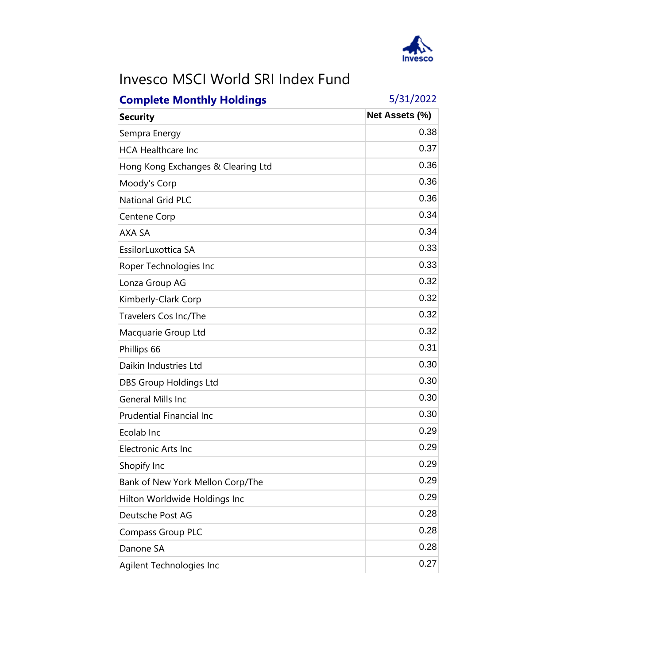

| <b>Complete Monthly Holdings</b>   | 5/31/2022      |
|------------------------------------|----------------|
| <b>Security</b>                    | Net Assets (%) |
| Sempra Energy                      | 0.38           |
| <b>HCA Healthcare Inc</b>          | 0.37           |
| Hong Kong Exchanges & Clearing Ltd | 0.36           |
| Moody's Corp                       | 0.36           |
| National Grid PLC                  | 0.36           |
| Centene Corp                       | 0.34           |
| AXA SA                             | 0.34           |
| EssilorLuxottica SA                | 0.33           |
| Roper Technologies Inc             | 0.33           |
| Lonza Group AG                     | 0.32           |
| Kimberly-Clark Corp                | 0.32           |
| Travelers Cos Inc/The              | 0.32           |
| Macquarie Group Ltd                | 0.32           |
| Phillips 66                        | 0.31           |
| Daikin Industries Ltd              | 0.30           |
| DBS Group Holdings Ltd             | 0.30           |
| <b>General Mills Inc</b>           | 0.30           |
| Prudential Financial Inc           | 0.30           |
| Ecolab Inc                         | 0.29           |
| Electronic Arts Inc                | 0.29           |
| Shopify Inc                        | 0.29           |
| Bank of New York Mellon Corp/The   | 0.29           |
| Hilton Worldwide Holdings Inc      | 0.29           |
| Deutsche Post AG                   | 0.28           |
| Compass Group PLC                  | 0.28           |
| Danone SA                          | 0.28           |
| Agilent Technologies Inc           | 0.27           |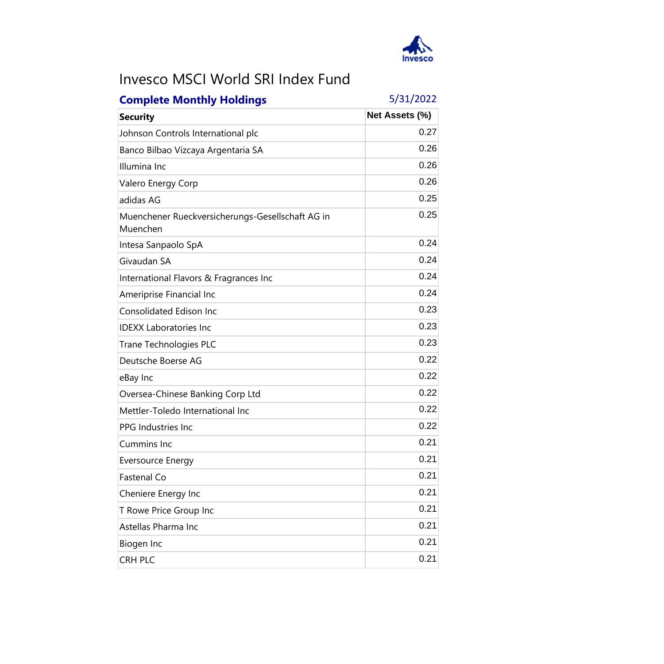

| <b>Complete Monthly Holdings</b>                             | 5/31/2022      |
|--------------------------------------------------------------|----------------|
| <b>Security</b>                                              | Net Assets (%) |
| Johnson Controls International plc                           | 0.27           |
| Banco Bilbao Vizcaya Argentaria SA                           | 0.26           |
| Illumina Inc                                                 | 0.26           |
| Valero Energy Corp                                           | 0.26           |
| adidas AG                                                    | 0.25           |
| Muenchener Rueckversicherungs-Gesellschaft AG in<br>Muenchen | 0.25           |
| Intesa Sanpaolo SpA                                          | 0.24           |
| Givaudan SA                                                  | 0.24           |
| International Flavors & Fragrances Inc                       | 0.24           |
| Ameriprise Financial Inc                                     | 0.24           |
| Consolidated Edison Inc                                      | 0.23           |
| <b>IDEXX Laboratories Inc</b>                                | 0.23           |
| Trane Technologies PLC                                       | 0.23           |
| Deutsche Boerse AG                                           | 0.22           |
| eBay Inc                                                     | 0.22           |
| Oversea-Chinese Banking Corp Ltd                             | 0.22           |
| Mettler-Toledo International Inc                             | 0.22           |
| PPG Industries Inc                                           | 0.22           |
| Cummins Inc                                                  | 0.21           |
| <b>Eversource Energy</b>                                     | 0.21           |
| Fastenal Co                                                  | 0.21           |
| Cheniere Energy Inc                                          | 0.21           |
| T Rowe Price Group Inc                                       | 0.21           |
| Astellas Pharma Inc                                          | 0.21           |
| Biogen Inc                                                   | 0.21           |
| CRH PLC                                                      | 0.21           |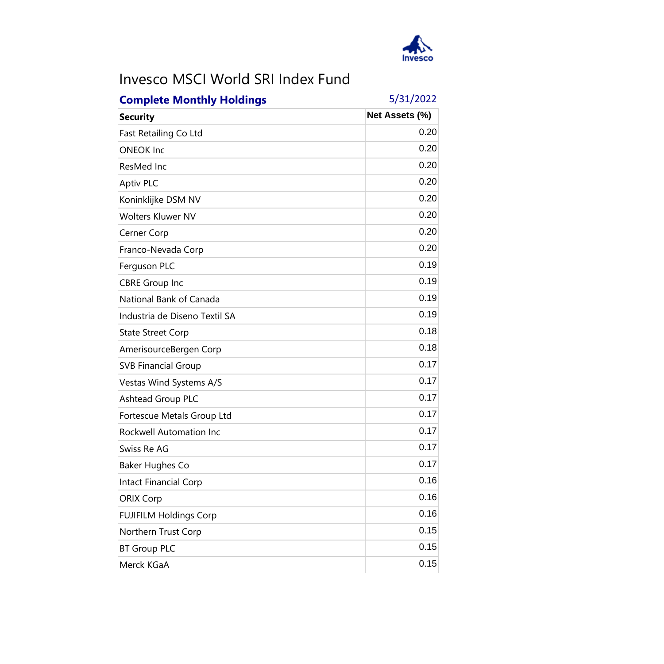

| <b>Complete Monthly Holdings</b> | 5/31/2022      |
|----------------------------------|----------------|
| <b>Security</b>                  | Net Assets (%) |
| Fast Retailing Co Ltd            | 0.20           |
| <b>ONEOK Inc</b>                 | 0.20           |
| ResMed Inc                       | 0.20           |
| <b>Aptiv PLC</b>                 | 0.20           |
| Koninklijke DSM NV               | 0.20           |
| Wolters Kluwer NV                | 0.20           |
| Cerner Corp                      | 0.20           |
| Franco-Nevada Corp               | 0.20           |
| Ferguson PLC                     | 0.19           |
| <b>CBRE Group Inc</b>            | 0.19           |
| National Bank of Canada          | 0.19           |
| Industria de Diseno Textil SA    | 0.19           |
| <b>State Street Corp</b>         | 0.18           |
| AmerisourceBergen Corp           | 0.18           |
| <b>SVB Financial Group</b>       | 0.17           |
| Vestas Wind Systems A/S          | 0.17           |
| Ashtead Group PLC                | 0.17           |
| Fortescue Metals Group Ltd       | 0.17           |
| Rockwell Automation Inc          | 0.17           |
| Swiss Re AG                      | 0.17           |
| <b>Baker Hughes Co</b>           | 0.17           |
| <b>Intact Financial Corp</b>     | 0.16           |
| <b>ORIX Corp</b>                 | 0.16           |
| <b>FUJIFILM Holdings Corp</b>    | 0.16           |
| Northern Trust Corp              | 0.15           |
| <b>BT Group PLC</b>              | 0.15           |
| Merck KGaA                       | 0.15           |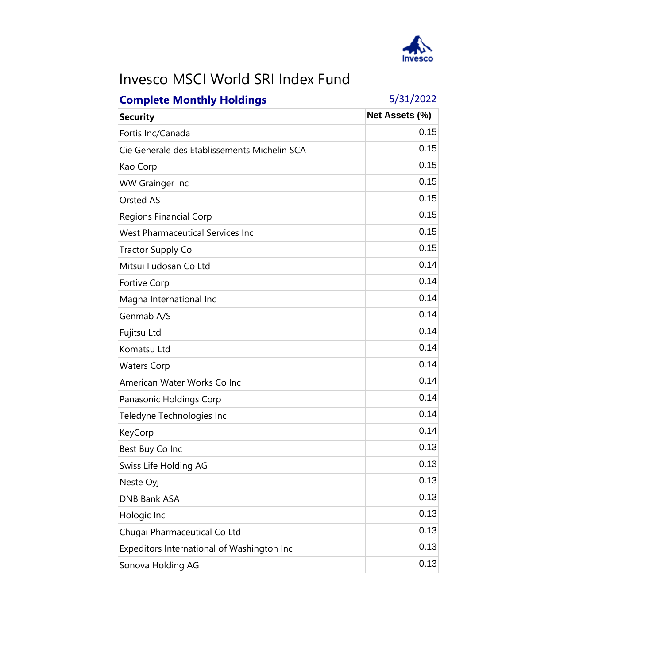

| <b>Complete Monthly Holdings</b>             | 5/31/2022      |
|----------------------------------------------|----------------|
| <b>Security</b>                              | Net Assets (%) |
| Fortis Inc/Canada                            | 0.15           |
| Cie Generale des Etablissements Michelin SCA | 0.15           |
| Kao Corp                                     | 0.15           |
| <b>WW Grainger Inc</b>                       | 0.15           |
| Orsted AS                                    | 0.15           |
| Regions Financial Corp                       | 0.15           |
| West Pharmaceutical Services Inc             | 0.15           |
| <b>Tractor Supply Co</b>                     | 0.15           |
| Mitsui Fudosan Co Ltd                        | 0.14           |
| Fortive Corp                                 | 0.14           |
| Magna International Inc                      | 0.14           |
| Genmab A/S                                   | 0.14           |
| Fujitsu Ltd                                  | 0.14           |
| Komatsu Ltd                                  | 0.14           |
| <b>Waters Corp</b>                           | 0.14           |
| American Water Works Co Inc                  | 0.14           |
| Panasonic Holdings Corp                      | 0.14           |
| Teledyne Technologies Inc                    | 0.14           |
| KeyCorp                                      | 0.14           |
| Best Buy Co Inc                              | 0.13           |
| Swiss Life Holding AG                        | 0.13           |
| Neste Oyj                                    | 0.13           |
| <b>DNB Bank ASA</b>                          | 0.13           |
| Hologic Inc                                  | 0.13           |
| Chugai Pharmaceutical Co Ltd                 | 0.13           |
| Expeditors International of Washington Inc   | 0.13           |
| Sonova Holding AG                            | 0.13           |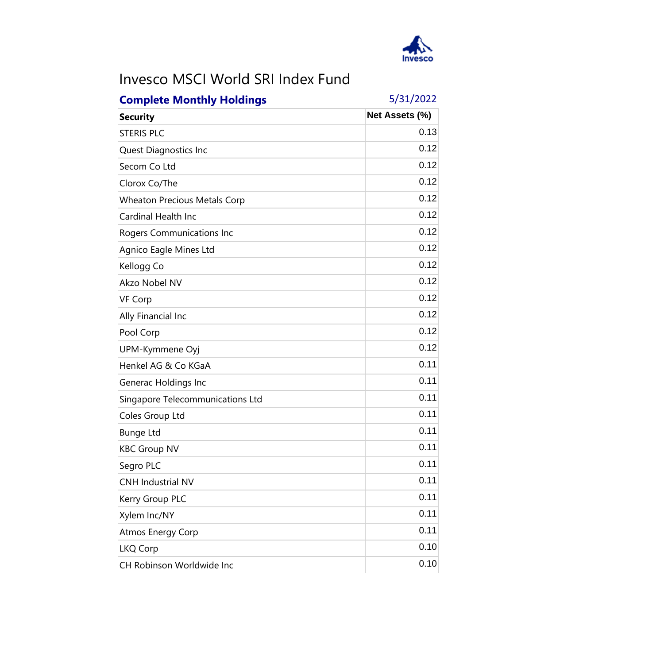

| <b>Complete Monthly Holdings</b>    | 5/31/2022      |
|-------------------------------------|----------------|
| <b>Security</b>                     | Net Assets (%) |
| <b>STERIS PLC</b>                   | 0.13           |
| Quest Diagnostics Inc               | 0.12           |
| Secom Co Ltd                        | 0.12           |
| Clorox Co/The                       | 0.12           |
| <b>Wheaton Precious Metals Corp</b> | 0.12           |
| Cardinal Health Inc                 | 0.12           |
| Rogers Communications Inc           | 0.12           |
| Agnico Eagle Mines Ltd              | 0.12           |
| Kellogg Co                          | 0.12           |
| Akzo Nobel NV                       | 0.12           |
| <b>VF Corp</b>                      | 0.12           |
| Ally Financial Inc                  | 0.12           |
| Pool Corp                           | 0.12           |
| UPM-Kymmene Oyj                     | 0.12           |
| Henkel AG & Co KGaA                 | 0.11           |
| Generac Holdings Inc                | 0.11           |
| Singapore Telecommunications Ltd    | 0.11           |
| Coles Group Ltd                     | 0.11           |
| <b>Bunge Ltd</b>                    | 0.11           |
| <b>KBC Group NV</b>                 | 0.11           |
| Segro PLC                           | 0.11           |
| <b>CNH Industrial NV</b>            | 0.11           |
| Kerry Group PLC                     | 0.11           |
| Xylem Inc/NY                        | 0.11           |
| <b>Atmos Energy Corp</b>            | 0.11           |
| LKQ Corp                            | 0.10           |
| CH Robinson Worldwide Inc           | 0.10           |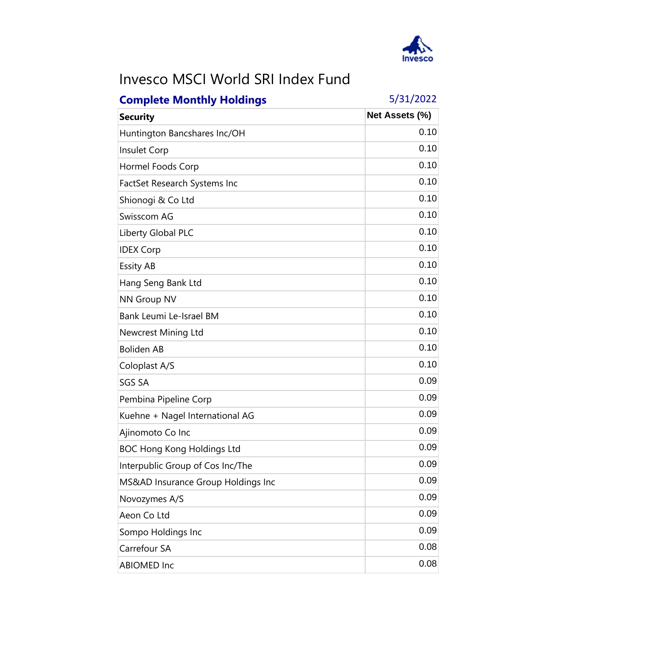

| <b>Complete Monthly Holdings</b>   | 5/31/2022      |
|------------------------------------|----------------|
| <b>Security</b>                    | Net Assets (%) |
| Huntington Bancshares Inc/OH       | 0.10           |
| Insulet Corp                       | 0.10           |
| Hormel Foods Corp                  | 0.10           |
| FactSet Research Systems Inc       | 0.10           |
| Shionogi & Co Ltd                  | 0.10           |
| Swisscom AG                        | 0.10           |
| Liberty Global PLC                 | 0.10           |
| <b>IDEX Corp</b>                   | 0.10           |
| <b>Essity AB</b>                   | 0.10           |
| Hang Seng Bank Ltd                 | 0.10           |
| NN Group NV                        | 0.10           |
| Bank Leumi Le-Israel BM            | 0.10           |
| Newcrest Mining Ltd                | 0.10           |
| Boliden AB                         | 0.10           |
| Coloplast A/S                      | 0.10           |
| <b>SGS SA</b>                      | 0.09           |
| Pembina Pipeline Corp              | 0.09           |
| Kuehne + Nagel International AG    | 0.09           |
| Ajinomoto Co Inc                   | 0.09           |
| <b>BOC Hong Kong Holdings Ltd</b>  | 0.09           |
| Interpublic Group of Cos Inc/The   | 0.09           |
| MS&AD Insurance Group Holdings Inc | 0.09           |
| Novozymes A/S                      | 0.09           |
| Aeon Co Ltd                        | 0.09           |
| Sompo Holdings Inc                 | 0.09           |
| Carrefour SA                       | 0.08           |
| <b>ABIOMED Inc</b>                 | 0.08           |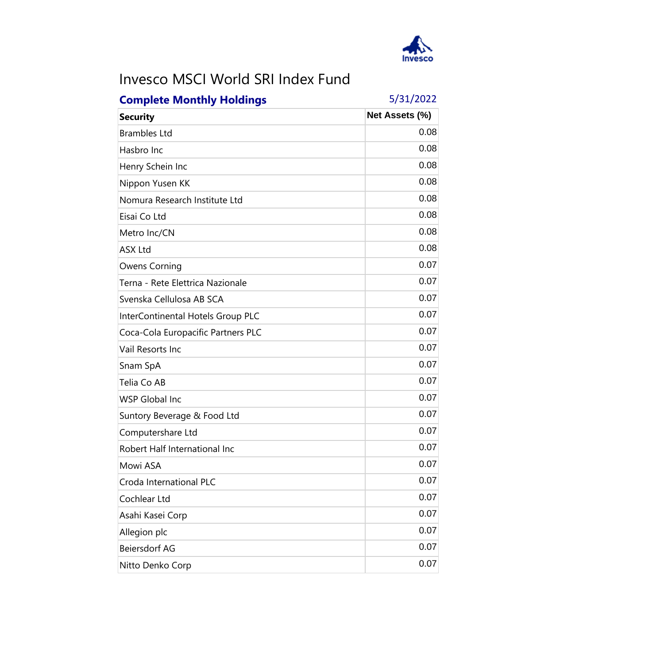

| <b>Complete Monthly Holdings</b>   | 5/31/2022      |
|------------------------------------|----------------|
| <b>Security</b>                    | Net Assets (%) |
| <b>Brambles Ltd</b>                | 0.08           |
| Hasbro Inc                         | 0.08           |
| Henry Schein Inc                   | 0.08           |
| Nippon Yusen KK                    | 0.08           |
| Nomura Research Institute Ltd      | 0.08           |
| Eisai Co Ltd                       | 0.08           |
| Metro Inc/CN                       | 0.08           |
| ASX Ltd                            | 0.08           |
| <b>Owens Corning</b>               | 0.07           |
| Terna - Rete Elettrica Nazionale   | 0.07           |
| Svenska Cellulosa AB SCA           | 0.07           |
| InterContinental Hotels Group PLC  | 0.07           |
| Coca-Cola Europacific Partners PLC | 0.07           |
| Vail Resorts Inc                   | 0.07           |
| Snam SpA                           | 0.07           |
| Telia Co AB                        | 0.07           |
| <b>WSP Global Inc</b>              | 0.07           |
| Suntory Beverage & Food Ltd        | 0.07           |
| Computershare Ltd                  | 0.07           |
| Robert Half International Inc      | 0.07           |
| Mowi ASA                           | 0.07           |
| Croda International PLC            | 0.07           |
| Cochlear Ltd                       | 0.07           |
| Asahi Kasei Corp                   | 0.07           |
| Allegion plc                       | 0.07           |
| <b>Beiersdorf AG</b>               | 0.07           |
| Nitto Denko Corp                   | 0.07           |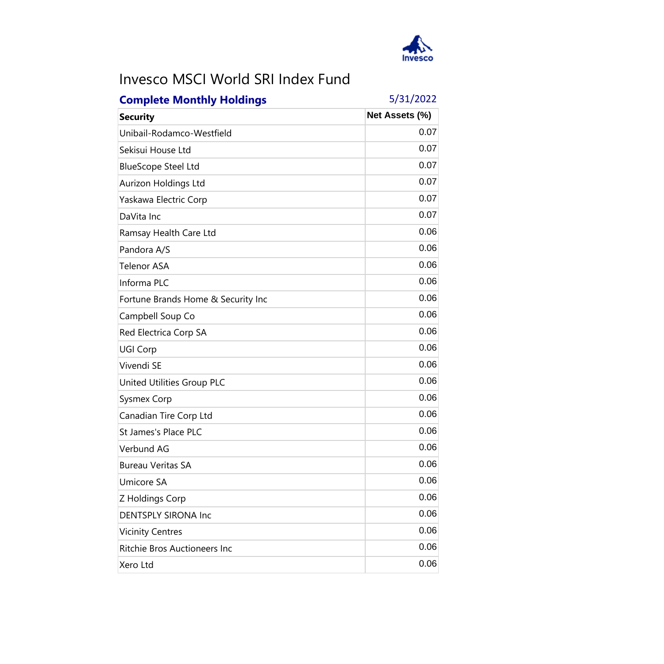

| <b>Complete Monthly Holdings</b>    | 5/31/2022      |
|-------------------------------------|----------------|
| <b>Security</b>                     | Net Assets (%) |
| Unibail-Rodamco-Westfield           | 0.07           |
| Sekisui House Ltd                   | 0.07           |
| <b>BlueScope Steel Ltd</b>          | 0.07           |
| Aurizon Holdings Ltd                | 0.07           |
| Yaskawa Electric Corp               | 0.07           |
| DaVita Inc                          | 0.07           |
| Ramsay Health Care Ltd              | 0.06           |
| Pandora A/S                         | 0.06           |
| <b>Telenor ASA</b>                  | 0.06           |
| Informa PLC                         | 0.06           |
| Fortune Brands Home & Security Inc  | 0.06           |
| Campbell Soup Co                    | 0.06           |
| Red Electrica Corp SA               | 0.06           |
| <b>UGI Corp</b>                     | 0.06           |
| Vivendi SE                          | 0.06           |
| United Utilities Group PLC          | 0.06           |
| <b>Sysmex Corp</b>                  | 0.06           |
| Canadian Tire Corp Ltd              | 0.06           |
| St James's Place PLC                | 0.06           |
| Verbund AG                          | 0.06           |
| <b>Bureau Veritas SA</b>            | 0.06           |
| Umicore SA                          | 0.06           |
| Z Holdings Corp                     | 0.06           |
| <b>DENTSPLY SIRONA Inc</b>          | 0.06           |
| <b>Vicinity Centres</b>             | 0.06           |
| <b>Ritchie Bros Auctioneers Inc</b> | 0.06           |
| Xero Ltd                            | 0.06           |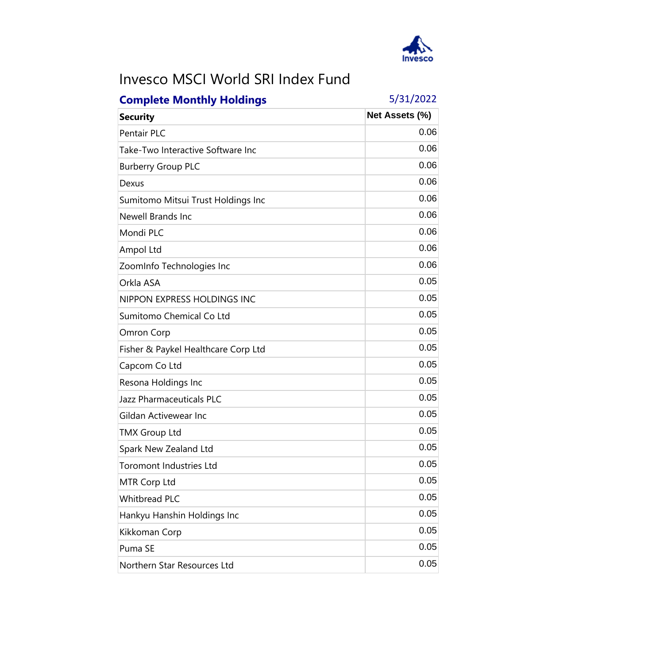

| <b>Complete Monthly Holdings</b>    | 5/31/2022      |
|-------------------------------------|----------------|
| <b>Security</b>                     | Net Assets (%) |
| Pentair PLC                         | 0.06           |
| Take-Two Interactive Software Inc   | 0.06           |
| <b>Burberry Group PLC</b>           | 0.06           |
| Dexus                               | 0.06           |
| Sumitomo Mitsui Trust Holdings Inc  | 0.06           |
| Newell Brands Inc                   | 0.06           |
| Mondi PLC                           | 0.06           |
| Ampol Ltd                           | 0.06           |
| ZoomInfo Technologies Inc           | 0.06           |
| Orkla ASA                           | 0.05           |
| NIPPON EXPRESS HOLDINGS INC         | 0.05           |
| Sumitomo Chemical Co Ltd            | 0.05           |
| Omron Corp                          | 0.05           |
| Fisher & Paykel Healthcare Corp Ltd | 0.05           |
| Capcom Co Ltd                       | 0.05           |
| Resona Holdings Inc                 | 0.05           |
| Jazz Pharmaceuticals PLC            | 0.05           |
| Gildan Activewear Inc               | 0.05           |
| <b>TMX Group Ltd</b>                | 0.05           |
| Spark New Zealand Ltd               | 0.05           |
| Toromont Industries Ltd             | 0.05           |
| MTR Corp Ltd                        | 0.05           |
| Whitbread PLC                       | 0.05           |
| Hankyu Hanshin Holdings Inc         | 0.05           |
| Kikkoman Corp                       | 0.05           |
| Puma SE                             | 0.05           |
| Northern Star Resources Ltd         | 0.05           |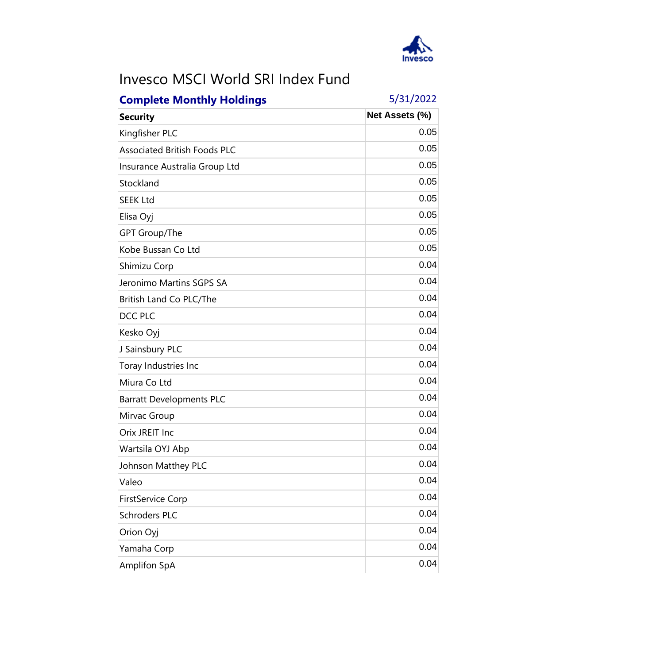

| <b>Complete Monthly Holdings</b>    | 5/31/2022      |
|-------------------------------------|----------------|
| <b>Security</b>                     | Net Assets (%) |
| Kingfisher PLC                      | 0.05           |
| <b>Associated British Foods PLC</b> | 0.05           |
| Insurance Australia Group Ltd       | 0.05           |
| Stockland                           | 0.05           |
| <b>SEEK Ltd</b>                     | 0.05           |
| Elisa Oyj                           | 0.05           |
| GPT Group/The                       | 0.05           |
| Kobe Bussan Co Ltd                  | 0.05           |
| Shimizu Corp                        | 0.04           |
| Jeronimo Martins SGPS SA            | 0.04           |
| British Land Co PLC/The             | 0.04           |
| DCC PLC                             | 0.04           |
| Kesko Oyj                           | 0.04           |
| J Sainsbury PLC                     | 0.04           |
| Toray Industries Inc                | 0.04           |
| Miura Co Ltd                        | 0.04           |
| <b>Barratt Developments PLC</b>     | 0.04           |
| Mirvac Group                        | 0.04           |
| Orix JREIT Inc                      | 0.04           |
| Wartsila OYJ Abp                    | 0.04           |
| Johnson Matthey PLC                 | 0.04           |
| Valeo                               | 0.04           |
| FirstService Corp                   | 0.04           |
| <b>Schroders PLC</b>                | 0.04           |
| Orion Oyj                           | 0.04           |
| Yamaha Corp                         | 0.04           |
| Amplifon SpA                        | 0.04           |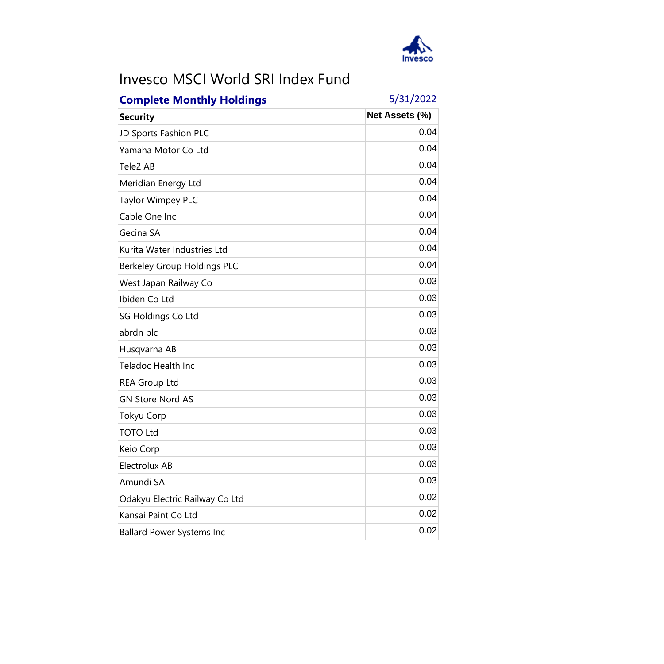

| <b>Security</b>                  | Net Assets (%)<br>0.04 |
|----------------------------------|------------------------|
|                                  |                        |
| JD Sports Fashion PLC            |                        |
| Yamaha Motor Co Ltd              | 0.04                   |
| Tele2 AB                         | 0.04                   |
| Meridian Energy Ltd              | 0.04                   |
| Taylor Wimpey PLC                | 0.04                   |
| Cable One Inc                    | 0.04                   |
| Gecina SA                        | 0.04                   |
| Kurita Water Industries Ltd      | 0.04                   |
| Berkeley Group Holdings PLC      | 0.04                   |
| West Japan Railway Co            | 0.03                   |
| Ibiden Co Ltd                    | 0.03                   |
| SG Holdings Co Ltd               | 0.03                   |
| abrdn plc                        | 0.03                   |
| Husqvarna AB                     | 0.03                   |
| Teladoc Health Inc               | 0.03                   |
| <b>REA Group Ltd</b>             | 0.03                   |
| <b>GN Store Nord AS</b>          | 0.03                   |
| <b>Tokyu Corp</b>                | 0.03                   |
| <b>TOTO Ltd</b>                  | 0.03                   |
| Keio Corp                        | 0.03                   |
| Electrolux AB                    | 0.03                   |
| Amundi SA                        | 0.03                   |
| Odakyu Electric Railway Co Ltd   | 0.02                   |
| Kansai Paint Co Ltd              | 0.02                   |
| <b>Ballard Power Systems Inc</b> | 0.02                   |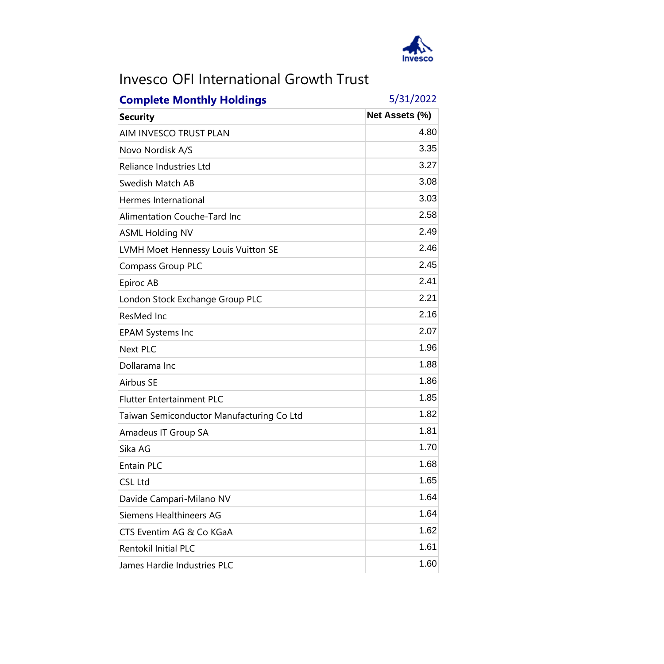

#### Invesco OFI International Growth Trust

| <b>Complete Monthly Holdings</b>          | 5/31/2022      |
|-------------------------------------------|----------------|
| <b>Security</b>                           | Net Assets (%) |
| AIM INVESCO TRUST PLAN                    | 4.80           |
| Novo Nordisk A/S                          | 3.35           |
| Reliance Industries Ltd                   | 3.27           |
| Swedish Match AB                          | 3.08           |
| Hermes International                      | 3.03           |
| Alimentation Couche-Tard Inc              | 2.58           |
| <b>ASML Holding NV</b>                    | 2.49           |
| LVMH Moet Hennessy Louis Vuitton SE       | 2.46           |
| Compass Group PLC                         | 2.45           |
| Epiroc AB                                 | 2.41           |
| London Stock Exchange Group PLC           | 2.21           |
| <b>ResMed Inc</b>                         | 2.16           |
| <b>EPAM Systems Inc</b>                   | 2.07           |
| Next PLC                                  | 1.96           |
| Dollarama Inc                             | 1.88           |
| Airbus SE                                 | 1.86           |
| <b>Flutter Entertainment PLC</b>          | 1.85           |
| Taiwan Semiconductor Manufacturing Co Ltd | 1.82           |
| Amadeus IT Group SA                       | 1.81           |
| Sika AG                                   | 1.70           |
| Entain PLC                                | 1.68           |
| <b>CSL Ltd</b>                            | 1.65           |
| Davide Campari-Milano NV                  | 1.64           |
| Siemens Healthineers AG                   | 1.64           |
| CTS Eventim AG & Co KGaA                  | 1.62           |
| <b>Rentokil Initial PLC</b>               | 1.61           |
| James Hardie Industries PLC               | 1.60           |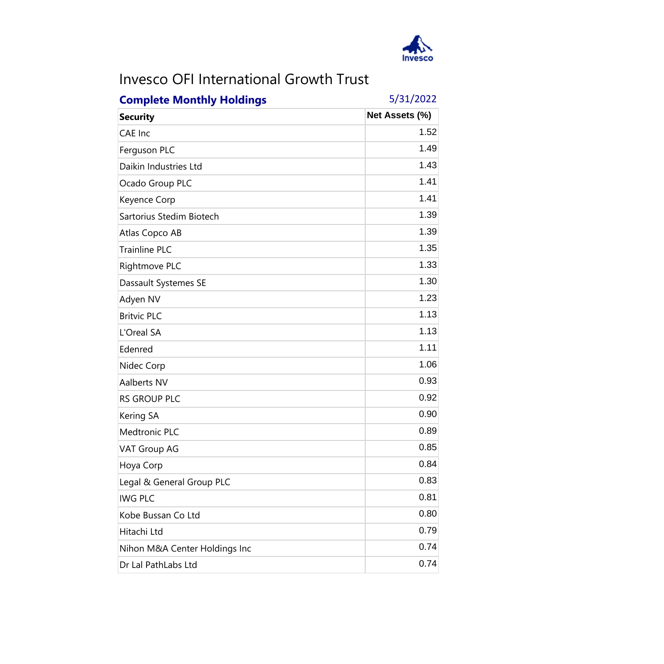

### Invesco OFI International Growth Trust

| <b>Complete Monthly Holdings</b> | 5/31/2022      |
|----------------------------------|----------------|
| <b>Security</b>                  | Net Assets (%) |
| CAE Inc                          | 1.52           |
| Ferguson PLC                     | 1.49           |
| Daikin Industries Ltd            | 1.43           |
| Ocado Group PLC                  | 1.41           |
| Keyence Corp                     | 1.41           |
| Sartorius Stedim Biotech         | 1.39           |
| Atlas Copco AB                   | 1.39           |
| <b>Trainline PLC</b>             | 1.35           |
| Rightmove PLC                    | 1.33           |
| Dassault Systemes SE             | 1.30           |
| Adyen NV                         | 1.23           |
| <b>Britvic PLC</b>               | 1.13           |
| L'Oreal SA                       | 1.13           |
| Edenred                          | 1.11           |
| Nidec Corp                       | 1.06           |
| <b>Aalberts NV</b>               | 0.93           |
| RS GROUP PLC                     | 0.92           |
| Kering SA                        | 0.90           |
| Medtronic PLC                    | 0.89           |
| VAT Group AG                     | 0.85           |
| Hoya Corp                        | 0.84           |
| Legal & General Group PLC        | 0.83           |
| <b>IWG PLC</b>                   | 0.81           |
| Kobe Bussan Co Ltd               | 0.80           |
| Hitachi Ltd                      | 0.79           |
| Nihon M&A Center Holdings Inc    | 0.74           |
| Dr Lal PathLabs Ltd              | 0.74           |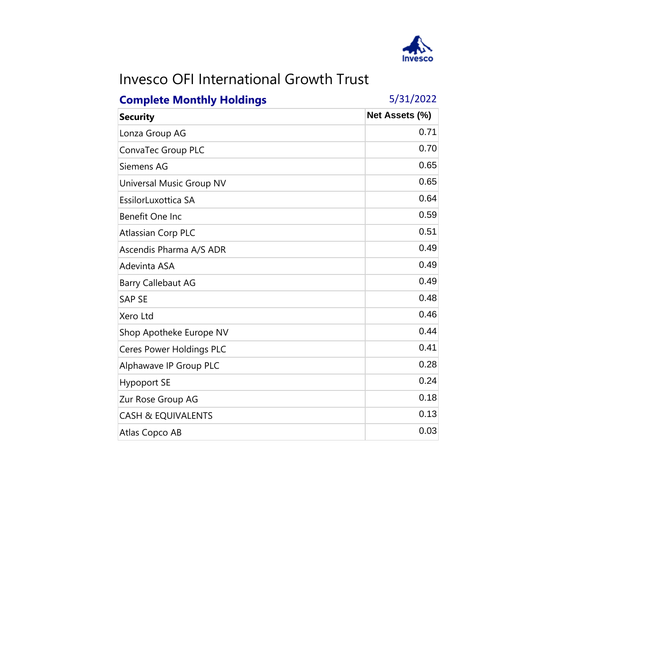

#### Invesco OFI International Growth Trust

| <b>Complete Monthly Holdings</b> | 5/31/2022      |
|----------------------------------|----------------|
| <b>Security</b>                  | Net Assets (%) |
| Lonza Group AG                   | 0.71           |
| ConvaTec Group PLC               | 0.70           |
| Siemens AG                       | 0.65           |
| Universal Music Group NV         | 0.65           |
| EssilorLuxottica SA              | 0.64           |
| Benefit One Inc                  | 0.59           |
| Atlassian Corp PLC               | 0.51           |
| Ascendis Pharma A/S ADR          | 0.49           |
| Adevinta ASA                     | 0.49           |
| <b>Barry Callebaut AG</b>        | 0.49           |
| <b>SAP SE</b>                    | 0.48           |
| Xero Ltd                         | 0.46           |
| Shop Apotheke Europe NV          | 0.44           |
| Ceres Power Holdings PLC         | 0.41           |
| Alphawave IP Group PLC           | 0.28           |
| <b>Hypoport SE</b>               | 0.24           |
| Zur Rose Group AG                | 0.18           |
| <b>CASH &amp; EQUIVALENTS</b>    | 0.13           |
| Atlas Copco AB                   | 0.03           |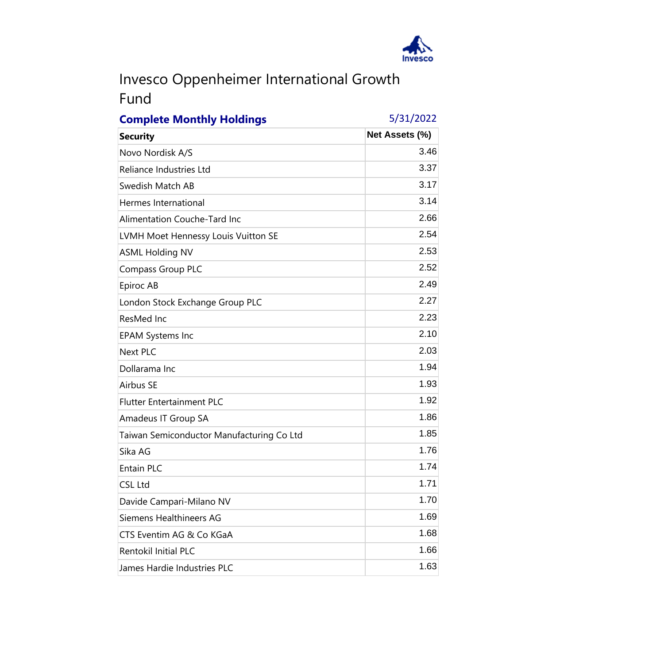

### Invesco Oppenheimer International Growth Fund

| <b>Complete Monthly Holdings</b>          | 5/31/2022      |
|-------------------------------------------|----------------|
| <b>Security</b>                           | Net Assets (%) |
| Novo Nordisk A/S                          | 3.46           |
| Reliance Industries Ltd                   | 3.37           |
| Swedish Match AB                          | 3.17           |
| Hermes International                      | 3.14           |
| Alimentation Couche-Tard Inc              | 2.66           |
| LVMH Moet Hennessy Louis Vuitton SE       | 2.54           |
| <b>ASML Holding NV</b>                    | 2.53           |
| Compass Group PLC                         | 2.52           |
| Epiroc AB                                 | 2.49           |
| London Stock Exchange Group PLC           | 2.27           |
| ResMed Inc                                | 2.23           |
| <b>EPAM Systems Inc</b>                   | 2.10           |
| <b>Next PLC</b>                           | 2.03           |
| Dollarama Inc                             | 1.94           |
| <b>Airbus SE</b>                          | 1.93           |
| <b>Flutter Entertainment PLC</b>          | 1.92           |
| Amadeus IT Group SA                       | 1.86           |
| Taiwan Semiconductor Manufacturing Co Ltd | 1.85           |
| Sika AG                                   | 1.76           |
| <b>Entain PLC</b>                         | 1.74           |
| CSL Ltd                                   | 1.71           |
| Davide Campari-Milano NV                  | 1.70           |
| Siemens Healthineers AG                   | 1.69           |
| CTS Eventim AG & Co KGaA                  | 1.68           |
| Rentokil Initial PLC                      | 1.66           |
| James Hardie Industries PLC               | 1.63           |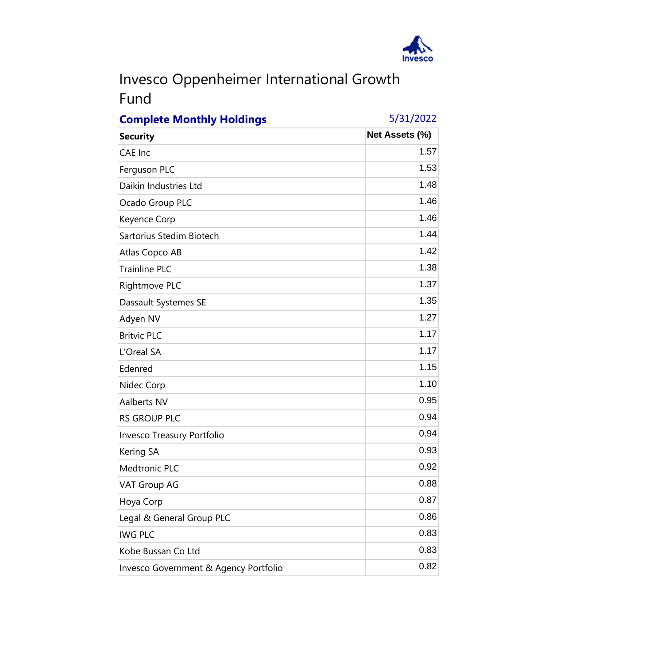

### Invesco Oppenheimer International Growth Fund

| <b>Complete Monthly Holdings</b>      | 5/31/2022      |
|---------------------------------------|----------------|
| <b>Security</b>                       | Net Assets (%) |
| CAE Inc                               | 1.57           |
| Ferguson PLC                          | 1.53           |
| Daikin Industries Ltd                 | 1.48           |
| Ocado Group PLC                       | 1.46           |
| Keyence Corp                          | 1.46           |
| Sartorius Stedim Biotech              | 1.44           |
| Atlas Copco AB                        | 1.42           |
| <b>Trainline PLC</b>                  | 1.38           |
| Rightmove PLC                         | 1.37           |
| Dassault Systemes SE                  | 1.35           |
| Adyen NV                              | 1.27           |
| <b>Britvic PLC</b>                    | 1.17           |
| L'Oreal SA                            | 1.17           |
| Edenred                               | 1.15           |
| Nidec Corp                            | 1.10           |
| Aalberts NV                           | 0.95           |
| RS GROUP PLC                          | 0.94           |
| Invesco Treasury Portfolio            | 0.94           |
| Kering SA                             | 0.93           |
| <b>Medtronic PLC</b>                  | 0.92           |
| VAT Group AG                          | 0.88           |
| Hoya Corp                             | 0.87           |
| Legal & General Group PLC             | 0.86           |
| <b>IWG PLC</b>                        | 0.83           |
| Kobe Bussan Co Ltd                    | 0.83           |
| Invesco Government & Agency Portfolio | 0.82           |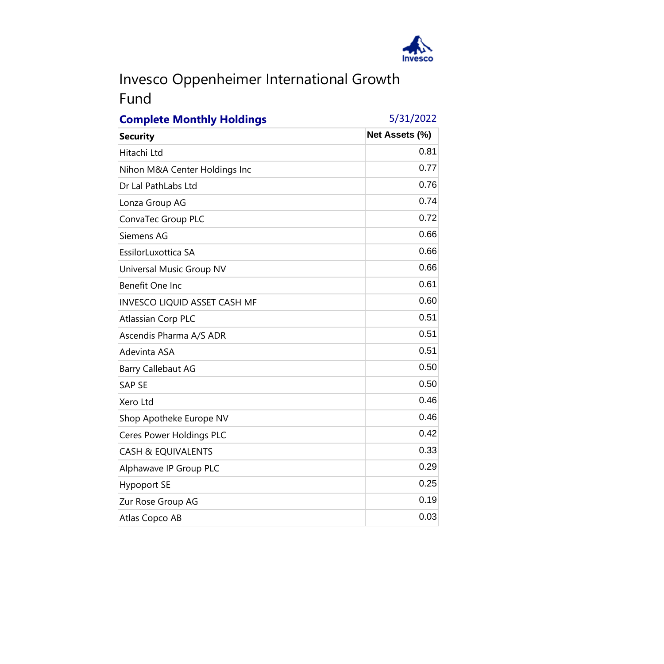

### Invesco Oppenheimer International Growth Fund

| <b>Complete Monthly Holdings</b>    | 5/31/2022      |
|-------------------------------------|----------------|
| <b>Security</b>                     | Net Assets (%) |
| Hitachi Ltd                         | 0.81           |
| Nihon M&A Center Holdings Inc       | 0.77           |
| Dr Lal PathLabs Ltd                 | 0.76           |
| Lonza Group AG                      | 0.74           |
| ConvaTec Group PLC                  | 0.72           |
| Siemens AG                          | 0.66           |
| EssilorLuxottica SA                 | 0.66           |
| Universal Music Group NV            | 0.66           |
| Benefit One Inc                     | 0.61           |
| <b>INVESCO LIQUID ASSET CASH MF</b> | 0.60           |
| Atlassian Corp PLC                  | 0.51           |
| Ascendis Pharma A/S ADR             | 0.51           |
| Adevinta ASA                        | 0.51           |
| <b>Barry Callebaut AG</b>           | 0.50           |
| <b>SAP SE</b>                       | 0.50           |
| Xero Ltd                            | 0.46           |
| Shop Apotheke Europe NV             | 0.46           |
| Ceres Power Holdings PLC            | 0.42           |
| <b>CASH &amp; EQUIVALENTS</b>       | 0.33           |
| Alphawave IP Group PLC              | 0.29           |
| <b>Hypoport SE</b>                  | 0.25           |
| Zur Rose Group AG                   | 0.19           |
| Atlas Copco AB                      | 0.03           |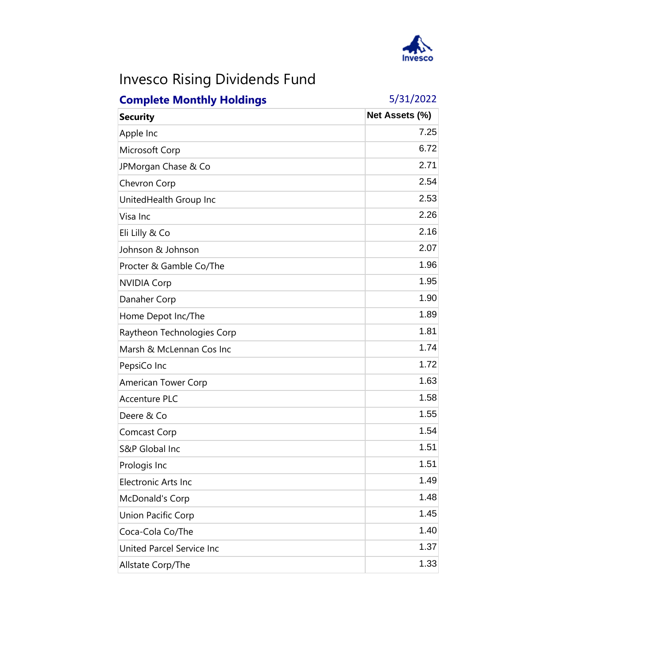

# Invesco Rising Dividends Fund

| <b>Complete Monthly Holdings</b> | 5/31/2022      |
|----------------------------------|----------------|
| <b>Security</b>                  | Net Assets (%) |
| Apple Inc                        | 7.25           |
| Microsoft Corp                   | 6.72           |
| JPMorgan Chase & Co              | 2.71           |
| Chevron Corp                     | 2.54           |
| UnitedHealth Group Inc           | 2.53           |
| Visa Inc                         | 2.26           |
| Eli Lilly & Co                   | 2.16           |
| Johnson & Johnson                | 2.07           |
| Procter & Gamble Co/The          | 1.96           |
| <b>NVIDIA Corp</b>               | 1.95           |
| Danaher Corp                     | 1.90           |
| Home Depot Inc/The               | 1.89           |
| Raytheon Technologies Corp       | 1.81           |
| Marsh & McLennan Cos Inc         | 1.74           |
| PepsiCo Inc                      | 1.72           |
| American Tower Corp              | 1.63           |
| Accenture PLC                    | 1.58           |
| Deere & Co                       | 1.55           |
| Comcast Corp                     | 1.54           |
| S&P Global Inc                   | 1.51           |
| Prologis Inc                     | 1.51           |
| Electronic Arts Inc              | 1.49           |
| McDonald's Corp                  | 1.48           |
| Union Pacific Corp               | 1.45           |
| Coca-Cola Co/The                 | 1.40           |
| United Parcel Service Inc        | 1.37           |
| Allstate Corp/The                | 1.33           |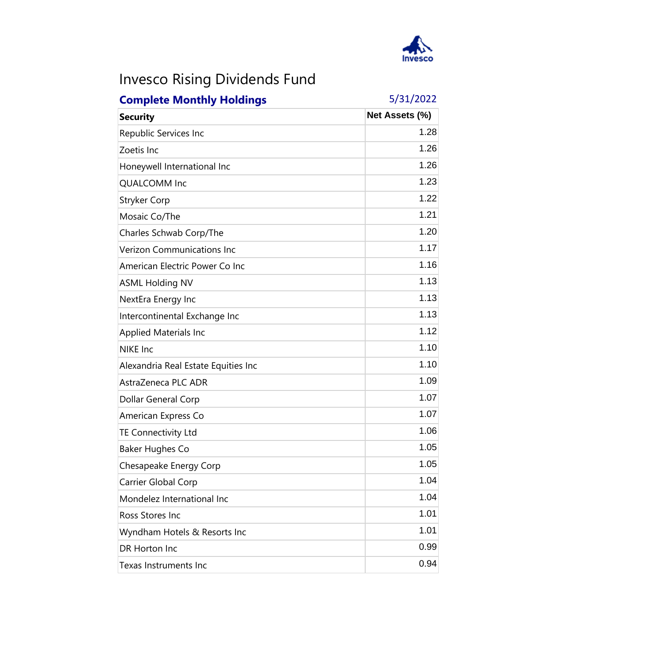

# Invesco Rising Dividends Fund

| <b>Complete Monthly Holdings</b>    | 5/31/2022      |
|-------------------------------------|----------------|
| <b>Security</b>                     | Net Assets (%) |
| Republic Services Inc               | 1.28           |
| Zoetis Inc                          | 1.26           |
| Honeywell International Inc         | 1.26           |
| <b>QUALCOMM Inc</b>                 | 1.23           |
| <b>Stryker Corp</b>                 | 1.22           |
| Mosaic Co/The                       | 1.21           |
| Charles Schwab Corp/The             | 1.20           |
| <b>Verizon Communications Inc</b>   | 1.17           |
| American Electric Power Co Inc      | 1.16           |
| <b>ASML Holding NV</b>              | 1.13           |
| NextEra Energy Inc                  | 1.13           |
| Intercontinental Exchange Inc       | 1.13           |
| <b>Applied Materials Inc</b>        | 1.12           |
| NIKE Inc                            | 1.10           |
| Alexandria Real Estate Equities Inc | 1.10           |
| AstraZeneca PLC ADR                 | 1.09           |
| Dollar General Corp                 | 1.07           |
| American Express Co                 | 1.07           |
| TE Connectivity Ltd                 | 1.06           |
| <b>Baker Hughes Co</b>              | 1.05           |
| Chesapeake Energy Corp              | 1.05           |
| Carrier Global Corp                 | 1.04           |
| Mondelez International Inc          | 1.04           |
| Ross Stores Inc                     | 1.01           |
| Wyndham Hotels & Resorts Inc        | 1.01           |
| DR Horton Inc                       | 0.99           |
| Texas Instruments Inc               | 0.94           |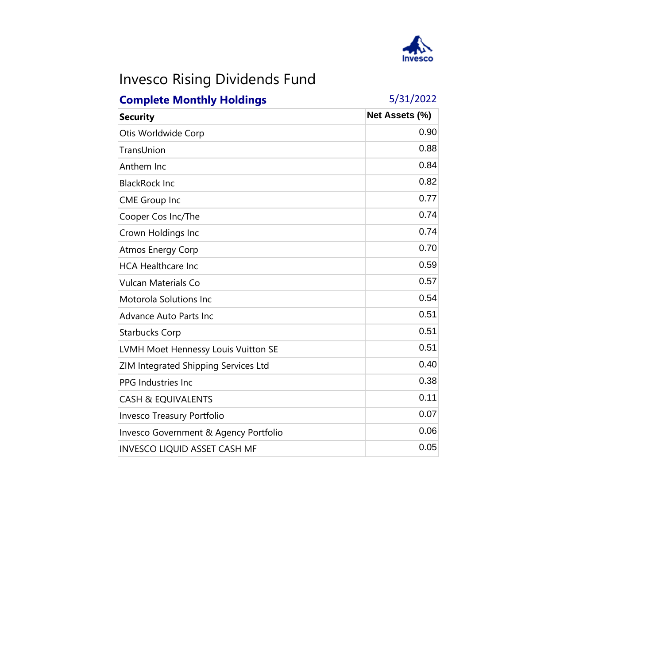

# Invesco Rising Dividends Fund

| <b>Complete Monthly Holdings</b>      | 5/31/2022      |
|---------------------------------------|----------------|
| <b>Security</b>                       | Net Assets (%) |
| Otis Worldwide Corp                   | 0.90           |
| TransUnion                            | 0.88           |
| Anthem Inc                            | 0.84           |
| <b>BlackRock Inc</b>                  | 0.82           |
| <b>CME Group Inc</b>                  | 0.77           |
| Cooper Cos Inc/The                    | 0.74           |
| Crown Holdings Inc                    | 0.74           |
| <b>Atmos Energy Corp</b>              | 0.70           |
| <b>HCA Healthcare Inc</b>             | 0.59           |
| <b>Vulcan Materials Co</b>            | 0.57           |
| Motorola Solutions Inc                | 0.54           |
| Advance Auto Parts Inc                | 0.51           |
| <b>Starbucks Corp</b>                 | 0.51           |
| LVMH Moet Hennessy Louis Vuitton SE   | 0.51           |
| ZIM Integrated Shipping Services Ltd  | 0.40           |
| PPG Industries Inc                    | 0.38           |
| <b>CASH &amp; EQUIVALENTS</b>         | 0.11           |
| Invesco Treasury Portfolio            | 0.07           |
| Invesco Government & Agency Portfolio | 0.06           |
| <b>INVESCO LIQUID ASSET CASH MF</b>   | 0.05           |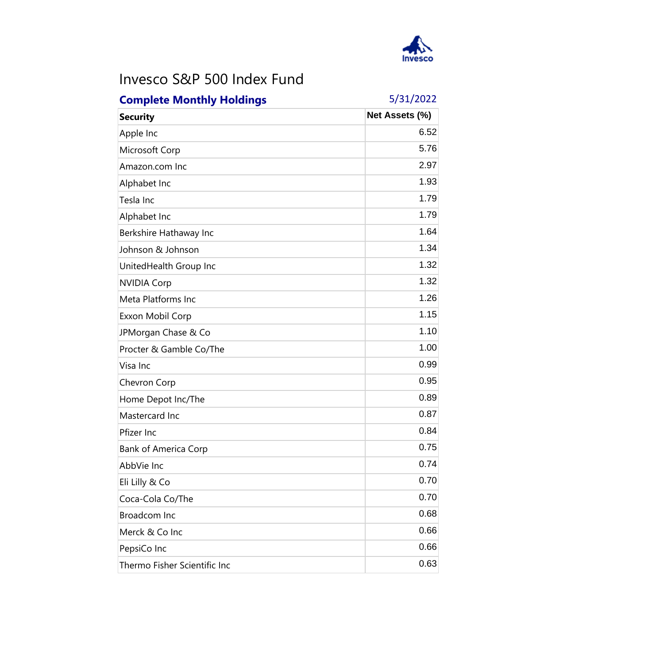

| <b>Complete Monthly Holdings</b> | 5/31/2022      |
|----------------------------------|----------------|
| <b>Security</b>                  | Net Assets (%) |
| Apple Inc                        | 6.52           |
| Microsoft Corp                   | 5.76           |
| Amazon.com Inc                   | 2.97           |
| Alphabet Inc                     | 1.93           |
| Tesla Inc                        | 1.79           |
| Alphabet Inc                     | 1.79           |
| Berkshire Hathaway Inc           | 1.64           |
| Johnson & Johnson                | 1.34           |
| UnitedHealth Group Inc           | 1.32           |
| <b>NVIDIA Corp</b>               | 1.32           |
| Meta Platforms Inc               | 1.26           |
| Exxon Mobil Corp                 | 1.15           |
| JPMorgan Chase & Co              | 1.10           |
| Procter & Gamble Co/The          | 1.00           |
| Visa Inc                         | 0.99           |
| Chevron Corp                     | 0.95           |
| Home Depot Inc/The               | 0.89           |
| Mastercard Inc                   | 0.87           |
| Pfizer Inc                       | 0.84           |
| <b>Bank of America Corp</b>      | 0.75           |
| AbbVie Inc                       | 0.74           |
| Eli Lilly & Co                   | 0.70           |
| Coca-Cola Co/The                 | 0.70           |
| Broadcom Inc                     | 0.68           |
| Merck & Co Inc                   | 0.66           |
| PepsiCo Inc                      | 0.66           |
| Thermo Fisher Scientific Inc     | 0.63           |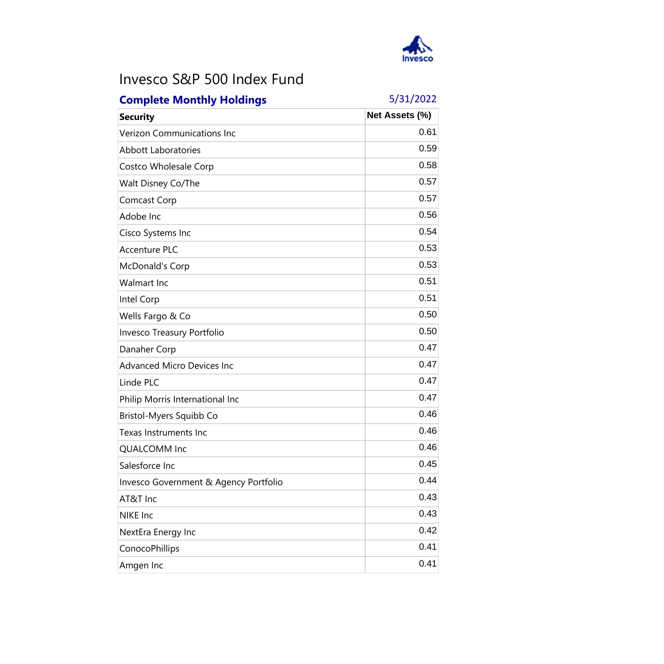

| <b>Complete Monthly Holdings</b>      | 5/31/2022      |
|---------------------------------------|----------------|
| <b>Security</b>                       | Net Assets (%) |
| <b>Verizon Communications Inc</b>     | 0.61           |
| <b>Abbott Laboratories</b>            | 0.59           |
| Costco Wholesale Corp                 | 0.58           |
| Walt Disney Co/The                    | 0.57           |
| Comcast Corp                          | 0.57           |
| Adobe Inc                             | 0.56           |
| Cisco Systems Inc                     | 0.54           |
| <b>Accenture PLC</b>                  | 0.53           |
| McDonald's Corp                       | 0.53           |
| Walmart Inc                           | 0.51           |
| Intel Corp                            | 0.51           |
| Wells Fargo & Co                      | 0.50           |
| Invesco Treasury Portfolio            | 0.50           |
| Danaher Corp                          | 0.47           |
| <b>Advanced Micro Devices Inc</b>     | 0.47           |
| Linde PLC                             | 0.47           |
| Philip Morris International Inc       | 0.47           |
| Bristol-Myers Squibb Co               | 0.46           |
| Texas Instruments Inc                 | 0.46           |
| <b>QUALCOMM Inc</b>                   | 0.46           |
| Salesforce Inc                        | 0.45           |
| Invesco Government & Agency Portfolio | 0.44           |
| AT&T Inc                              | 0.43           |
| NIKE Inc                              | 0.43           |
| NextEra Energy Inc                    | 0.42           |
| ConocoPhillips                        | 0.41           |
| Amgen Inc                             | 0.41           |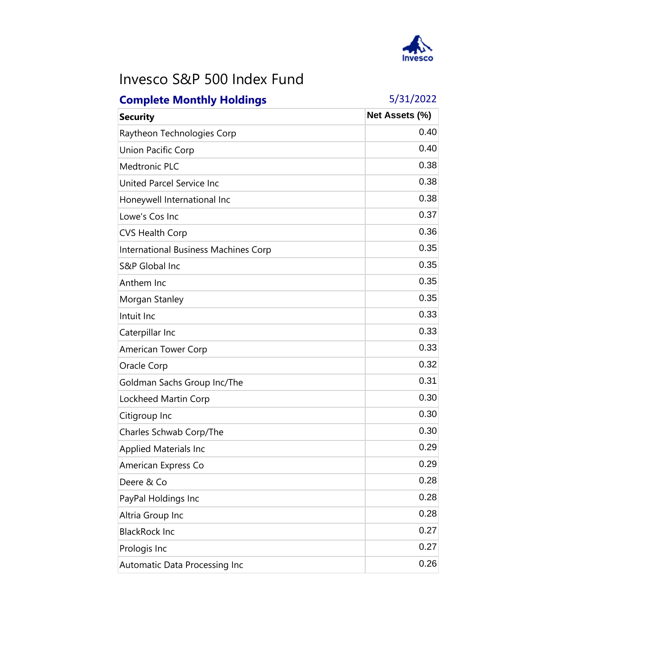

| <b>Complete Monthly Holdings</b>     | 5/31/2022      |
|--------------------------------------|----------------|
| <b>Security</b>                      | Net Assets (%) |
| Raytheon Technologies Corp           | 0.40           |
| Union Pacific Corp                   | 0.40           |
| Medtronic PLC                        | 0.38           |
| United Parcel Service Inc            | 0.38           |
| Honeywell International Inc          | 0.38           |
| Lowe's Cos Inc                       | 0.37           |
| CVS Health Corp                      | 0.36           |
| International Business Machines Corp | 0.35           |
| S&P Global Inc                       | 0.35           |
| Anthem Inc                           | 0.35           |
| Morgan Stanley                       | 0.35           |
| Intuit Inc                           | 0.33           |
| Caterpillar Inc                      | 0.33           |
| American Tower Corp                  | 0.33           |
| Oracle Corp                          | 0.32           |
| Goldman Sachs Group Inc/The          | 0.31           |
| Lockheed Martin Corp                 | 0.30           |
| Citigroup Inc                        | 0.30           |
| Charles Schwab Corp/The              | 0.30           |
| <b>Applied Materials Inc</b>         | 0.29           |
| American Express Co                  | 0.29           |
| Deere & Co                           | 0.28           |
| PayPal Holdings Inc                  | 0.28           |
| Altria Group Inc                     | 0.28           |
| <b>BlackRock Inc</b>                 | 0.27           |
| Prologis Inc                         | 0.27           |
| Automatic Data Processing Inc        | 0.26           |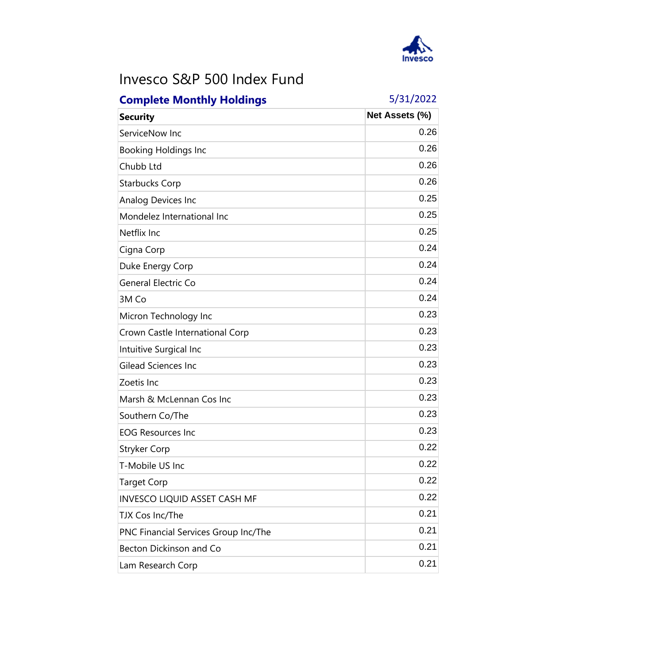

| <b>Complete Monthly Holdings</b>     | 5/31/2022      |
|--------------------------------------|----------------|
| <b>Security</b>                      | Net Assets (%) |
| ServiceNow Inc                       | 0.26           |
| <b>Booking Holdings Inc</b>          | 0.26           |
| Chubb Ltd                            | 0.26           |
| <b>Starbucks Corp</b>                | 0.26           |
| Analog Devices Inc                   | 0.25           |
| Mondelez International Inc           | 0.25           |
| Netflix Inc                          | 0.25           |
| Cigna Corp                           | 0.24           |
| Duke Energy Corp                     | 0.24           |
| General Electric Co                  | 0.24           |
| 3M Co                                | 0.24           |
| Micron Technology Inc                | 0.23           |
| Crown Castle International Corp      | 0.23           |
| Intuitive Surgical Inc               | 0.23           |
| Gilead Sciences Inc                  | 0.23           |
| Zoetis Inc                           | 0.23           |
| Marsh & McLennan Cos Inc             | 0.23           |
| Southern Co/The                      | 0.23           |
| <b>EOG Resources Inc</b>             | 0.23           |
| <b>Stryker Corp</b>                  | 0.22           |
| T-Mobile US Inc                      | 0.22           |
| <b>Target Corp</b>                   | 0.22           |
| <b>INVESCO LIQUID ASSET CASH MF</b>  | 0.22           |
| TJX Cos Inc/The                      | 0.21           |
| PNC Financial Services Group Inc/The | 0.21           |
| Becton Dickinson and Co              | 0.21           |
| Lam Research Corp                    | 0.21           |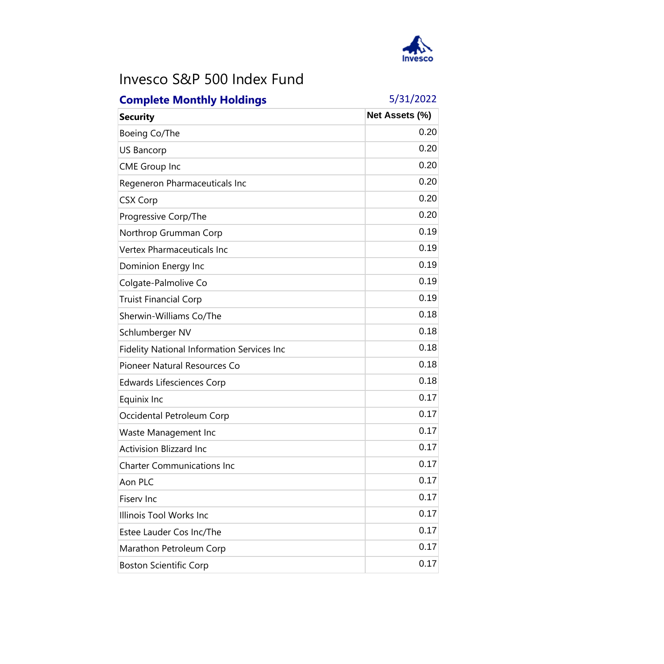

| <b>Complete Monthly Holdings</b>           | 5/31/2022      |
|--------------------------------------------|----------------|
| <b>Security</b>                            | Net Assets (%) |
| Boeing Co/The                              | 0.20           |
| <b>US Bancorp</b>                          | 0.20           |
| <b>CME Group Inc</b>                       | 0.20           |
| Regeneron Pharmaceuticals Inc              | 0.20           |
| <b>CSX Corp</b>                            | 0.20           |
| Progressive Corp/The                       | 0.20           |
| Northrop Grumman Corp                      | 0.19           |
| Vertex Pharmaceuticals Inc                 | 0.19           |
| Dominion Energy Inc                        | 0.19           |
| Colgate-Palmolive Co                       | 0.19           |
| <b>Truist Financial Corp</b>               | 0.19           |
| Sherwin-Williams Co/The                    | 0.18           |
| Schlumberger NV                            | 0.18           |
| Fidelity National Information Services Inc | 0.18           |
| Pioneer Natural Resources Co               | 0.18           |
| <b>Edwards Lifesciences Corp</b>           | 0.18           |
| Equinix Inc                                | 0.17           |
| Occidental Petroleum Corp                  | 0.17           |
| Waste Management Inc                       | 0.17           |
| <b>Activision Blizzard Inc</b>             | 0.17           |
| <b>Charter Communications Inc</b>          | 0.17           |
| Aon PLC                                    | 0.17           |
| Fiserv Inc                                 | 0.17           |
| Illinois Tool Works Inc                    | 0.17           |
| Estee Lauder Cos Inc/The                   | 0.17           |
| Marathon Petroleum Corp                    | 0.17           |
| <b>Boston Scientific Corp</b>              | 0.17           |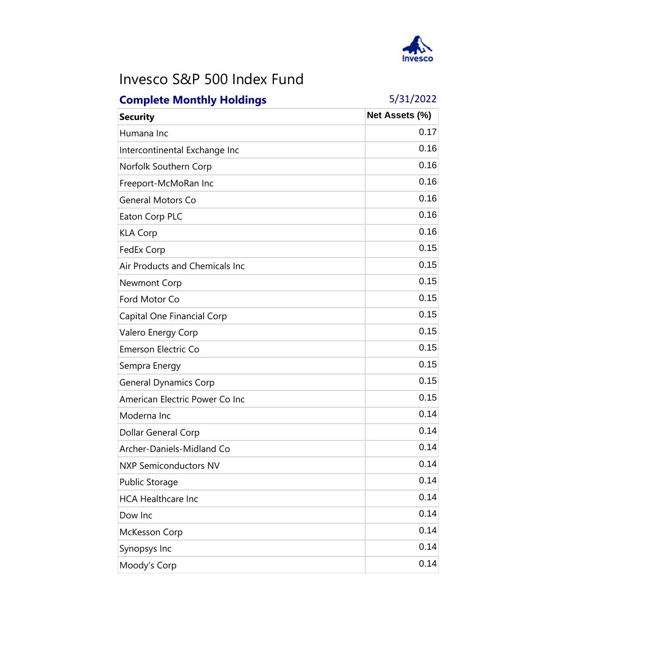

| <b>Complete Monthly Holdings</b> | 5/31/2022      |
|----------------------------------|----------------|
| <b>Security</b>                  | Net Assets (%) |
| Humana Inc                       | 0.17           |
| Intercontinental Exchange Inc    | 0.16           |
| Norfolk Southern Corp            | 0.16           |
| Freeport-McMoRan Inc             | 0.16           |
| <b>General Motors Co</b>         | 0.16           |
| Eaton Corp PLC                   | 0.16           |
| <b>KLA Corp</b>                  | 0.16           |
| FedEx Corp                       | 0.15           |
| Air Products and Chemicals Inc   | 0.15           |
| Newmont Corp                     | 0.15           |
| Ford Motor Co                    | 0.15           |
| Capital One Financial Corp       | 0.15           |
| Valero Energy Corp               | 0.15           |
| Emerson Electric Co              | 0.15           |
| Sempra Energy                    | 0.15           |
| <b>General Dynamics Corp</b>     | 0.15           |
| American Electric Power Co Inc   | 0.15           |
| Moderna Inc                      | 0.14           |
| <b>Dollar General Corp</b>       | 0.14           |
| Archer-Daniels-Midland Co        | 0.14           |
| <b>NXP Semiconductors NV</b>     | 0.14           |
| Public Storage                   | 0.14           |
| <b>HCA Healthcare Inc</b>        | 0.14           |
| Dow Inc                          | 0.14           |
| McKesson Corp                    | 0.14           |
| Synopsys Inc                     | 0.14           |
| Moody's Corp                     | 0.14           |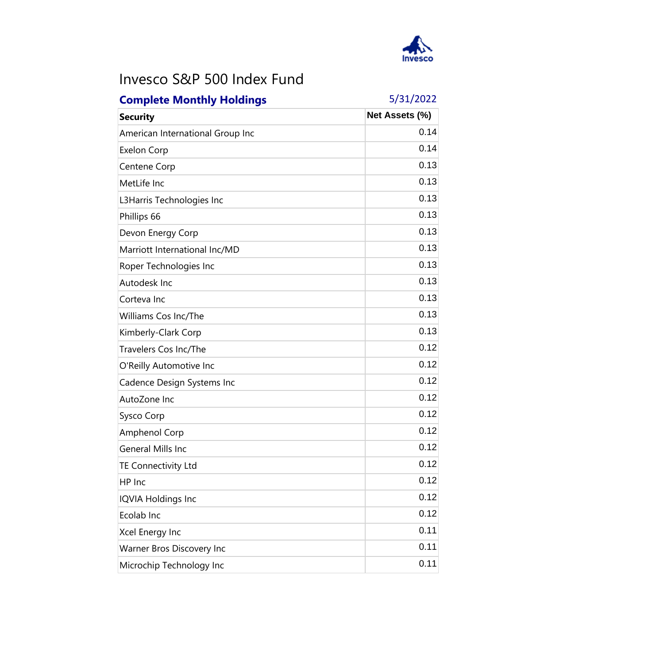

| <b>Complete Monthly Holdings</b> | 5/31/2022      |
|----------------------------------|----------------|
| <b>Security</b>                  | Net Assets (%) |
| American International Group Inc | 0.14           |
| Exelon Corp                      | 0.14           |
| Centene Corp                     | 0.13           |
| MetLife Inc                      | 0.13           |
| L3Harris Technologies Inc        | 0.13           |
| Phillips 66                      | 0.13           |
| Devon Energy Corp                | 0.13           |
| Marriott International Inc/MD    | 0.13           |
| Roper Technologies Inc           | 0.13           |
| Autodesk Inc                     | 0.13           |
| Corteva Inc                      | 0.13           |
| Williams Cos Inc/The             | 0.13           |
| Kimberly-Clark Corp              | 0.13           |
| Travelers Cos Inc/The            | 0.12           |
| O'Reilly Automotive Inc          | 0.12           |
| Cadence Design Systems Inc       | 0.12           |
| AutoZone Inc                     | 0.12           |
| Sysco Corp                       | 0.12           |
| Amphenol Corp                    | 0.12           |
| <b>General Mills Inc</b>         | 0.12           |
| TE Connectivity Ltd              | 0.12           |
| HP Inc                           | 0.12           |
| IQVIA Holdings Inc               | 0.12           |
| Ecolab Inc                       | 0.12           |
| Xcel Energy Inc                  | 0.11           |
| Warner Bros Discovery Inc        | 0.11           |
| Microchip Technology Inc         | 0.11           |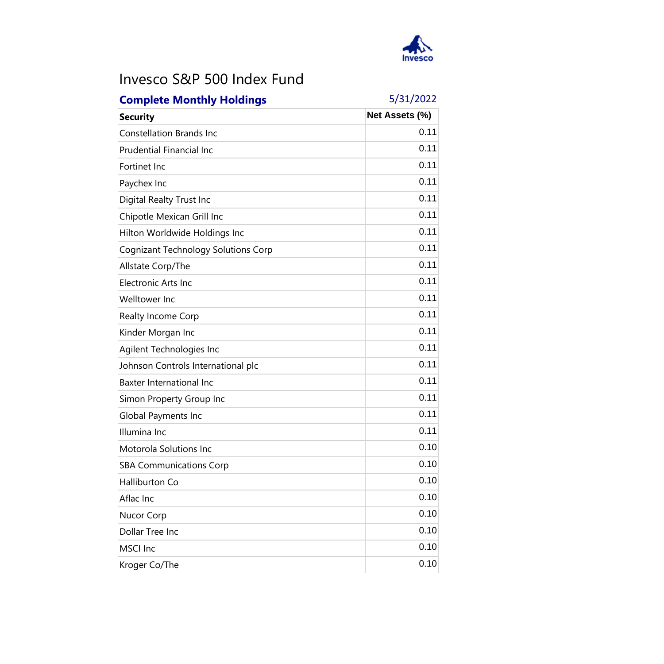

| <b>Complete Monthly Holdings</b>           | 5/31/2022      |
|--------------------------------------------|----------------|
| <b>Security</b>                            | Net Assets (%) |
| <b>Constellation Brands Inc</b>            | 0.11           |
| <b>Prudential Financial Inc</b>            | 0.11           |
| Fortinet Inc                               | 0.11           |
| Paychex Inc                                | 0.11           |
| Digital Realty Trust Inc                   | 0.11           |
| Chipotle Mexican Grill Inc                 | 0.11           |
| Hilton Worldwide Holdings Inc              | 0.11           |
| <b>Cognizant Technology Solutions Corp</b> | 0.11           |
| Allstate Corp/The                          | 0.11           |
| Electronic Arts Inc                        | 0.11           |
| Welltower Inc                              | 0.11           |
| Realty Income Corp                         | 0.11           |
| Kinder Morgan Inc                          | 0.11           |
| Agilent Technologies Inc                   | 0.11           |
| Johnson Controls International plc         | 0.11           |
| <b>Baxter International Inc</b>            | 0.11           |
| Simon Property Group Inc                   | 0.11           |
| Global Payments Inc                        | 0.11           |
| Illumina Inc                               | 0.11           |
| Motorola Solutions Inc                     | 0.10           |
| <b>SBA Communications Corp</b>             | 0.10           |
| Halliburton Co                             | 0.10           |
| Aflac Inc                                  | 0.10           |
| Nucor Corp                                 | 0.10           |
| Dollar Tree Inc                            | 0.10           |
| <b>MSCI Inc</b>                            | 0.10           |
| Kroger Co/The                              | 0.10           |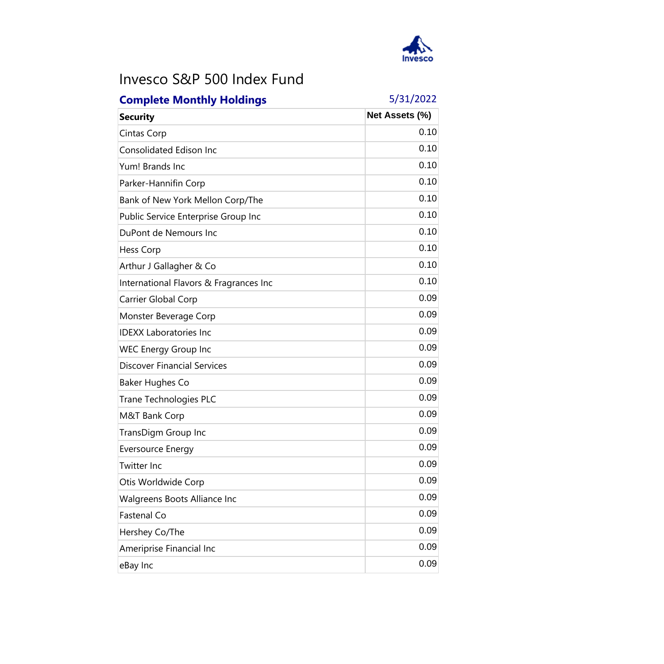

| <b>Security</b>                        | Net Assets (%) |
|----------------------------------------|----------------|
| Cintas Corp                            | 0.10           |
| Consolidated Edison Inc                | 0.10           |
| Yum! Brands Inc                        | 0.10           |
| Parker-Hannifin Corp                   | 0.10           |
| Bank of New York Mellon Corp/The       | 0.10           |
| Public Service Enterprise Group Inc    | 0.10           |
| DuPont de Nemours Inc                  | 0.10           |
| Hess Corp                              | 0.10           |
| Arthur J Gallagher & Co                | 0.10           |
| International Flavors & Fragrances Inc | 0.10           |
| Carrier Global Corp                    | 0.09           |
| Monster Beverage Corp                  | 0.09           |
| <b>IDEXX Laboratories Inc</b>          | 0.09           |
| <b>WEC Energy Group Inc</b>            | 0.09           |
| <b>Discover Financial Services</b>     | 0.09           |
| <b>Baker Hughes Co</b>                 | 0.09           |
| <b>Trane Technologies PLC</b>          | 0.09           |
| M&T Bank Corp                          | 0.09           |
| TransDigm Group Inc                    | 0.09           |
| <b>Eversource Energy</b>               | 0.09           |
| Twitter Inc                            | 0.09           |
| Otis Worldwide Corp                    | 0.09           |
| Walgreens Boots Alliance Inc           | 0.09           |
| <b>Fastenal Co</b>                     | 0.09           |
| Hershey Co/The                         | 0.09           |
| Ameriprise Financial Inc               | 0.09           |
| eBay Inc                               | 0.09           |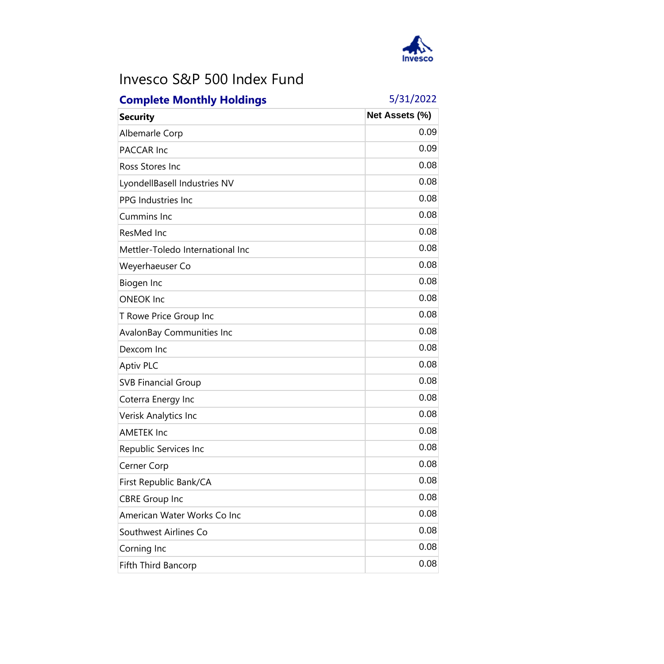

| <b>Complete Monthly Holdings</b> | 5/31/2022      |
|----------------------------------|----------------|
| <b>Security</b>                  | Net Assets (%) |
| Albemarle Corp                   | 0.09           |
| <b>PACCAR Inc</b>                | 0.09           |
| Ross Stores Inc                  | 0.08           |
| LyondellBasell Industries NV     | 0.08           |
| PPG Industries Inc               | 0.08           |
| <b>Cummins Inc</b>               | 0.08           |
| ResMed Inc                       | 0.08           |
| Mettler-Toledo International Inc | 0.08           |
| Weyerhaeuser Co                  | 0.08           |
| Biogen Inc                       | 0.08           |
| <b>ONEOK Inc</b>                 | 0.08           |
| T Rowe Price Group Inc           | 0.08           |
| AvalonBay Communities Inc        | 0.08           |
| Dexcom Inc                       | 0.08           |
| <b>Aptiv PLC</b>                 | 0.08           |
| <b>SVB Financial Group</b>       | 0.08           |
| Coterra Energy Inc               | 0.08           |
| Verisk Analytics Inc             | 0.08           |
| <b>AMETEK Inc</b>                | 0.08           |
| Republic Services Inc            | 0.08           |
| Cerner Corp                      | 0.08           |
| First Republic Bank/CA           | 0.08           |
| <b>CBRE Group Inc</b>            | 0.08           |
| American Water Works Co Inc      | 0.08           |
| Southwest Airlines Co            | 0.08           |
| Corning Inc                      | 0.08           |
| Fifth Third Bancorp              | 0.08           |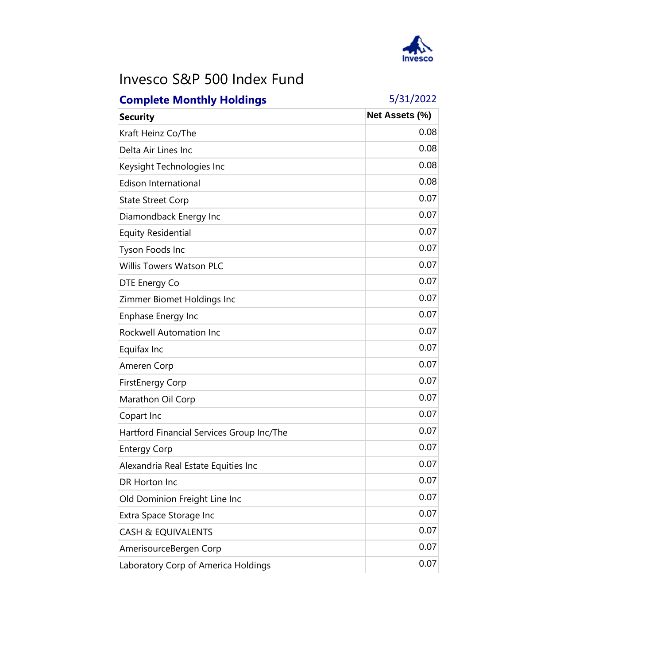

| <b>Complete Monthly Holdings</b>          | 5/31/2022      |
|-------------------------------------------|----------------|
| <b>Security</b>                           | Net Assets (%) |
| Kraft Heinz Co/The                        | 0.08           |
| Delta Air Lines Inc                       | 0.08           |
| Keysight Technologies Inc                 | 0.08           |
| Edison International                      | 0.08           |
| <b>State Street Corp</b>                  | 0.07           |
| Diamondback Energy Inc                    | 0.07           |
| <b>Equity Residential</b>                 | 0.07           |
| Tyson Foods Inc                           | 0.07           |
| Willis Towers Watson PLC                  | 0.07           |
| DTE Energy Co                             | 0.07           |
| Zimmer Biomet Holdings Inc                | 0.07           |
| Enphase Energy Inc                        | 0.07           |
| Rockwell Automation Inc                   | 0.07           |
| Equifax Inc                               | 0.07           |
| Ameren Corp                               | 0.07           |
| <b>FirstEnergy Corp</b>                   | 0.07           |
| Marathon Oil Corp                         | 0.07           |
| Copart Inc                                | 0.07           |
| Hartford Financial Services Group Inc/The | 0.07           |
| <b>Entergy Corp</b>                       | 0.07           |
| Alexandria Real Estate Equities Inc       | 0.07           |
| DR Horton Inc                             | 0.07           |
| Old Dominion Freight Line Inc             | 0.07           |
| Extra Space Storage Inc                   | 0.07           |
| <b>CASH &amp; EQUIVALENTS</b>             | 0.07           |
| AmerisourceBergen Corp                    | 0.07           |
| Laboratory Corp of America Holdings       | 0.07           |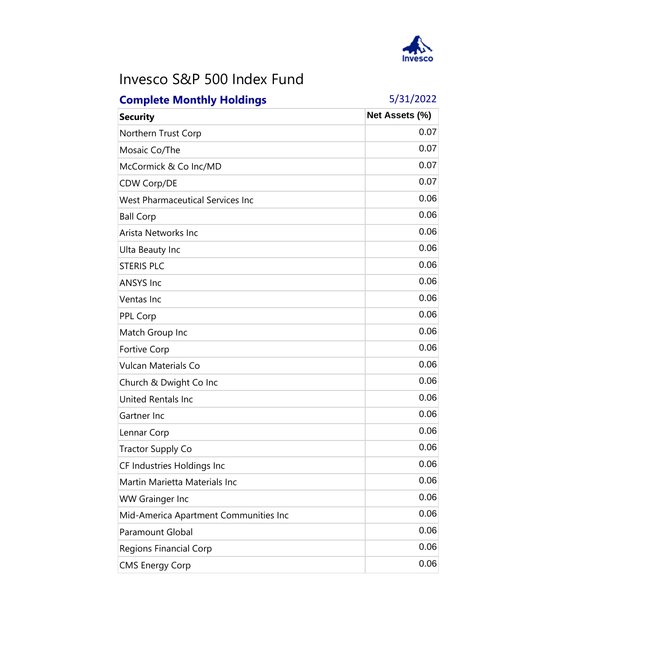

| <b>Complete Monthly Holdings</b>      | 5/31/2022      |
|---------------------------------------|----------------|
| <b>Security</b>                       | Net Assets (%) |
| Northern Trust Corp                   | 0.07           |
| Mosaic Co/The                         | 0.07           |
| McCormick & Co Inc/MD                 | 0.07           |
| CDW Corp/DE                           | 0.07           |
| West Pharmaceutical Services Inc      | 0.06           |
| <b>Ball Corp</b>                      | 0.06           |
| Arista Networks Inc                   | 0.06           |
| Ulta Beauty Inc                       | 0.06           |
| <b>STERIS PLC</b>                     | 0.06           |
| <b>ANSYS Inc</b>                      | 0.06           |
| Ventas Inc                            | 0.06           |
| PPL Corp                              | 0.06           |
| Match Group Inc                       | 0.06           |
| Fortive Corp                          | 0.06           |
| <b>Vulcan Materials Co</b>            | 0.06           |
| Church & Dwight Co Inc                | 0.06           |
| United Rentals Inc                    | 0.06           |
| Gartner Inc                           | 0.06           |
| Lennar Corp                           | 0.06           |
| <b>Tractor Supply Co</b>              | 0.06           |
| CF Industries Holdings Inc            | 0.06           |
| Martin Marietta Materials Inc         | 0.06           |
| <b>WW Grainger Inc</b>                | 0.06           |
| Mid-America Apartment Communities Inc | 0.06           |
| Paramount Global                      | 0.06           |
| <b>Regions Financial Corp</b>         | 0.06           |
| <b>CMS Energy Corp</b>                | 0.06           |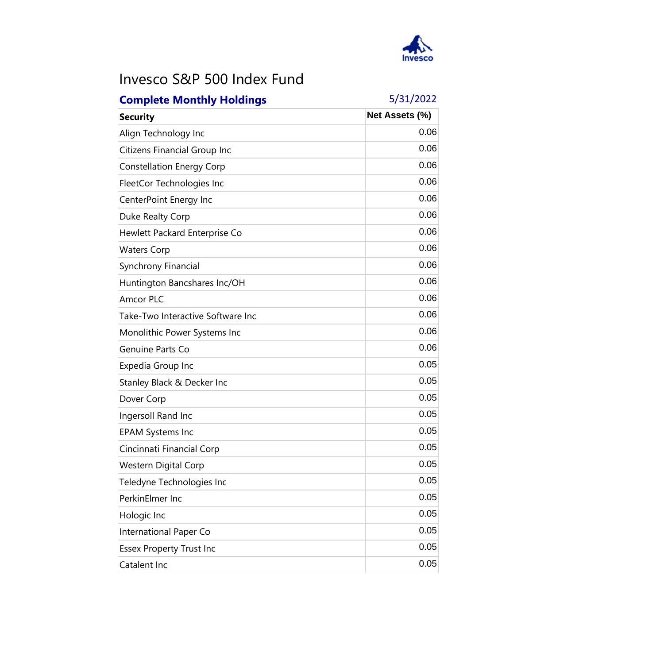

| <b>Complete Monthly Holdings</b>  | 5/31/2022      |
|-----------------------------------|----------------|
| <b>Security</b>                   | Net Assets (%) |
| Align Technology Inc              | 0.06           |
| Citizens Financial Group Inc      | 0.06           |
| <b>Constellation Energy Corp</b>  | 0.06           |
| FleetCor Technologies Inc         | 0.06           |
| CenterPoint Energy Inc            | 0.06           |
| Duke Realty Corp                  | 0.06           |
| Hewlett Packard Enterprise Co     | 0.06           |
| <b>Waters Corp</b>                | 0.06           |
| Synchrony Financial               | 0.06           |
| Huntington Bancshares Inc/OH      | 0.06           |
| Amcor PLC                         | 0.06           |
| Take-Two Interactive Software Inc | 0.06           |
| Monolithic Power Systems Inc      | 0.06           |
| Genuine Parts Co                  | 0.06           |
| Expedia Group Inc                 | 0.05           |
| Stanley Black & Decker Inc        | 0.05           |
| Dover Corp                        | 0.05           |
| Ingersoll Rand Inc                | 0.05           |
| <b>EPAM Systems Inc</b>           | 0.05           |
| Cincinnati Financial Corp         | 0.05           |
| Western Digital Corp              | 0.05           |
| Teledyne Technologies Inc         | 0.05           |
| PerkinElmer Inc                   | 0.05           |
| Hologic Inc                       | 0.05           |
| International Paper Co            | 0.05           |
| <b>Essex Property Trust Inc</b>   | 0.05           |
| Catalent Inc                      | 0.05           |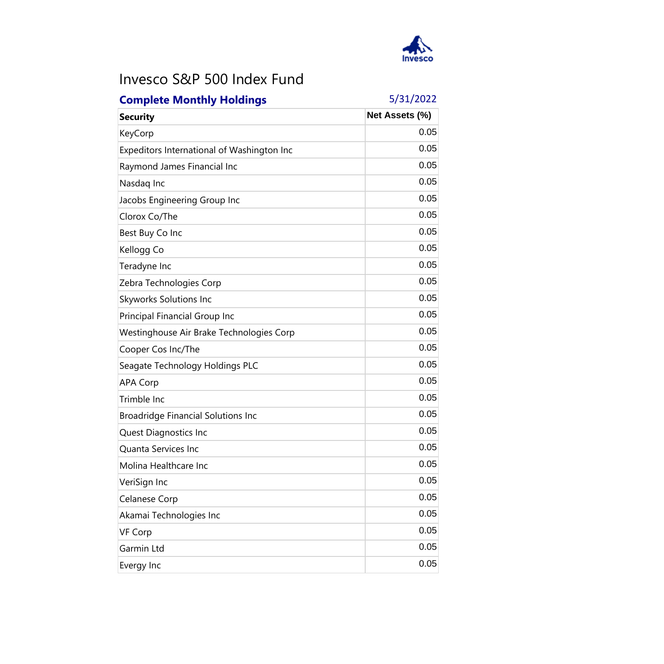

| <b>Complete Monthly Holdings</b>           | 5/31/2022      |
|--------------------------------------------|----------------|
| <b>Security</b>                            | Net Assets (%) |
| KeyCorp                                    | 0.05           |
| Expeditors International of Washington Inc | 0.05           |
| Raymond James Financial Inc                | 0.05           |
| Nasdag Inc                                 | 0.05           |
| Jacobs Engineering Group Inc               | 0.05           |
| Clorox Co/The                              | 0.05           |
| Best Buy Co Inc                            | 0.05           |
| Kellogg Co                                 | 0.05           |
| Teradyne Inc                               | 0.05           |
| Zebra Technologies Corp                    | 0.05           |
| Skyworks Solutions Inc                     | 0.05           |
| Principal Financial Group Inc              | 0.05           |
| Westinghouse Air Brake Technologies Corp   | 0.05           |
| Cooper Cos Inc/The                         | 0.05           |
| Seagate Technology Holdings PLC            | 0.05           |
| <b>APA Corp</b>                            | 0.05           |
| Trimble Inc                                | 0.05           |
| Broadridge Financial Solutions Inc         | 0.05           |
| Quest Diagnostics Inc                      | 0.05           |
| Quanta Services Inc                        | 0.05           |
| Molina Healthcare Inc                      | 0.05           |
| VeriSign Inc                               | 0.05           |
| Celanese Corp                              | 0.05           |
| Akamai Technologies Inc                    | 0.05           |
| <b>VF Corp</b>                             | 0.05           |
| Garmin Ltd                                 | 0.05           |
| Evergy Inc                                 | 0.05           |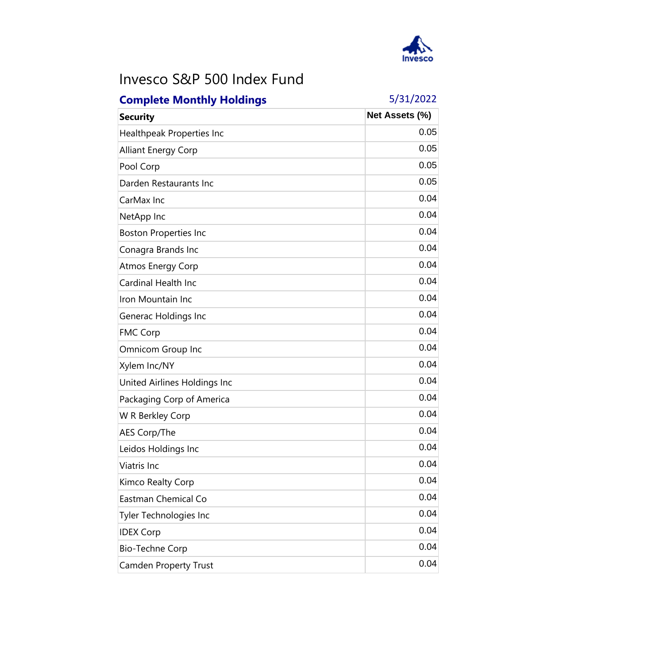

| <b>Complete Monthly Holdings</b> | 5/31/2022      |
|----------------------------------|----------------|
| <b>Security</b>                  | Net Assets (%) |
| Healthpeak Properties Inc        | 0.05           |
| <b>Alliant Energy Corp</b>       | 0.05           |
| Pool Corp                        | 0.05           |
| Darden Restaurants Inc           | 0.05           |
| CarMax Inc                       | 0.04           |
| NetApp Inc                       | 0.04           |
| <b>Boston Properties Inc</b>     | 0.04           |
| Conagra Brands Inc               | 0.04           |
| <b>Atmos Energy Corp</b>         | 0.04           |
| Cardinal Health Inc              | 0.04           |
| Iron Mountain Inc                | 0.04           |
| Generac Holdings Inc             | 0.04           |
| <b>FMC Corp</b>                  | 0.04           |
| Omnicom Group Inc                | 0.04           |
| Xylem Inc/NY                     | 0.04           |
| United Airlines Holdings Inc     | 0.04           |
| Packaging Corp of America        | 0.04           |
| W R Berkley Corp                 | 0.04           |
| AES Corp/The                     | 0.04           |
| Leidos Holdings Inc              | 0.04           |
| Viatris Inc                      | 0.04           |
| Kimco Realty Corp                | 0.04           |
| Eastman Chemical Co              | 0.04           |
| Tyler Technologies Inc           | 0.04           |
| <b>IDEX Corp</b>                 | 0.04           |
| Bio-Techne Corp                  | 0.04           |
| <b>Camden Property Trust</b>     | 0.04           |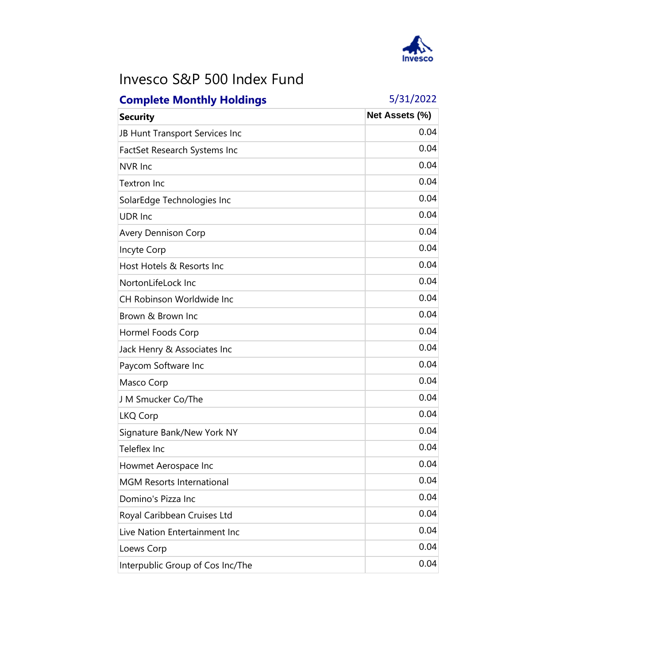

| <b>Complete Monthly Holdings</b> | 5/31/2022      |
|----------------------------------|----------------|
| <b>Security</b>                  | Net Assets (%) |
| JB Hunt Transport Services Inc   | 0.04           |
| FactSet Research Systems Inc     | 0.04           |
| NVR Inc                          | 0.04           |
| <b>Textron Inc</b>               | 0.04           |
| SolarEdge Technologies Inc       | 0.04           |
| <b>UDR Inc</b>                   | 0.04           |
| <b>Avery Dennison Corp</b>       | 0.04           |
| Incyte Corp                      | 0.04           |
| Host Hotels & Resorts Inc        | 0.04           |
| NortonLifeLock Inc               | 0.04           |
| CH Robinson Worldwide Inc        | 0.04           |
| Brown & Brown Inc                | 0.04           |
| Hormel Foods Corp                | 0.04           |
| Jack Henry & Associates Inc      | 0.04           |
| Paycom Software Inc              | 0.04           |
| Masco Corp                       | 0.04           |
| J M Smucker Co/The               | 0.04           |
| LKQ Corp                         | 0.04           |
| Signature Bank/New York NY       | 0.04           |
| Teleflex Inc                     | 0.04           |
| Howmet Aerospace Inc             | 0.04           |
| <b>MGM Resorts International</b> | 0.04           |
| Domino's Pizza Inc               | 0.04           |
| Royal Caribbean Cruises Ltd      | 0.04           |
| Live Nation Entertainment Inc    | 0.04           |
| Loews Corp                       | 0.04           |
| Interpublic Group of Cos Inc/The | 0.04           |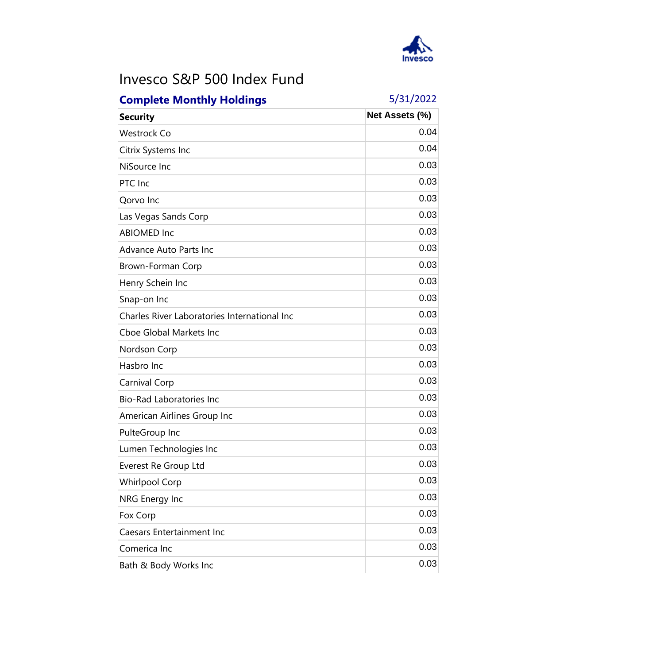

| <b>Complete Monthly Holdings</b>             | 5/31/2022      |
|----------------------------------------------|----------------|
| <b>Security</b>                              | Net Assets (%) |
| <b>Westrock Co</b>                           | 0.04           |
| Citrix Systems Inc                           | 0.04           |
| NiSource Inc                                 | 0.03           |
| PTC Inc                                      | 0.03           |
| Oorvo Inc                                    | 0.03           |
| Las Vegas Sands Corp                         | 0.03           |
| <b>ABIOMED Inc</b>                           | 0.03           |
| Advance Auto Parts Inc                       | 0.03           |
| Brown-Forman Corp                            | 0.03           |
| Henry Schein Inc                             | 0.03           |
| Snap-on Inc                                  | 0.03           |
| Charles River Laboratories International Inc | 0.03           |
| Cboe Global Markets Inc                      | 0.03           |
| Nordson Corp                                 | 0.03           |
| Hasbro Inc                                   | 0.03           |
| Carnival Corp                                | 0.03           |
| <b>Bio-Rad Laboratories Inc</b>              | 0.03           |
| American Airlines Group Inc                  | 0.03           |
| PulteGroup Inc                               | 0.03           |
| Lumen Technologies Inc                       | 0.03           |
| Everest Re Group Ltd                         | 0.03           |
| <b>Whirlpool Corp</b>                        | 0.03           |
| NRG Energy Inc                               | 0.03           |
| Fox Corp                                     | 0.03           |
| <b>Caesars Entertainment Inc</b>             | 0.03           |
| Comerica Inc                                 | 0.03           |
| Bath & Body Works Inc                        | 0.03           |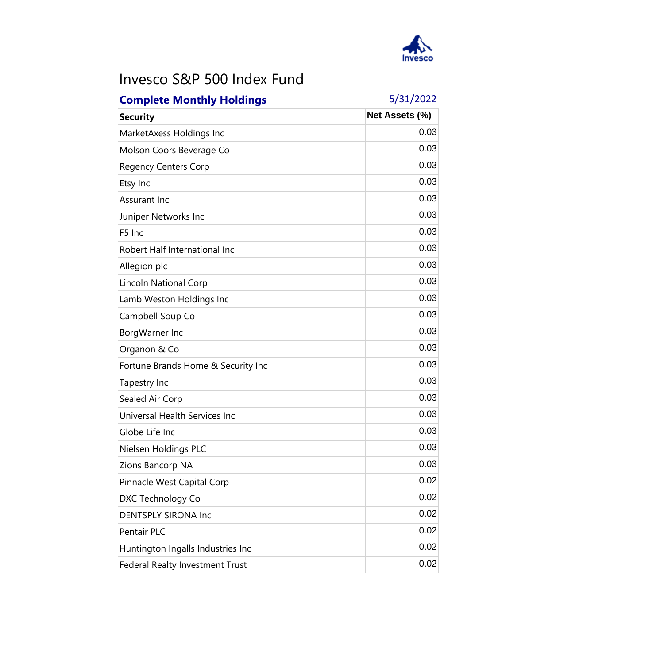

| <b>Complete Monthly Holdings</b>   | 5/31/2022      |
|------------------------------------|----------------|
| <b>Security</b>                    | Net Assets (%) |
| MarketAxess Holdings Inc           | 0.03           |
| Molson Coors Beverage Co           | 0.03           |
| <b>Regency Centers Corp</b>        | 0.03           |
| Etsy Inc                           | 0.03           |
| Assurant Inc                       | 0.03           |
| Juniper Networks Inc               | 0.03           |
| F5 Inc                             | 0.03           |
| Robert Half International Inc      | 0.03           |
| Allegion plc                       | 0.03           |
| Lincoln National Corp              | 0.03           |
| Lamb Weston Holdings Inc           | 0.03           |
| Campbell Soup Co                   | 0.03           |
| BorgWarner Inc                     | 0.03           |
| Organon & Co                       | 0.03           |
| Fortune Brands Home & Security Inc | 0.03           |
| Tapestry Inc                       | 0.03           |
| Sealed Air Corp                    | 0.03           |
| Universal Health Services Inc      | 0.03           |
| Globe Life Inc                     | 0.03           |
| Nielsen Holdings PLC               | 0.03           |
| Zions Bancorp NA                   | 0.03           |
| Pinnacle West Capital Corp         | 0.02           |
| DXC Technology Co                  | 0.02           |
| <b>DENTSPLY SIRONA Inc</b>         | 0.02           |
| Pentair PLC                        | 0.02           |
| Huntington Ingalls Industries Inc  | 0.02           |
| Federal Realty Investment Trust    | 0.02           |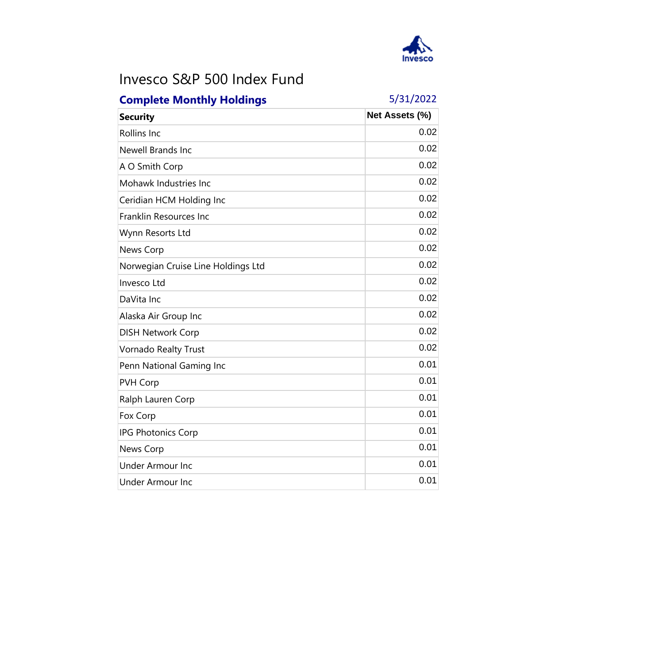

| <b>Complete Monthly Holdings</b>   | 5/31/2022      |
|------------------------------------|----------------|
| <b>Security</b>                    | Net Assets (%) |
| Rollins Inc                        | 0.02           |
| Newell Brands Inc                  | 0.02           |
| A O Smith Corp                     | 0.02           |
| Mohawk Industries Inc              | 0.02           |
| Ceridian HCM Holding Inc           | 0.02           |
| Franklin Resources Inc             | 0.02           |
| Wynn Resorts Ltd                   | 0.02           |
| News Corp                          | 0.02           |
| Norwegian Cruise Line Holdings Ltd | 0.02           |
| Invesco Ltd                        | 0.02           |
| DaVita Inc                         | 0.02           |
| Alaska Air Group Inc               | 0.02           |
| <b>DISH Network Corp</b>           | 0.02           |
| Vornado Realty Trust               | 0.02           |
| Penn National Gaming Inc           | 0.01           |
| PVH Corp                           | 0.01           |
| Ralph Lauren Corp                  | 0.01           |
| Fox Corp                           | 0.01           |
| IPG Photonics Corp                 | 0.01           |
| News Corp                          | 0.01           |
| <b>Under Armour Inc</b>            | 0.01           |
| <b>Under Armour Inc</b>            | 0.01           |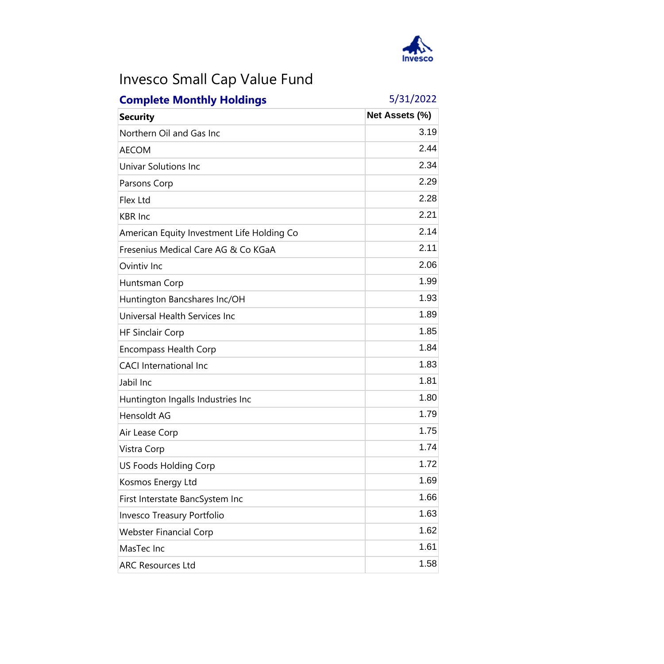

| <b>Complete Monthly Holdings</b>           | 5/31/2022      |
|--------------------------------------------|----------------|
| <b>Security</b>                            | Net Assets (%) |
| Northern Oil and Gas Inc                   | 3.19           |
| <b>AECOM</b>                               | 2.44           |
| <b>Univar Solutions Inc</b>                | 2.34           |
| Parsons Corp                               | 2.29           |
| Flex Ltd                                   | 2.28           |
| KBR Inc                                    | 2.21           |
| American Equity Investment Life Holding Co | 2.14           |
| Fresenius Medical Care AG & Co KGaA        | 2.11           |
| Ovintiv Inc                                | 2.06           |
| Huntsman Corp                              | 1.99           |
| Huntington Bancshares Inc/OH               | 1.93           |
| Universal Health Services Inc              | 1.89           |
| <b>HF Sinclair Corp</b>                    | 1.85           |
| <b>Encompass Health Corp</b>               | 1.84           |
| <b>CACI International Inc</b>              | 1.83           |
| Jabil Inc                                  | 1.81           |
| Huntington Ingalls Industries Inc          | 1.80           |
| Hensoldt AG                                | 1.79           |
| Air Lease Corp                             | 1.75           |
| Vistra Corp                                | 1.74           |
| <b>US Foods Holding Corp</b>               | 1.72           |
| Kosmos Energy Ltd                          | 1.69           |
| First Interstate BancSystem Inc            | 1.66           |
| Invesco Treasury Portfolio                 | 1.63           |
| <b>Webster Financial Corp</b>              | 1.62           |
| MasTec Inc                                 | 1.61           |
| <b>ARC Resources Ltd</b>                   | 1.58           |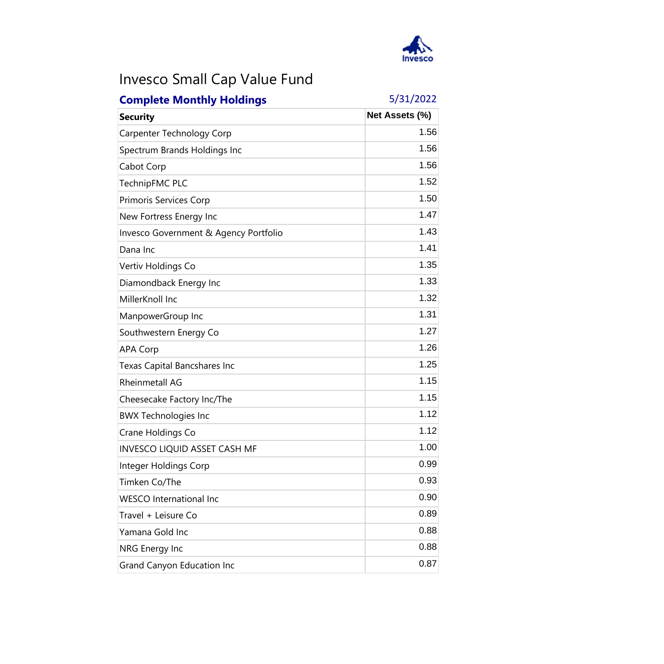

| <b>Complete Monthly Holdings</b>      | 5/31/2022      |
|---------------------------------------|----------------|
| <b>Security</b>                       | Net Assets (%) |
| Carpenter Technology Corp             | 1.56           |
| Spectrum Brands Holdings Inc          | 1.56           |
| Cabot Corp                            | 1.56           |
| TechnipFMC PLC                        | 1.52           |
| Primoris Services Corp                | 1.50           |
| New Fortress Energy Inc               | 1.47           |
| Invesco Government & Agency Portfolio | 1.43           |
| Dana Inc                              | 1.41           |
| Vertiv Holdings Co                    | 1.35           |
| Diamondback Energy Inc                | 1.33           |
| MillerKnoll Inc                       | 1.32           |
| ManpowerGroup Inc                     | 1.31           |
| Southwestern Energy Co                | 1.27           |
| <b>APA Corp</b>                       | 1.26           |
| Texas Capital Bancshares Inc          | 1.25           |
| <b>Rheinmetall AG</b>                 | 1.15           |
| Cheesecake Factory Inc/The            | 1.15           |
| <b>BWX Technologies Inc</b>           | 1.12           |
| Crane Holdings Co                     | 1.12           |
| <b>INVESCO LIQUID ASSET CASH MF</b>   | 1.00           |
| Integer Holdings Corp                 | 0.99           |
| Timken Co/The                         | 0.93           |
| <b>WESCO International Inc</b>        | 0.90           |
| Travel + Leisure Co                   | 0.89           |
| Yamana Gold Inc                       | 0.88           |
| NRG Energy Inc                        | 0.88           |
| Grand Canyon Education Inc            | 0.87           |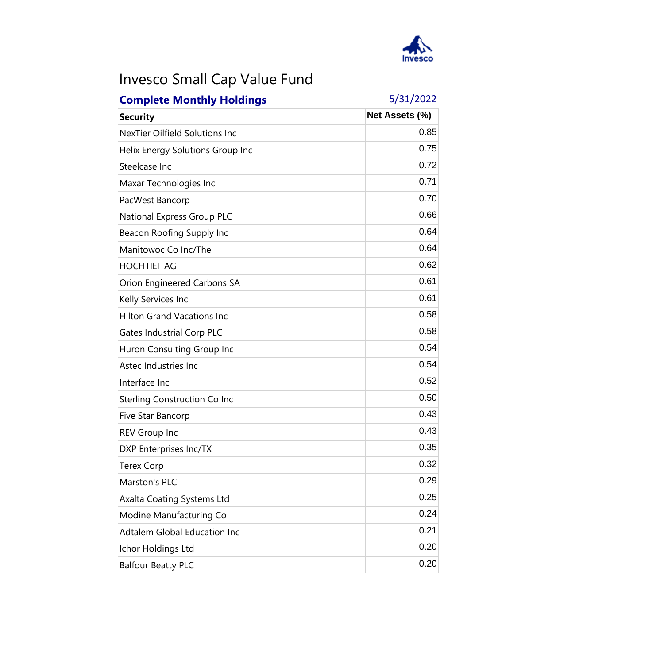

| <b>Complete Monthly Holdings</b>    | 5/31/2022      |
|-------------------------------------|----------------|
| <b>Security</b>                     | Net Assets (%) |
| NexTier Oilfield Solutions Inc      | 0.85           |
| Helix Energy Solutions Group Inc    | 0.75           |
| Steelcase Inc                       | 0.72           |
| Maxar Technologies Inc              | 0.71           |
| PacWest Bancorp                     | 0.70           |
| National Express Group PLC          | 0.66           |
| Beacon Roofing Supply Inc           | 0.64           |
| Manitowoc Co Inc/The                | 0.64           |
| <b>HOCHTIEF AG</b>                  | 0.62           |
| Orion Engineered Carbons SA         | 0.61           |
| Kelly Services Inc                  | 0.61           |
| <b>Hilton Grand Vacations Inc</b>   | 0.58           |
| Gates Industrial Corp PLC           | 0.58           |
| Huron Consulting Group Inc          | 0.54           |
| Astec Industries Inc                | 0.54           |
| Interface Inc                       | 0.52           |
| Sterling Construction Co Inc        | 0.50           |
| Five Star Bancorp                   | 0.43           |
| <b>REV Group Inc</b>                | 0.43           |
| DXP Enterprises Inc/TX              | 0.35           |
| <b>Terex Corp</b>                   | 0.32           |
| Marston's PLC                       | 0.29           |
| Axalta Coating Systems Ltd          | 0.25           |
| Modine Manufacturing Co             | 0.24           |
| <b>Adtalem Global Education Inc</b> | 0.21           |
| Ichor Holdings Ltd                  | 0.20           |
| <b>Balfour Beatty PLC</b>           | 0.20           |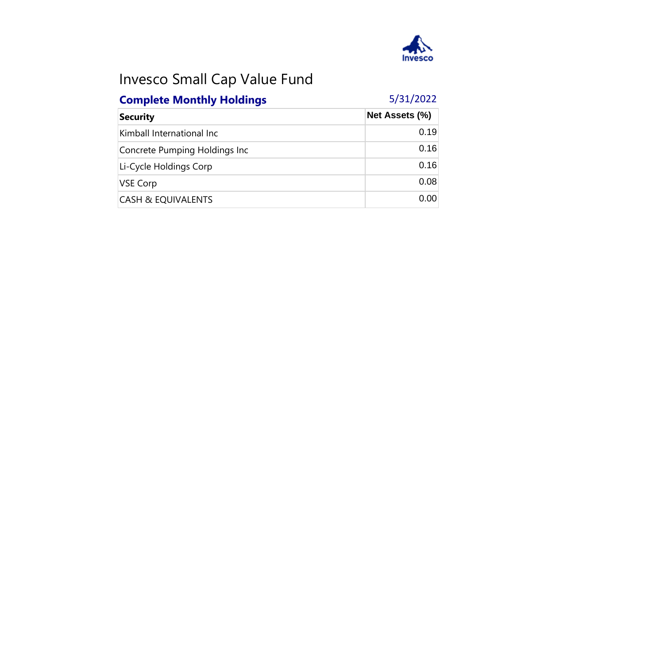

| <b>Complete Monthly Holdings</b> | 5/31/2022      |
|----------------------------------|----------------|
| <b>Security</b>                  | Net Assets (%) |
| Kimball International Inc        | 0.19           |
| Concrete Pumping Holdings Inc    | 0.16           |
| Li-Cycle Holdings Corp           | 0.16           |
| <b>VSE Corp</b>                  | 0.08           |
| <b>CASH &amp; EQUIVALENTS</b>    | 0.00           |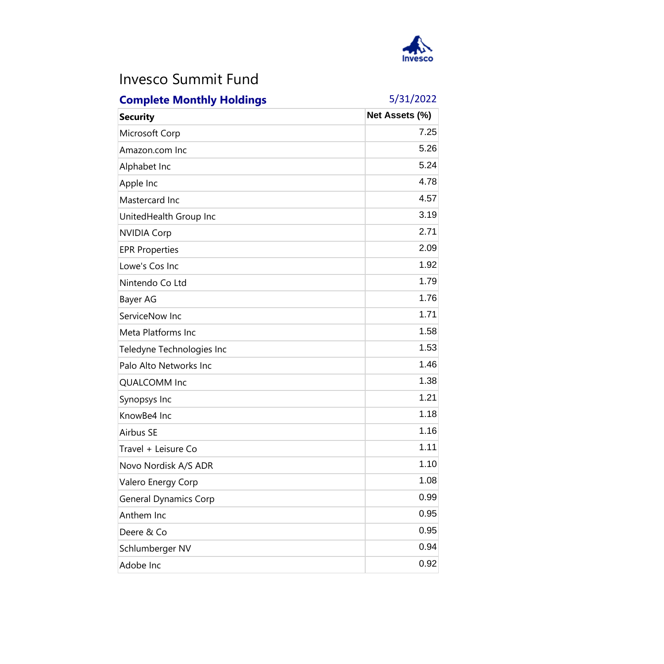

| <b>Complete Monthly Holdings</b> | 5/31/2022      |
|----------------------------------|----------------|
| <b>Security</b>                  | Net Assets (%) |
| Microsoft Corp                   | 7.25           |
| Amazon.com Inc                   | 5.26           |
| Alphabet Inc                     | 5.24           |
| Apple Inc                        | 4.78           |
| Mastercard Inc                   | 4.57           |
| UnitedHealth Group Inc           | 3.19           |
| <b>NVIDIA Corp</b>               | 2.71           |
| <b>EPR Properties</b>            | 2.09           |
| Lowe's Cos Inc                   | 1.92           |
| Nintendo Co Ltd                  | 1.79           |
| Bayer AG                         | 1.76           |
| ServiceNow Inc                   | 1.71           |
| Meta Platforms Inc               | 1.58           |
| Teledyne Technologies Inc        | 1.53           |
| Palo Alto Networks Inc           | 1.46           |
| <b>QUALCOMM Inc</b>              | 1.38           |
| Synopsys Inc                     | 1.21           |
| KnowBe4 Inc                      | 1.18           |
| <b>Airbus SE</b>                 | 1.16           |
| Travel + Leisure Co              | 1.11           |
| Novo Nordisk A/S ADR             | 1.10           |
| Valero Energy Corp               | 1.08           |
| <b>General Dynamics Corp</b>     | 0.99           |
| Anthem Inc                       | 0.95           |
| Deere & Co                       | 0.95           |
| Schlumberger NV                  | 0.94           |
| Adobe Inc                        | 0.92           |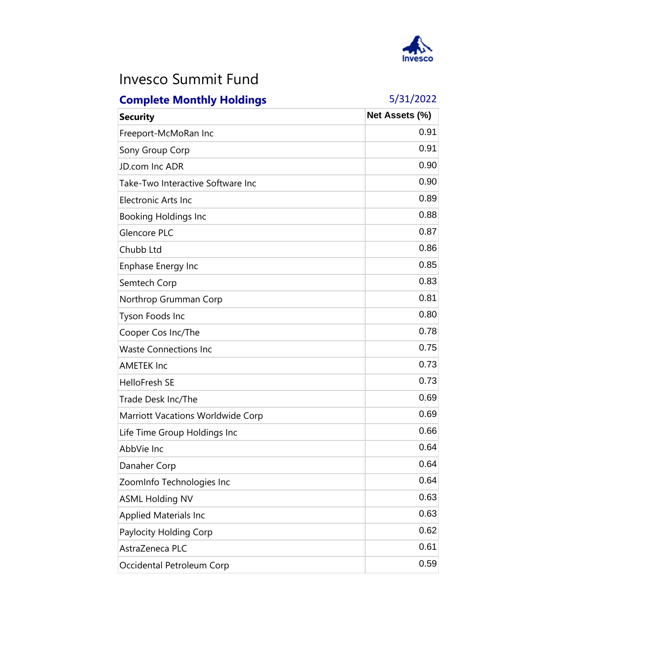

| <b>Complete Monthly Holdings</b>  | 5/31/2022      |
|-----------------------------------|----------------|
| <b>Security</b>                   | Net Assets (%) |
| Freeport-McMoRan Inc              | 0.91           |
| Sony Group Corp                   | 0.91           |
| JD.com Inc ADR                    | 0.90           |
| Take-Two Interactive Software Inc | 0.90           |
| <b>Electronic Arts Inc</b>        | 0.89           |
| <b>Booking Holdings Inc</b>       | 0.88           |
| <b>Glencore PLC</b>               | 0.87           |
| Chubb Ltd                         | 0.86           |
| Enphase Energy Inc                | 0.85           |
| Semtech Corp                      | 0.83           |
| Northrop Grumman Corp             | 0.81           |
| Tyson Foods Inc                   | 0.80           |
| Cooper Cos Inc/The                | 0.78           |
| <b>Waste Connections Inc</b>      | 0.75           |
| <b>AMETEK Inc</b>                 | 0.73           |
| <b>HelloFresh SE</b>              | 0.73           |
| Trade Desk Inc/The                | 0.69           |
| Marriott Vacations Worldwide Corp | 0.69           |
| Life Time Group Holdings Inc      | 0.66           |
| AbbVie Inc                        | 0.64           |
| Danaher Corp                      | 0.64           |
| ZoomInfo Technologies Inc         | 0.64           |
| <b>ASML Holding NV</b>            | 0.63           |
| <b>Applied Materials Inc</b>      | 0.63           |
| Paylocity Holding Corp            | 0.62           |
| AstraZeneca PLC                   | 0.61           |
| Occidental Petroleum Corp         | 0.59           |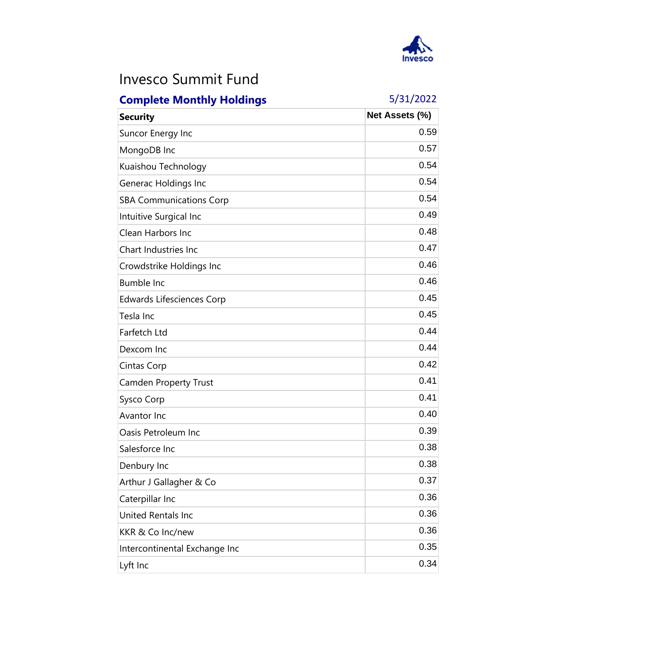

| <b>Complete Monthly Holdings</b> | 5/31/2022      |
|----------------------------------|----------------|
| <b>Security</b>                  | Net Assets (%) |
| Suncor Energy Inc                | 0.59           |
| MongoDB Inc                      | 0.57           |
| Kuaishou Technology              | 0.54           |
| Generac Holdings Inc             | 0.54           |
| <b>SBA Communications Corp</b>   | 0.54           |
| Intuitive Surgical Inc           | 0.49           |
| Clean Harbors Inc                | 0.48           |
| Chart Industries Inc             | 0.47           |
| Crowdstrike Holdings Inc         | 0.46           |
| <b>Bumble Inc</b>                | 0.46           |
| <b>Edwards Lifesciences Corp</b> | 0.45           |
| Tesla Inc                        | 0.45           |
| Farfetch Ltd                     | 0.44           |
| Dexcom Inc                       | 0.44           |
| Cintas Corp                      | 0.42           |
| <b>Camden Property Trust</b>     | 0.41           |
| Sysco Corp                       | 0.41           |
| Avantor Inc                      | 0.40           |
| Oasis Petroleum Inc              | 0.39           |
| Salesforce Inc                   | 0.38           |
| Denbury Inc                      | 0.38           |
| Arthur J Gallagher & Co          | 0.37           |
| Caterpillar Inc                  | 0.36           |
| United Rentals Inc               | 0.36           |
| KKR & Co Inc/new                 | 0.36           |
| Intercontinental Exchange Inc    | 0.35           |
| Lyft Inc                         | 0.34           |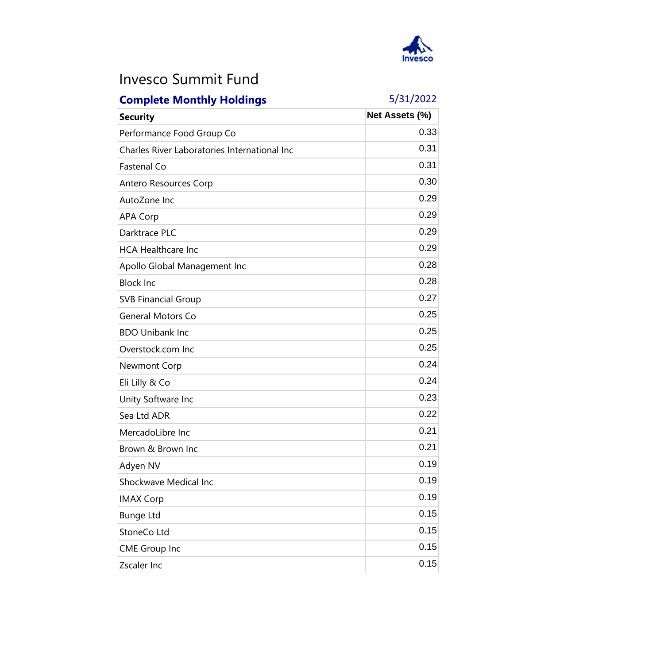

| <b>Complete Monthly Holdings</b>             | 5/31/2022      |
|----------------------------------------------|----------------|
| <b>Security</b>                              | Net Assets (%) |
| Performance Food Group Co                    | 0.33           |
| Charles River Laboratories International Inc | 0.31           |
| Fastenal Co                                  | 0.31           |
| Antero Resources Corp                        | 0.30           |
| AutoZone Inc                                 | 0.29           |
| <b>APA Corp</b>                              | 0.29           |
| Darktrace PLC                                | 0.29           |
| <b>HCA Healthcare Inc</b>                    | 0.29           |
| Apollo Global Management Inc                 | 0.28           |
| <b>Block Inc.</b>                            | 0.28           |
| <b>SVB Financial Group</b>                   | 0.27           |
| General Motors Co                            | 0.25           |
| <b>BDO Unibank Inc</b>                       | 0.25           |
| Overstock.com Inc                            | 0.25           |
| Newmont Corp                                 | 0.24           |
| Eli Lilly & Co                               | 0.24           |
| Unity Software Inc                           | 0.23           |
| Sea Ltd ADR                                  | 0.22           |
| MercadoLibre Inc                             | 0.21           |
| Brown & Brown Inc                            | 0.21           |
| Adyen NV                                     | 0.19           |
| Shockwave Medical Inc                        | 0.19           |
| <b>IMAX Corp</b>                             | 0.19           |
| <b>Bunge Ltd</b>                             | 0.15           |
| StoneCo Ltd                                  | 0.15           |
| <b>CME Group Inc</b>                         | 0.15           |
| Zscaler Inc                                  | 0.15           |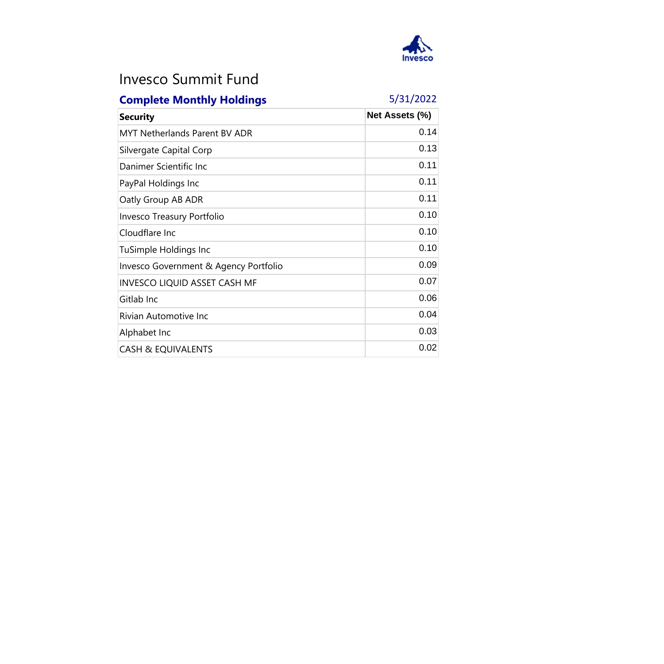

| 5/31/2022      |
|----------------|
| Net Assets (%) |
| 0.14           |
| 0.13           |
| 0.11           |
| 0.11           |
| 0.11           |
| 0.10           |
| 0.10           |
| 0.10           |
| 0.09           |
| 0.07           |
| 0.06           |
| 0.04           |
| 0.03           |
| 0.02           |
|                |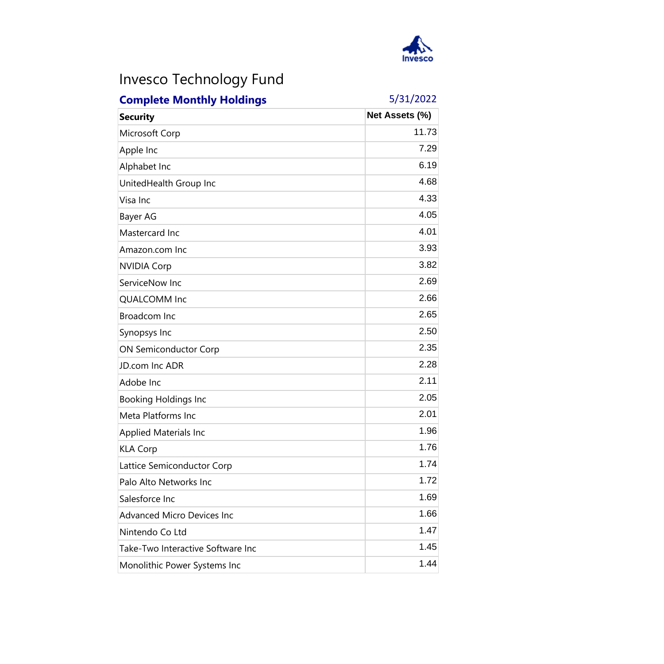

# Invesco Technology Fund

| <b>Complete Monthly Holdings</b>  | 5/31/2022      |
|-----------------------------------|----------------|
| <b>Security</b>                   | Net Assets (%) |
| Microsoft Corp                    | 11.73          |
| Apple Inc                         | 7.29           |
| Alphabet Inc                      | 6.19           |
| UnitedHealth Group Inc            | 4.68           |
| Visa Inc                          | 4.33           |
| Bayer AG                          | 4.05           |
| Mastercard Inc                    | 4.01           |
| Amazon.com Inc                    | 3.93           |
| <b>NVIDIA Corp</b>                | 3.82           |
| ServiceNow Inc                    | 2.69           |
| QUALCOMM Inc                      | 2.66           |
| Broadcom Inc                      | 2.65           |
| Synopsys Inc                      | 2.50           |
| <b>ON Semiconductor Corp</b>      | 2.35           |
| JD.com Inc ADR                    | 2.28           |
| Adobe Inc                         | 2.11           |
| <b>Booking Holdings Inc</b>       | 2.05           |
| Meta Platforms Inc                | 2.01           |
| Applied Materials Inc             | 1.96           |
| <b>KLA Corp</b>                   | 1.76           |
| Lattice Semiconductor Corp        | 1.74           |
| Palo Alto Networks Inc            | 1.72           |
| Salesforce Inc                    | 1.69           |
| <b>Advanced Micro Devices Inc</b> | 1.66           |
| Nintendo Co Ltd                   | 1.47           |
| Take-Two Interactive Software Inc | 1.45           |
| Monolithic Power Systems Inc      | 1.44           |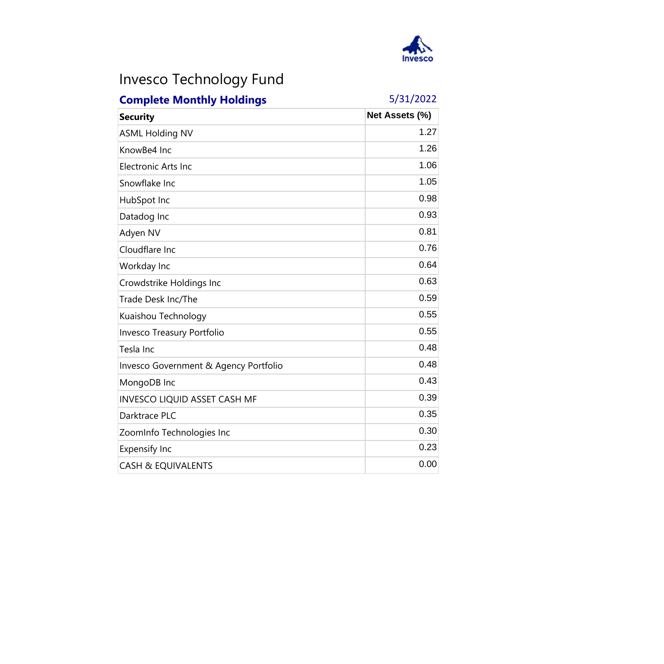

# Invesco Technology Fund

| <b>Complete Monthly Holdings</b>      | 5/31/2022      |
|---------------------------------------|----------------|
| <b>Security</b>                       | Net Assets (%) |
| <b>ASML Holding NV</b>                | 1.27           |
| KnowBe4 Inc                           | 1.26           |
| Electronic Arts Inc                   | 1.06           |
| Snowflake Inc                         | 1.05           |
| HubSpot Inc                           | 0.98           |
| Datadog Inc                           | 0.93           |
| Adyen NV                              | 0.81           |
| Cloudflare Inc                        | 0.76           |
| Workday Inc                           | 0.64           |
| Crowdstrike Holdings Inc              | 0.63           |
| Trade Desk Inc/The                    | 0.59           |
| Kuaishou Technology                   | 0.55           |
| Invesco Treasury Portfolio            | 0.55           |
| Tesla Inc                             | 0.48           |
| Invesco Government & Agency Portfolio | 0.48           |
| MongoDB Inc                           | 0.43           |
| <b>INVESCO LIQUID ASSET CASH MF</b>   | 0.39           |
| Darktrace PLC                         | 0.35           |
| ZoomInfo Technologies Inc             | 0.30           |
| <b>Expensify Inc</b>                  | 0.23           |
| CASH & EQUIVALENTS                    | 0.00           |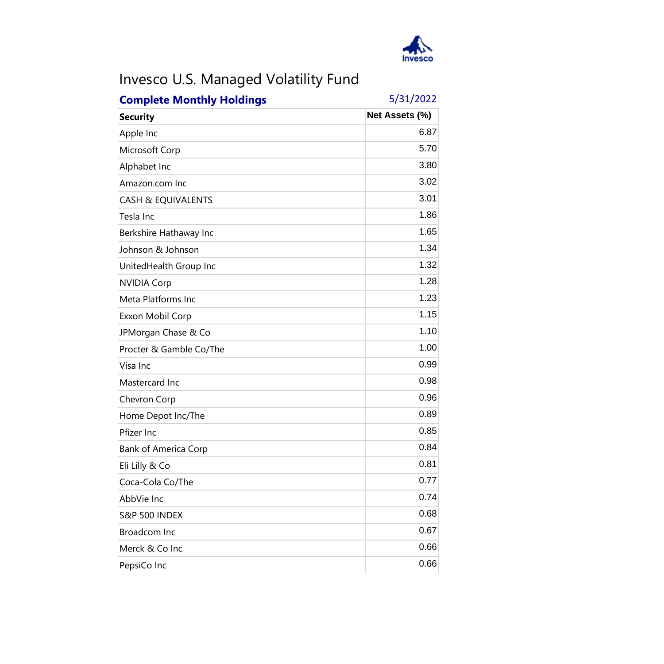

# Invesco U.S. Managed Volatility Fund

| <b>Complete Monthly Holdings</b> | 5/31/2022      |
|----------------------------------|----------------|
| <b>Security</b>                  | Net Assets (%) |
| Apple Inc                        | 6.87           |
| Microsoft Corp                   | 5.70           |
| Alphabet Inc                     | 3.80           |
| Amazon.com Inc                   | 3.02           |
| <b>CASH &amp; EQUIVALENTS</b>    | 3.01           |
| Tesla Inc                        | 1.86           |
| Berkshire Hathaway Inc           | 1.65           |
| Johnson & Johnson                | 1.34           |
| UnitedHealth Group Inc           | 1.32           |
| <b>NVIDIA Corp</b>               | 1.28           |
| Meta Platforms Inc               | 1.23           |
| Exxon Mobil Corp                 | 1.15           |
| JPMorgan Chase & Co              | 1.10           |
| Procter & Gamble Co/The          | 1.00           |
| Visa Inc                         | 0.99           |
| Mastercard Inc                   | 0.98           |
| Chevron Corp                     | 0.96           |
| Home Depot Inc/The               | 0.89           |
| Pfizer Inc                       | 0.85           |
| <b>Bank of America Corp</b>      | 0.84           |
| Eli Lilly & Co                   | 0.81           |
| Coca-Cola Co/The                 | 0.77           |
| AbbVie Inc                       | 0.74           |
| <b>S&amp;P 500 INDEX</b>         | 0.68           |
| Broadcom Inc                     | 0.67           |
| Merck & Co Inc                   | 0.66           |
| PepsiCo Inc                      | 0.66           |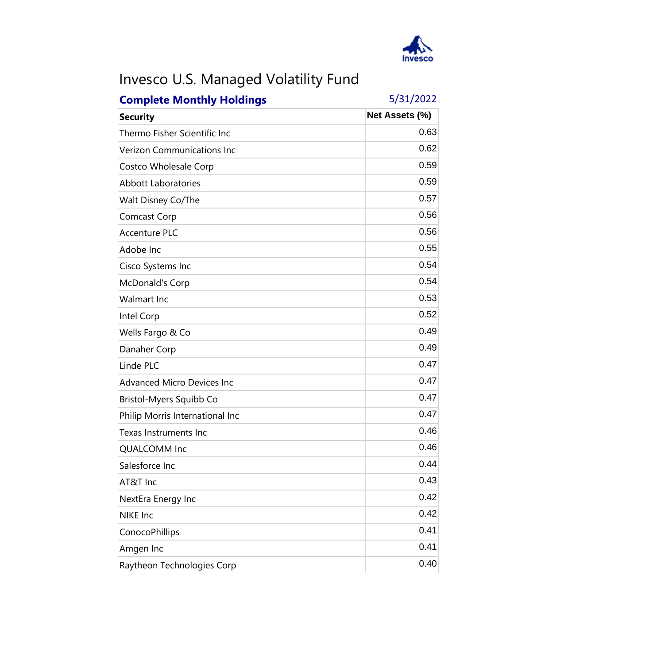

| <b>Complete Monthly Holdings</b>  | 5/31/2022      |
|-----------------------------------|----------------|
| <b>Security</b>                   | Net Assets (%) |
| Thermo Fisher Scientific Inc      | 0.63           |
| <b>Verizon Communications Inc</b> | 0.62           |
| Costco Wholesale Corp             | 0.59           |
| Abbott Laboratories               | 0.59           |
| Walt Disney Co/The                | 0.57           |
| Comcast Corp                      | 0.56           |
| <b>Accenture PLC</b>              | 0.56           |
| Adobe Inc                         | 0.55           |
| Cisco Systems Inc                 | 0.54           |
| McDonald's Corp                   | 0.54           |
| Walmart Inc                       | 0.53           |
| Intel Corp                        | 0.52           |
| Wells Fargo & Co                  | 0.49           |
| Danaher Corp                      | 0.49           |
| Linde PLC                         | 0.47           |
| <b>Advanced Micro Devices Inc</b> | 0.47           |
| Bristol-Myers Squibb Co           | 0.47           |
| Philip Morris International Inc   | 0.47           |
| Texas Instruments Inc             | 0.46           |
| <b>QUALCOMM Inc</b>               | 0.46           |
| Salesforce Inc                    | 0.44           |
| AT&T Inc                          | 0.43           |
| NextEra Energy Inc                | 0.42           |
| NIKE Inc                          | 0.42           |
| ConocoPhillips                    | 0.41           |
| Amgen Inc                         | 0.41           |
| Raytheon Technologies Corp        | 0.40           |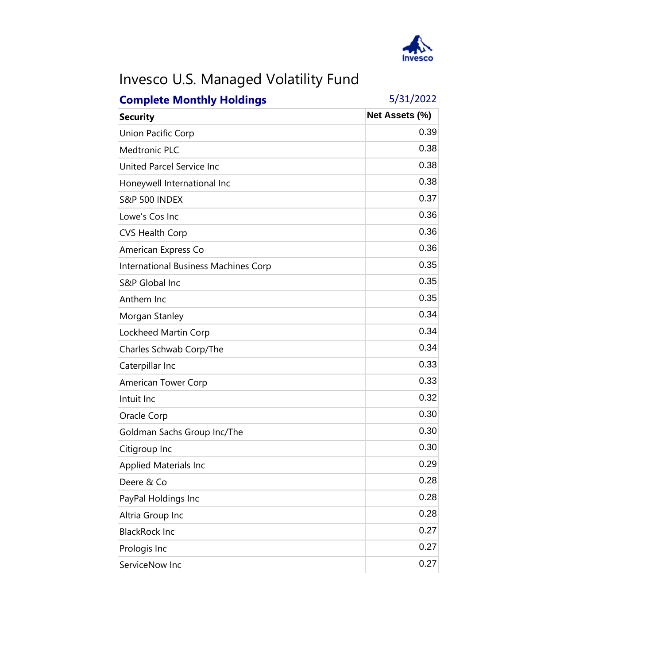

| <b>Complete Monthly Holdings</b>     | 5/31/2022      |
|--------------------------------------|----------------|
| <b>Security</b>                      | Net Assets (%) |
| Union Pacific Corp                   | 0.39           |
| Medtronic PLC                        | 0.38           |
| United Parcel Service Inc            | 0.38           |
| Honeywell International Inc          | 0.38           |
| <b>S&amp;P 500 INDEX</b>             | 0.37           |
| Lowe's Cos Inc                       | 0.36           |
| CVS Health Corp                      | 0.36           |
| American Express Co                  | 0.36           |
| International Business Machines Corp | 0.35           |
| S&P Global Inc                       | 0.35           |
| Anthem Inc                           | 0.35           |
| Morgan Stanley                       | 0.34           |
| Lockheed Martin Corp                 | 0.34           |
| Charles Schwab Corp/The              | 0.34           |
| Caterpillar Inc                      | 0.33           |
| American Tower Corp                  | 0.33           |
| Intuit Inc                           | 0.32           |
| Oracle Corp                          | 0.30           |
| Goldman Sachs Group Inc/The          | 0.30           |
| Citigroup Inc                        | 0.30           |
| <b>Applied Materials Inc</b>         | 0.29           |
| Deere & Co                           | 0.28           |
| PayPal Holdings Inc                  | 0.28           |
| Altria Group Inc                     | 0.28           |
| <b>BlackRock Inc</b>                 | 0.27           |
| Prologis Inc                         | 0.27           |
| ServiceNow Inc                       | 0.27           |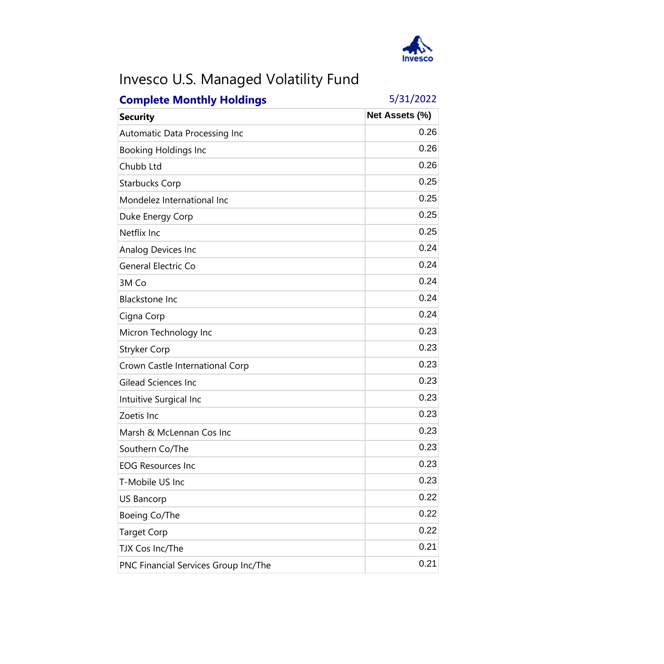

| <b>Complete Monthly Holdings</b>     | 5/31/2022      |
|--------------------------------------|----------------|
| <b>Security</b>                      | Net Assets (%) |
| Automatic Data Processing Inc        | 0.26           |
| <b>Booking Holdings Inc</b>          | 0.26           |
| Chubb Ltd                            | 0.26           |
| <b>Starbucks Corp</b>                | 0.25           |
| Mondelez International Inc           | 0.25           |
| Duke Energy Corp                     | 0.25           |
| Netflix Inc                          | 0.25           |
| Analog Devices Inc                   | 0.24           |
| General Electric Co                  | 0.24           |
| 3M Co                                | 0.24           |
| <b>Blackstone Inc</b>                | 0.24           |
| Cigna Corp                           | 0.24           |
| Micron Technology Inc                | 0.23           |
| <b>Stryker Corp</b>                  | 0.23           |
| Crown Castle International Corp      | 0.23           |
| <b>Gilead Sciences Inc</b>           | 0.23           |
| Intuitive Surgical Inc               | 0.23           |
| Zoetis Inc                           | 0.23           |
| Marsh & McLennan Cos Inc             | 0.23           |
| Southern Co/The                      | 0.23           |
| <b>EOG Resources Inc</b>             | 0.23           |
| T-Mobile US Inc                      | 0.23           |
| <b>US Bancorp</b>                    | 0.22           |
| Boeing Co/The                        | 0.22           |
| <b>Target Corp</b>                   | 0.22           |
| TJX Cos Inc/The                      | 0.21           |
| PNC Financial Services Group Inc/The | 0.21           |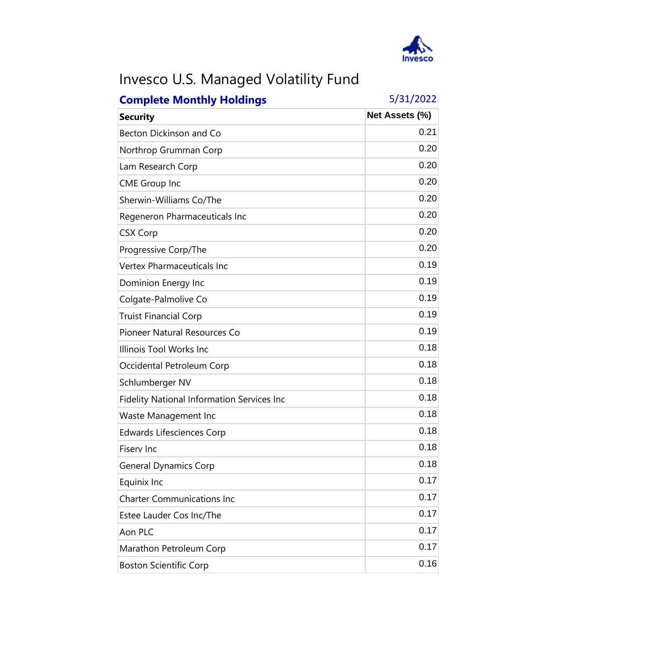

| <b>Complete Monthly Holdings</b>           | 5/31/2022      |
|--------------------------------------------|----------------|
| <b>Security</b>                            | Net Assets (%) |
| Becton Dickinson and Co                    | 0.21           |
| Northrop Grumman Corp                      | 0.20           |
| Lam Research Corp                          | 0.20           |
| <b>CME Group Inc</b>                       | 0.20           |
| Sherwin-Williams Co/The                    | 0.20           |
| Regeneron Pharmaceuticals Inc              | 0.20           |
| CSX Corp                                   | 0.20           |
| Progressive Corp/The                       | 0.20           |
| Vertex Pharmaceuticals Inc                 | 0.19           |
| Dominion Energy Inc                        | 0.19           |
| Colgate-Palmolive Co                       | 0.19           |
| <b>Truist Financial Corp</b>               | 0.19           |
| Pioneer Natural Resources Co               | 0.19           |
| Illinois Tool Works Inc                    | 0.18           |
| Occidental Petroleum Corp                  | 0.18           |
| Schlumberger NV                            | 0.18           |
| Fidelity National Information Services Inc | 0.18           |
| Waste Management Inc                       | 0.18           |
| <b>Edwards Lifesciences Corp</b>           | 0.18           |
| Fiserv Inc                                 | 0.18           |
| <b>General Dynamics Corp</b>               | 0.18           |
| Equinix Inc                                | 0.17           |
| <b>Charter Communications Inc</b>          | 0.17           |
| Estee Lauder Cos Inc/The                   | 0.17           |
| Aon PLC                                    | 0.17           |
| Marathon Petroleum Corp                    | 0.17           |
| <b>Boston Scientific Corp</b>              | 0.16           |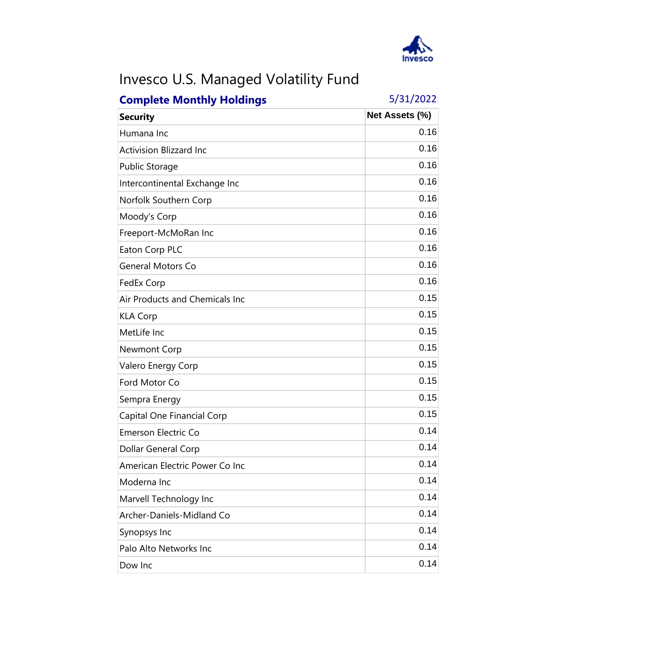

| <b>Complete Monthly Holdings</b> | 5/31/2022      |
|----------------------------------|----------------|
| <b>Security</b>                  | Net Assets (%) |
| Humana Inc                       | 0.16           |
| <b>Activision Blizzard Inc</b>   | 0.16           |
| Public Storage                   | 0.16           |
| Intercontinental Exchange Inc    | 0.16           |
| Norfolk Southern Corp            | 0.16           |
| Moody's Corp                     | 0.16           |
| Freeport-McMoRan Inc             | 0.16           |
| Eaton Corp PLC                   | 0.16           |
| General Motors Co                | 0.16           |
| FedEx Corp                       | 0.16           |
| Air Products and Chemicals Inc   | 0.15           |
| <b>KLA Corp</b>                  | 0.15           |
| MetLife Inc                      | 0.15           |
| Newmont Corp                     | 0.15           |
| Valero Energy Corp               | 0.15           |
| Ford Motor Co                    | 0.15           |
| Sempra Energy                    | 0.15           |
| Capital One Financial Corp       | 0.15           |
| Emerson Electric Co              | 0.14           |
| Dollar General Corp              | 0.14           |
| American Electric Power Co Inc   | 0.14           |
| Moderna Inc                      | 0.14           |
| Marvell Technology Inc           | 0.14           |
| Archer-Daniels-Midland Co        | 0.14           |
| Synopsys Inc                     | 0.14           |
| Palo Alto Networks Inc           | 0.14           |
| Dow Inc                          | 0.14           |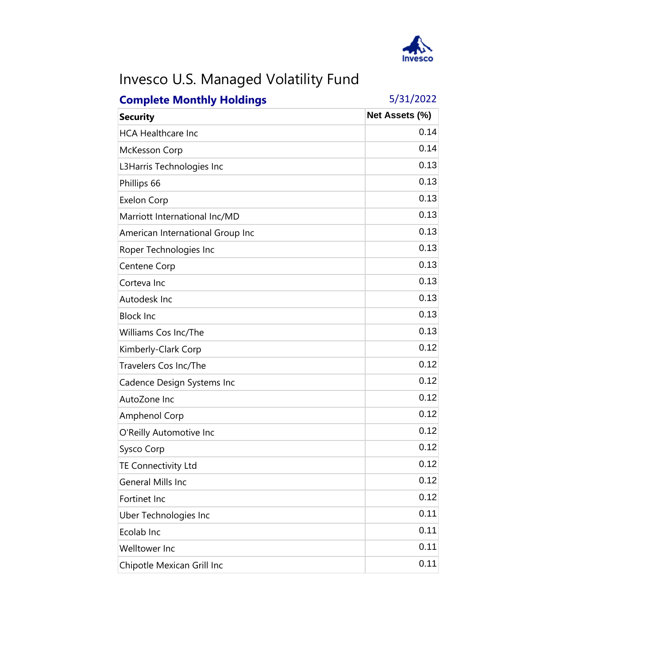

| <b>Complete Monthly Holdings</b> | 5/31/2022      |
|----------------------------------|----------------|
| <b>Security</b>                  | Net Assets (%) |
| <b>HCA Healthcare Inc</b>        | 0.14           |
| McKesson Corp                    | 0.14           |
| L3Harris Technologies Inc        | 0.13           |
| Phillips 66                      | 0.13           |
| Exelon Corp                      | 0.13           |
| Marriott International Inc/MD    | 0.13           |
| American International Group Inc | 0.13           |
| Roper Technologies Inc           | 0.13           |
| Centene Corp                     | 0.13           |
| Corteva Inc                      | 0.13           |
| Autodesk Inc                     | 0.13           |
| <b>Block Inc</b>                 | 0.13           |
| Williams Cos Inc/The             | 0.13           |
| Kimberly-Clark Corp              | 0.12           |
| Travelers Cos Inc/The            | 0.12           |
| Cadence Design Systems Inc       | 0.12           |
| AutoZone Inc                     | 0.12           |
| Amphenol Corp                    | 0.12           |
| O'Reilly Automotive Inc          | 0.12           |
| Sysco Corp                       | 0.12           |
| TE Connectivity Ltd              | 0.12           |
| <b>General Mills Inc</b>         | 0.12           |
| Fortinet Inc                     | 0.12           |
| Uber Technologies Inc            | 0.11           |
| Ecolab Inc                       | 0.11           |
| Welltower Inc                    | 0.11           |
| Chipotle Mexican Grill Inc       | 0.11           |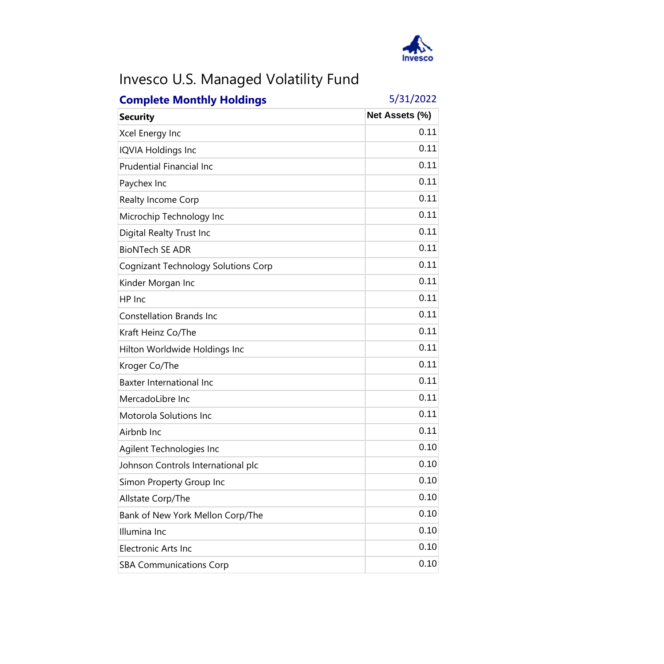

| <b>Complete Monthly Holdings</b>    | 5/31/2022      |
|-------------------------------------|----------------|
| <b>Security</b>                     | Net Assets (%) |
| Xcel Energy Inc                     | 0.11           |
| IQVIA Holdings Inc                  | 0.11           |
| <b>Prudential Financial Inc</b>     | 0.11           |
| Paychex Inc                         | 0.11           |
| Realty Income Corp                  | 0.11           |
| Microchip Technology Inc            | 0.11           |
| Digital Realty Trust Inc            | 0.11           |
| <b>BioNTech SE ADR</b>              | 0.11           |
| Cognizant Technology Solutions Corp | 0.11           |
| Kinder Morgan Inc                   | 0.11           |
| HP Inc                              | 0.11           |
| <b>Constellation Brands Inc</b>     | 0.11           |
| Kraft Heinz Co/The                  | 0.11           |
| Hilton Worldwide Holdings Inc       | 0.11           |
| Kroger Co/The                       | 0.11           |
| <b>Baxter International Inc</b>     | 0.11           |
| MercadoLibre Inc                    | 0.11           |
| Motorola Solutions Inc              | 0.11           |
| Airbnb Inc                          | 0.11           |
| Agilent Technologies Inc            | 0.10           |
| Johnson Controls International plc  | 0.10           |
| Simon Property Group Inc            | 0.10           |
| Allstate Corp/The                   | 0.10           |
| Bank of New York Mellon Corp/The    | 0.10           |
| Illumina Inc                        | 0.10           |
| Electronic Arts Inc                 | 0.10           |
| <b>SBA Communications Corp</b>      | 0.10           |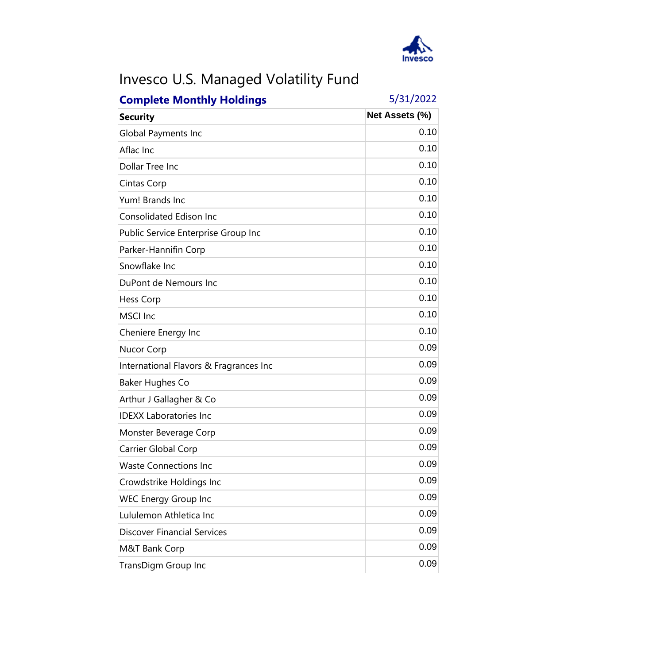

| <b>Complete Monthly Holdings</b>       | 5/31/2022      |
|----------------------------------------|----------------|
| <b>Security</b>                        | Net Assets (%) |
| Global Payments Inc                    | 0.10           |
| Aflac Inc                              | 0.10           |
| Dollar Tree Inc                        | 0.10           |
| Cintas Corp                            | 0.10           |
| Yum! Brands Inc                        | 0.10           |
| Consolidated Edison Inc                | 0.10           |
| Public Service Enterprise Group Inc    | 0.10           |
| Parker-Hannifin Corp                   | 0.10           |
| Snowflake Inc                          | 0.10           |
| DuPont de Nemours Inc                  | 0.10           |
| Hess Corp                              | 0.10           |
| <b>MSCI</b> Inc                        | 0.10           |
| Cheniere Energy Inc                    | 0.10           |
| Nucor Corp                             | 0.09           |
| International Flavors & Fragrances Inc | 0.09           |
| <b>Baker Hughes Co</b>                 | 0.09           |
| Arthur J Gallagher & Co                | 0.09           |
| <b>IDEXX Laboratories Inc</b>          | 0.09           |
| Monster Beverage Corp                  | 0.09           |
| Carrier Global Corp                    | 0.09           |
| <b>Waste Connections Inc</b>           | 0.09           |
| Crowdstrike Holdings Inc               | 0.09           |
| <b>WEC Energy Group Inc</b>            | 0.09           |
| Lululemon Athletica Inc                | 0.09           |
| <b>Discover Financial Services</b>     | 0.09           |
| M&T Bank Corp                          | 0.09           |
| TransDigm Group Inc                    | 0.09           |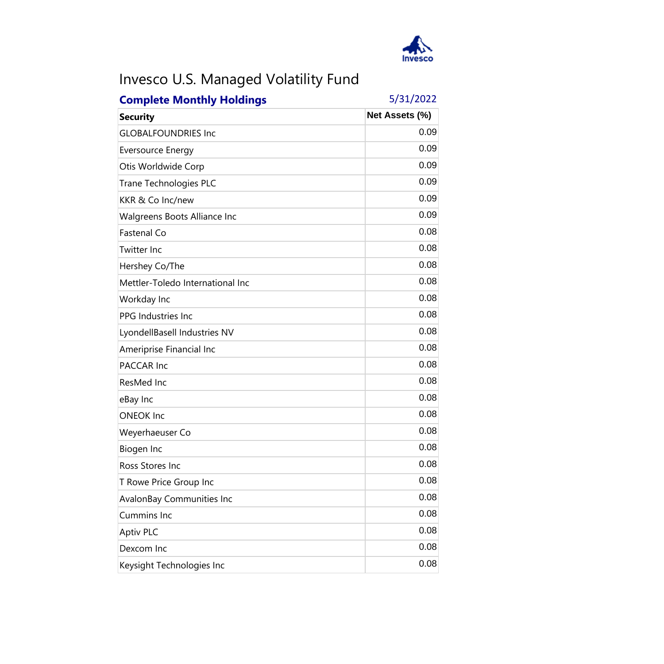

| <b>Complete Monthly Holdings</b> | 5/31/2022      |
|----------------------------------|----------------|
| <b>Security</b>                  | Net Assets (%) |
| <b>GLOBALFOUNDRIES Inc</b>       | 0.09           |
| Eversource Energy                | 0.09           |
| Otis Worldwide Corp              | 0.09           |
| Trane Technologies PLC           | 0.09           |
| KKR & Co Inc/new                 | 0.09           |
| Walgreens Boots Alliance Inc     | 0.09           |
| Fastenal Co                      | 0.08           |
| <b>Twitter Inc</b>               | 0.08           |
| Hershey Co/The                   | 0.08           |
| Mettler-Toledo International Inc | 0.08           |
| Workday Inc                      | 0.08           |
| PPG Industries Inc               | 0.08           |
| LyondellBasell Industries NV     | 0.08           |
| Ameriprise Financial Inc         | 0.08           |
| <b>PACCAR Inc</b>                | 0.08           |
| ResMed Inc                       | 0.08           |
| eBay Inc                         | 0.08           |
| <b>ONEOK Inc</b>                 | 0.08           |
| Weyerhaeuser Co                  | 0.08           |
| Biogen Inc                       | 0.08           |
| Ross Stores Inc                  | 0.08           |
| T Rowe Price Group Inc           | 0.08           |
| AvalonBay Communities Inc        | 0.08           |
| Cummins Inc                      | 0.08           |
| <b>Aptiv PLC</b>                 | 0.08           |
| Dexcom Inc                       | 0.08           |
| Keysight Technologies Inc        | 0.08           |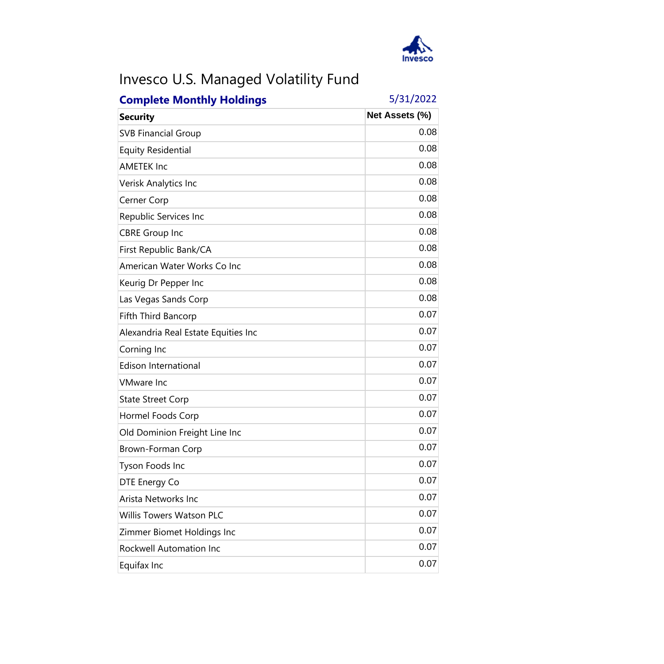

| <b>Complete Monthly Holdings</b>    | 5/31/2022      |
|-------------------------------------|----------------|
| <b>Security</b>                     | Net Assets (%) |
| <b>SVB Financial Group</b>          | 0.08           |
| <b>Equity Residential</b>           | 0.08           |
| <b>AMETEK Inc</b>                   | 0.08           |
| Verisk Analytics Inc                | 0.08           |
| Cerner Corp                         | 0.08           |
| Republic Services Inc               | 0.08           |
| <b>CBRE Group Inc</b>               | 0.08           |
| First Republic Bank/CA              | 0.08           |
| American Water Works Co Inc         | 0.08           |
| Keurig Dr Pepper Inc                | 0.08           |
| Las Vegas Sands Corp                | 0.08           |
| Fifth Third Bancorp                 | 0.07           |
| Alexandria Real Estate Equities Inc | 0.07           |
| Corning Inc                         | 0.07           |
| <b>Edison International</b>         | 0.07           |
| <b>VMware Inc</b>                   | 0.07           |
| <b>State Street Corp</b>            | 0.07           |
| Hormel Foods Corp                   | 0.07           |
| Old Dominion Freight Line Inc       | 0.07           |
| Brown-Forman Corp                   | 0.07           |
| Tyson Foods Inc                     | 0.07           |
| DTE Energy Co                       | 0.07           |
| Arista Networks Inc                 | 0.07           |
| Willis Towers Watson PLC            | 0.07           |
| Zimmer Biomet Holdings Inc          | 0.07           |
| Rockwell Automation Inc             | 0.07           |
| Equifax Inc                         | 0.07           |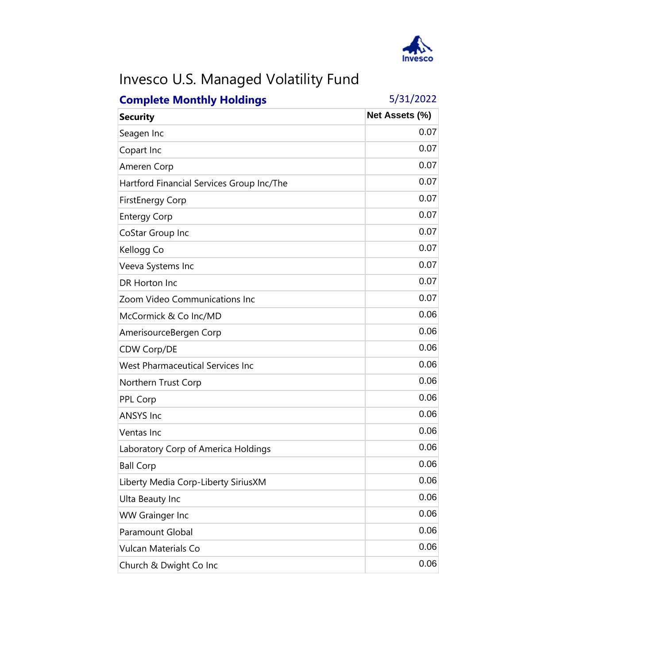

| <b>Complete Monthly Holdings</b>          | 5/31/2022      |
|-------------------------------------------|----------------|
| <b>Security</b>                           | Net Assets (%) |
| Seagen Inc                                | 0.07           |
| Copart Inc                                | 0.07           |
| Ameren Corp                               | 0.07           |
| Hartford Financial Services Group Inc/The | 0.07           |
| <b>FirstEnergy Corp</b>                   | 0.07           |
| <b>Entergy Corp</b>                       | 0.07           |
| CoStar Group Inc                          | 0.07           |
| Kellogg Co                                | 0.07           |
| Veeva Systems Inc                         | 0.07           |
| DR Horton Inc                             | 0.07           |
| Zoom Video Communications Inc             | 0.07           |
| McCormick & Co Inc/MD                     | 0.06           |
| AmerisourceBergen Corp                    | 0.06           |
| CDW Corp/DE                               | 0.06           |
| West Pharmaceutical Services Inc          | 0.06           |
| Northern Trust Corp                       | 0.06           |
| PPL Corp                                  | 0.06           |
| <b>ANSYS Inc</b>                          | 0.06           |
| Ventas Inc                                | 0.06           |
| Laboratory Corp of America Holdings       | 0.06           |
| <b>Ball Corp</b>                          | 0.06           |
| Liberty Media Corp-Liberty SiriusXM       | 0.06           |
| Ulta Beauty Inc                           | 0.06           |
| <b>WW Grainger Inc</b>                    | 0.06           |
| Paramount Global                          | 0.06           |
| Vulcan Materials Co                       | 0.06           |
| Church & Dwight Co Inc                    | 0.06           |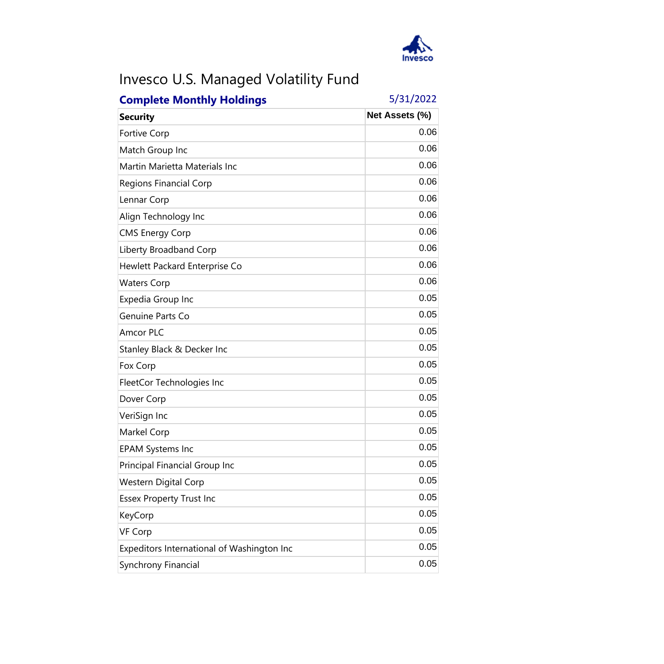

| <b>Complete Monthly Holdings</b>           | 5/31/2022      |
|--------------------------------------------|----------------|
| <b>Security</b>                            | Net Assets (%) |
| Fortive Corp                               | 0.06           |
| Match Group Inc                            | 0.06           |
| Martin Marietta Materials Inc              | 0.06           |
| Regions Financial Corp                     | 0.06           |
| Lennar Corp                                | 0.06           |
| Align Technology Inc                       | 0.06           |
| <b>CMS Energy Corp</b>                     | 0.06           |
| Liberty Broadband Corp                     | 0.06           |
| Hewlett Packard Enterprise Co              | 0.06           |
| <b>Waters Corp</b>                         | 0.06           |
| Expedia Group Inc                          | 0.05           |
| Genuine Parts Co                           | 0.05           |
| Amcor PLC                                  | 0.05           |
| Stanley Black & Decker Inc                 | 0.05           |
| Fox Corp                                   | 0.05           |
| FleetCor Technologies Inc                  | 0.05           |
| Dover Corp                                 | 0.05           |
| VeriSign Inc                               | 0.05           |
| Markel Corp                                | 0.05           |
| <b>EPAM Systems Inc</b>                    | 0.05           |
| Principal Financial Group Inc              | 0.05           |
| Western Digital Corp                       | 0.05           |
| <b>Essex Property Trust Inc</b>            | 0.05           |
| KeyCorp                                    | 0.05           |
| <b>VF Corp</b>                             | 0.05           |
| Expeditors International of Washington Inc | 0.05           |
| Synchrony Financial                        | 0.05           |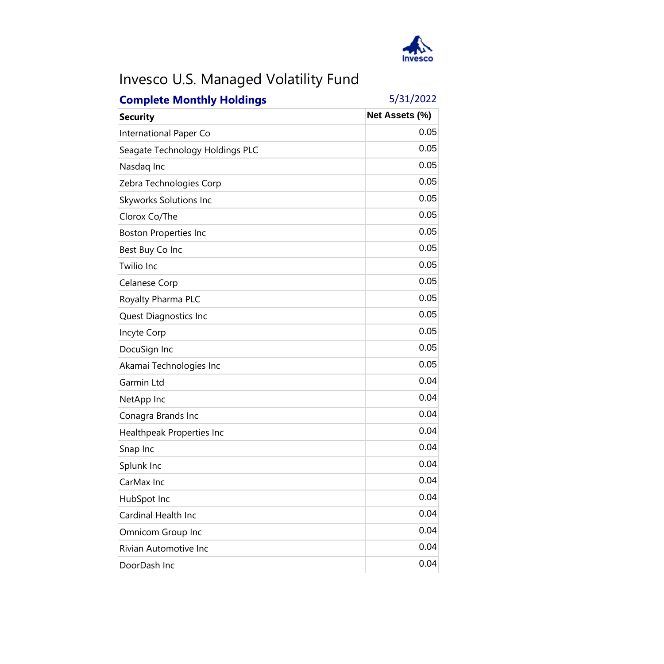

| <b>Complete Monthly Holdings</b> | 5/31/2022      |
|----------------------------------|----------------|
| <b>Security</b>                  | Net Assets (%) |
| International Paper Co           | 0.05           |
| Seagate Technology Holdings PLC  | 0.05           |
| Nasdag Inc                       | 0.05           |
| Zebra Technologies Corp          | 0.05           |
| Skyworks Solutions Inc           | 0.05           |
| Clorox Co/The                    | 0.05           |
| <b>Boston Properties Inc</b>     | 0.05           |
| Best Buy Co Inc                  | 0.05           |
| Twilio Inc                       | 0.05           |
| <b>Celanese Corp</b>             | 0.05           |
| Royalty Pharma PLC               | 0.05           |
| Quest Diagnostics Inc            | 0.05           |
| Incyte Corp                      | 0.05           |
| DocuSign Inc                     | 0.05           |
| Akamai Technologies Inc          | 0.05           |
| Garmin Ltd                       | 0.04           |
| NetApp Inc                       | 0.04           |
| Conagra Brands Inc               | 0.04           |
| Healthpeak Properties Inc        | 0.04           |
| Snap Inc                         | 0.04           |
| Splunk Inc                       | 0.04           |
| CarMax Inc                       | 0.04           |
| HubSpot Inc                      | 0.04           |
| Cardinal Health Inc              | 0.04           |
| Omnicom Group Inc                | 0.04           |
| Rivian Automotive Inc            | 0.04           |
| DoorDash Inc                     | 0.04           |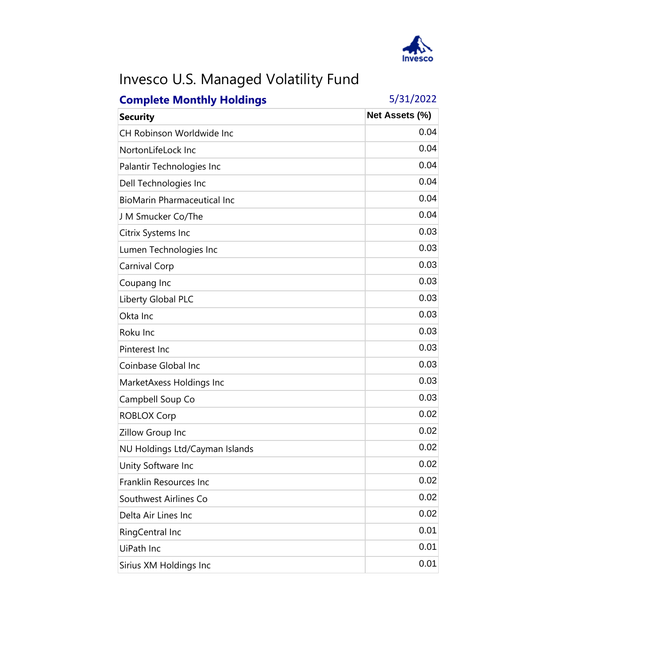

| <b>Complete Monthly Holdings</b>   | 5/31/2022      |
|------------------------------------|----------------|
| <b>Security</b>                    | Net Assets (%) |
| CH Robinson Worldwide Inc          | 0.04           |
| NortonLifeLock Inc                 | 0.04           |
| Palantir Technologies Inc          | 0.04           |
| Dell Technologies Inc              | 0.04           |
| <b>BioMarin Pharmaceutical Inc</b> | 0.04           |
| J M Smucker Co/The                 | 0.04           |
| Citrix Systems Inc                 | 0.03           |
| Lumen Technologies Inc             | 0.03           |
| Carnival Corp                      | 0.03           |
| Coupang Inc                        | 0.03           |
| Liberty Global PLC                 | 0.03           |
| Okta Inc                           | 0.03           |
| Roku Inc                           | 0.03           |
| Pinterest Inc                      | 0.03           |
| Coinbase Global Inc                | 0.03           |
| MarketAxess Holdings Inc           | 0.03           |
| Campbell Soup Co                   | 0.03           |
| <b>ROBLOX Corp</b>                 | 0.02           |
| Zillow Group Inc                   | 0.02           |
| NU Holdings Ltd/Cayman Islands     | 0.02           |
| Unity Software Inc                 | 0.02           |
| Franklin Resources Inc             | 0.02           |
| Southwest Airlines Co              | 0.02           |
| Delta Air Lines Inc                | 0.02           |
| RingCentral Inc                    | 0.01           |
| UiPath Inc                         | 0.01           |
| Sirius XM Holdings Inc             | 0.01           |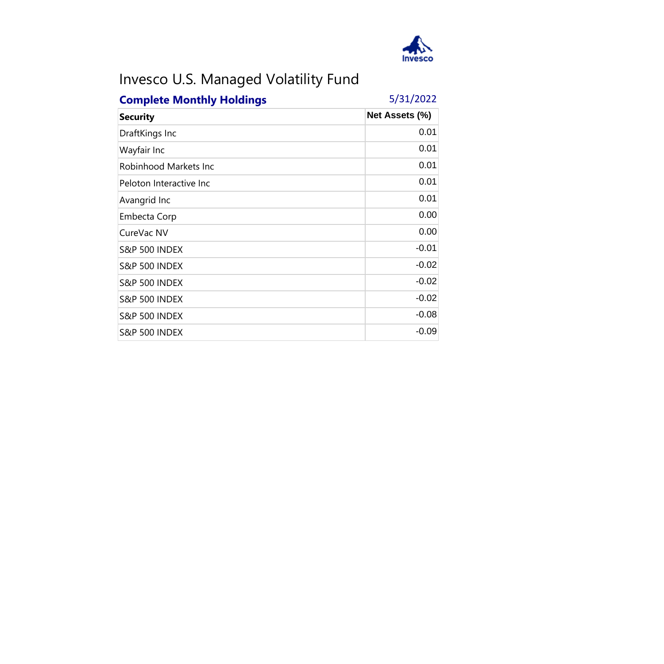

| <b>Complete Monthly Holdings</b> | 5/31/2022      |
|----------------------------------|----------------|
| <b>Security</b>                  | Net Assets (%) |
| DraftKings Inc                   | 0.01           |
| Wayfair Inc                      | 0.01           |
| Robinhood Markets Inc            | 0.01           |
| Peloton Interactive Inc.         | 0.01           |
| Avangrid Inc                     | 0.01           |
| Embecta Corp                     | 0.00           |
| CureVac NV                       | 0.00           |
| S&P 500 INDEX                    | $-0.01$        |
| S&P 500 INDEX                    | $-0.02$        |
| S&P 500 INDEX                    | $-0.02$        |
| S&P 500 INDEX                    | $-0.02$        |
| S&P 500 INDEX                    | $-0.08$        |
| <b>S&amp;P 500 INDEX</b>         | $-0.09$        |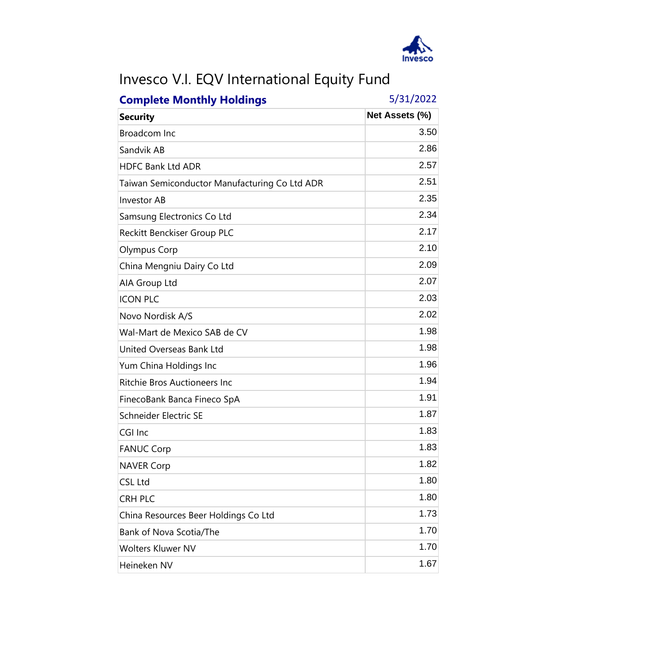

# Invesco V.I. EQV International Equity Fund

| <b>Complete Monthly Holdings</b>              | 5/31/2022      |
|-----------------------------------------------|----------------|
| <b>Security</b>                               | Net Assets (%) |
| Broadcom Inc                                  | 3.50           |
| Sandvik AB                                    | 2.86           |
| <b>HDFC Bank Ltd ADR</b>                      | 2.57           |
| Taiwan Semiconductor Manufacturing Co Ltd ADR | 2.51           |
| <b>Investor AB</b>                            | 2.35           |
| Samsung Electronics Co Ltd                    | 2.34           |
| Reckitt Benckiser Group PLC                   | 2.17           |
| <b>Olympus Corp</b>                           | 2.10           |
| China Mengniu Dairy Co Ltd                    | 2.09           |
| AIA Group Ltd                                 | 2.07           |
| <b>ICON PLC</b>                               | 2.03           |
| Novo Nordisk A/S                              | 2.02           |
| Wal-Mart de Mexico SAB de CV                  | 1.98           |
| United Overseas Bank Ltd                      | 1.98           |
| Yum China Holdings Inc                        | 1.96           |
| Ritchie Bros Auctioneers Inc                  | 1.94           |
| FinecoBank Banca Fineco SpA                   | 1.91           |
| Schneider Electric SE                         | 1.87           |
| CGI Inc                                       | 1.83           |
| <b>FANUC Corp</b>                             | 1.83           |
| <b>NAVER Corp</b>                             | 1.82           |
| <b>CSL Ltd</b>                                | 1.80           |
| CRH PLC                                       | 1.80           |
| China Resources Beer Holdings Co Ltd          | 1.73           |
| Bank of Nova Scotia/The                       | 1.70           |
| <b>Wolters Kluwer NV</b>                      | 1.70           |
| Heineken NV                                   | 1.67           |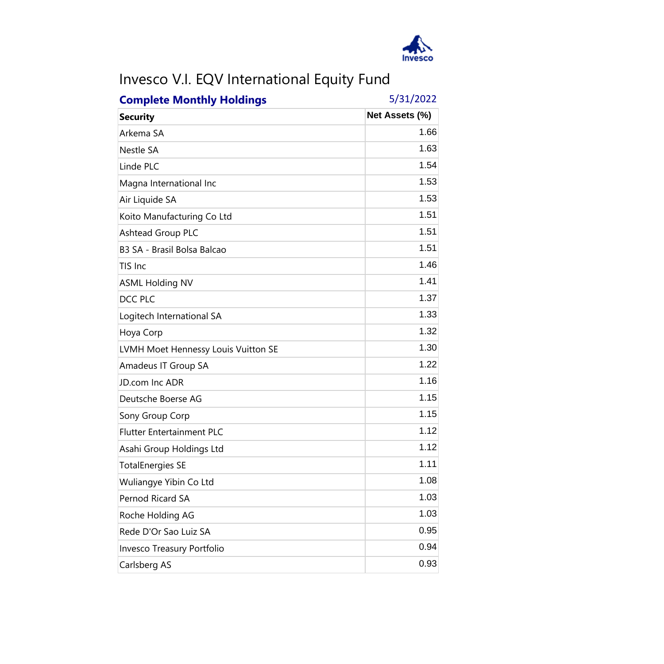

# Invesco V.I. EQV International Equity Fund

| <b>Complete Monthly Holdings</b>    | 5/31/2022      |
|-------------------------------------|----------------|
| <b>Security</b>                     | Net Assets (%) |
| Arkema SA                           | 1.66           |
| Nestle SA                           | 1.63           |
| Linde PLC                           | 1.54           |
| Magna International Inc             | 1.53           |
| Air Liquide SA                      | 1.53           |
| Koito Manufacturing Co Ltd          | 1.51           |
| Ashtead Group PLC                   | 1.51           |
| B3 SA - Brasil Bolsa Balcao         | 1.51           |
| TIS Inc                             | 1.46           |
| <b>ASML Holding NV</b>              | 1.41           |
| DCC PLC                             | 1.37           |
| Logitech International SA           | 1.33           |
| Hoya Corp                           | 1.32           |
| LVMH Moet Hennessy Louis Vuitton SE | 1.30           |
| Amadeus IT Group SA                 | 1.22           |
| JD.com Inc ADR                      | 1.16           |
| Deutsche Boerse AG                  | 1.15           |
| Sony Group Corp                     | 1.15           |
| <b>Flutter Entertainment PLC</b>    | 1.12           |
| Asahi Group Holdings Ltd            | 1.12           |
| <b>TotalEnergies SE</b>             | 1.11           |
| Wuliangye Yibin Co Ltd              | 1.08           |
| Pernod Ricard SA                    | 1.03           |
| Roche Holding AG                    | 1.03           |
| Rede D'Or Sao Luiz SA               | 0.95           |
| Invesco Treasury Portfolio          | 0.94           |
| Carlsberg AS                        | 0.93           |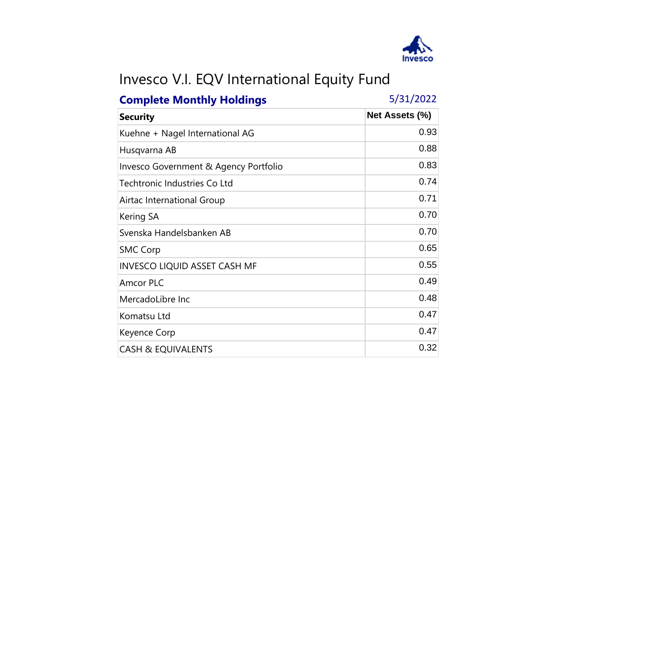

# Invesco V.I. EQV International Equity Fund

| <b>Complete Monthly Holdings</b>      | 5/31/2022      |
|---------------------------------------|----------------|
| <b>Security</b>                       | Net Assets (%) |
| Kuehne + Nagel International AG       | 0.93           |
| Husqvarna AB                          | 0.88           |
| Invesco Government & Agency Portfolio | 0.83           |
| Techtronic Industries Co Ltd          | 0.74           |
| Airtac International Group            | 0.71           |
| Kering SA                             | 0.70           |
| Svenska Handelsbanken AB              | 0.70           |
| <b>SMC Corp</b>                       | 0.65           |
| <b>INVESCO LIQUID ASSET CASH MF</b>   | 0.55           |
| Amcor PLC                             | 0.49           |
| MercadoLibre Inc                      | 0.48           |
| Komatsu Ltd                           | 0.47           |
| Keyence Corp                          | 0.47           |
| <b>CASH &amp; EQUIVALENTS</b>         | 0.32           |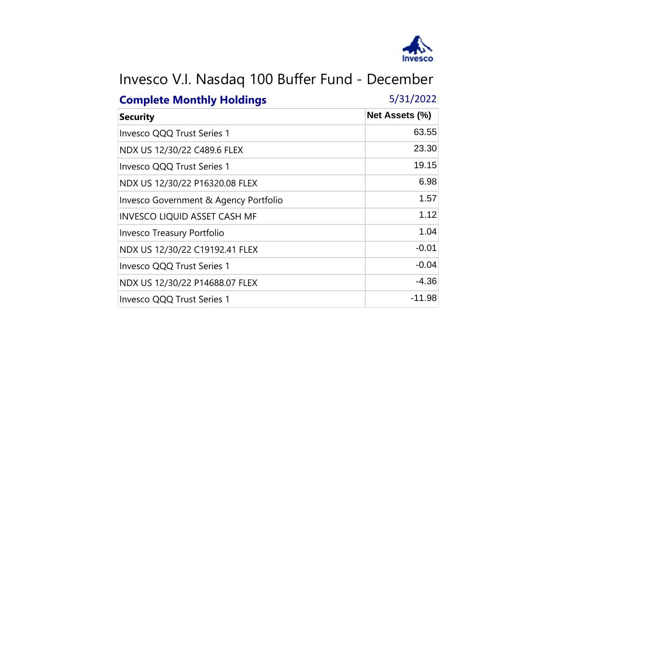

#### Invesco V.I. Nasdaq 100 Buffer Fund - December

| <b>Complete Monthly Holdings</b>      | 5/31/2022      |
|---------------------------------------|----------------|
| <b>Security</b>                       | Net Assets (%) |
| Invesco QQQ Trust Series 1            | 63.55          |
| NDX US 12/30/22 C489.6 FLEX           | 23.30          |
| Invesco QQQ Trust Series 1            | 19.15          |
| NDX US 12/30/22 P16320.08 FLEX        | 6.98           |
| Invesco Government & Agency Portfolio | 1.57           |
| INVESCO LIQUID ASSET CASH MF          | 1.12           |
| Invesco Treasury Portfolio            | 1.04           |
| NDX US 12/30/22 C19192.41 FLEX        | $-0.01$        |
| Invesco QQQ Trust Series 1            | $-0.04$        |
| NDX US 12/30/22 P14688.07 FLEX        | $-4.36$        |
| Invesco QQQ Trust Series 1            | $-11.98$       |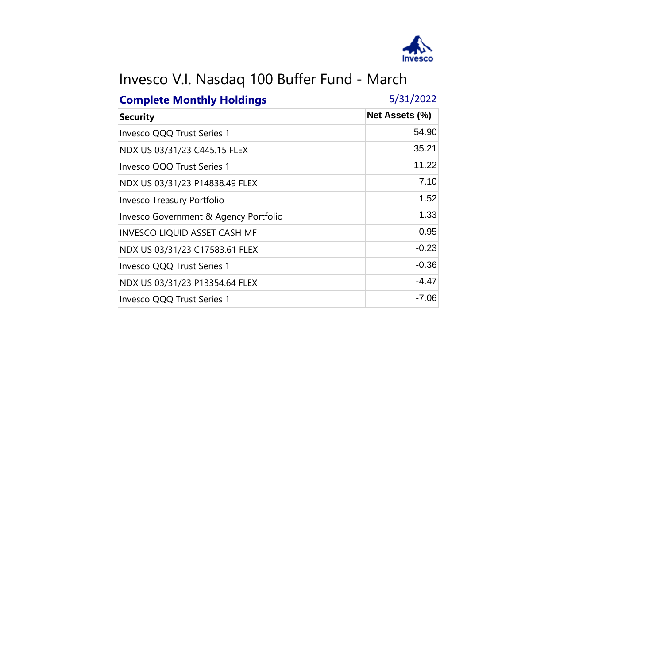

| Invesco V.I. Nasdaq 100 Buffer Fund - March |  |
|---------------------------------------------|--|
|---------------------------------------------|--|

| <b>Complete Monthly Holdings</b>      | 5/31/2022      |
|---------------------------------------|----------------|
| <b>Security</b>                       | Net Assets (%) |
| Invesco QQQ Trust Series 1            | 54.90          |
| NDX US 03/31/23 C445.15 FLEX          | 35.21          |
| Invesco QQQ Trust Series 1            | 11.22          |
| NDX US 03/31/23 P14838.49 FLEX        | 7.10           |
| Invesco Treasury Portfolio            | 1.52           |
| Invesco Government & Agency Portfolio | 1.33           |
| INVESCO LIQUID ASSET CASH MF          | 0.95           |
| NDX US 03/31/23 C17583.61 FLEX        | $-0.23$        |
| Invesco QQQ Trust Series 1            | $-0.36$        |
| NDX US 03/31/23 P13354.64 FLEX        | $-4.47$        |
| Invesco QQQ Trust Series 1            | $-7.06$        |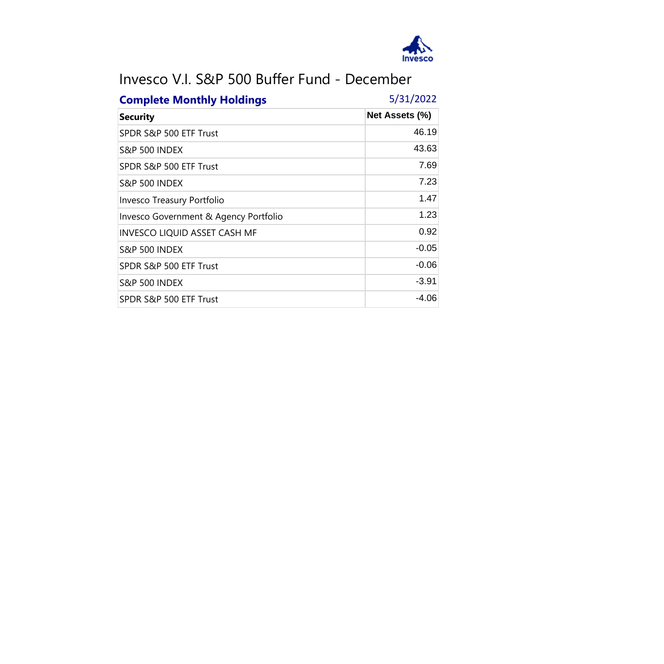

#### Invesco V.I. S&P 500 Buffer Fund - December

| <b>Complete Monthly Holdings</b>      | 5/31/2022      |
|---------------------------------------|----------------|
| <b>Security</b>                       | Net Assets (%) |
| SPDR S&P 500 ETF Trust                | 46.19          |
| <b>S&amp;P 500 INDEX</b>              | 43.63          |
| SPDR S&P 500 ETF Trust                | 7.69           |
| S&P 500 INDEX                         | 7.23           |
| Invesco Treasury Portfolio            | 1.47           |
| Invesco Government & Agency Portfolio | 1.23           |
| <b>INVESCO LIQUID ASSET CASH MF</b>   | 0.92           |
| <b>S&amp;P 500 INDEX</b>              | $-0.05$        |
| SPDR S&P 500 ETF Trust                | $-0.06$        |
| <b>S&amp;P 500 INDEX</b>              | $-3.91$        |
| SPDR S&P 500 ETF Trust                | $-4.06$        |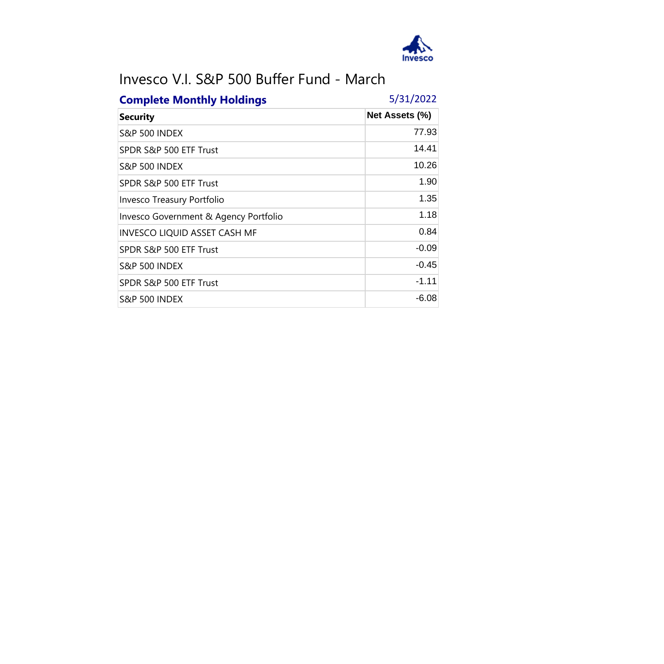

#### Invesco V.I. S&P 500 Buffer Fund - March

| <b>Complete Monthly Holdings</b>      | 5/31/2022      |
|---------------------------------------|----------------|
| <b>Security</b>                       | Net Assets (%) |
| <b>S&amp;P 500 INDEX</b>              | 77.93          |
| SPDR S&P 500 ETF Trust                | 14.41          |
| <b>S&amp;P 500 INDEX</b>              | 10.26          |
| SPDR S&P 500 ETF Trust                | 1.90           |
| Invesco Treasury Portfolio            | 1.35           |
| Invesco Government & Agency Portfolio | 1.18           |
| INVESCO LIQUID ASSET CASH MF          | 0.84           |
| SPDR S&P 500 ETF Trust                | $-0.09$        |
| S&P 500 INDEX                         | $-0.45$        |
| SPDR S&P 500 ETF Trust                | $-1.11$        |
| S&P 500 INDEX                         | $-6.08$        |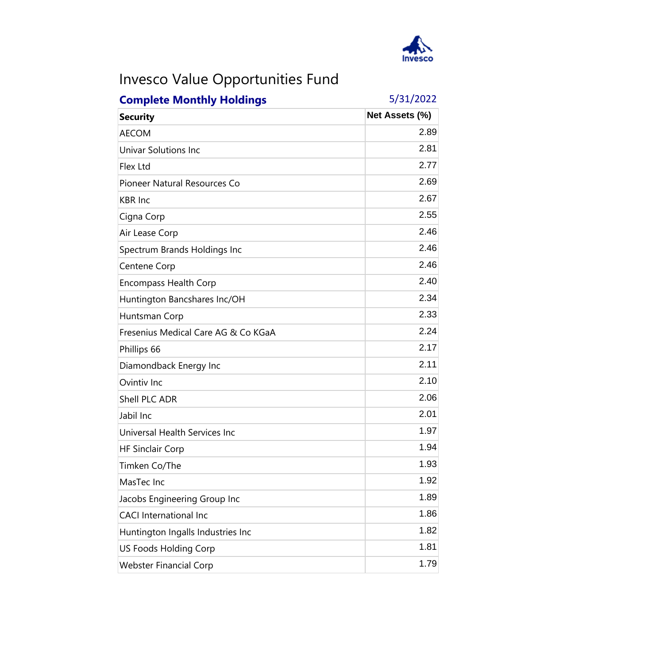

# Invesco Value Opportunities Fund

| <b>Complete Monthly Holdings</b>    | 5/31/2022      |
|-------------------------------------|----------------|
| <b>Security</b>                     | Net Assets (%) |
| <b>AECOM</b>                        | 2.89           |
| <b>Univar Solutions Inc</b>         | 2.81           |
| Flex Ltd                            | 2.77           |
| Pioneer Natural Resources Co        | 2.69           |
| <b>KBR</b> Inc                      | 2.67           |
| Cigna Corp                          | 2.55           |
| Air Lease Corp                      | 2.46           |
| Spectrum Brands Holdings Inc        | 2.46           |
| Centene Corp                        | 2.46           |
| <b>Encompass Health Corp</b>        | 2.40           |
| Huntington Bancshares Inc/OH        | 2.34           |
| Huntsman Corp                       | 2.33           |
| Fresenius Medical Care AG & Co KGaA | 2.24           |
| Phillips 66                         | 2.17           |
| Diamondback Energy Inc              | 2.11           |
| Ovintiv Inc                         | 2.10           |
| Shell PLC ADR                       | 2.06           |
| Jabil Inc                           | 2.01           |
| Universal Health Services Inc       | 1.97           |
| <b>HF Sinclair Corp</b>             | 1.94           |
| Timken Co/The                       | 1.93           |
| MasTec Inc                          | 1.92           |
| Jacobs Engineering Group Inc        | 1.89           |
| <b>CACI</b> International Inc       | 1.86           |
| Huntington Ingalls Industries Inc   | 1.82           |
| US Foods Holding Corp               | 1.81           |
| <b>Webster Financial Corp</b>       | 1.79           |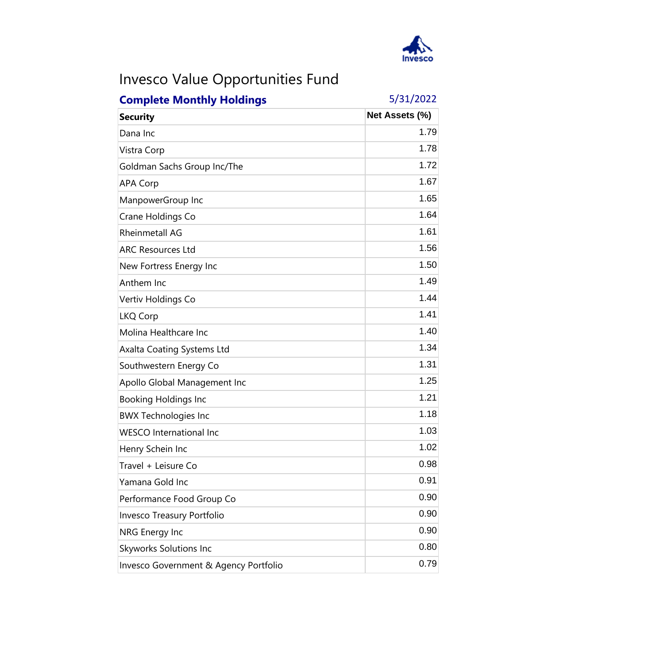

# Invesco Value Opportunities Fund

| <b>Complete Monthly Holdings</b>      | 5/31/2022      |
|---------------------------------------|----------------|
| <b>Security</b>                       | Net Assets (%) |
| Dana Inc                              | 1.79           |
| Vistra Corp                           | 1.78           |
| Goldman Sachs Group Inc/The           | 1.72           |
| APA Corp                              | 1.67           |
| ManpowerGroup Inc                     | 1.65           |
| Crane Holdings Co                     | 1.64           |
| Rheinmetall AG                        | 1.61           |
| <b>ARC Resources Ltd</b>              | 1.56           |
| New Fortress Energy Inc               | 1.50           |
| Anthem Inc                            | 1.49           |
| Vertiv Holdings Co                    | 1.44           |
| LKQ Corp                              | 1.41           |
| Molina Healthcare Inc                 | 1.40           |
| Axalta Coating Systems Ltd            | 1.34           |
| Southwestern Energy Co                | 1.31           |
| Apollo Global Management Inc          | 1.25           |
| <b>Booking Holdings Inc</b>           | 1.21           |
| <b>BWX Technologies Inc</b>           | 1.18           |
| <b>WESCO</b> International Inc        | 1.03           |
| Henry Schein Inc                      | 1.02           |
| Travel + Leisure Co                   | 0.98           |
| Yamana Gold Inc                       | 0.91           |
| Performance Food Group Co             | 0.90           |
| Invesco Treasury Portfolio            | 0.90           |
| NRG Energy Inc                        | 0.90           |
| Skyworks Solutions Inc                | 0.80           |
| Invesco Government & Agency Portfolio | 0.79           |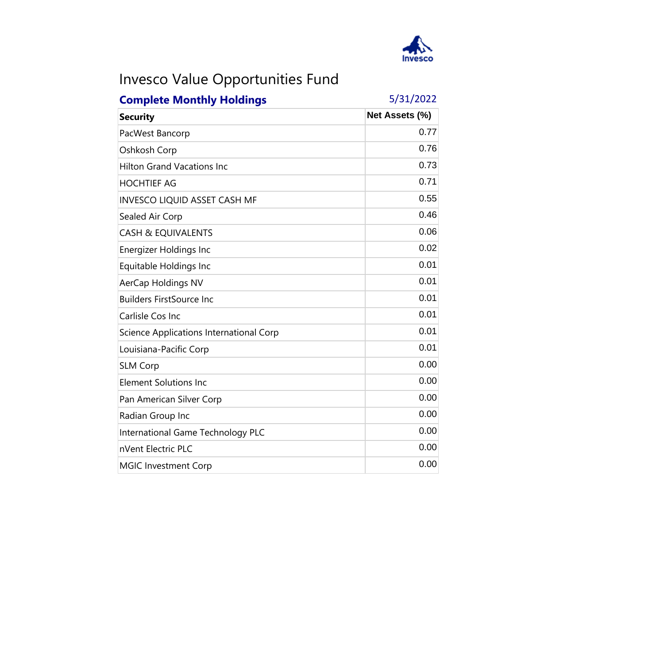

# Invesco Value Opportunities Fund

| <b>Complete Monthly Holdings</b>        | 5/31/2022      |
|-----------------------------------------|----------------|
| <b>Security</b>                         | Net Assets (%) |
| PacWest Bancorp                         | 0.77           |
| Oshkosh Corp                            | 0.76           |
| <b>Hilton Grand Vacations Inc</b>       | 0.73           |
| <b>HOCHTIEF AG</b>                      | 0.71           |
| <b>INVESCO LIQUID ASSET CASH MF</b>     | 0.55           |
| Sealed Air Corp                         | 0.46           |
| <b>CASH &amp; EQUIVALENTS</b>           | 0.06           |
| Energizer Holdings Inc                  | 0.02           |
| Equitable Holdings Inc                  | 0.01           |
| AerCap Holdings NV                      | 0.01           |
| <b>Builders FirstSource Inc</b>         | 0.01           |
| Carlisle Cos Inc                        | 0.01           |
| Science Applications International Corp | 0.01           |
| Louisiana-Pacific Corp                  | 0.01           |
| <b>SLM Corp</b>                         | 0.00           |
| <b>Element Solutions Inc</b>            | 0.00           |
| Pan American Silver Corp                | 0.00           |
| Radian Group Inc                        | 0.00           |
| International Game Technology PLC       | 0.00           |
| nVent Electric PLC                      | 0.00           |
| <b>MGIC Investment Corp</b>             | 0.00           |